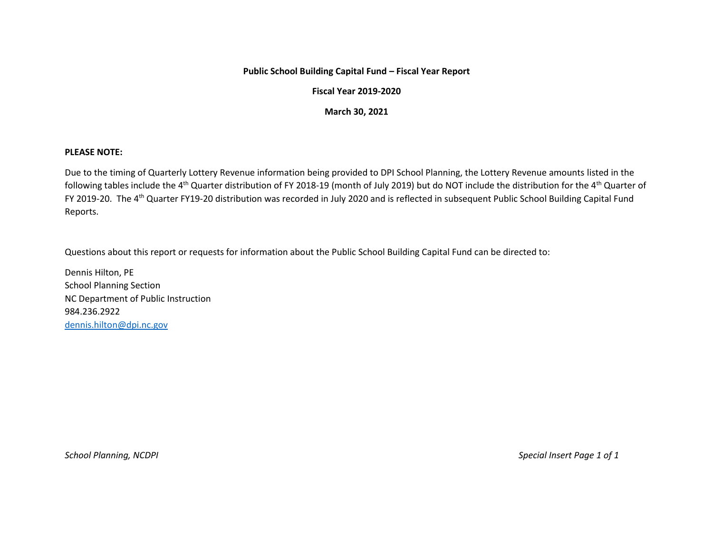## **Public School Building Capital Fund – Fiscal Year Report**

## **Fiscal Year 2019-2020**

## **March 30, 2021**

## **PLEASE NOTE:**

Due to the timing of Quarterly Lottery Revenue information being provided to DPI School Planning, the Lottery Revenue amounts listed in the following tables include the 4<sup>th</sup> Quarter distribution of FY 2018-19 (month of July 2019) but do NOT include the distribution for the 4<sup>th</sup> Quarter of FY 2019-20. The 4th Quarter FY19-20 distribution was recorded in July 2020 and is reflected in subsequent Public School Building Capital Fund Reports.

Questions about this report or requests for information about the Public School Building Capital Fund can be directed to:

Dennis Hilton, PE School Planning Section NC Department of Public Instruction 984.236.2922 [dennis.hilton@dpi.nc.gov](mailto:dennis.hilton@dpi.nc.gov)

*School Planning, NCDPI Special Insert Page 1 of 1*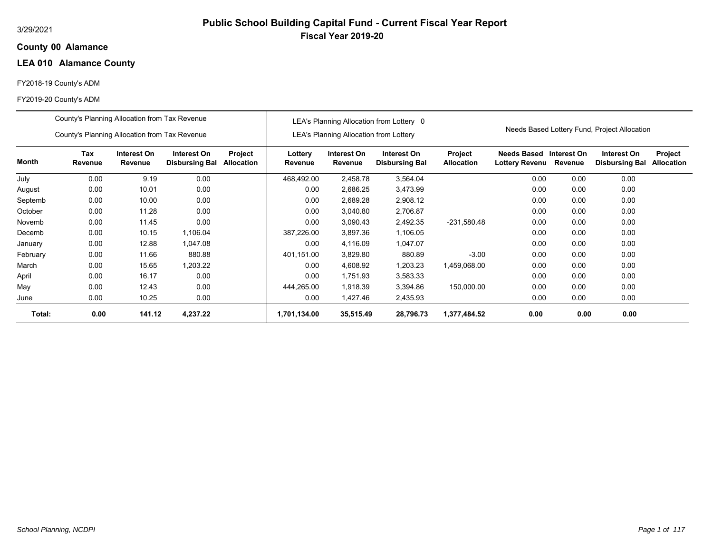## **00 Alamance County**

# **LEA 010 Alamance County**

## FY2018-19 County's ADM

|          | County's Planning Allocation from Tax Revenue |                               |                                      |                       |                    |                                               | LEA's Planning Allocation from Lottery 0 |                              |                                      |                        |                                              |                              |
|----------|-----------------------------------------------|-------------------------------|--------------------------------------|-----------------------|--------------------|-----------------------------------------------|------------------------------------------|------------------------------|--------------------------------------|------------------------|----------------------------------------------|------------------------------|
|          | County's Planning Allocation from Tax Revenue |                               |                                      |                       |                    | <b>LEA's Planning Allocation from Lottery</b> |                                          |                              |                                      |                        | Needs Based Lottery Fund, Project Allocation |                              |
| Month    | Tax<br>Revenue                                | Interest On<br><b>Revenue</b> | Interest On<br><b>Disbursing Bal</b> | Project<br>Allocation | Lottery<br>Revenue | Interest On<br>Revenue                        | Interest On<br><b>Disbursing Bal</b>     | Project<br><b>Allocation</b> | Needs Based<br><b>Lottery Revenu</b> | Interest On<br>Revenue | Interest On<br><b>Disbursing Bal</b>         | Project<br><b>Allocation</b> |
| July     | 0.00                                          | 9.19                          | 0.00                                 |                       | 468,492.00         | 2,458.78                                      | 3,564.04                                 |                              | 0.00                                 | 0.00                   | 0.00                                         |                              |
| August   | 0.00                                          | 10.01                         | 0.00                                 |                       | 0.00               | 2,686.25                                      | 3,473.99                                 |                              | 0.00                                 | 0.00                   | 0.00                                         |                              |
| Septemb  | 0.00                                          | 10.00                         | 0.00                                 |                       | 0.00               | 2,689.28                                      | 2,908.12                                 |                              | 0.00                                 | 0.00                   | 0.00                                         |                              |
| October  | 0.00                                          | 11.28                         | 0.00                                 |                       | 0.00               | 3,040.80                                      | 2,706.87                                 |                              | 0.00                                 | 0.00                   | 0.00                                         |                              |
| Novemb   | 0.00                                          | 11.45                         | 0.00                                 |                       | 0.00               | 3,090.43                                      | 2,492.35                                 | $-231,580.48$                | 0.00                                 | 0.00                   | 0.00                                         |                              |
| Decemb   | 0.00                                          | 10.15                         | 1,106.04                             |                       | 387,226.00         | 3,897.36                                      | 1,106.05                                 |                              | 0.00                                 | 0.00                   | 0.00                                         |                              |
| January  | 0.00                                          | 12.88                         | 1,047.08                             |                       | 0.00               | 4,116.09                                      | 1,047.07                                 |                              | 0.00                                 | 0.00                   | 0.00                                         |                              |
| February | 0.00                                          | 11.66                         | 880.88                               |                       | 401,151.00         | 3,829.80                                      | 880.89                                   | $-3.00$                      | 0.00                                 | 0.00                   | 0.00                                         |                              |
| March    | 0.00                                          | 15.65                         | 1,203.22                             |                       | 0.00               | 4,608.92                                      | 1,203.23                                 | 1,459,068.00                 | 0.00                                 | 0.00                   | 0.00                                         |                              |
| April    | 0.00                                          | 16.17                         | 0.00                                 |                       | 0.00               | 1.751.93                                      | 3,583.33                                 |                              | 0.00                                 | 0.00                   | 0.00                                         |                              |
| May      | 0.00                                          | 12.43                         | 0.00                                 |                       | 444,265.00         | 1,918.39                                      | 3,394.86                                 | 150,000.00                   | 0.00                                 | 0.00                   | 0.00                                         |                              |
| June     | 0.00                                          | 10.25                         | 0.00                                 |                       | 0.00               | 1,427.46                                      | 2,435.93                                 |                              | 0.00                                 | 0.00                   | 0.00                                         |                              |
| Total:   | 0.00                                          | 141.12                        | 4,237.22                             |                       | 1,701,134.00       | 35,515.49                                     | 28,796.73                                | 1,377,484.52                 | 0.00                                 | 0.00                   | 0.00                                         |                              |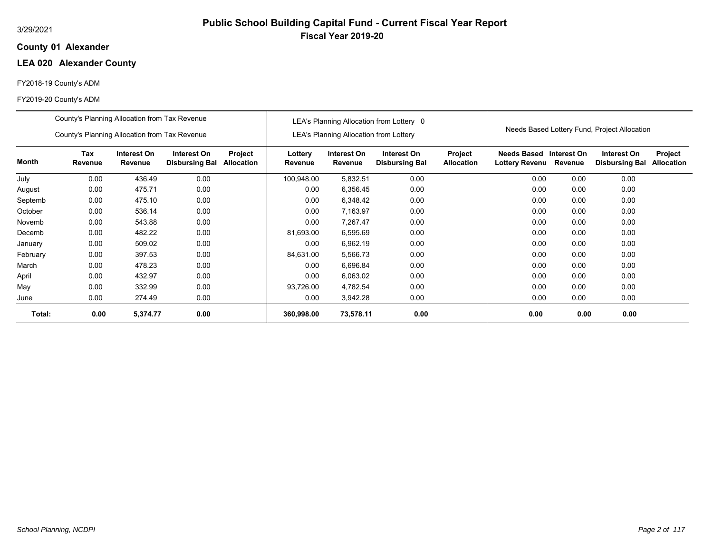## **01 Alexander County**

# **LEA 020 Alexander County**

## FY2018-19 County's ADM

|          | County's Planning Allocation from Tax Revenue |                        |                                      |                              |                    |                                               | LEA's Planning Allocation from Lottery 0 |                              |                                           |         |                                              |                              |
|----------|-----------------------------------------------|------------------------|--------------------------------------|------------------------------|--------------------|-----------------------------------------------|------------------------------------------|------------------------------|-------------------------------------------|---------|----------------------------------------------|------------------------------|
|          | County's Planning Allocation from Tax Revenue |                        |                                      |                              |                    | <b>LEA's Planning Allocation from Lottery</b> |                                          |                              |                                           |         | Needs Based Lottery Fund, Project Allocation |                              |
| Month    | <b>Tax</b><br>Revenue                         | Interest On<br>Revenue | Interest On<br><b>Disbursing Bal</b> | Project<br><b>Allocation</b> | Lottery<br>Revenue | Interest On<br>Revenue                        | Interest On<br><b>Disbursing Bal</b>     | Project<br><b>Allocation</b> | Needs Based Interest On<br>Lottery Revenu | Revenue | Interest On<br><b>Disbursing Bal</b>         | Project<br><b>Allocation</b> |
| July     | 0.00                                          | 436.49                 | 0.00                                 |                              | 100,948.00         | 5,832.51                                      | 0.00                                     |                              | 0.00                                      | 0.00    | 0.00                                         |                              |
| August   | 0.00                                          | 475.71                 | 0.00                                 |                              | 0.00               | 6,356.45                                      | 0.00                                     |                              | 0.00                                      | 0.00    | 0.00                                         |                              |
| Septemb  | 0.00                                          | 475.10                 | 0.00                                 |                              | 0.00               | 6,348.42                                      | 0.00                                     |                              | 0.00                                      | 0.00    | 0.00                                         |                              |
| October  | 0.00                                          | 536.14                 | 0.00                                 |                              | 0.00               | 7,163.97                                      | 0.00                                     |                              | 0.00                                      | 0.00    | 0.00                                         |                              |
| Novemb   | 0.00                                          | 543.88                 | 0.00                                 |                              | 0.00               | 7,267.47                                      | 0.00                                     |                              | 0.00                                      | 0.00    | 0.00                                         |                              |
| Decemb   | 0.00                                          | 482.22                 | 0.00                                 |                              | 81,693.00          | 6,595.69                                      | 0.00                                     |                              | 0.00                                      | 0.00    | 0.00                                         |                              |
| January  | 0.00                                          | 509.02                 | 0.00                                 |                              | 0.00               | 6,962.19                                      | 0.00                                     |                              | 0.00                                      | 0.00    | 0.00                                         |                              |
| February | 0.00                                          | 397.53                 | 0.00                                 |                              | 84,631.00          | 5,566.73                                      | 0.00                                     |                              | 0.00                                      | 0.00    | 0.00                                         |                              |
| March    | 0.00                                          | 478.23                 | 0.00                                 |                              | 0.00               | 6,696.84                                      | 0.00                                     |                              | 0.00                                      | 0.00    | 0.00                                         |                              |
| April    | 0.00                                          | 432.97                 | 0.00                                 |                              | 0.00               | 6,063.02                                      | 0.00                                     |                              | 0.00                                      | 0.00    | 0.00                                         |                              |
| May      | 0.00                                          | 332.99                 | 0.00                                 |                              | 93,726.00          | 4,782.54                                      | 0.00                                     |                              | 0.00                                      | 0.00    | 0.00                                         |                              |
| June     | 0.00                                          | 274.49                 | 0.00                                 |                              | 0.00               | 3,942.28                                      | 0.00                                     |                              | 0.00                                      | 0.00    | 0.00                                         |                              |
| Total:   | 0.00                                          | 5,374.77               | 0.00                                 |                              | 360,998.00         | 73,578.11                                     | 0.00                                     |                              | 0.00                                      | 0.00    | 0.00                                         |                              |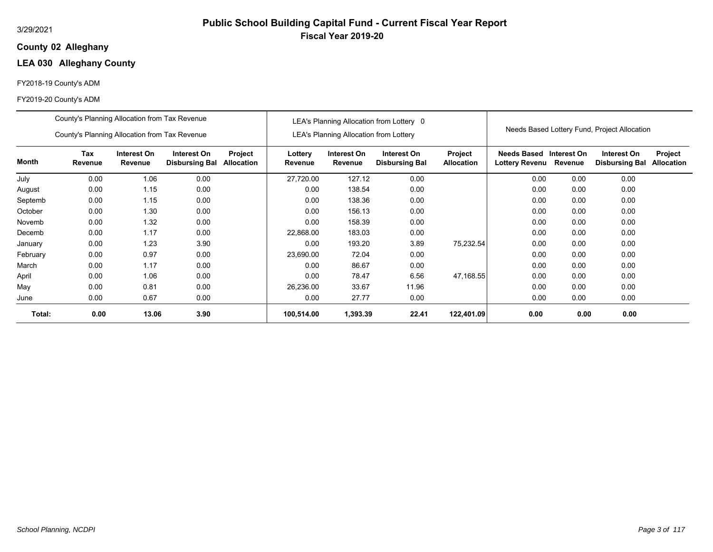## **02 Alleghany County**

## **LEA 030 Alleghany County**

## FY2018-19 County's ADM

|          | County's Planning Allocation from Tax Revenue                                                                                                   |       |      |  |                    |                                               | LEA's Planning Allocation from Lottery 0 |                              |                                           |         |                                              |                              |
|----------|-------------------------------------------------------------------------------------------------------------------------------------------------|-------|------|--|--------------------|-----------------------------------------------|------------------------------------------|------------------------------|-------------------------------------------|---------|----------------------------------------------|------------------------------|
|          | County's Planning Allocation from Tax Revenue                                                                                                   |       |      |  |                    | <b>LEA's Planning Allocation from Lottery</b> |                                          |                              |                                           |         | Needs Based Lottery Fund, Project Allocation |                              |
| Month    | <b>Tax</b><br>Interest On<br>Interest On<br>Project<br>Revenue<br>Revenue<br><b>Disbursing Bal</b><br><b>Allocation</b><br>0.00<br>1.06<br>0.00 |       |      |  | Lottery<br>Revenue | Interest On<br>Revenue                        | Interest On<br><b>Disbursing Bal</b>     | Project<br><b>Allocation</b> | Needs Based Interest On<br>Lottery Revenu | Revenue | Interest On<br><b>Disbursing Bal</b>         | Project<br><b>Allocation</b> |
| July     |                                                                                                                                                 |       |      |  | 27,720.00          | 127.12                                        | 0.00                                     |                              | 0.00                                      | 0.00    | 0.00                                         |                              |
| August   | 0.00                                                                                                                                            | 1.15  | 0.00 |  | 0.00               | 138.54                                        | 0.00                                     |                              | 0.00                                      | 0.00    | 0.00                                         |                              |
| Septemb  | 0.00                                                                                                                                            | 1.15  | 0.00 |  | 0.00               | 138.36                                        | 0.00                                     |                              | 0.00                                      | 0.00    | 0.00                                         |                              |
| October  | 0.00                                                                                                                                            | 1.30  | 0.00 |  | 0.00               | 156.13                                        | 0.00                                     |                              | 0.00                                      | 0.00    | 0.00                                         |                              |
| Novemb   | 0.00                                                                                                                                            | 1.32  | 0.00 |  | 0.00               | 158.39                                        | 0.00                                     |                              | 0.00                                      | 0.00    | 0.00                                         |                              |
| Decemb   | 0.00                                                                                                                                            | 1.17  | 0.00 |  | 22,868.00          | 183.03                                        | 0.00                                     |                              | 0.00                                      | 0.00    | 0.00                                         |                              |
| January  | 0.00                                                                                                                                            | 1.23  | 3.90 |  | 0.00               | 193.20                                        | 3.89                                     | 75,232.54                    | 0.00                                      | 0.00    | 0.00                                         |                              |
| February | 0.00                                                                                                                                            | 0.97  | 0.00 |  | 23,690.00          | 72.04                                         | 0.00                                     |                              | 0.00                                      | 0.00    | 0.00                                         |                              |
| March    | 0.00                                                                                                                                            | 1.17  | 0.00 |  | 0.00               | 86.67                                         | 0.00                                     |                              | 0.00                                      | 0.00    | 0.00                                         |                              |
| April    | 0.00                                                                                                                                            | 1.06  | 0.00 |  | 0.00               | 78.47                                         | 6.56                                     | 47,168.55                    | 0.00                                      | 0.00    | 0.00                                         |                              |
| May      | 0.00                                                                                                                                            | 0.81  | 0.00 |  | 26,236.00          | 33.67                                         | 11.96                                    |                              | 0.00                                      | 0.00    | 0.00                                         |                              |
| June     | 0.00                                                                                                                                            | 0.67  | 0.00 |  | 0.00               | 27.77                                         | 0.00                                     |                              | 0.00                                      | 0.00    | 0.00                                         |                              |
| Total:   | 0.00                                                                                                                                            | 13.06 | 3.90 |  | 100,514.00         | 1,393.39                                      | 22.41                                    | 122,401.09                   | 0.00                                      | 0.00    | 0.00                                         |                              |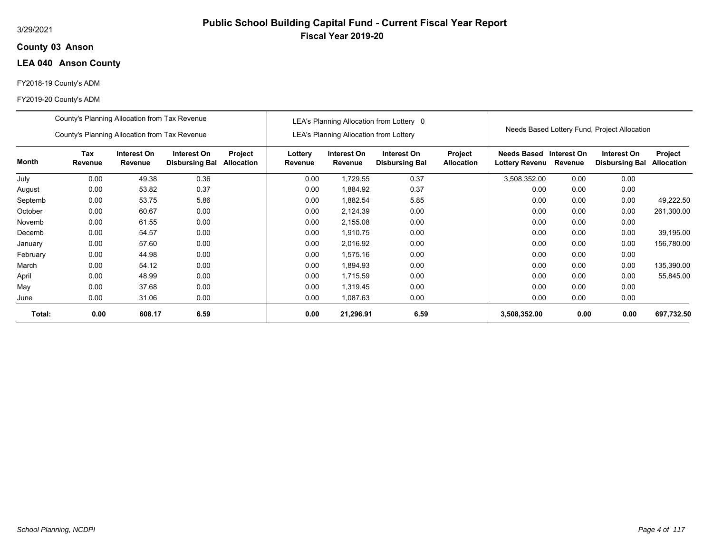## **03 Anson County**

## **LEA 040 Anson County**

## FY2018-19 County's ADM

|          | County's Planning Allocation from Tax Revenue |                        |                                      |                              |                    |                                               | LEA's Planning Allocation from Lottery 0 |                                     |                                                   |      |                                              |                                     |
|----------|-----------------------------------------------|------------------------|--------------------------------------|------------------------------|--------------------|-----------------------------------------------|------------------------------------------|-------------------------------------|---------------------------------------------------|------|----------------------------------------------|-------------------------------------|
|          | County's Planning Allocation from Tax Revenue |                        |                                      |                              |                    | <b>LEA's Planning Allocation from Lottery</b> |                                          |                                     |                                                   |      | Needs Based Lottery Fund, Project Allocation |                                     |
| Month    | Tax<br><b>Revenue</b>                         | Interest On<br>Revenue | Interest On<br><b>Disbursing Bal</b> | Project<br><b>Allocation</b> | Lottery<br>Revenue | Interest On<br>Revenue                        | Interest On<br><b>Disbursing Bal</b>     | <b>Project</b><br><b>Allocation</b> | Needs Based Interest On<br>Lottery Revenu Revenue |      | Interest On<br><b>Disbursing Bal</b>         | <b>Project</b><br><b>Allocation</b> |
| July     | 0.00                                          | 49.38                  | 0.36                                 |                              | 0.00               | 1,729.55                                      | 0.37                                     |                                     | 3,508,352.00                                      | 0.00 | 0.00                                         |                                     |
| August   | 0.00                                          | 53.82                  | 0.37                                 |                              | 0.00               | 1,884.92                                      | 0.37                                     |                                     | 0.00                                              | 0.00 | 0.00                                         |                                     |
| Septemb  | 0.00<br>53.75<br>5.86                         |                        |                                      |                              | 0.00               | 1,882.54                                      | 5.85                                     |                                     | 0.00                                              | 0.00 | 0.00                                         | 49,222.50                           |
| October  | 0.00                                          | 60.67                  | 0.00                                 |                              | 0.00               | 2,124.39                                      | 0.00                                     |                                     | 0.00                                              | 0.00 | 0.00                                         | 261,300.00                          |
| Novemb   | 0.00                                          | 61.55                  | 0.00                                 |                              | 0.00               | 2,155.08                                      | 0.00                                     |                                     | 0.00                                              | 0.00 | 0.00                                         |                                     |
| Decemb   | 0.00                                          | 54.57                  | 0.00                                 |                              | 0.00               | 1,910.75                                      | 0.00                                     |                                     | 0.00                                              | 0.00 | 0.00                                         | 39,195.00                           |
| January  | 0.00                                          | 57.60                  | 0.00                                 |                              | 0.00               | 2,016.92                                      | 0.00                                     |                                     | 0.00                                              | 0.00 | 0.00                                         | 156,780.00                          |
| February | 0.00                                          | 44.98                  | 0.00                                 |                              | 0.00               | 1,575.16                                      | 0.00                                     |                                     | 0.00                                              | 0.00 | 0.00                                         |                                     |
| March    | 0.00                                          | 54.12                  | 0.00                                 |                              | 0.00               | 1,894.93                                      | 0.00                                     |                                     | 0.00                                              | 0.00 | 0.00                                         | 135,390.00                          |
| April    | 0.00                                          | 48.99                  | 0.00                                 |                              | 0.00               | 1,715.59                                      | 0.00                                     |                                     | 0.00                                              | 0.00 | 0.00                                         | 55,845.00                           |
| May      | 0.00                                          | 37.68                  | 0.00                                 |                              | 0.00               | 1,319.45                                      | 0.00                                     |                                     | 0.00                                              | 0.00 | 0.00                                         |                                     |
| June     | 0.00                                          | 31.06                  | 0.00                                 |                              | 0.00               | 1,087.63                                      | 0.00                                     |                                     | 0.00                                              | 0.00 | 0.00                                         |                                     |
| Total:   | 0.00<br>608.17<br>6.59                        |                        |                                      |                              | 0.00               | 21,296.91                                     | 6.59                                     |                                     | 3,508,352.00                                      | 0.00 | 0.00                                         | 697,732.50                          |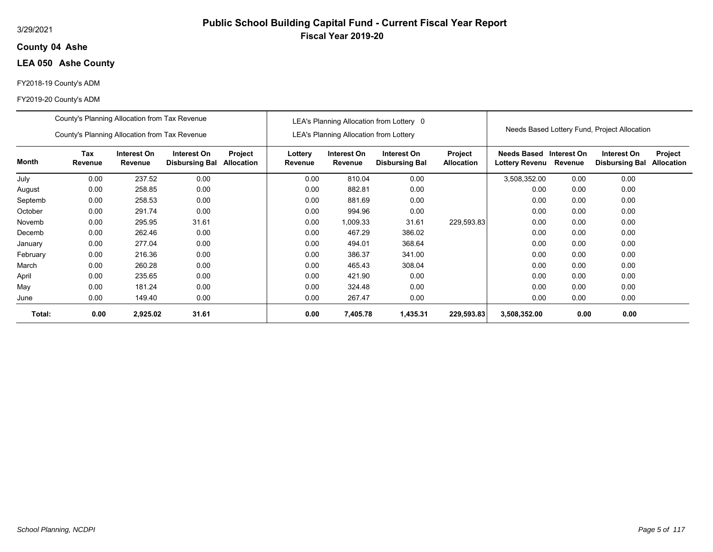## **04 Ashe County**

## **LEA 050 Ashe County**

## FY2018-19 County's ADM

|          | County's Planning Allocation from Tax Revenue |                        |                                      |                       |                    |                                               | LEA's Planning Allocation from Lottery 0 |                              |                                             |                        |                                              |                              |
|----------|-----------------------------------------------|------------------------|--------------------------------------|-----------------------|--------------------|-----------------------------------------------|------------------------------------------|------------------------------|---------------------------------------------|------------------------|----------------------------------------------|------------------------------|
|          | County's Planning Allocation from Tax Revenue |                        |                                      |                       |                    | <b>LEA's Planning Allocation from Lottery</b> |                                          |                              |                                             |                        | Needs Based Lottery Fund, Project Allocation |                              |
| Month    | Tax<br>Revenue                                | Interest On<br>Revenue | Interest On<br><b>Disbursing Bal</b> | Project<br>Allocation | Lottery<br>Revenue | Interest On<br>Revenue                        | Interest On<br><b>Disbursing Bal</b>     | Project<br><b>Allocation</b> | <b>Needs Based</b><br><b>Lottery Revenu</b> | Interest On<br>Revenue | Interest On<br><b>Disbursing Bal</b>         | Project<br><b>Allocation</b> |
| July     | 0.00                                          | 237.52                 | 0.00                                 |                       | 0.00               | 810.04                                        | 0.00                                     |                              | 3,508,352.00                                | 0.00                   | 0.00                                         |                              |
| August   | 0.00                                          | 258.85                 | 0.00                                 |                       | 0.00               | 882.81                                        | 0.00                                     |                              | 0.00                                        | 0.00                   | 0.00                                         |                              |
| Septemb  | 0.00                                          | 258.53                 | 0.00                                 |                       | 0.00               | 881.69                                        | 0.00                                     |                              | 0.00                                        | 0.00                   | 0.00                                         |                              |
| October  | 0.00                                          | 291.74                 | 0.00                                 |                       | 0.00               | 994.96                                        | 0.00                                     |                              | 0.00                                        | 0.00                   | 0.00                                         |                              |
| Novemb   | 0.00                                          | 295.95                 | 31.61                                |                       | 0.00               | 1,009.33                                      | 31.61                                    | 229,593.83                   | 0.00                                        | 0.00                   | 0.00                                         |                              |
| Decemb   | 0.00                                          | 262.46                 | 0.00                                 |                       | 0.00               | 467.29                                        | 386.02                                   |                              | 0.00                                        | 0.00                   | 0.00                                         |                              |
| January  | 0.00                                          | 277.04                 | 0.00                                 |                       | 0.00               | 494.01                                        | 368.64                                   |                              | 0.00                                        | 0.00                   | 0.00                                         |                              |
| February | 0.00                                          | 216.36                 | 0.00                                 |                       | 0.00               | 386.37                                        | 341.00                                   |                              | 0.00                                        | 0.00                   | 0.00                                         |                              |
| March    | 0.00                                          | 260.28                 | 0.00                                 |                       | 0.00               | 465.43                                        | 308.04                                   |                              | 0.00                                        | 0.00                   | 0.00                                         |                              |
| April    | 0.00                                          | 235.65                 | 0.00                                 |                       | 0.00               | 421.90                                        | 0.00                                     |                              | 0.00                                        | 0.00                   | 0.00                                         |                              |
| May      | 0.00                                          | 181.24                 | 0.00                                 |                       | 0.00               | 324.48                                        | 0.00                                     |                              | 0.00                                        | 0.00                   | 0.00                                         |                              |
| June     | 0.00                                          | 149.40                 | 0.00                                 |                       | 0.00               | 267.47                                        | 0.00                                     |                              | 0.00                                        | 0.00                   | 0.00                                         |                              |
| Total:   | 0.00                                          | 2,925.02               | 31.61                                |                       | 0.00               | 7,405.78                                      | 1,435.31                                 | 229,593.83                   | 3,508,352.00                                | 0.00                   | 0.00                                         |                              |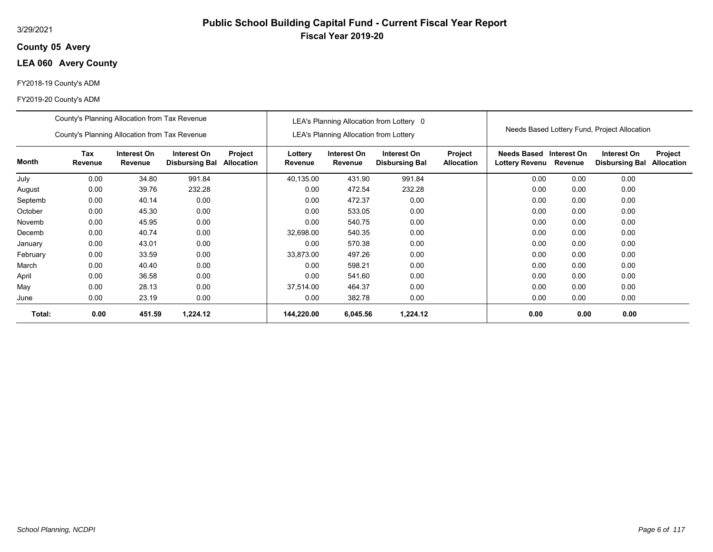## **05 Avery County**

## **LEA 060 Avery County**

## FY2018-19 County's ADM

|          | County's Planning Allocation from Tax Revenue |                        |                                      |                              |                    |                                               | LEA's Planning Allocation from Lottery 0 |                              |                                           |         |                                              |                              |
|----------|-----------------------------------------------|------------------------|--------------------------------------|------------------------------|--------------------|-----------------------------------------------|------------------------------------------|------------------------------|-------------------------------------------|---------|----------------------------------------------|------------------------------|
|          | County's Planning Allocation from Tax Revenue |                        |                                      |                              |                    | <b>LEA's Planning Allocation from Lottery</b> |                                          |                              |                                           |         | Needs Based Lottery Fund, Project Allocation |                              |
| Month    | Tax<br>Revenue                                | Interest On<br>Revenue | Interest On<br><b>Disbursing Bal</b> | Project<br><b>Allocation</b> | Lottery<br>Revenue | Interest On<br>Revenue                        | Interest On<br><b>Disbursing Bal</b>     | Project<br><b>Allocation</b> | Needs Based Interest On<br>Lottery Revenu | Revenue | Interest On<br><b>Disbursing Bal</b>         | Project<br><b>Allocation</b> |
| July     | 0.00                                          | 34.80                  | 991.84                               |                              | 40.135.00          | 431.90                                        | 991.84                                   |                              | 0.00                                      | 0.00    | 0.00                                         |                              |
| August   | 0.00                                          | 39.76                  | 232.28                               |                              | 0.00               | 472.54                                        | 232.28                                   |                              | 0.00                                      | 0.00    | 0.00                                         |                              |
| Septemb  | 0.00                                          | 40.14                  | 0.00                                 |                              | 0.00               | 472.37                                        | 0.00                                     |                              | 0.00                                      | 0.00    | 0.00                                         |                              |
| October  | 0.00                                          | 45.30                  | 0.00                                 |                              | 0.00               | 533.05                                        | 0.00                                     |                              | 0.00                                      | 0.00    | 0.00                                         |                              |
| Novemb   | 0.00                                          | 45.95                  | 0.00                                 |                              | 0.00               | 540.75                                        | 0.00                                     |                              | 0.00                                      | 0.00    | 0.00                                         |                              |
| Decemb   | 0.00                                          | 40.74                  | 0.00                                 |                              | 32,698.00          | 540.35                                        | 0.00                                     |                              | 0.00                                      | 0.00    | 0.00                                         |                              |
| January  | 0.00                                          | 43.01                  | 0.00                                 |                              | 0.00               | 570.38                                        | 0.00                                     |                              | 0.00                                      | 0.00    | 0.00                                         |                              |
| February | 0.00                                          | 33.59                  | 0.00                                 |                              | 33,873.00          | 497.26                                        | 0.00                                     |                              | 0.00                                      | 0.00    | 0.00                                         |                              |
| March    | 0.00                                          | 40.40                  | 0.00                                 |                              | 0.00               | 598.21                                        | 0.00                                     |                              | 0.00                                      | 0.00    | 0.00                                         |                              |
| April    | 0.00                                          | 36.58                  | 0.00                                 |                              | 0.00               | 541.60                                        | 0.00                                     |                              | 0.00                                      | 0.00    | 0.00                                         |                              |
| May      | 0.00                                          | 28.13                  | 0.00                                 |                              | 37,514.00          | 464.37                                        | 0.00                                     |                              | 0.00                                      | 0.00    | 0.00                                         |                              |
| June     | 0.00                                          | 23.19                  | 0.00                                 |                              | 0.00               | 382.78                                        | 0.00                                     |                              | 0.00                                      | 0.00    | 0.00                                         |                              |
| Total:   | 0.00                                          | 451.59                 | 1,224.12                             |                              | 144,220.00         | 6,045.56                                      | 1,224.12                                 |                              | 0.00                                      | 0.00    | 0.00                                         |                              |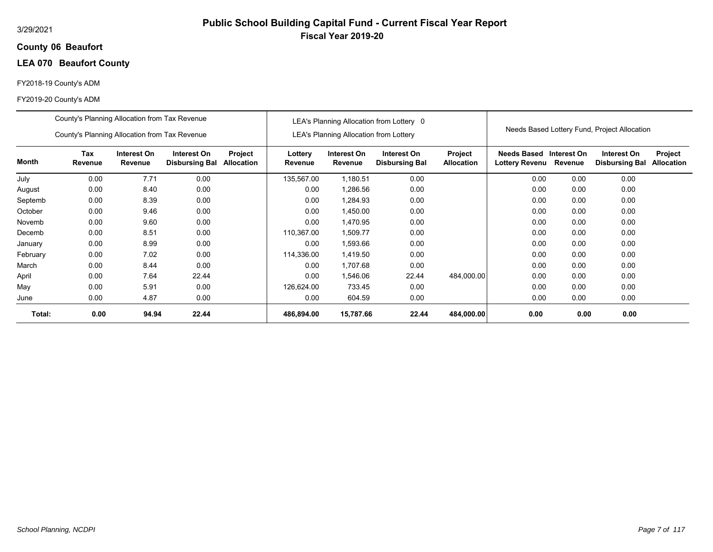## **06 Beaufort County**

# **LEA 070 Beaufort County**

## FY2018-19 County's ADM

|          | County's Planning Allocation from Tax Revenue |                        |                                      |                              |                    |                                               | LEA's Planning Allocation from Lottery 0 |                              |                                           |         |                                              |                              |
|----------|-----------------------------------------------|------------------------|--------------------------------------|------------------------------|--------------------|-----------------------------------------------|------------------------------------------|------------------------------|-------------------------------------------|---------|----------------------------------------------|------------------------------|
|          | County's Planning Allocation from Tax Revenue |                        |                                      |                              |                    | <b>LEA's Planning Allocation from Lottery</b> |                                          |                              |                                           |         | Needs Based Lottery Fund, Project Allocation |                              |
| Month    | Tax<br>Revenue                                | Interest On<br>Revenue | Interest On<br><b>Disbursing Bal</b> | Project<br><b>Allocation</b> | Lottery<br>Revenue | Interest On<br>Revenue                        | Interest On<br><b>Disbursing Bal</b>     | Project<br><b>Allocation</b> | Needs Based Interest On<br>Lottery Revenu | Revenue | Interest On<br><b>Disbursing Bal</b>         | Project<br><b>Allocation</b> |
| July     | 0.00                                          | 7.71                   | 0.00                                 |                              | 135,567.00         | 1,180.51                                      | 0.00                                     |                              | 0.00                                      | 0.00    | 0.00                                         |                              |
| August   | 0.00                                          | 8.40                   | 0.00                                 |                              | 0.00               | 1,286.56                                      | 0.00                                     |                              | 0.00                                      | 0.00    | 0.00                                         |                              |
| Septemb  | 0.00                                          | 8.39                   | 0.00                                 |                              | 0.00               | 1,284.93                                      | 0.00                                     |                              | 0.00                                      | 0.00    | 0.00                                         |                              |
| October  | 0.00                                          | 9.46                   | 0.00                                 |                              | 0.00               | 1,450.00                                      | 0.00                                     |                              | 0.00                                      | 0.00    | 0.00                                         |                              |
| Novemb   | 0.00                                          | 9.60                   | 0.00                                 |                              | 0.00               | 1,470.95                                      | 0.00                                     |                              | 0.00                                      | 0.00    | 0.00                                         |                              |
| Decemb   | 0.00                                          | 8.51                   | 0.00                                 |                              | 110,367.00         | 1,509.77                                      | 0.00                                     |                              | 0.00                                      | 0.00    | 0.00                                         |                              |
| January  | 0.00                                          | 8.99                   | 0.00                                 |                              | 0.00               | 1,593.66                                      | 0.00                                     |                              | 0.00                                      | 0.00    | 0.00                                         |                              |
| February | 0.00                                          | 7.02                   | 0.00                                 |                              | 114,336.00         | 1,419.50                                      | 0.00                                     |                              | 0.00                                      | 0.00    | 0.00                                         |                              |
| March    | 0.00                                          | 8.44                   | 0.00                                 |                              | 0.00               | 1.707.68                                      | 0.00                                     |                              | 0.00                                      | 0.00    | 0.00                                         |                              |
| April    | 0.00                                          | 7.64                   | 22.44                                |                              | 0.00               | 1,546.06                                      | 22.44                                    | 484,000.00                   | 0.00                                      | 0.00    | 0.00                                         |                              |
| May      | 0.00                                          | 5.91                   | 0.00                                 |                              | 126,624.00         | 733.45                                        | 0.00                                     |                              | 0.00                                      | 0.00    | 0.00                                         |                              |
| June     | 0.00                                          | 4.87                   | 0.00                                 |                              | 0.00               | 604.59                                        | 0.00                                     |                              | 0.00                                      | 0.00    | 0.00                                         |                              |
| Total:   | 0.00                                          | 94.94                  | 22.44                                |                              | 486,894.00         | 15,787.66                                     | 22.44                                    | 484,000.00                   | 0.00                                      | 0.00    | 0.00                                         |                              |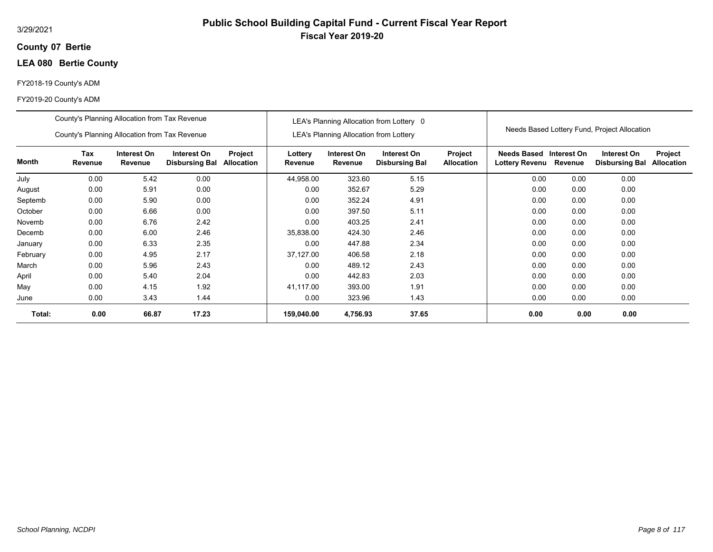## **07 Bertie County**

## **LEA 080 Bertie County**

## FY2018-19 County's ADM

#### FY2019-20 County's ADM

|          | County's Planning Allocation from Tax Revenue |                        |                                      |                              |                    |                                               | LEA's Planning Allocation from Lottery 0 |                              |                                           |         |                                              |                              |
|----------|-----------------------------------------------|------------------------|--------------------------------------|------------------------------|--------------------|-----------------------------------------------|------------------------------------------|------------------------------|-------------------------------------------|---------|----------------------------------------------|------------------------------|
|          | County's Planning Allocation from Tax Revenue |                        |                                      |                              |                    | <b>LEA's Planning Allocation from Lottery</b> |                                          |                              |                                           |         | Needs Based Lottery Fund, Project Allocation |                              |
| Month    | Tax<br>Revenue                                | Interest On<br>Revenue | Interest On<br><b>Disbursing Bal</b> | Project<br><b>Allocation</b> | Lottery<br>Revenue | Interest On<br>Revenue                        | Interest On<br><b>Disbursing Bal</b>     | Project<br><b>Allocation</b> | Needs Based Interest On<br>Lottery Revenu | Revenue | Interest On<br><b>Disbursing Bal</b>         | Project<br><b>Allocation</b> |
| July     | 0.00                                          | 5.42                   | 0.00                                 |                              | 44,958.00          | 323.60                                        | 5.15                                     |                              | 0.00                                      | 0.00    | 0.00                                         |                              |
| August   | 0.00                                          | 5.91                   | 0.00                                 |                              | 0.00               | 352.67                                        | 5.29                                     |                              | 0.00                                      | 0.00    | 0.00                                         |                              |
| Septemb  | 0.00                                          | 5.90                   | 0.00                                 |                              | 0.00               | 352.24                                        | 4.91                                     |                              | 0.00                                      | 0.00    | 0.00                                         |                              |
| October  | 0.00                                          | 6.66                   | 0.00                                 |                              | 0.00               | 397.50                                        | 5.11                                     |                              | 0.00                                      | 0.00    | 0.00                                         |                              |
| Novemb   | 0.00                                          | 6.76                   | 2.42                                 |                              | 0.00               | 403.25                                        | 2.41                                     |                              | 0.00                                      | 0.00    | 0.00                                         |                              |
| Decemb   | 0.00                                          | 6.00                   | 2.46                                 |                              | 35,838.00          | 424.30                                        | 2.46                                     |                              | 0.00                                      | 0.00    | 0.00                                         |                              |
| January  | 0.00                                          | 6.33                   | 2.35                                 |                              | 0.00               | 447.88                                        | 2.34                                     |                              | 0.00                                      | 0.00    | 0.00                                         |                              |
| February | 0.00                                          | 4.95                   | 2.17                                 |                              | 37,127.00          | 406.58                                        | 2.18                                     |                              | 0.00                                      | 0.00    | 0.00                                         |                              |
| March    | 0.00                                          | 5.96                   | 2.43                                 |                              | 0.00               | 489.12                                        | 2.43                                     |                              | 0.00                                      | 0.00    | 0.00                                         |                              |
| April    | 0.00                                          | 5.40                   | 2.04                                 |                              | 0.00               | 442.83                                        | 2.03                                     |                              | 0.00                                      | 0.00    | 0.00                                         |                              |
| May      | 0.00                                          | 4.15                   | 1.92                                 |                              | 41.117.00          | 393.00                                        | 1.91                                     |                              | 0.00                                      | 0.00    | 0.00                                         |                              |
| June     | 0.00                                          | 3.43                   | 1.44                                 |                              | 0.00               | 323.96                                        | 1.43                                     |                              | 0.00                                      | 0.00    | 0.00                                         |                              |
| Total:   | 0.00                                          | 66.87                  | 17.23                                |                              | 159,040.00         | 4,756.93                                      | 37.65                                    |                              | 0.00                                      | 0.00    | 0.00                                         |                              |

**Public School Building Capital Fund - Current Fiscal Year Report**

**Fiscal Year 2019-20**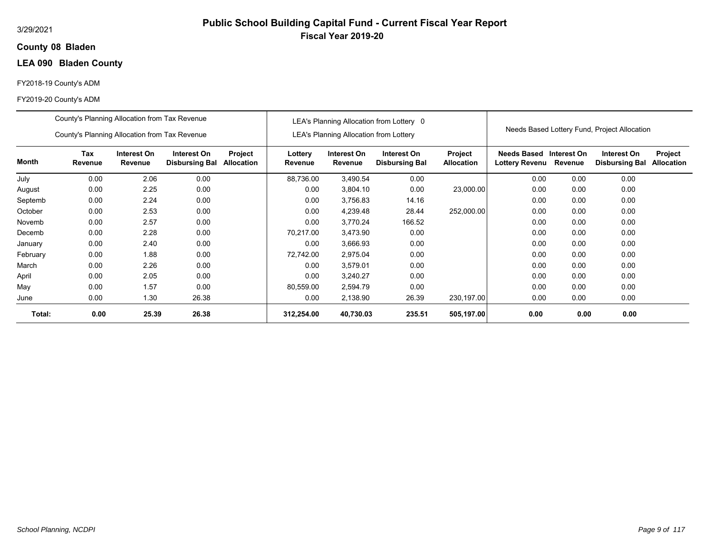## **08 Bladen County**

# **LEA 090 Bladen County**

## FY2018-19 County's ADM

|          | County's Planning Allocation from Tax Revenue |                        |                                      |                              |                    |                                               | LEA's Planning Allocation from Lottery 0 |                              |                                           |         |                                              |                              |
|----------|-----------------------------------------------|------------------------|--------------------------------------|------------------------------|--------------------|-----------------------------------------------|------------------------------------------|------------------------------|-------------------------------------------|---------|----------------------------------------------|------------------------------|
|          | County's Planning Allocation from Tax Revenue |                        |                                      |                              |                    | <b>LEA's Planning Allocation from Lottery</b> |                                          |                              |                                           |         | Needs Based Lottery Fund, Project Allocation |                              |
| Month    | Tax<br>Revenue                                | Interest On<br>Revenue | Interest On<br><b>Disbursing Bal</b> | Project<br><b>Allocation</b> | Lottery<br>Revenue | Interest On<br>Revenue                        | Interest On<br><b>Disbursing Bal</b>     | Project<br><b>Allocation</b> | Needs Based Interest On<br>Lottery Revenu | Revenue | Interest On<br><b>Disbursing Bal</b>         | Project<br><b>Allocation</b> |
| July     | 0.00                                          | 2.06                   | 0.00                                 |                              | 88,736.00          | 3,490.54                                      | 0.00                                     |                              | 0.00                                      | 0.00    | 0.00                                         |                              |
| August   | 0.00                                          | 2.25                   | 0.00                                 |                              | 0.00               | 3,804.10                                      | 0.00                                     | 23,000.00                    | 0.00                                      | 0.00    | 0.00                                         |                              |
| Septemb  | 0.00                                          | 2.24                   | 0.00                                 |                              | 0.00               | 3,756.83                                      | 14.16                                    |                              | 0.00                                      | 0.00    | 0.00                                         |                              |
| October  | 0.00                                          | 2.53                   | 0.00                                 |                              | 0.00               | 4,239.48                                      | 28.44                                    | 252,000.00                   | 0.00                                      | 0.00    | 0.00                                         |                              |
| Novemb   | 0.00                                          | 2.57                   | 0.00                                 |                              | 0.00               | 3,770.24                                      | 166.52                                   |                              | 0.00                                      | 0.00    | 0.00                                         |                              |
| Decemb   | 0.00                                          | 2.28                   | 0.00                                 |                              | 70.217.00          | 3,473.90                                      | 0.00                                     |                              | 0.00                                      | 0.00    | 0.00                                         |                              |
| January  | 0.00                                          | 2.40                   | 0.00                                 |                              | 0.00               | 3,666.93                                      | 0.00                                     |                              | 0.00                                      | 0.00    | 0.00                                         |                              |
| February | 0.00                                          | 1.88                   | 0.00                                 |                              | 72,742.00          | 2,975.04                                      | 0.00                                     |                              | 0.00                                      | 0.00    | 0.00                                         |                              |
| March    | 0.00                                          | 2.26                   | 0.00                                 |                              | 0.00               | 3,579.01                                      | 0.00                                     |                              | 0.00                                      | 0.00    | 0.00                                         |                              |
| April    | 0.00                                          | 2.05                   | 0.00                                 |                              | 0.00               | 3,240.27                                      | 0.00                                     |                              | 0.00                                      | 0.00    | 0.00                                         |                              |
| May      | 0.00                                          | 1.57                   | 0.00                                 |                              | 80,559.00          | 2,594.79                                      | 0.00                                     |                              | 0.00                                      | 0.00    | 0.00                                         |                              |
| June     | 0.00                                          | 1.30                   | 26.38                                |                              | 0.00               | 2,138.90                                      | 26.39                                    | 230,197.00                   | 0.00                                      | 0.00    | 0.00                                         |                              |
| Total:   | 0.00                                          | 25.39                  | 26.38                                |                              | 312,254.00         | 40,730.03                                     | 235.51                                   | 505,197.00                   | 0.00                                      | 0.00    | 0.00                                         |                              |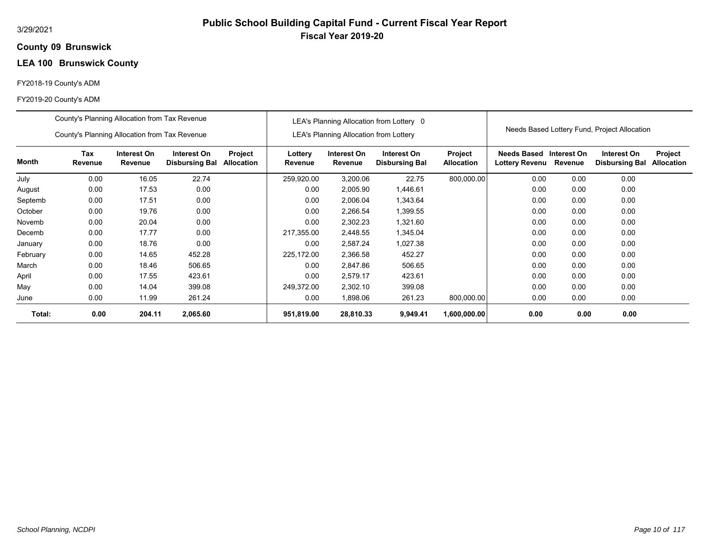# **Public School Building Capital Fund - Current Fiscal Year Report Fiscal Year 2019-20**

## **09 Brunswick County**

# **LEA 100 Brunswick County**

## FY2018-19 County's ADM

|          | County's Planning Allocation from Tax Revenue |                        |                                      |                              |                    |                                        | LEA's Planning Allocation from Lottery 0 |                              |                               |                        |                                              |                              |
|----------|-----------------------------------------------|------------------------|--------------------------------------|------------------------------|--------------------|----------------------------------------|------------------------------------------|------------------------------|-------------------------------|------------------------|----------------------------------------------|------------------------------|
|          | County's Planning Allocation from Tax Revenue |                        |                                      |                              |                    | LEA's Planning Allocation from Lottery |                                          |                              |                               |                        | Needs Based Lottery Fund, Project Allocation |                              |
| Month    | <b>Tax</b><br>Revenue                         | Interest On<br>Revenue | Interest On<br><b>Disbursing Bal</b> | Project<br><b>Allocation</b> | Lottery<br>Revenue | Interest On<br>Revenue                 | Interest On<br><b>Disbursing Bal</b>     | Project<br><b>Allocation</b> | Needs Based<br>Lottery Revenu | Interest On<br>Revenue | Interest On<br><b>Disbursing Bal</b>         | Project<br><b>Allocation</b> |
| July     | 0.00                                          | 16.05                  | 22.74                                |                              | 259,920.00         | 3,200.06                               | 22.75                                    | 800,000.00                   | 0.00                          | 0.00                   | 0.00                                         |                              |
| August   | 0.00                                          | 17.53                  | 0.00                                 |                              | 0.00               | 2,005.90                               | 1,446.61                                 |                              | 0.00                          | 0.00                   | 0.00                                         |                              |
| Septemb  | 0.00                                          | 17.51                  | 0.00                                 |                              | 0.00               | 2,006.04                               | 1,343.64                                 |                              | 0.00                          | 0.00                   | 0.00                                         |                              |
| October  | 0.00                                          | 19.76                  | 0.00                                 |                              | 0.00               | 2,266.54                               | 1,399.55                                 |                              | 0.00                          | 0.00                   | 0.00                                         |                              |
| Novemb   | 0.00                                          | 20.04                  | 0.00                                 |                              | 0.00               | 2,302.23                               | 1,321.60                                 |                              | 0.00                          | 0.00                   | 0.00                                         |                              |
| Decemb   | 0.00                                          | 17.77                  | 0.00                                 |                              | 217,355.00         | 2,448.55                               | 1,345.04                                 |                              | 0.00                          | 0.00                   | 0.00                                         |                              |
| January  | 0.00                                          | 18.76                  | 0.00                                 |                              | 0.00               | 2,587.24                               | 1,027.38                                 |                              | 0.00                          | 0.00                   | 0.00                                         |                              |
| February | 0.00                                          | 14.65                  | 452.28                               |                              | 225,172.00         | 2,366.58                               | 452.27                                   |                              | 0.00                          | 0.00                   | 0.00                                         |                              |
| March    | 0.00                                          | 18.46                  | 506.65                               |                              | 0.00               | 2,847.86                               | 506.65                                   |                              | 0.00                          | 0.00                   | 0.00                                         |                              |
| April    | 0.00                                          | 17.55                  | 423.61                               |                              | 0.00               | 2.579.17                               | 423.61                                   |                              | 0.00                          | 0.00                   | 0.00                                         |                              |
| May      | 0.00                                          | 14.04                  | 399.08                               |                              | 249,372.00         | 2,302.10                               | 399.08                                   |                              | 0.00                          | 0.00                   | 0.00                                         |                              |
| June     | 0.00                                          | 11.99                  | 261.24                               |                              | 0.00               | 1,898.06                               | 261.23                                   | 800,000.00                   | 0.00                          | 0.00                   | 0.00                                         |                              |
| Total:   | 0.00                                          | 204.11                 | 2,065.60                             |                              | 951,819.00         | 28,810.33                              | 9,949.41                                 | 1,600,000.00                 | 0.00                          | 0.00                   | 0.00                                         |                              |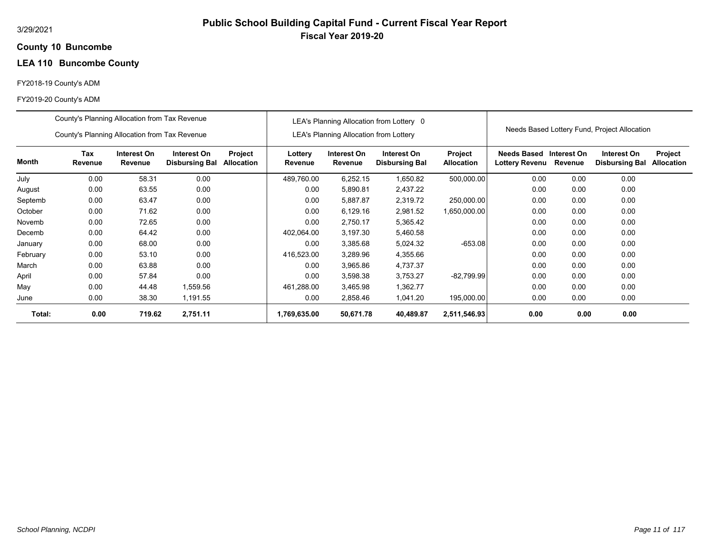# **Public School Building Capital Fund - Current Fiscal Year Report Fiscal Year 2019-20**

## **10 Buncombe County**

# **LEA 110 Buncombe County**

## FY2018-19 County's ADM

|          | County's Planning Allocation from Tax Revenue                                                                                             |        |          |  |                    |                                        | LEA's Planning Allocation from Lottery 0 |                              |                                              |             |                                              |                              |
|----------|-------------------------------------------------------------------------------------------------------------------------------------------|--------|----------|--|--------------------|----------------------------------------|------------------------------------------|------------------------------|----------------------------------------------|-------------|----------------------------------------------|------------------------------|
|          | County's Planning Allocation from Tax Revenue                                                                                             |        |          |  |                    | LEA's Planning Allocation from Lottery |                                          |                              |                                              |             | Needs Based Lottery Fund, Project Allocation |                              |
| Month    | Tax<br>Interest On<br>Interest On<br>Project<br>Revenue<br><b>Allocation</b><br>Revenue<br><b>Disbursing Bal</b><br>0.00<br>58.31<br>0.00 |        |          |  | Lottery<br>Revenue | Interest On<br>Revenue                 | Interest On<br><b>Disbursing Bal</b>     | Project<br><b>Allocation</b> | <b>Needs Based</b><br>Lottery Revenu Revenue | Interest On | Interest On<br><b>Disbursing Bal</b>         | Project<br><b>Allocation</b> |
| July     |                                                                                                                                           |        |          |  | 489,760.00         | 6,252.15                               | 1,650.82                                 | 500,000.00                   | 0.00                                         | 0.00        | 0.00                                         |                              |
| August   | 0.00                                                                                                                                      | 63.55  | 0.00     |  | 0.00               | 5,890.81                               | 2,437.22                                 |                              | 0.00                                         | 0.00        | 0.00                                         |                              |
| Septemb  | 0.00                                                                                                                                      | 63.47  | 0.00     |  | 0.00               | 5,887.87                               | 2,319.72                                 | 250,000.00                   | 0.00                                         | 0.00        | 0.00                                         |                              |
| October  | 0.00                                                                                                                                      | 71.62  | 0.00     |  | 0.00               | 6,129.16                               | 2,981.52                                 | 1,650,000.00                 | 0.00                                         | 0.00        | 0.00                                         |                              |
| Novemb   | 0.00                                                                                                                                      | 72.65  | 0.00     |  | 0.00               | 2,750.17                               | 5,365.42                                 |                              | 0.00                                         | 0.00        | 0.00                                         |                              |
| Decemb   | 0.00                                                                                                                                      | 64.42  | 0.00     |  | 402,064.00         | 3,197.30                               | 5,460.58                                 |                              | 0.00                                         | 0.00        | 0.00                                         |                              |
| January  | 0.00                                                                                                                                      | 68.00  | 0.00     |  | 0.00               | 3,385.68                               | 5,024.32                                 | $-653.08$                    | 0.00                                         | 0.00        | 0.00                                         |                              |
| February | 0.00                                                                                                                                      | 53.10  | 0.00     |  | 416,523.00         | 3,289.96                               | 4,355.66                                 |                              | 0.00                                         | 0.00        | 0.00                                         |                              |
| March    | 0.00                                                                                                                                      | 63.88  | 0.00     |  | 0.00               | 3,965.86                               | 4,737.37                                 |                              | 0.00                                         | 0.00        | 0.00                                         |                              |
| April    | 0.00                                                                                                                                      | 57.84  | 0.00     |  | 0.00               | 3,598.38                               | 3,753.27                                 | $-82,799.99$                 | 0.00                                         | 0.00        | 0.00                                         |                              |
| May      | 0.00                                                                                                                                      | 44.48  | 1,559.56 |  | 461,288.00         | 3,465.98                               | 1,362.77                                 |                              | 0.00                                         | 0.00        | 0.00                                         |                              |
| June     | 0.00                                                                                                                                      | 38.30  | 1,191.55 |  | 0.00               | 2,858.46                               | 1,041.20                                 | 195,000.00                   | 0.00                                         | 0.00        | 0.00                                         |                              |
| Total:   | 0.00                                                                                                                                      | 719.62 | 2,751.11 |  | 1,769,635.00       | 50,671.78                              | 40,489.87                                | 2,511,546.93                 | 0.00                                         | 0.00        | 0.00                                         |                              |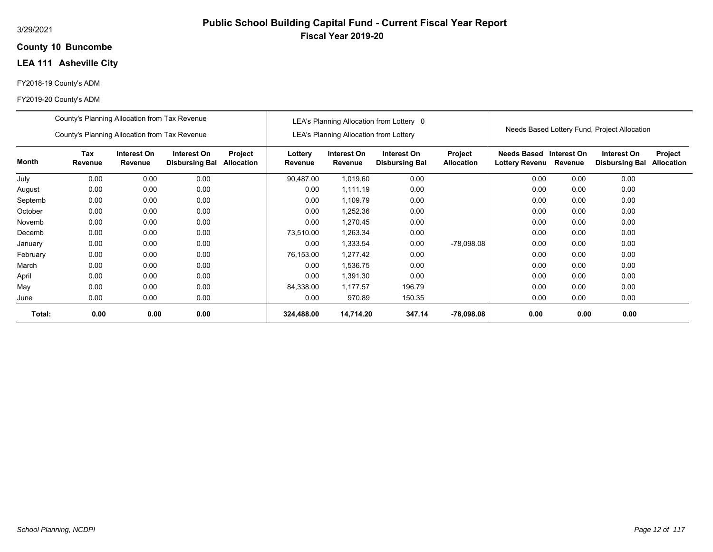## **10 Buncombe County**

# **LEA 111 Asheville City**

## FY2018-19 County's ADM

#### FY2019-20 County's ADM

|          | County's Planning Allocation from Tax Revenue |                        |                                      |                       |                    |                                               | LEA's Planning Allocation from Lottery 0 |                              |                                      |                        |                                              |                              |
|----------|-----------------------------------------------|------------------------|--------------------------------------|-----------------------|--------------------|-----------------------------------------------|------------------------------------------|------------------------------|--------------------------------------|------------------------|----------------------------------------------|------------------------------|
|          | County's Planning Allocation from Tax Revenue |                        |                                      |                       |                    | <b>LEA's Planning Allocation from Lottery</b> |                                          |                              |                                      |                        | Needs Based Lottery Fund, Project Allocation |                              |
| Month    | Tax<br>Revenue                                | Interest On<br>Revenue | Interest On<br><b>Disbursing Bal</b> | Project<br>Allocation | Lottery<br>Revenue | Interest On<br>Revenue                        | Interest On<br><b>Disbursing Bal</b>     | Project<br><b>Allocation</b> | <b>Needs Based</b><br>Lottery Revenu | Interest On<br>Revenue | Interest On<br><b>Disbursing Bal</b>         | Project<br><b>Allocation</b> |
| July     | 0.00                                          | 0.00                   | 0.00                                 |                       | 90,487.00          | 1,019.60                                      | 0.00                                     |                              | 0.00                                 | 0.00                   | 0.00                                         |                              |
| August   | 0.00                                          | 0.00                   | 0.00                                 |                       | 0.00               | 1,111.19                                      | 0.00                                     |                              | 0.00                                 | 0.00                   | 0.00                                         |                              |
| Septemb  | 0.00                                          | 0.00                   |                                      | 0.00                  | 1,109.79           | 0.00                                          |                                          | 0.00                         | 0.00                                 | 0.00                   |                                              |                              |
| October  | 0.00                                          | 0.00                   | 0.00                                 |                       | 0.00               | 1,252.36                                      | 0.00                                     |                              | 0.00                                 | 0.00                   | 0.00                                         |                              |
| Novemb   | 0.00                                          | 0.00                   | 0.00                                 |                       | 0.00               | 1,270.45                                      | 0.00                                     |                              | 0.00                                 | 0.00                   | 0.00                                         |                              |
| Decemb   | 0.00                                          | 0.00                   | 0.00                                 |                       | 73,510.00          | 1,263.34                                      | 0.00                                     |                              | 0.00                                 | 0.00                   | 0.00                                         |                              |
| January  | 0.00                                          | 0.00                   | 0.00                                 |                       | 0.00               | 1,333.54                                      | 0.00                                     | $-78,098.08$                 | 0.00                                 | 0.00                   | 0.00                                         |                              |
| February | 0.00                                          | 0.00                   | 0.00                                 |                       | 76,153.00          | 1.277.42                                      | 0.00                                     |                              | 0.00                                 | 0.00                   | 0.00                                         |                              |
| March    | 0.00                                          | 0.00                   | 0.00                                 |                       | 0.00               | 1,536.75                                      | 0.00                                     |                              | 0.00                                 | 0.00                   | 0.00                                         |                              |
| April    | 0.00                                          | 0.00                   | 0.00                                 |                       | 0.00               | 1,391.30                                      | 0.00                                     |                              | 0.00                                 | 0.00                   | 0.00                                         |                              |
| May      | 0.00                                          | 0.00                   | 0.00                                 |                       | 84,338.00          | 1.177.57                                      | 196.79                                   |                              | 0.00                                 | 0.00                   | 0.00                                         |                              |
| June     | 0.00                                          | 0.00                   | 0.00                                 |                       | 0.00               | 970.89                                        | 150.35                                   |                              | 0.00                                 | 0.00                   | 0.00                                         |                              |
| Total:   | 0.00                                          | 0.00                   | 0.00                                 |                       | 324,488.00         | 14,714.20                                     | 347.14                                   | $-78,098.08$                 | 0.00                                 | 0.00                   | 0.00                                         |                              |

**Public School Building Capital Fund - Current Fiscal Year Report**

**Fiscal Year 2019-20**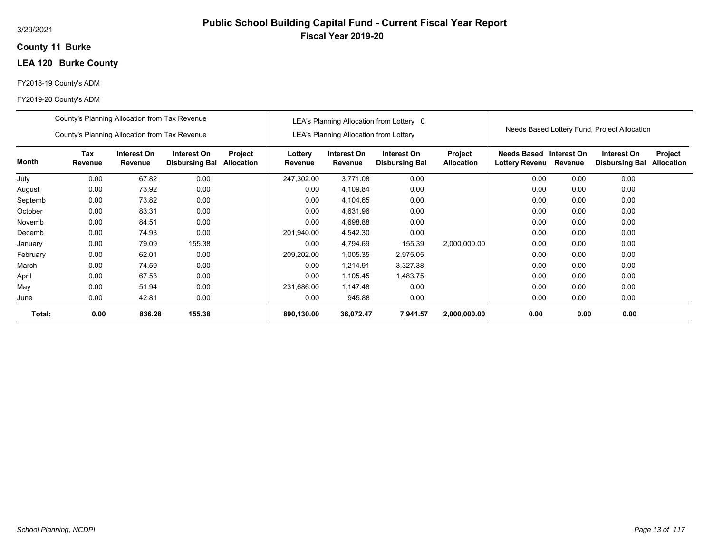## **11 Burke County**

# **LEA 120 Burke County**

## FY2018-19 County's ADM

|          | County's Planning Allocation from Tax Revenue |                        |                                      |                       |                    |                                               | LEA's Planning Allocation from Lottery 0 |                                     |                                      |                        |                                              |                              |
|----------|-----------------------------------------------|------------------------|--------------------------------------|-----------------------|--------------------|-----------------------------------------------|------------------------------------------|-------------------------------------|--------------------------------------|------------------------|----------------------------------------------|------------------------------|
|          | County's Planning Allocation from Tax Revenue |                        |                                      |                       |                    | <b>LEA's Planning Allocation from Lottery</b> |                                          |                                     |                                      |                        | Needs Based Lottery Fund, Project Allocation |                              |
| Month    | Tax<br>Revenue                                | Interest On<br>Revenue | Interest On<br><b>Disbursing Bal</b> | Project<br>Allocation | Lottery<br>Revenue | Interest On<br>Revenue                        | Interest On<br><b>Disbursing Bal</b>     | <b>Project</b><br><b>Allocation</b> | Needs Based<br><b>Lottery Revenu</b> | Interest On<br>Revenue | Interest On<br><b>Disbursing Bal</b>         | Project<br><b>Allocation</b> |
| July     | 0.00                                          | 67.82                  | 0.00                                 |                       | 247,302.00         | 3,771.08                                      | 0.00                                     |                                     | 0.00                                 | 0.00                   | 0.00                                         |                              |
| August   | 0.00                                          | 73.92                  | 0.00                                 |                       | 0.00               | 4,109.84                                      | 0.00                                     |                                     | 0.00                                 | 0.00                   | 0.00                                         |                              |
| Septemb  | 0.00                                          | 73.82                  | 0.00                                 |                       | 0.00               | 4,104.65                                      | 0.00                                     |                                     | 0.00                                 | 0.00                   | 0.00                                         |                              |
| October  | 0.00                                          | 83.31                  | 0.00                                 |                       | 0.00               | 4,631.96                                      | 0.00                                     |                                     | 0.00                                 | 0.00                   | 0.00                                         |                              |
| Novemb   | 0.00                                          | 84.51                  | 0.00                                 |                       | 0.00               | 4,698.88                                      | 0.00                                     |                                     | 0.00                                 | 0.00                   | 0.00                                         |                              |
| Decemb   | 0.00                                          | 74.93                  | 0.00                                 |                       | 201,940.00         | 4,542.30                                      | 0.00                                     |                                     | 0.00                                 | 0.00                   | 0.00                                         |                              |
| January  | 0.00                                          | 79.09                  | 155.38                               |                       | 0.00               | 4,794.69                                      | 155.39                                   | 2,000,000.00                        | 0.00                                 | 0.00                   | 0.00                                         |                              |
| February | 0.00                                          | 62.01                  | 0.00                                 |                       | 209,202.00         | 1,005.35                                      | 2,975.05                                 |                                     | 0.00                                 | 0.00                   | 0.00                                         |                              |
| March    | 0.00                                          | 74.59                  | 0.00                                 |                       | 0.00               | 1,214.91                                      | 3,327.38                                 |                                     | 0.00                                 | 0.00                   | 0.00                                         |                              |
| April    | 0.00                                          | 67.53                  | 0.00                                 |                       | 0.00               | 1,105.45                                      | 1,483.75                                 |                                     | 0.00                                 | 0.00                   | 0.00                                         |                              |
| May      | 0.00                                          | 51.94                  | 0.00                                 |                       | 231,686.00         | 1,147.48                                      | 0.00                                     |                                     | 0.00                                 | 0.00                   | 0.00                                         |                              |
| June     | 0.00                                          | 42.81                  | 0.00                                 |                       | 0.00               | 945.88                                        | 0.00                                     |                                     | 0.00                                 | 0.00                   | 0.00                                         |                              |
| Total:   | 0.00                                          | 836.28                 | 155.38                               |                       | 890,130.00         | 36,072.47                                     | 7,941.57                                 | 2,000,000.00                        | 0.00                                 | 0.00                   | 0.00                                         |                              |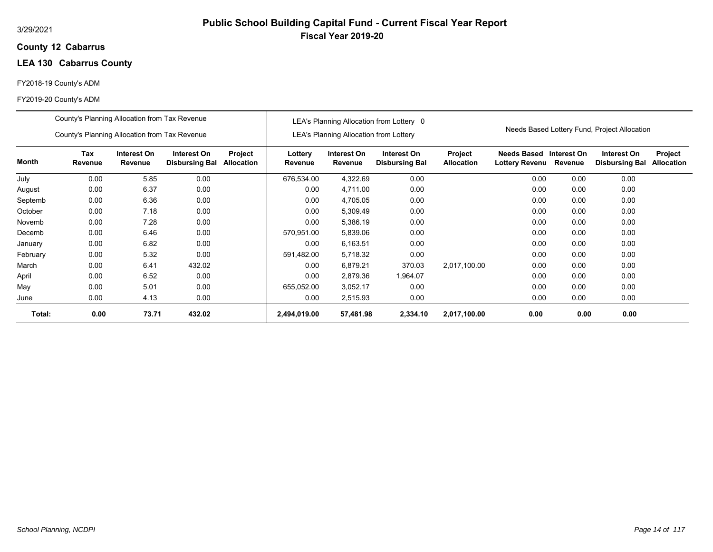## **12 Cabarrus County**

# **LEA 130 Cabarrus County**

## FY2018-19 County's ADM

|          | County's Planning Allocation from Tax Revenue |                        |                                      |                              |                    |                                               | LEA's Planning Allocation from Lottery 0 |                              |                                           |         |                                              |                              |
|----------|-----------------------------------------------|------------------------|--------------------------------------|------------------------------|--------------------|-----------------------------------------------|------------------------------------------|------------------------------|-------------------------------------------|---------|----------------------------------------------|------------------------------|
|          | County's Planning Allocation from Tax Revenue |                        |                                      |                              |                    | <b>LEA's Planning Allocation from Lottery</b> |                                          |                              |                                           |         | Needs Based Lottery Fund, Project Allocation |                              |
| Month    | Tax<br>Revenue                                | Interest On<br>Revenue | Interest On<br><b>Disbursing Bal</b> | Project<br><b>Allocation</b> | Lottery<br>Revenue | Interest On<br>Revenue                        | Interest On<br><b>Disbursing Bal</b>     | Project<br><b>Allocation</b> | Needs Based Interest On<br>Lottery Revenu | Revenue | Interest On<br><b>Disbursing Bal</b>         | Project<br><b>Allocation</b> |
| July     | 0.00                                          | 5.85                   | 0.00                                 |                              | 676,534.00         | 4,322.69                                      | 0.00                                     |                              | 0.00                                      | 0.00    | 0.00                                         |                              |
| August   | 0.00                                          | 6.37                   | 0.00                                 |                              | 0.00               | 4,711.00                                      | 0.00                                     |                              | 0.00                                      | 0.00    | 0.00                                         |                              |
| Septemb  | 0.00                                          | 6.36                   | 0.00                                 |                              | 0.00               | 4,705.05                                      | 0.00                                     |                              | 0.00                                      | 0.00    | 0.00                                         |                              |
| October  | 0.00                                          | 7.18                   | 0.00                                 |                              | 0.00               | 5,309.49                                      | 0.00                                     |                              | 0.00                                      | 0.00    | 0.00                                         |                              |
| Novemb   | 0.00                                          | 7.28                   | 0.00                                 |                              | 0.00               | 5,386.19                                      | 0.00                                     |                              | 0.00                                      | 0.00    | 0.00                                         |                              |
| Decemb   | 0.00                                          | 6.46                   | 0.00                                 |                              | 570,951.00         | 5,839.06                                      | 0.00                                     |                              | 0.00                                      | 0.00    | 0.00                                         |                              |
| January  | 0.00                                          | 6.82                   | 0.00                                 |                              | 0.00               | 6,163.51                                      | 0.00                                     |                              | 0.00                                      | 0.00    | 0.00                                         |                              |
| February | 0.00                                          | 5.32                   | 0.00                                 |                              | 591,482.00         | 5,718.32                                      | 0.00                                     |                              | 0.00                                      | 0.00    | 0.00                                         |                              |
| March    | 0.00                                          | 6.41                   | 432.02                               |                              | 0.00               | 6,879.21                                      | 370.03                                   | 2,017,100.00                 | 0.00                                      | 0.00    | 0.00                                         |                              |
| April    | 0.00                                          | 6.52                   | 0.00                                 |                              | 0.00               | 2,879.36                                      | 1,964.07                                 |                              | 0.00                                      | 0.00    | 0.00                                         |                              |
| May      | 0.00                                          | 5.01                   | 0.00                                 |                              | 655,052.00         | 3,052.17                                      | 0.00                                     |                              | 0.00                                      | 0.00    | 0.00                                         |                              |
| June     | 0.00                                          | 4.13                   | 0.00                                 |                              | 0.00               | 2,515.93                                      | 0.00                                     |                              | 0.00                                      | 0.00    | 0.00                                         |                              |
| Total:   | 0.00                                          | 73.71                  | 432.02                               |                              | 2,494,019.00       | 57,481.98                                     | 2,334.10                                 | 2,017,100.00                 | 0.00                                      | 0.00    | 0.00                                         |                              |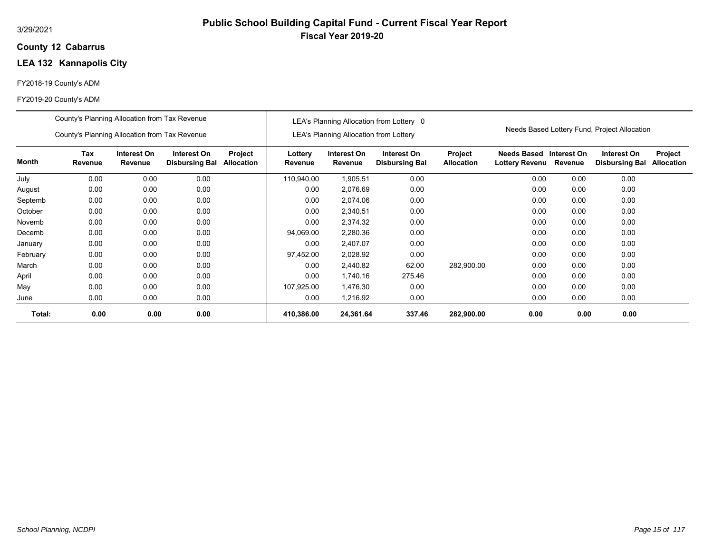## **12 Cabarrus County**

# **LEA 132 Kannapolis City**

## FY2018-19 County's ADM

|          | County's Planning Allocation from Tax Revenue |                        |                                      |                              |                    |                                               | LEA's Planning Allocation from Lottery 0 |                              |                                           |         |                                              |                              |
|----------|-----------------------------------------------|------------------------|--------------------------------------|------------------------------|--------------------|-----------------------------------------------|------------------------------------------|------------------------------|-------------------------------------------|---------|----------------------------------------------|------------------------------|
|          | County's Planning Allocation from Tax Revenue |                        |                                      |                              |                    | <b>LEA's Planning Allocation from Lottery</b> |                                          |                              |                                           |         | Needs Based Lottery Fund, Project Allocation |                              |
| Month    | Tax<br>Revenue                                | Interest On<br>Revenue | Interest On<br><b>Disbursing Bal</b> | Project<br><b>Allocation</b> | Lottery<br>Revenue | Interest On<br>Revenue                        | Interest On<br><b>Disbursing Bal</b>     | Project<br><b>Allocation</b> | Needs Based Interest On<br>Lottery Revenu | Revenue | Interest On<br><b>Disbursing Bal</b>         | Project<br><b>Allocation</b> |
| July     | 0.00                                          | 0.00                   | 0.00                                 |                              | 110,940.00         | 1,905.51                                      | 0.00                                     |                              | 0.00                                      | 0.00    | 0.00                                         |                              |
| August   | 0.00                                          | 0.00                   | 0.00                                 |                              | 0.00               | 2,076.69                                      | 0.00                                     |                              | 0.00                                      | 0.00    | 0.00                                         |                              |
| Septemb  | 0.00                                          | 0.00                   | 0.00                                 |                              | 0.00               | 2,074.06                                      | 0.00                                     |                              | 0.00                                      | 0.00    | 0.00                                         |                              |
| October  | 0.00                                          | 0.00                   | 0.00                                 |                              | 0.00               | 2,340.51                                      | 0.00                                     |                              | 0.00                                      | 0.00    | 0.00                                         |                              |
| Novemb   | 0.00                                          | 0.00                   | 0.00                                 |                              | 0.00               | 2,374.32                                      | 0.00                                     |                              | 0.00                                      | 0.00    | 0.00                                         |                              |
| Decemb   | 0.00                                          | 0.00                   | 0.00                                 |                              | 94,069.00          | 2,280.36                                      | 0.00                                     |                              | 0.00                                      | 0.00    | 0.00                                         |                              |
| January  | 0.00                                          | 0.00                   | 0.00                                 |                              | 0.00               | 2,407.07                                      | 0.00                                     |                              | 0.00                                      | 0.00    | 0.00                                         |                              |
| February | 0.00                                          | 0.00                   | 0.00                                 |                              | 97,452.00          | 2,028.92                                      | 0.00                                     |                              | 0.00                                      | 0.00    | 0.00                                         |                              |
| March    | 0.00                                          | 0.00                   | 0.00                                 |                              | 0.00               | 2,440.82                                      | 62.00                                    | 282,900.00                   | 0.00                                      | 0.00    | 0.00                                         |                              |
| April    | 0.00                                          | 0.00                   | 0.00                                 |                              | 0.00               | 1,740.16                                      | 275.46                                   |                              | 0.00                                      | 0.00    | 0.00                                         |                              |
| May      | 0.00                                          | 0.00                   | 0.00                                 |                              | 107,925.00         | 1,476.30                                      | 0.00                                     |                              | 0.00                                      | 0.00    | 0.00                                         |                              |
| June     | 0.00                                          | 0.00                   | 0.00                                 |                              | 0.00               | 1,216.92                                      | 0.00                                     |                              | 0.00                                      | 0.00    | 0.00                                         |                              |
| Total:   | 0.00                                          | 0.00                   | 0.00                                 |                              | 410,386.00         | 24,361.64                                     | 337.46                                   | 282,900.00                   | 0.00                                      | 0.00    | 0.00                                         |                              |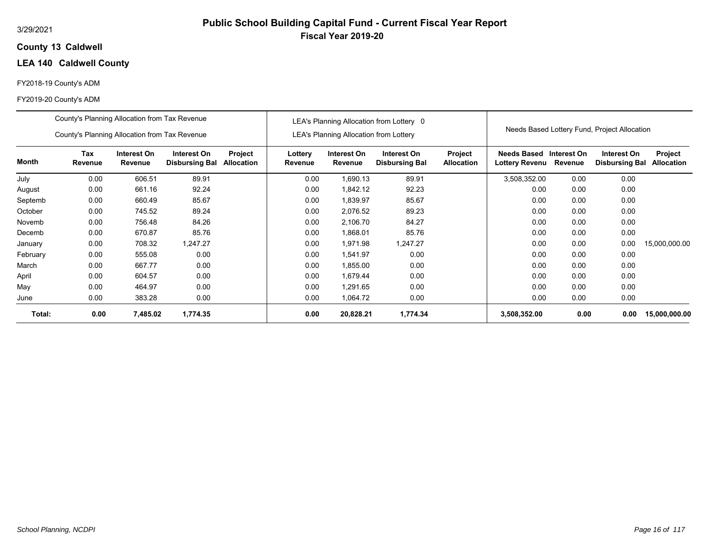## **13 Caldwell County**

# **LEA 140 Caldwell County**

## FY2018-19 County's ADM

|          | County's Planning Allocation from Tax Revenue |                               |                                      |                              |                    |                                               | LEA's Planning Allocation from Lottery 0 |                              |                                      |                        |                                              |                              |
|----------|-----------------------------------------------|-------------------------------|--------------------------------------|------------------------------|--------------------|-----------------------------------------------|------------------------------------------|------------------------------|--------------------------------------|------------------------|----------------------------------------------|------------------------------|
|          | County's Planning Allocation from Tax Revenue |                               |                                      |                              |                    | <b>LEA's Planning Allocation from Lottery</b> |                                          |                              |                                      |                        | Needs Based Lottery Fund, Project Allocation |                              |
| Month    | <b>Tax</b><br>Revenue                         | Interest On<br><b>Revenue</b> | Interest On<br><b>Disbursing Bal</b> | Project<br><b>Allocation</b> | Lottery<br>Revenue | Interest On<br>Revenue                        | Interest On<br><b>Disbursing Bal</b>     | Project<br><b>Allocation</b> | Needs Based<br><b>Lottery Revenu</b> | Interest On<br>Revenue | Interest On<br><b>Disbursing Bal</b>         | <b>Project</b><br>Allocation |
| July     | 0.00                                          | 606.51                        | 89.91                                |                              | 0.00               | 1,690.13                                      | 89.91                                    |                              | 3,508,352.00                         | 0.00                   | 0.00                                         |                              |
| August   | 0.00                                          | 661.16                        | 92.24                                |                              | 0.00               | 1,842.12                                      | 92.23                                    |                              | 0.00                                 | 0.00                   | 0.00                                         |                              |
| Septemb  | 0.00                                          | 660.49                        | 85.67                                |                              | 0.00               | 1,839.97                                      | 85.67                                    |                              | 0.00                                 | 0.00                   | 0.00                                         |                              |
| October  | 0.00                                          | 745.52                        | 89.24                                |                              | 0.00               | 2,076.52                                      | 89.23                                    |                              | 0.00                                 | 0.00                   | 0.00                                         |                              |
| Novemb   | 0.00                                          | 756.48                        | 84.26                                |                              | 0.00               | 2,106.70                                      | 84.27                                    |                              | 0.00                                 | 0.00                   | 0.00                                         |                              |
| Decemb   | 0.00                                          | 670.87                        | 85.76                                |                              | 0.00               | 1,868.01                                      | 85.76                                    |                              | 0.00                                 | 0.00                   | 0.00                                         |                              |
| January  | 0.00                                          | 708.32                        | 1,247.27                             |                              | 0.00               | 1.971.98                                      | 1,247.27                                 |                              | 0.00                                 | 0.00                   | 0.00                                         | 15,000,000.00                |
| February | 0.00                                          | 555.08                        | 0.00                                 |                              | 0.00               | 1,541.97                                      | 0.00                                     |                              | 0.00                                 | 0.00                   | 0.00                                         |                              |
| March    | 0.00                                          | 667.77                        | 0.00                                 |                              | 0.00               | 1,855.00                                      | 0.00                                     |                              | 0.00                                 | 0.00                   | 0.00                                         |                              |
| April    | 0.00                                          | 604.57                        | 0.00                                 |                              | 0.00               | 1.679.44                                      | 0.00                                     |                              | 0.00                                 | 0.00                   | 0.00                                         |                              |
| May      | 0.00                                          | 464.97                        | 0.00                                 |                              | 0.00               | 1,291.65                                      | 0.00                                     |                              | 0.00                                 | 0.00                   | 0.00                                         |                              |
| June     | 0.00                                          | 383.28                        | 0.00                                 |                              | 0.00               | 1,064.72                                      | 0.00                                     |                              | 0.00                                 | 0.00                   | 0.00                                         |                              |
| Total:   | 0.00                                          | 7,485.02                      | 1,774.35                             |                              | 0.00               | 20,828.21                                     | 1,774.34                                 |                              | 3,508,352.00                         | 0.00                   | 0.00                                         | 15,000,000.00                |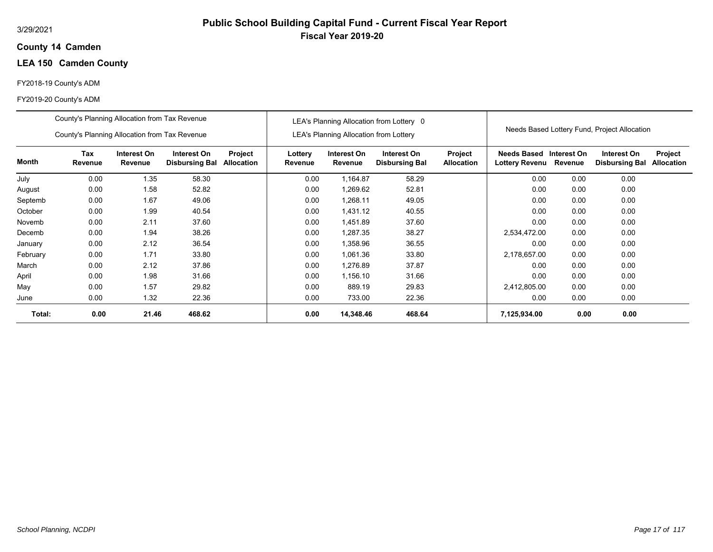## **14 Camden County**

# **LEA 150 Camden County**

## FY2018-19 County's ADM

|          | County's Planning Allocation from Tax Revenue |                               |                                      |                              |                    |                                               | LEA's Planning Allocation from Lottery 0 |                              |                                           |         |                                              |                              |
|----------|-----------------------------------------------|-------------------------------|--------------------------------------|------------------------------|--------------------|-----------------------------------------------|------------------------------------------|------------------------------|-------------------------------------------|---------|----------------------------------------------|------------------------------|
|          | County's Planning Allocation from Tax Revenue |                               |                                      |                              |                    | <b>LEA's Planning Allocation from Lottery</b> |                                          |                              |                                           |         | Needs Based Lottery Fund, Project Allocation |                              |
| Month    | Tax<br>Revenue                                | Interest On<br><b>Revenue</b> | Interest On<br><b>Disbursing Bal</b> | Project<br><b>Allocation</b> | Lottery<br>Revenue | Interest On<br>Revenue                        | Interest On<br><b>Disbursing Bal</b>     | Project<br><b>Allocation</b> | Needs Based Interest On<br>Lottery Revenu | Revenue | Interest On<br><b>Disbursing Bal</b>         | Project<br><b>Allocation</b> |
| July     | 0.00                                          | 1.35                          | 58.30                                |                              | 0.00               | 1,164.87                                      | 58.29                                    |                              | 0.00                                      | 0.00    | 0.00                                         |                              |
| August   | 0.00                                          | 1.58                          | 52.82                                |                              | 0.00               | 1,269.62                                      | 52.81                                    |                              | 0.00                                      | 0.00    | 0.00                                         |                              |
| Septemb  | 0.00                                          | 1.67                          | 49.06                                |                              | 0.00               | 1,268.11                                      | 49.05                                    |                              | 0.00                                      | 0.00    | 0.00                                         |                              |
| October  | 0.00                                          | 1.99                          | 40.54                                |                              | 0.00               | 1,431.12                                      | 40.55                                    |                              | 0.00                                      | 0.00    | 0.00                                         |                              |
| Novemb   | 0.00                                          | 2.11                          | 37.60                                |                              | 0.00               | 1,451.89                                      | 37.60                                    |                              | 0.00                                      | 0.00    | 0.00                                         |                              |
| Decemb   | 0.00                                          | 1.94                          | 38.26                                |                              | 0.00               | 1,287.35                                      | 38.27                                    |                              | 2,534,472.00                              | 0.00    | 0.00                                         |                              |
| January  | 0.00                                          | 2.12                          | 36.54                                |                              | 0.00               | 1,358.96                                      | 36.55                                    |                              | 0.00                                      | 0.00    | 0.00                                         |                              |
| February | 0.00                                          | 1.71                          | 33.80                                |                              | 0.00               | 1,061.36                                      | 33.80                                    |                              | 2,178,657.00                              | 0.00    | 0.00                                         |                              |
| March    | 0.00                                          | 2.12                          | 37.86                                |                              | 0.00               | 1,276.89                                      | 37.87                                    |                              | 0.00                                      | 0.00    | 0.00                                         |                              |
| April    | 0.00                                          | 1.98                          | 31.66                                |                              | 0.00               | 1,156.10                                      | 31.66                                    |                              | 0.00                                      | 0.00    | 0.00                                         |                              |
| May      | 0.00                                          | 1.57                          | 29.82                                |                              | 0.00               | 889.19                                        | 29.83                                    |                              | 2,412,805.00                              | 0.00    | 0.00                                         |                              |
| June     | 0.00                                          | 1.32                          | 22.36                                |                              | 0.00               | 733.00                                        | 22.36                                    |                              | 0.00                                      | 0.00    | 0.00                                         |                              |
| Total:   | 0.00                                          | 21.46                         | 468.62                               |                              | 0.00               | 14,348.46                                     | 468.64                                   |                              | 7,125,934.00                              | 0.00    | 0.00                                         |                              |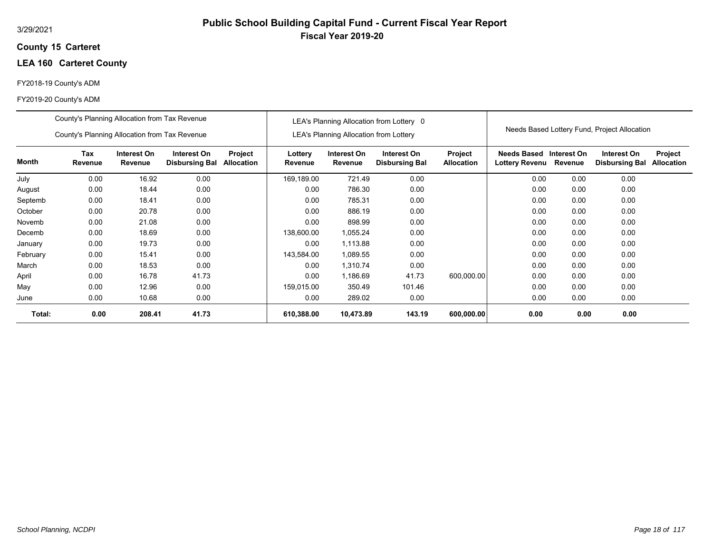## **15 Carteret County**

## **LEA 160 Carteret County**

## FY2018-19 County's ADM

|          | County's Planning Allocation from Tax Revenue |                        |                                      |                       |                    |                                               | LEA's Planning Allocation from Lottery 0 |                              |                                             |                        |                                              |                              |
|----------|-----------------------------------------------|------------------------|--------------------------------------|-----------------------|--------------------|-----------------------------------------------|------------------------------------------|------------------------------|---------------------------------------------|------------------------|----------------------------------------------|------------------------------|
|          | County's Planning Allocation from Tax Revenue |                        |                                      |                       |                    | <b>LEA's Planning Allocation from Lottery</b> |                                          |                              |                                             |                        | Needs Based Lottery Fund, Project Allocation |                              |
| Month    | Tax<br>Revenue                                | Interest On<br>Revenue | Interest On<br><b>Disbursing Bal</b> | Project<br>Allocation | Lottery<br>Revenue | Interest On<br>Revenue                        | Interest On<br><b>Disbursing Bal</b>     | Project<br><b>Allocation</b> | <b>Needs Based</b><br><b>Lottery Revenu</b> | Interest On<br>Revenue | Interest On<br><b>Disbursing Bal</b>         | Project<br><b>Allocation</b> |
| July     | 0.00                                          | 16.92                  | 0.00                                 |                       | 169,189.00         | 721.49                                        | 0.00                                     |                              | 0.00                                        | 0.00                   | 0.00                                         |                              |
| August   | 0.00                                          | 18.44                  | 0.00                                 |                       | 0.00               | 786.30                                        | 0.00                                     |                              | 0.00                                        | 0.00                   | 0.00                                         |                              |
| Septemb  | 0.00                                          | 18.41                  | 0.00                                 |                       | 0.00               | 785.31                                        | 0.00                                     |                              | 0.00                                        | 0.00                   | 0.00                                         |                              |
| October  | 0.00                                          | 20.78                  | 0.00                                 |                       | 0.00               | 886.19                                        | 0.00                                     |                              | 0.00                                        | 0.00                   | 0.00                                         |                              |
| Novemb   | 0.00                                          | 21.08                  | 0.00                                 |                       | 0.00               | 898.99                                        | 0.00                                     |                              | 0.00                                        | 0.00                   | 0.00                                         |                              |
| Decemb   | 0.00                                          | 18.69                  | 0.00                                 |                       | 138,600.00         | 1,055.24                                      | 0.00                                     |                              | 0.00                                        | 0.00                   | 0.00                                         |                              |
| January  | 0.00                                          | 19.73                  | 0.00                                 |                       | 0.00               | 1,113.88                                      | 0.00                                     |                              | 0.00                                        | 0.00                   | 0.00                                         |                              |
| February | 0.00                                          | 15.41                  | 0.00                                 |                       | 143,584.00         | 1,089.55                                      | 0.00                                     |                              | 0.00                                        | 0.00                   | 0.00                                         |                              |
| March    | 0.00                                          | 18.53                  | 0.00                                 |                       | 0.00               | 1,310.74                                      | 0.00                                     |                              | 0.00                                        | 0.00                   | 0.00                                         |                              |
| April    | 0.00                                          | 16.78                  | 41.73                                |                       | 0.00               | 1,186.69                                      | 41.73                                    | 600,000.00                   | 0.00                                        | 0.00                   | 0.00                                         |                              |
| May      | 0.00                                          | 12.96                  | 0.00                                 |                       | 159,015.00         | 350.49                                        | 101.46                                   |                              | 0.00                                        | 0.00                   | 0.00                                         |                              |
| June     | 0.00                                          | 10.68                  | 0.00                                 |                       | 0.00               | 289.02                                        | 0.00                                     |                              | 0.00                                        | 0.00                   | 0.00                                         |                              |
| Total:   | 0.00                                          | 208.41                 | 41.73                                |                       | 610,388.00         | 10,473.89                                     | 143.19                                   | 600,000.00                   | 0.00                                        | 0.00                   | 0.00                                         |                              |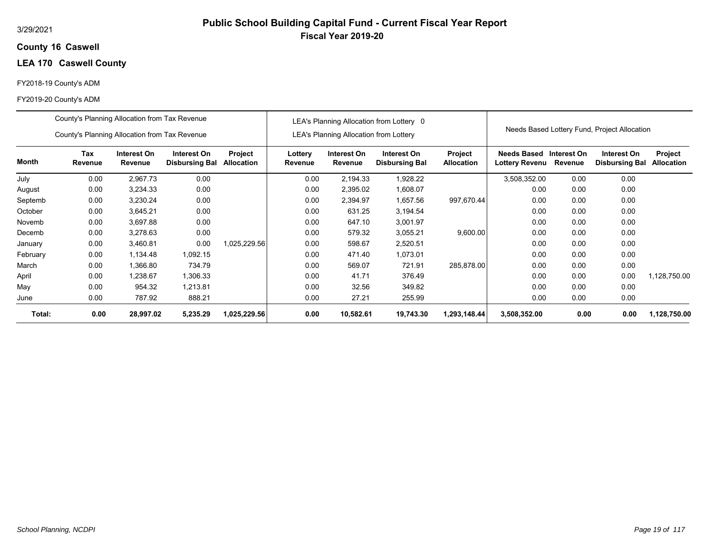## **16 Caswell County**

## **LEA 170 Caswell County**

## FY2018-19 County's ADM

|          | County's Planning Allocation from Tax Revenue |                        |                                      |                              |                    |                                               | LEA's Planning Allocation from Lottery 0    |                       |                               |                        |                                              |                                     |
|----------|-----------------------------------------------|------------------------|--------------------------------------|------------------------------|--------------------|-----------------------------------------------|---------------------------------------------|-----------------------|-------------------------------|------------------------|----------------------------------------------|-------------------------------------|
|          | County's Planning Allocation from Tax Revenue |                        |                                      |                              |                    | <b>LEA's Planning Allocation from Lottery</b> |                                             |                       |                               |                        | Needs Based Lottery Fund, Project Allocation |                                     |
| Month    | Tax<br>Revenue                                | Interest On<br>Revenue | Interest On<br><b>Disbursing Bal</b> | Project<br><b>Allocation</b> | Lottery<br>Revenue | Interest On<br>Revenue                        | <b>Interest On</b><br><b>Disbursing Bal</b> | Project<br>Allocation | Needs Based<br>Lottery Revenu | Interest On<br>Revenue | Interest On<br><b>Disbursing Bal</b>         | <b>Project</b><br><b>Allocation</b> |
| July     | 0.00                                          | 2,967.73               | 0.00                                 |                              | 0.00               | 2,194.33                                      | 1,928.22                                    |                       | 3,508,352.00                  | 0.00                   | 0.00                                         |                                     |
| August   | 0.00                                          | 3,234.33               | 0.00                                 |                              | 0.00               | 2,395.02                                      | 1,608.07                                    |                       | 0.00                          | 0.00                   | 0.00                                         |                                     |
| Septemb  | 0.00                                          | 3,230.24               | 0.00                                 |                              | 0.00               | 2,394.97                                      | 1,657.56                                    | 997,670.44            | 0.00                          | 0.00                   | 0.00                                         |                                     |
| October  | 0.00                                          | 3,645.21               | 0.00                                 |                              | 0.00               | 631.25                                        | 3,194.54                                    |                       | 0.00                          | 0.00                   | 0.00                                         |                                     |
| Novemb   | 0.00                                          | 3,697.88               | 0.00                                 |                              | 0.00               | 647.10                                        | 3,001.97                                    |                       | 0.00                          | 0.00                   | 0.00                                         |                                     |
| Decemb   | 0.00                                          | 3,278.63               | 0.00                                 |                              | 0.00               | 579.32                                        | 3,055.21                                    | 9,600.00              | 0.00                          | 0.00                   | 0.00                                         |                                     |
| January  | 0.00                                          | 3,460.81               | 0.00                                 | 1,025,229.56                 | 0.00               | 598.67                                        | 2,520.51                                    |                       | 0.00                          | 0.00                   | 0.00                                         |                                     |
| February | 0.00                                          | 1,134.48               | 1,092.15                             |                              | 0.00               | 471.40                                        | 1,073.01                                    |                       | 0.00                          | 0.00                   | 0.00                                         |                                     |
| March    | 0.00                                          | 1,366.80               | 734.79                               |                              | 0.00               | 569.07                                        | 721.91                                      | 285.878.00            | 0.00                          | 0.00                   | 0.00                                         |                                     |
| April    | 0.00                                          | 1,238.67               | 1,306.33                             |                              | 0.00               | 41.71                                         | 376.49                                      |                       | 0.00                          | 0.00                   | 0.00                                         | 1.128.750.00                        |
| May      | 0.00                                          | 954.32                 | 1.213.81                             |                              | 0.00               | 32.56                                         | 349.82                                      |                       | 0.00                          | 0.00                   | 0.00                                         |                                     |
| June     | 0.00                                          | 787.92                 | 888.21                               |                              | 0.00               | 27.21                                         | 255.99                                      |                       | 0.00                          | 0.00                   | 0.00                                         |                                     |
| Total:   | 0.00                                          | 28,997.02              | 5,235.29                             | 1,025,229.56                 | 0.00               | 10,582.61                                     | 19,743.30                                   | 1,293,148.44          | 3,508,352.00                  | 0.00                   | 0.00                                         | 1,128,750.00                        |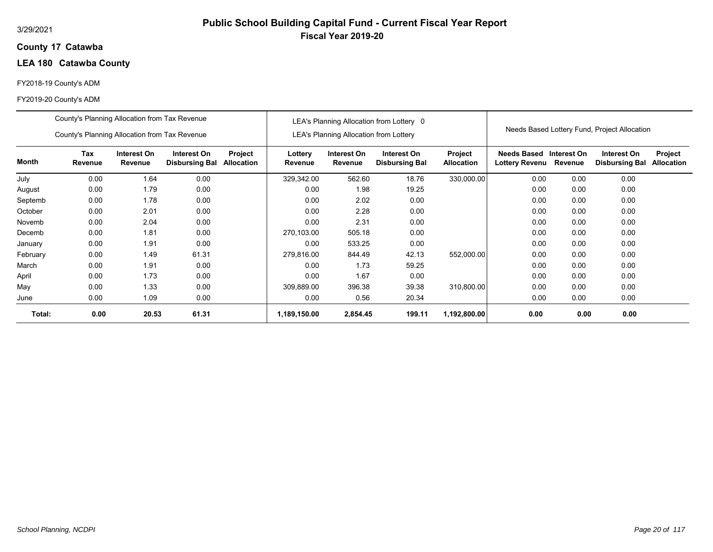## **17 Catawba County**

# **LEA 180 Catawba County**

## FY2018-19 County's ADM

|          | County's Planning Allocation from Tax Revenue                                                                                     |       |       |  |                    |                                               | LEA's Planning Allocation from Lottery 0 |                              |                                                  |         |                                              |                              |
|----------|-----------------------------------------------------------------------------------------------------------------------------------|-------|-------|--|--------------------|-----------------------------------------------|------------------------------------------|------------------------------|--------------------------------------------------|---------|----------------------------------------------|------------------------------|
|          | County's Planning Allocation from Tax Revenue                                                                                     |       |       |  |                    | <b>LEA's Planning Allocation from Lottery</b> |                                          |                              |                                                  |         | Needs Based Lottery Fund, Project Allocation |                              |
| Month    | Tax<br>Interest On<br>Interest On<br>Project<br>Revenue<br>Revenue<br>Allocation<br><b>Disbursing Bal</b><br>0.00<br>0.00<br>1.64 |       |       |  | Lottery<br>Revenue | Interest On<br>Revenue                        | Interest On<br><b>Disbursing Bal</b>     | Project<br><b>Allocation</b> | Needs Based Interest On<br><b>Lottery Revenu</b> | Revenue | Interest On<br><b>Disbursing Bal</b>         | Project<br><b>Allocation</b> |
| July     |                                                                                                                                   |       |       |  | 329,342.00         | 562.60                                        | 18.76                                    | 330,000.00                   | 0.00                                             | 0.00    | 0.00                                         |                              |
| August   | 0.00                                                                                                                              | 1.79  | 0.00  |  | 0.00               | 1.98                                          | 19.25                                    |                              | 0.00                                             | 0.00    | 0.00                                         |                              |
| Septemb  | 0.00                                                                                                                              | 1.78  | 0.00  |  | 0.00               | 2.02                                          | 0.00                                     |                              | 0.00                                             | 0.00    | 0.00                                         |                              |
| October  | 0.00                                                                                                                              | 2.01  | 0.00  |  | 0.00               | 2.28                                          | 0.00                                     |                              | 0.00                                             | 0.00    | 0.00                                         |                              |
| Novemb   | 0.00                                                                                                                              | 2.04  | 0.00  |  | 0.00               | 2.31                                          | 0.00                                     |                              | 0.00                                             | 0.00    | 0.00                                         |                              |
| Decemb   | 0.00                                                                                                                              | 1.81  | 0.00  |  | 270,103.00         | 505.18                                        | 0.00                                     |                              | 0.00                                             | 0.00    | 0.00                                         |                              |
| January  | 0.00                                                                                                                              | 1.91  | 0.00  |  | 0.00               | 533.25                                        | 0.00                                     |                              | 0.00                                             | 0.00    | 0.00                                         |                              |
| February | 0.00                                                                                                                              | 1.49  | 61.31 |  | 279,816.00         | 844.49                                        | 42.13                                    | 552,000.00                   | 0.00                                             | 0.00    | 0.00                                         |                              |
| March    | 0.00                                                                                                                              | 1.91  | 0.00  |  | 0.00               | 1.73                                          | 59.25                                    |                              | 0.00                                             | 0.00    | 0.00                                         |                              |
| April    | 0.00                                                                                                                              | 1.73  | 0.00  |  | 0.00               | 1.67                                          | 0.00                                     |                              | 0.00                                             | 0.00    | 0.00                                         |                              |
| May      | 0.00                                                                                                                              | 1.33  | 0.00  |  | 309,889.00         | 396.38                                        | 39.38                                    | 310,800.00                   | 0.00                                             | 0.00    | 0.00                                         |                              |
| June     | 0.00                                                                                                                              | 1.09  | 0.00  |  | 0.00               | 0.56                                          | 20.34                                    |                              | 0.00                                             | 0.00    | 0.00                                         |                              |
| Total:   | 0.00                                                                                                                              | 20.53 | 61.31 |  | 1,189,150.00       | 2,854.45                                      | 199.11                                   | 1,192,800.00                 | 0.00                                             | 0.00    | 0.00                                         |                              |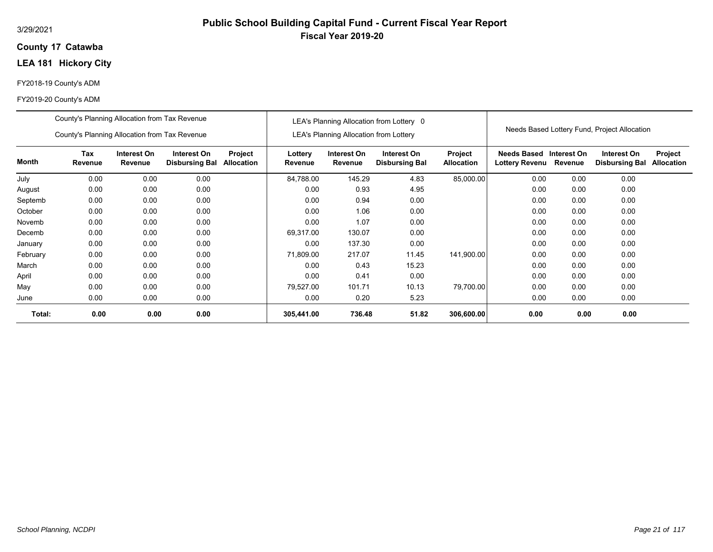## **17 Catawba County**

# **LEA 181 Hickory City**

## FY2018-19 County's ADM

#### FY2019-20 County's ADM

|          | County's Planning Allocation from Tax Revenue |                        |                                      |                              |                    |                                               | LEA's Planning Allocation from Lottery 0 |                                     |                                             |                        | Needs Based Lottery Fund, Project Allocation |                              |
|----------|-----------------------------------------------|------------------------|--------------------------------------|------------------------------|--------------------|-----------------------------------------------|------------------------------------------|-------------------------------------|---------------------------------------------|------------------------|----------------------------------------------|------------------------------|
|          | County's Planning Allocation from Tax Revenue |                        |                                      |                              |                    | <b>LEA's Planning Allocation from Lottery</b> |                                          |                                     |                                             |                        |                                              |                              |
| Month    | Tax<br>Revenue                                | Interest On<br>Revenue | Interest On<br><b>Disbursing Bal</b> | Project<br><b>Allocation</b> | Lottery<br>Revenue | Interest On<br>Revenue                        | Interest On<br><b>Disbursing Bal</b>     | <b>Project</b><br><b>Allocation</b> | <b>Needs Based</b><br><b>Lottery Revenu</b> | Interest On<br>Revenue | Interest On<br><b>Disbursing Bal</b>         | Project<br><b>Allocation</b> |
| July     | 0.00                                          | 0.00                   | 0.00                                 |                              | 84,788.00          | 145.29                                        | 4.83                                     | 85,000.00                           | 0.00                                        | 0.00                   | 0.00                                         |                              |
| August   | 0.00                                          | 0.00                   | 0.00                                 |                              | 0.00               | 0.93                                          | 4.95                                     |                                     | 0.00                                        | 0.00                   | 0.00                                         |                              |
| Septemb  | 0.00                                          | 0.00                   | 0.00                                 |                              | 0.00               | 0.94                                          | 0.00                                     |                                     | 0.00                                        | 0.00                   | 0.00                                         |                              |
| October  | 0.00                                          | 0.00                   | 0.00                                 |                              | 0.00               | 1.06                                          | 0.00                                     |                                     | 0.00                                        | 0.00                   | 0.00                                         |                              |
| Novemb   | 0.00                                          | 0.00                   | 0.00                                 |                              | 0.00               | 1.07                                          | 0.00                                     |                                     | 0.00                                        | 0.00                   | 0.00                                         |                              |
| Decemb   | 0.00                                          | 0.00                   | 0.00                                 |                              | 69,317.00          | 130.07                                        | 0.00                                     |                                     | 0.00                                        | 0.00                   | 0.00                                         |                              |
| January  | 0.00                                          | 0.00                   | 0.00                                 |                              | 0.00               | 137.30                                        | 0.00                                     |                                     | 0.00                                        | 0.00                   | 0.00                                         |                              |
| February | 0.00                                          | 0.00                   | 0.00                                 |                              | 71,809.00          | 217.07                                        | 11.45                                    | 141,900.00                          | 0.00                                        | 0.00                   | 0.00                                         |                              |
| March    | 0.00                                          | 0.00                   | 0.00                                 |                              | 0.00               | 0.43                                          | 15.23                                    |                                     | 0.00                                        | 0.00                   | 0.00                                         |                              |
| April    | 0.00                                          | 0.00                   | 0.00                                 |                              | 0.00               | 0.41                                          | 0.00                                     |                                     | 0.00                                        | 0.00                   | 0.00                                         |                              |
| May      | 0.00                                          | 0.00                   | 0.00                                 |                              | 79,527.00          | 101.71                                        | 10.13                                    | 79,700.00                           | 0.00                                        | 0.00                   | 0.00                                         |                              |
| June     | 0.00                                          | 0.00                   | 0.00                                 |                              | 0.00               | 0.20                                          | 5.23                                     |                                     | 0.00                                        | 0.00                   | 0.00                                         |                              |
| Total:   | 0.00                                          | 0.00                   | 0.00                                 |                              | 305,441.00         | 736.48                                        | 51.82                                    | 306,600.00                          | 0.00                                        | 0.00                   | 0.00                                         |                              |

**Public School Building Capital Fund - Current Fiscal Year Report**

**Fiscal Year 2019-20**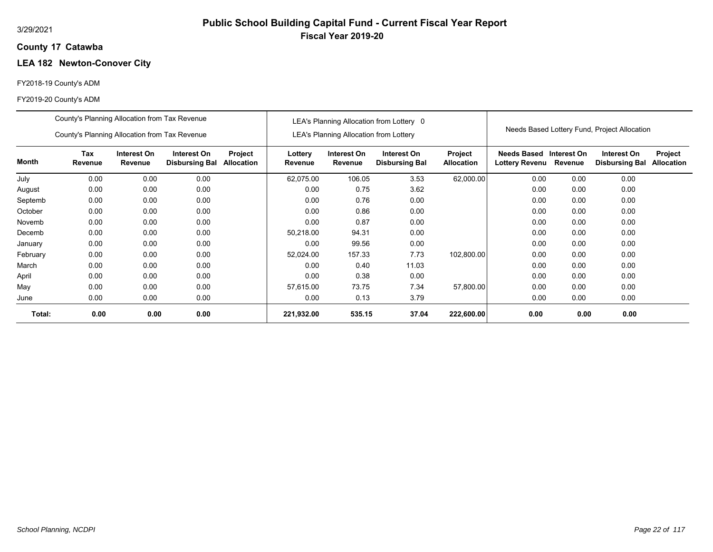# **Public School Building Capital Fund - Current Fiscal Year Report Fiscal Year 2019-20**

## **17 Catawba County**

## **LEA 182 Newton-Conover City**

## FY2018-19 County's ADM

|          | County's Planning Allocation from Tax Revenue |                        |                                      |                       |                    |                                               | LEA's Planning Allocation from Lottery 0 |                              |                                      |                        |                                              |                              |
|----------|-----------------------------------------------|------------------------|--------------------------------------|-----------------------|--------------------|-----------------------------------------------|------------------------------------------|------------------------------|--------------------------------------|------------------------|----------------------------------------------|------------------------------|
|          | County's Planning Allocation from Tax Revenue |                        |                                      |                       |                    | <b>LEA's Planning Allocation from Lottery</b> |                                          |                              |                                      |                        | Needs Based Lottery Fund, Project Allocation |                              |
| Month    | Tax<br>Revenue                                | Interest On<br>Revenue | Interest On<br><b>Disbursing Bal</b> | Project<br>Allocation | Lottery<br>Revenue | Interest On<br>Revenue                        | Interest On<br><b>Disbursing Bal</b>     | Project<br><b>Allocation</b> | Needs Based<br><b>Lottery Revenu</b> | Interest On<br>Revenue | Interest On<br><b>Disbursing Bal</b>         | Project<br><b>Allocation</b> |
| July     | 0.00                                          | 0.00                   | 0.00                                 |                       | 62,075.00          | 106.05                                        | 3.53                                     | 62,000.00                    | 0.00                                 | 0.00                   | 0.00                                         |                              |
| August   | 0.00                                          | 0.00                   | 0.00                                 |                       | 0.00               | 0.75                                          | 3.62                                     |                              | 0.00                                 | 0.00                   | 0.00                                         |                              |
| Septemb  | 0.00                                          | 0.00                   | 0.00                                 |                       | 0.00               | 0.76                                          | 0.00                                     |                              | 0.00                                 | 0.00                   | 0.00                                         |                              |
| October  | 0.00                                          | 0.00                   | 0.00                                 |                       | 0.00               | 0.86                                          | 0.00                                     |                              | 0.00                                 | 0.00                   | 0.00                                         |                              |
| Novemb   | 0.00                                          | 0.00                   | 0.00                                 |                       | 0.00               | 0.87                                          | 0.00                                     |                              | 0.00                                 | 0.00                   | 0.00                                         |                              |
| Decemb   | 0.00                                          | 0.00                   | 0.00                                 |                       | 50,218.00          | 94.31                                         | 0.00                                     |                              | 0.00                                 | 0.00                   | 0.00                                         |                              |
| January  | 0.00                                          | 0.00                   | 0.00                                 |                       | 0.00               | 99.56                                         | 0.00                                     |                              | 0.00                                 | 0.00                   | 0.00                                         |                              |
| February | 0.00                                          | 0.00                   | 0.00                                 |                       | 52,024.00          | 157.33                                        | 7.73                                     | 102,800.00                   | 0.00                                 | 0.00                   | 0.00                                         |                              |
| March    | 0.00                                          | 0.00                   | 0.00                                 |                       | 0.00               | 0.40                                          | 11.03                                    |                              | 0.00                                 | 0.00                   | 0.00                                         |                              |
| April    | 0.00                                          | 0.00                   | 0.00                                 |                       | 0.00               | 0.38                                          | 0.00                                     |                              | 0.00                                 | 0.00                   | 0.00                                         |                              |
| May      | 0.00                                          | 0.00                   | 0.00                                 |                       | 57,615.00          | 73.75                                         | 7.34                                     | 57,800.00                    | 0.00                                 | 0.00                   | 0.00                                         |                              |
| June     | 0.00                                          | 0.00                   | 0.00                                 |                       | 0.00               | 0.13                                          | 3.79                                     |                              | 0.00                                 | 0.00                   | 0.00                                         |                              |
| Total:   | 0.00                                          | 0.00                   | 0.00                                 |                       | 221,932.00         | 535.15                                        | 37.04                                    | 222,600.00                   | 0.00                                 | 0.00                   | 0.00                                         |                              |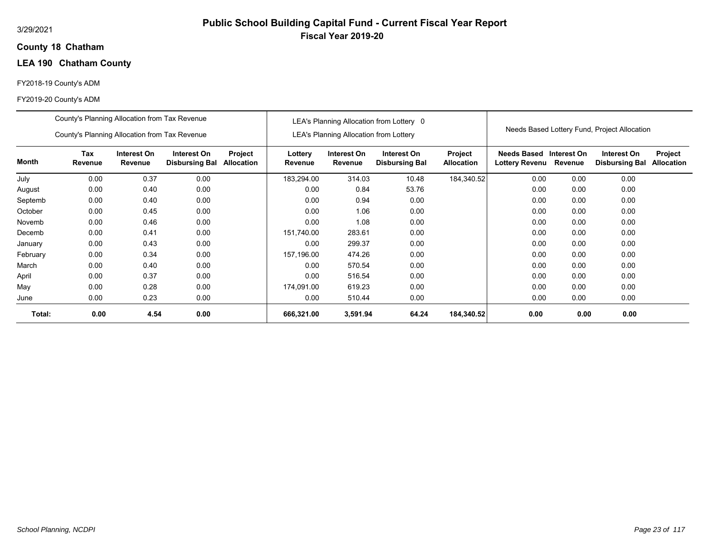## **18 Chatham County**

# **LEA 190 Chatham County**

## FY2018-19 County's ADM

|          | County's Planning Allocation from Tax Revenue |                        |                                      |                              |                    |                                               | LEA's Planning Allocation from Lottery 0 |                              |                                           |         |                                              |                              |
|----------|-----------------------------------------------|------------------------|--------------------------------------|------------------------------|--------------------|-----------------------------------------------|------------------------------------------|------------------------------|-------------------------------------------|---------|----------------------------------------------|------------------------------|
|          | County's Planning Allocation from Tax Revenue |                        |                                      |                              |                    | <b>LEA's Planning Allocation from Lottery</b> |                                          |                              |                                           |         | Needs Based Lottery Fund, Project Allocation |                              |
| Month    | Tax<br>Revenue                                | Interest On<br>Revenue | Interest On<br><b>Disbursing Bal</b> | Project<br><b>Allocation</b> | Lottery<br>Revenue | Interest On<br>Revenue                        | Interest On<br><b>Disbursing Bal</b>     | Project<br><b>Allocation</b> | Needs Based Interest On<br>Lottery Revenu | Revenue | Interest On<br><b>Disbursing Bal</b>         | Project<br><b>Allocation</b> |
| July     | 0.00                                          | 0.37                   | 0.00                                 |                              | 183,294.00         | 314.03                                        | 10.48                                    | 184,340.52                   | 0.00                                      | 0.00    | 0.00                                         |                              |
| August   | 0.00                                          | 0.40                   | 0.00                                 |                              | 0.00               | 0.84                                          | 53.76                                    |                              | 0.00                                      | 0.00    | 0.00                                         |                              |
| Septemb  | 0.00                                          | 0.40                   | 0.00                                 |                              | 0.00               | 0.94                                          | 0.00                                     |                              | 0.00                                      | 0.00    | 0.00                                         |                              |
| October  | 0.00                                          | 0.45                   | 0.00                                 |                              | 0.00               | 1.06                                          | 0.00                                     |                              | 0.00                                      | 0.00    | 0.00                                         |                              |
| Novemb   | 0.00                                          | 0.46                   | 0.00                                 |                              | 0.00               | 1.08                                          | 0.00                                     |                              | 0.00                                      | 0.00    | 0.00                                         |                              |
| Decemb   | 0.00                                          | 0.41                   | 0.00                                 |                              | 151.740.00         | 283.61                                        | 0.00                                     |                              | 0.00                                      | 0.00    | 0.00                                         |                              |
| January  | 0.00                                          | 0.43                   | 0.00                                 |                              | 0.00               | 299.37                                        | 0.00                                     |                              | 0.00                                      | 0.00    | 0.00                                         |                              |
| February | 0.00                                          | 0.34                   | 0.00                                 |                              | 157,196.00         | 474.26                                        | 0.00                                     |                              | 0.00                                      | 0.00    | 0.00                                         |                              |
| March    | 0.00                                          | 0.40                   | 0.00                                 |                              | 0.00               | 570.54                                        | 0.00                                     |                              | 0.00                                      | 0.00    | 0.00                                         |                              |
| April    | 0.00                                          | 0.37                   | 0.00                                 |                              | 0.00               | 516.54                                        | 0.00                                     |                              | 0.00                                      | 0.00    | 0.00                                         |                              |
| May      | 0.00                                          | 0.28                   | 0.00                                 |                              | 174,091.00         | 619.23                                        | 0.00                                     |                              | 0.00                                      | 0.00    | 0.00                                         |                              |
| June     | 0.00                                          | 0.23                   | 0.00                                 |                              | 0.00               | 510.44                                        | 0.00                                     |                              | 0.00                                      | 0.00    | 0.00                                         |                              |
| Total:   | 0.00                                          | 4.54                   | 0.00                                 |                              | 666,321.00         | 3,591.94                                      | 64.24                                    | 184,340.52                   | 0.00                                      | 0.00    | 0.00                                         |                              |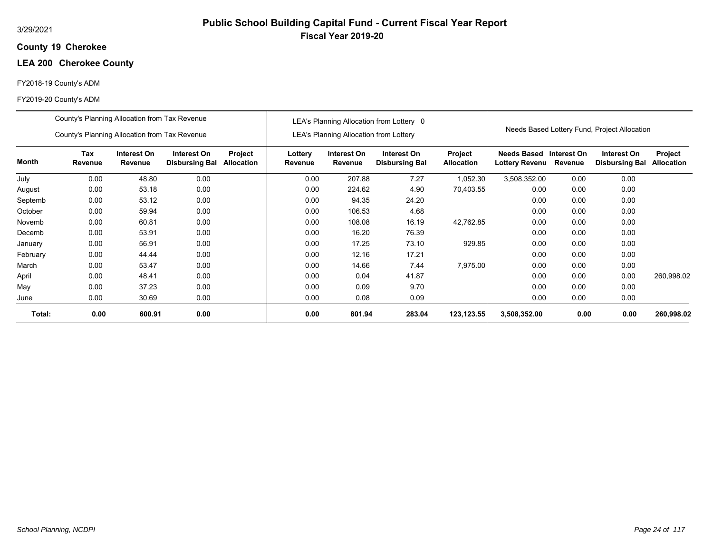## **19 Cherokee County**

# **LEA 200 Cherokee County**

## FY2018-19 County's ADM

|          | County's Planning Allocation from Tax Revenue |                        |                                      |                       |                    |                                        | LEA's Planning Allocation from Lottery 0 |                                     |                                                   |      |                                              |                                     |
|----------|-----------------------------------------------|------------------------|--------------------------------------|-----------------------|--------------------|----------------------------------------|------------------------------------------|-------------------------------------|---------------------------------------------------|------|----------------------------------------------|-------------------------------------|
|          | County's Planning Allocation from Tax Revenue |                        |                                      |                       |                    | LEA's Planning Allocation from Lottery |                                          |                                     |                                                   |      | Needs Based Lottery Fund, Project Allocation |                                     |
| Month    | Tax<br>Revenue                                | Interest On<br>Revenue | Interest On<br><b>Disbursing Bal</b> | Project<br>Allocation | Lottery<br>Revenue | Interest On<br>Revenue                 | Interest On<br><b>Disbursing Bal</b>     | <b>Project</b><br><b>Allocation</b> | Needs Based Interest On<br>Lottery Revenu Revenue |      | Interest On<br><b>Disbursing Bal</b>         | <b>Project</b><br><b>Allocation</b> |
| July     | 0.00                                          | 48.80                  | 0.00                                 |                       | 0.00               | 207.88                                 | 7.27                                     | 1,052.30                            | 3,508,352.00                                      | 0.00 | 0.00                                         |                                     |
| August   | 0.00                                          | 53.18                  | 0.00                                 |                       | 0.00               | 224.62                                 | 4.90                                     | 70,403.55                           | 0.00                                              | 0.00 | 0.00                                         |                                     |
| Septemb  | 0.00                                          | 53.12                  | 0.00                                 |                       | 0.00               | 94.35                                  | 24.20                                    |                                     | 0.00                                              | 0.00 | 0.00                                         |                                     |
| October  | 0.00                                          | 59.94                  | 0.00                                 |                       | 0.00               | 106.53                                 | 4.68                                     |                                     | 0.00                                              | 0.00 | 0.00                                         |                                     |
| Novemb   | 0.00                                          | 60.81                  | 0.00                                 |                       | 0.00               | 108.08                                 | 16.19                                    | 42,762.85                           | 0.00                                              | 0.00 | 0.00                                         |                                     |
| Decemb   | 0.00                                          | 53.91                  | 0.00                                 |                       | 0.00               | 16.20                                  | 76.39                                    |                                     | 0.00                                              | 0.00 | 0.00                                         |                                     |
| January  | 0.00                                          | 56.91                  | 0.00                                 |                       | 0.00               | 17.25                                  | 73.10                                    | 929.85                              | 0.00                                              | 0.00 | 0.00                                         |                                     |
| February | 0.00                                          | 44.44                  | 0.00                                 |                       | 0.00               | 12.16                                  | 17.21                                    |                                     | 0.00                                              | 0.00 | 0.00                                         |                                     |
| March    | 0.00                                          | 53.47                  | 0.00                                 |                       | 0.00               | 14.66                                  | 7.44                                     | 7,975.00                            | 0.00                                              | 0.00 | 0.00                                         |                                     |
| April    | 0.00                                          | 48.41                  | 0.00                                 |                       | 0.00               | 0.04                                   | 41.87                                    |                                     | 0.00                                              | 0.00 | 0.00                                         | 260,998.02                          |
| May      | 0.00                                          | 37.23                  | 0.00                                 |                       | 0.00               | 0.09                                   | 9.70                                     |                                     | 0.00                                              | 0.00 | 0.00                                         |                                     |
| June     | 0.00                                          | 30.69                  | 0.00                                 |                       | 0.00               | 0.08                                   | 0.09                                     |                                     | 0.00                                              | 0.00 | 0.00                                         |                                     |
| Total:   | 0.00                                          | 600.91                 | 0.00                                 |                       | 0.00               | 801.94                                 | 283.04                                   | 123,123.55                          | 3,508,352.00                                      | 0.00 | 0.00                                         | 260,998.02                          |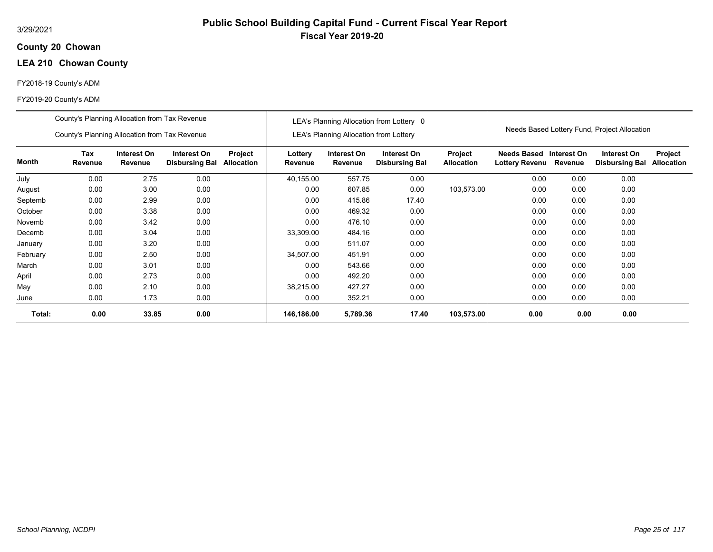## **20 Chowan County**

# **LEA 210 Chowan County**

## FY2018-19 County's ADM

|          | County's Planning Allocation from Tax Revenue                                                             |       |      |  | LEA's Planning Allocation from Lottery 0 |                                               |                                      |                              |                                                         |         |                                              |                              |
|----------|-----------------------------------------------------------------------------------------------------------|-------|------|--|------------------------------------------|-----------------------------------------------|--------------------------------------|------------------------------|---------------------------------------------------------|---------|----------------------------------------------|------------------------------|
|          | County's Planning Allocation from Tax Revenue                                                             |       |      |  |                                          | <b>LEA's Planning Allocation from Lottery</b> |                                      |                              |                                                         |         | Needs Based Lottery Fund, Project Allocation |                              |
| Month    | Tax<br>Interest On<br>Interest On<br>Project<br>Revenue<br>Allocation<br>Revenue<br><b>Disbursing Bal</b> |       |      |  | Lottery<br>Revenue                       | Interest On<br>Revenue                        | Interest On<br><b>Disbursing Bal</b> | Project<br><b>Allocation</b> | <b>Needs Based Interest On</b><br><b>Lottery Revenu</b> | Revenue | Interest On<br><b>Disbursing Bal</b>         | Project<br><b>Allocation</b> |
| July     | 0.00                                                                                                      | 2.75  | 0.00 |  | 40,155.00                                | 557.75                                        | 0.00                                 |                              | 0.00                                                    | 0.00    | 0.00                                         |                              |
| August   | 0.00                                                                                                      | 3.00  | 0.00 |  | 0.00                                     | 607.85                                        | 0.00                                 | 103,573.00                   | 0.00                                                    | 0.00    | 0.00                                         |                              |
| Septemb  | 0.00<br>0.00<br>2.99                                                                                      |       |      |  | 0.00                                     | 415.86                                        | 17.40                                |                              | 0.00                                                    | 0.00    | 0.00                                         |                              |
| October  | 0.00                                                                                                      | 3.38  | 0.00 |  | 0.00                                     | 469.32                                        | 0.00                                 |                              | 0.00                                                    | 0.00    | 0.00                                         |                              |
| Novemb   | 0.00                                                                                                      | 3.42  | 0.00 |  | 0.00                                     | 476.10                                        | 0.00                                 |                              | 0.00                                                    | 0.00    | 0.00                                         |                              |
| Decemb   | 0.00                                                                                                      | 3.04  | 0.00 |  | 33,309.00                                | 484.16                                        | 0.00                                 |                              | 0.00                                                    | 0.00    | 0.00                                         |                              |
| January  | 0.00                                                                                                      | 3.20  | 0.00 |  | 0.00                                     | 511.07                                        | 0.00                                 |                              | 0.00                                                    | 0.00    | 0.00                                         |                              |
| February | 0.00                                                                                                      | 2.50  | 0.00 |  | 34.507.00                                | 451.91                                        | 0.00                                 |                              | 0.00                                                    | 0.00    | 0.00                                         |                              |
| March    | 0.00                                                                                                      | 3.01  | 0.00 |  | 0.00                                     | 543.66                                        | 0.00                                 |                              | 0.00                                                    | 0.00    | 0.00                                         |                              |
| April    | 0.00                                                                                                      | 2.73  | 0.00 |  | 0.00                                     | 492.20                                        | 0.00                                 |                              | 0.00                                                    | 0.00    | 0.00                                         |                              |
| May      | 0.00                                                                                                      | 2.10  | 0.00 |  | 38,215.00                                | 427.27                                        | 0.00                                 |                              | 0.00                                                    | 0.00    | 0.00                                         |                              |
| June     | 0.00                                                                                                      | 1.73  | 0.00 |  | 0.00                                     | 352.21                                        | 0.00                                 |                              | 0.00                                                    | 0.00    | 0.00                                         |                              |
| Total:   | 0.00                                                                                                      | 33.85 | 0.00 |  | 146,186.00                               | 5,789.36                                      | 17.40                                | 103,573.00                   | 0.00                                                    | 0.00    | 0.00                                         |                              |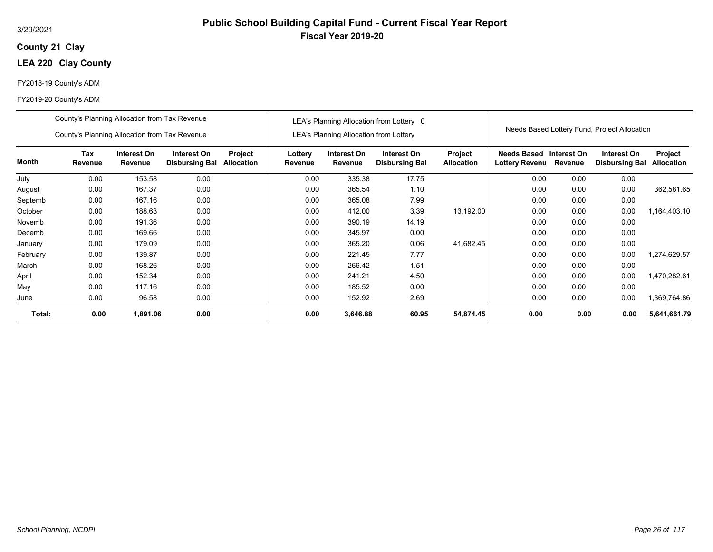## **21 Clay County**

# **LEA 220 Clay County**

## FY2018-19 County's ADM

#### FY2019-20 County's ADM

|          | County's Planning Allocation from Tax Revenue<br>County's Planning Allocation from Tax Revenue                          |          |      |  |      | <b>LEA's Planning Allocation from Lottery</b> | LEA's Planning Allocation from Lottery 0 |                              |                                             |                        | Needs Based Lottery Fund, Project Allocation |                              |
|----------|-------------------------------------------------------------------------------------------------------------------------|----------|------|--|------|-----------------------------------------------|------------------------------------------|------------------------------|---------------------------------------------|------------------------|----------------------------------------------|------------------------------|
| Month    | Tax<br>Project<br>Interest On<br>Interest On<br><b>Disbursing Bal</b><br><b>Revenue</b><br><b>Allocation</b><br>Revenue |          |      |  |      | Interest On<br>Revenue                        | Interest On<br><b>Disbursing Bal</b>     | Project<br><b>Allocation</b> | <b>Needs Based</b><br><b>Lottery Revenu</b> | Interest On<br>Revenue | Interest On<br><b>Disbursing Bal</b>         | Project<br><b>Allocation</b> |
| July     | 0.00                                                                                                                    | 153.58   | 0.00 |  | 0.00 | 335.38                                        | 17.75                                    |                              | 0.00                                        | 0.00                   | 0.00                                         |                              |
| August   | 0.00                                                                                                                    | 167.37   | 0.00 |  | 0.00 | 365.54                                        | 1.10                                     |                              | 0.00                                        | 0.00                   | 0.00                                         | 362,581.65                   |
| Septemb  | 0.00                                                                                                                    | 167.16   | 0.00 |  | 0.00 | 365.08                                        | 7.99                                     |                              | 0.00                                        | 0.00                   | 0.00                                         |                              |
| October  | 0.00                                                                                                                    | 188.63   | 0.00 |  | 0.00 | 412.00                                        | 3.39                                     | 13,192.00                    | 0.00                                        | 0.00                   | 0.00                                         | 1,164,403.10                 |
| Novemb   | 0.00                                                                                                                    | 191.36   | 0.00 |  | 0.00 | 390.19                                        | 14.19                                    |                              | 0.00                                        | 0.00                   | 0.00                                         |                              |
| Decemb   | 0.00                                                                                                                    | 169.66   | 0.00 |  | 0.00 | 345.97                                        | 0.00                                     |                              | 0.00                                        | 0.00                   | 0.00                                         |                              |
| January  | 0.00                                                                                                                    | 179.09   | 0.00 |  | 0.00 | 365.20                                        | 0.06                                     | 41,682.45                    | 0.00                                        | 0.00                   | 0.00                                         |                              |
| February | 0.00                                                                                                                    | 139.87   | 0.00 |  | 0.00 | 221.45                                        | 7.77                                     |                              | 0.00                                        | 0.00                   | 0.00                                         | 1,274,629.57                 |
| March    | 0.00                                                                                                                    | 168.26   | 0.00 |  | 0.00 | 266.42                                        | 1.51                                     |                              | 0.00                                        | 0.00                   | 0.00                                         |                              |
| April    | 0.00                                                                                                                    | 152.34   | 0.00 |  | 0.00 | 241.21                                        | 4.50                                     |                              | 0.00                                        | 0.00                   | 0.00                                         | 1,470,282.61                 |
| May      | 0.00                                                                                                                    | 117.16   | 0.00 |  | 0.00 | 185.52                                        | 0.00                                     |                              | 0.00                                        | 0.00                   | 0.00                                         |                              |
| June     | 0.00                                                                                                                    | 96.58    | 0.00 |  | 0.00 | 152.92                                        | 2.69                                     |                              | 0.00                                        | 0.00                   | 0.00                                         | 1,369,764.86                 |
| Total:   | 0.00                                                                                                                    | 1,891.06 | 0.00 |  | 0.00 | 3,646.88                                      | 60.95                                    | 54,874.45                    | 0.00                                        | 0.00                   | 0.00                                         | 5,641,661.79                 |

**Fiscal Year 2019-20**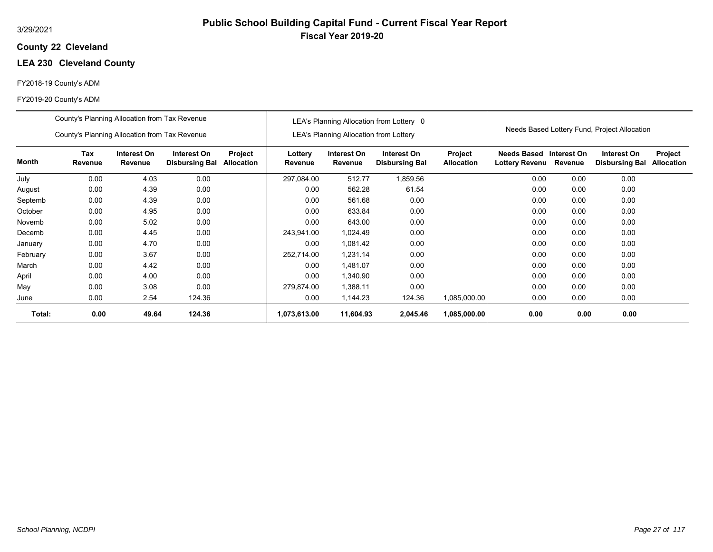## **22 Cleveland County**

## **LEA 230 Cleveland County**

## FY2018-19 County's ADM

|          | County's Planning Allocation from Tax Revenue |                        |                                      |                              | LEA's Planning Allocation from Lottery 0 |                                               |                                      |                              | Needs Based Lottery Fund, Project Allocation |         |                                      |                              |
|----------|-----------------------------------------------|------------------------|--------------------------------------|------------------------------|------------------------------------------|-----------------------------------------------|--------------------------------------|------------------------------|----------------------------------------------|---------|--------------------------------------|------------------------------|
|          | County's Planning Allocation from Tax Revenue |                        |                                      |                              |                                          | <b>LEA's Planning Allocation from Lottery</b> |                                      |                              |                                              |         |                                      |                              |
| Month    | Tax<br>Revenue                                | Interest On<br>Revenue | Interest On<br><b>Disbursing Bal</b> | Project<br><b>Allocation</b> | Lottery<br>Revenue                       | Interest On<br>Revenue                        | Interest On<br><b>Disbursing Bal</b> | Project<br><b>Allocation</b> | Needs Based Interest On<br>Lottery Revenu    | Revenue | Interest On<br><b>Disbursing Bal</b> | Project<br><b>Allocation</b> |
| July     | 0.00                                          | 4.03                   | 0.00                                 |                              | 297.084.00                               | 512.77                                        | 1,859.56                             |                              | 0.00                                         | 0.00    | 0.00                                 |                              |
| August   | 0.00                                          | 4.39                   | 0.00                                 |                              | 0.00                                     | 562.28                                        | 61.54                                |                              | 0.00                                         | 0.00    | 0.00                                 |                              |
| Septemb  | 0.00                                          | 0.00<br>4.39           |                                      |                              |                                          | 561.68                                        | 0.00                                 |                              | 0.00                                         | 0.00    | 0.00                                 |                              |
| October  | 0.00                                          | 4.95                   | 0.00                                 |                              | 0.00                                     | 633.84                                        | 0.00                                 |                              | 0.00                                         | 0.00    | 0.00                                 |                              |
| Novemb   | 0.00                                          | 5.02                   | 0.00                                 |                              | 0.00                                     | 643.00                                        | 0.00                                 |                              | 0.00                                         | 0.00    | 0.00                                 |                              |
| Decemb   | 0.00                                          | 4.45                   | 0.00                                 |                              | 243,941.00                               | 1,024.49                                      | 0.00                                 |                              | 0.00                                         | 0.00    | 0.00                                 |                              |
| January  | 0.00                                          | 4.70                   | 0.00                                 |                              | 0.00                                     | 1.081.42                                      | 0.00                                 |                              | 0.00                                         | 0.00    | 0.00                                 |                              |
| February | 0.00                                          | 3.67                   | 0.00                                 |                              | 252,714.00                               | 1,231.14                                      | 0.00                                 |                              | 0.00                                         | 0.00    | 0.00                                 |                              |
| March    | 0.00                                          | 4.42                   | 0.00                                 |                              | 0.00                                     | 1,481.07                                      | 0.00                                 |                              | 0.00                                         | 0.00    | 0.00                                 |                              |
| April    | 0.00                                          | 4.00                   | 0.00                                 |                              | 0.00                                     | 1,340.90                                      | 0.00                                 |                              | 0.00                                         | 0.00    | 0.00                                 |                              |
| May      | 0.00                                          | 3.08                   | 0.00                                 |                              | 279,874.00                               | 1,388.11                                      | 0.00                                 |                              | 0.00                                         | 0.00    | 0.00                                 |                              |
| June     | 0.00                                          | 2.54                   | 124.36                               |                              | 0.00                                     | 1,144.23                                      | 124.36                               | 1,085,000.00                 | 0.00                                         | 0.00    | 0.00                                 |                              |
| Total:   | 0.00                                          | 49.64                  | 124.36                               |                              | 1,073,613.00                             | 11,604.93                                     | 2,045.46                             | 1,085,000.00                 | 0.00                                         | 0.00    | 0.00                                 |                              |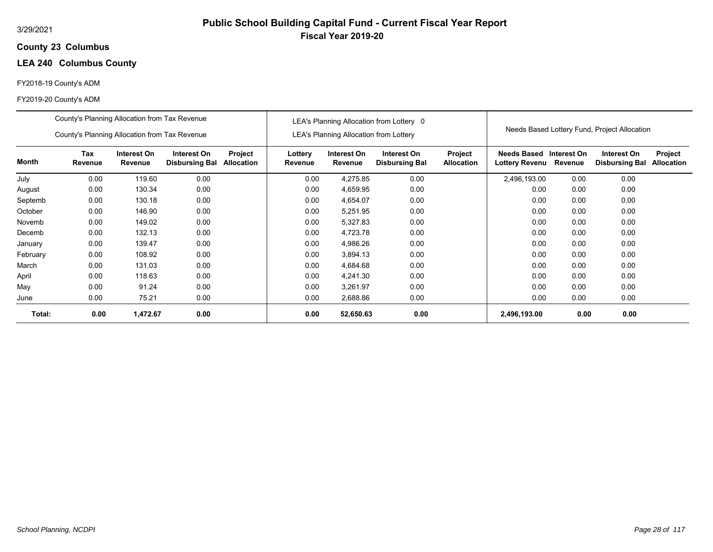## **23 Columbus County**

## **LEA 240 Columbus County**

## FY2018-19 County's ADM

|          | County's Planning Allocation from Tax Revenue                                                                                              |          |      |  | LEA's Planning Allocation from Lottery 0 |                                               |                                      |                              | Needs Based Lottery Fund, Project Allocation |         |                                      |                              |
|----------|--------------------------------------------------------------------------------------------------------------------------------------------|----------|------|--|------------------------------------------|-----------------------------------------------|--------------------------------------|------------------------------|----------------------------------------------|---------|--------------------------------------|------------------------------|
|          | County's Planning Allocation from Tax Revenue                                                                                              |          |      |  |                                          | <b>LEA's Planning Allocation from Lottery</b> |                                      |                              |                                              |         |                                      |                              |
| Month    | Tax<br>Interest On<br>Interest On<br>Project<br>Revenue<br>Revenue<br><b>Allocation</b><br><b>Disbursing Bal</b><br>0.00<br>119.60<br>0.00 |          |      |  | Lottery<br>Revenue                       | Interest On<br>Revenue                        | Interest On<br><b>Disbursing Bal</b> | Project<br><b>Allocation</b> | Needs Based Interest On<br>Lottery Revenu    | Revenue | Interest On<br><b>Disbursing Bal</b> | Project<br><b>Allocation</b> |
| July     |                                                                                                                                            |          |      |  | 0.00                                     | 4,275.85                                      | 0.00                                 |                              | 2,496,193.00                                 | 0.00    | 0.00                                 |                              |
| August   | 0.00                                                                                                                                       | 130.34   | 0.00 |  | 0.00                                     | 4,659.95                                      | 0.00                                 |                              | 0.00                                         | 0.00    | 0.00                                 |                              |
| Septemb  | 0.00<br>0.00<br>130.18                                                                                                                     |          |      |  | 0.00                                     | 4,654.07                                      | 0.00                                 |                              | 0.00                                         | 0.00    | 0.00                                 |                              |
| October  | 0.00                                                                                                                                       | 146.90   | 0.00 |  | 0.00                                     | 5,251.95                                      | 0.00                                 |                              | 0.00                                         | 0.00    | 0.00                                 |                              |
| Novemb   | 0.00                                                                                                                                       | 149.02   | 0.00 |  | 0.00                                     | 5,327.83                                      | 0.00                                 |                              | 0.00                                         | 0.00    | 0.00                                 |                              |
| Decemb   | 0.00                                                                                                                                       | 132.13   | 0.00 |  | 0.00                                     | 4,723.78                                      | 0.00                                 |                              | 0.00                                         | 0.00    | 0.00                                 |                              |
| January  | 0.00                                                                                                                                       | 139.47   | 0.00 |  | 0.00                                     | 4,986.26                                      | 0.00                                 |                              | 0.00                                         | 0.00    | 0.00                                 |                              |
| February | 0.00                                                                                                                                       | 108.92   | 0.00 |  | 0.00                                     | 3,894.13                                      | 0.00                                 |                              | 0.00                                         | 0.00    | 0.00                                 |                              |
| March    | 0.00                                                                                                                                       | 131.03   | 0.00 |  | 0.00                                     | 4,684.68                                      | 0.00                                 |                              | 0.00                                         | 0.00    | 0.00                                 |                              |
| April    | 0.00                                                                                                                                       | 118.63   | 0.00 |  | 0.00                                     | 4,241.30                                      | 0.00                                 |                              | 0.00                                         | 0.00    | 0.00                                 |                              |
| May      | 0.00                                                                                                                                       | 91.24    | 0.00 |  | 0.00                                     | 3,261.97                                      | 0.00                                 |                              | 0.00                                         | 0.00    | 0.00                                 |                              |
| June     | 0.00                                                                                                                                       | 75.21    | 0.00 |  | 0.00                                     | 2,688.86                                      | 0.00                                 |                              | 0.00                                         | 0.00    | 0.00                                 |                              |
| Total:   | 0.00                                                                                                                                       | 1,472.67 | 0.00 |  | 0.00                                     | 52,650.63                                     | 0.00                                 |                              | 2,496,193.00                                 | 0.00    | 0.00                                 |                              |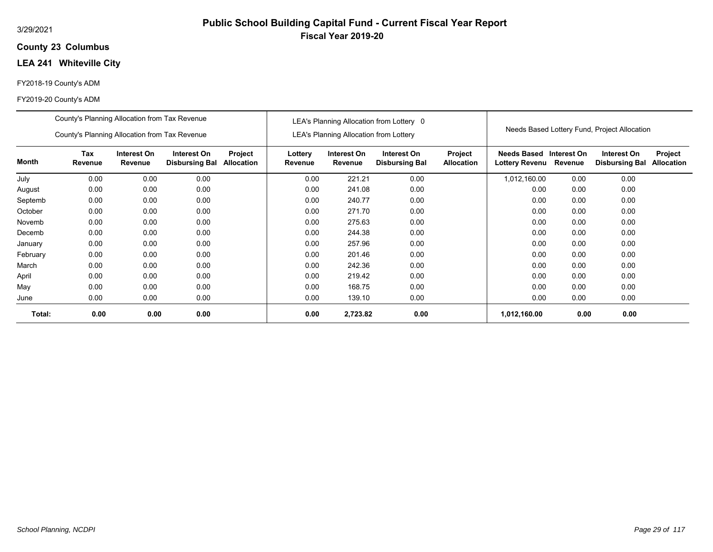## **23 Columbus County**

# **LEA 241 Whiteville City**

## FY2018-19 County's ADM

|          | County's Planning Allocation from Tax Revenue                |         |                                      | LEA's Planning Allocation from Lottery 0 |                    |                                               |                                      |                              |                                      |                        |                                              |                              |
|----------|--------------------------------------------------------------|---------|--------------------------------------|------------------------------------------|--------------------|-----------------------------------------------|--------------------------------------|------------------------------|--------------------------------------|------------------------|----------------------------------------------|------------------------------|
|          | County's Planning Allocation from Tax Revenue<br>Interest On |         |                                      |                                          |                    | <b>LEA's Planning Allocation from Lottery</b> |                                      |                              |                                      |                        | Needs Based Lottery Fund, Project Allocation |                              |
| Month    | Tax<br>Revenue                                               | Revenue | Interest On<br><b>Disbursing Bal</b> | Project<br>Allocation                    | Lottery<br>Revenue | Interest On<br>Revenue                        | Interest On<br><b>Disbursing Bal</b> | Project<br><b>Allocation</b> | Needs Based<br><b>Lottery Revenu</b> | Interest On<br>Revenue | Interest On<br><b>Disbursing Bal</b>         | Project<br><b>Allocation</b> |
| July     | 0.00                                                         | 0.00    | 0.00                                 |                                          | 0.00               | 221.21                                        | 0.00                                 |                              | 1,012,160.00                         | 0.00                   | 0.00                                         |                              |
| August   | 0.00                                                         | 0.00    | 0.00                                 |                                          | 0.00               | 241.08                                        | 0.00                                 |                              | 0.00                                 | 0.00                   | 0.00                                         |                              |
| Septemb  | 0.00<br>0.00<br>0.00                                         |         |                                      |                                          | 0.00               | 240.77                                        | 0.00                                 |                              | 0.00                                 | 0.00                   | 0.00                                         |                              |
| October  | 0.00                                                         | 0.00    | 0.00                                 |                                          | 0.00               | 271.70                                        | 0.00                                 |                              | 0.00                                 | 0.00                   | 0.00                                         |                              |
| Novemb   | 0.00                                                         | 0.00    | 0.00                                 |                                          | 0.00               | 275.63                                        | 0.00                                 |                              | 0.00                                 | 0.00                   | 0.00                                         |                              |
| Decemb   | 0.00                                                         | 0.00    | 0.00                                 |                                          | 0.00               | 244.38                                        | 0.00                                 |                              | 0.00                                 | 0.00                   | 0.00                                         |                              |
| January  | 0.00                                                         | 0.00    | 0.00                                 |                                          | 0.00               | 257.96                                        | 0.00                                 |                              | 0.00                                 | 0.00                   | 0.00                                         |                              |
| February | 0.00                                                         | 0.00    | 0.00                                 |                                          | 0.00               | 201.46                                        | 0.00                                 |                              | 0.00                                 | 0.00                   | 0.00                                         |                              |
| March    | 0.00                                                         | 0.00    | 0.00                                 |                                          | 0.00               | 242.36                                        | 0.00                                 |                              | 0.00                                 | 0.00                   | 0.00                                         |                              |
| April    | 0.00                                                         | 0.00    | 0.00                                 |                                          | 0.00               | 219.42                                        | 0.00                                 |                              | 0.00                                 | 0.00                   | 0.00                                         |                              |
| May      | 0.00                                                         | 0.00    | 0.00                                 |                                          | 0.00               | 168.75                                        | 0.00                                 |                              | 0.00                                 | 0.00                   | 0.00                                         |                              |
| June     | 0.00                                                         | 0.00    | 0.00                                 |                                          | 0.00               | 139.10                                        | 0.00                                 |                              | 0.00                                 | 0.00                   | 0.00                                         |                              |
| Total:   | 0.00                                                         | 0.00    | 0.00                                 |                                          | 0.00               | 2,723.82                                      | 0.00                                 |                              | 1,012,160.00                         | 0.00                   | 0.00                                         |                              |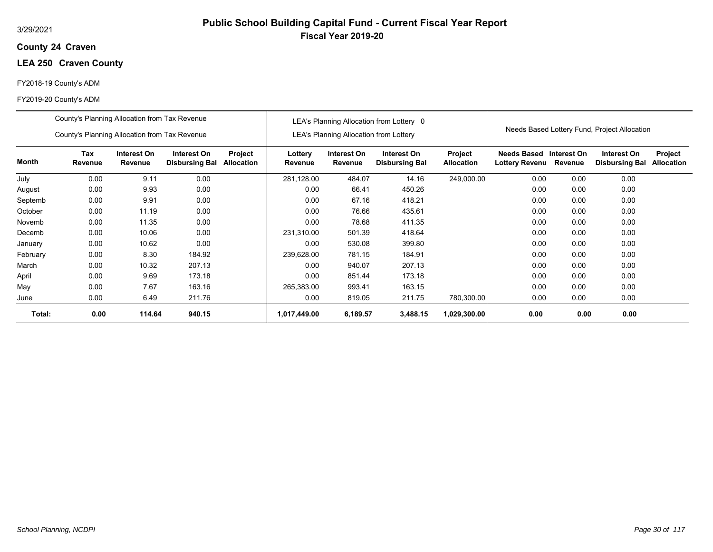## **24 Craven County**

## **LEA 250 Craven County**

## FY2018-19 County's ADM

|          | County's Planning Allocation from Tax Revenue |                        |                                      | LEA's Planning Allocation from Lottery 0<br><b>LEA's Planning Allocation from Lottery</b> |                    |                        |                                      | Needs Based Lottery Fund, Project Allocation |                               |                        |                                      |                              |
|----------|-----------------------------------------------|------------------------|--------------------------------------|-------------------------------------------------------------------------------------------|--------------------|------------------------|--------------------------------------|----------------------------------------------|-------------------------------|------------------------|--------------------------------------|------------------------------|
|          | County's Planning Allocation from Tax Revenue |                        |                                      |                                                                                           |                    |                        |                                      |                                              |                               |                        |                                      |                              |
| Month    | Tax<br>Revenue                                | Interest On<br>Revenue | Interest On<br><b>Disbursing Bal</b> | Project<br>Allocation                                                                     | Lottery<br>Revenue | Interest On<br>Revenue | Interest On<br><b>Disbursing Bal</b> | Project<br><b>Allocation</b>                 | Needs Based<br>Lottery Revenu | Interest On<br>Revenue | Interest On<br><b>Disbursing Bal</b> | Project<br><b>Allocation</b> |
| July     | 0.00                                          | 9.11                   | 0.00                                 |                                                                                           | 281,128.00         | 484.07                 | 14.16                                | 249,000.00                                   | 0.00                          | 0.00                   | 0.00                                 |                              |
| August   | 0.00                                          | 9.93                   | 0.00                                 |                                                                                           | 0.00               | 66.41                  | 450.26                               |                                              | 0.00                          | 0.00                   | 0.00                                 |                              |
| Septemb  | 9.91<br>0.00<br>0.00                          |                        |                                      |                                                                                           | 0.00               | 67.16                  | 418.21                               |                                              | 0.00                          | 0.00                   | 0.00                                 |                              |
| October  | 0.00                                          | 11.19                  | 0.00                                 |                                                                                           | 0.00               | 76.66                  | 435.61                               |                                              | 0.00                          | 0.00                   | 0.00                                 |                              |
| Novemb   | 0.00                                          | 11.35                  | 0.00                                 |                                                                                           | 0.00               | 78.68                  | 411.35                               |                                              | 0.00                          | 0.00                   | 0.00                                 |                              |
| Decemb   | 0.00                                          | 10.06                  | 0.00                                 |                                                                                           | 231,310.00         | 501.39                 | 418.64                               |                                              | 0.00                          | 0.00                   | 0.00                                 |                              |
| January  | 0.00                                          | 10.62                  | 0.00                                 |                                                                                           | 0.00               | 530.08                 | 399.80                               |                                              | 0.00                          | 0.00                   | 0.00                                 |                              |
| February | 0.00                                          | 8.30                   | 184.92                               |                                                                                           | 239,628.00         | 781.15                 | 184.91                               |                                              | 0.00                          | 0.00                   | 0.00                                 |                              |
| March    | 0.00                                          | 10.32                  | 207.13                               |                                                                                           | 0.00               | 940.07                 | 207.13                               |                                              | 0.00                          | 0.00                   | 0.00                                 |                              |
| April    | 0.00                                          | 9.69                   | 173.18                               |                                                                                           | 0.00               | 851.44                 | 173.18                               |                                              | 0.00                          | 0.00                   | 0.00                                 |                              |
| May      | 0.00                                          | 7.67                   | 163.16                               |                                                                                           | 265,383.00         | 993.41                 | 163.15                               |                                              | 0.00                          | 0.00                   | 0.00                                 |                              |
| June     | 0.00                                          | 6.49                   | 211.76                               |                                                                                           | 0.00               | 819.05                 | 211.75                               | 780,300.00                                   | 0.00                          | 0.00                   | 0.00                                 |                              |
| Total:   | 0.00                                          | 114.64                 | 940.15                               |                                                                                           | 1,017,449.00       | 6,189.57               | 3,488.15                             | 1,029,300.00                                 | 0.00                          | 0.00                   | 0.00                                 |                              |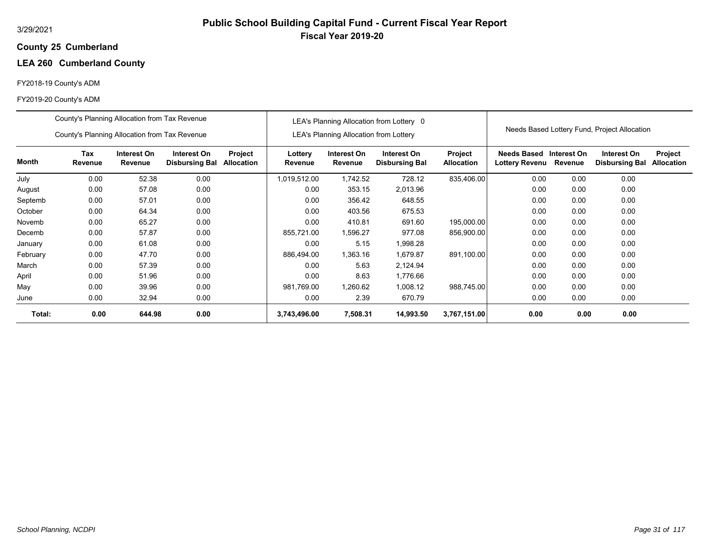# **Public School Building Capital Fund - Current Fiscal Year Report Fiscal Year 2019-20**

### **25 Cumberland County**

# **LEA 260 Cumberland County**

## FY2018-19 County's ADM

|          | County's Planning Allocation from Tax Revenue                                                 |         |                       | LEA's Planning Allocation from Lottery 0 |                    |                                        |                                      | Needs Based Lottery Fund, Project Allocation |                                       |             |                                      |                                     |
|----------|-----------------------------------------------------------------------------------------------|---------|-----------------------|------------------------------------------|--------------------|----------------------------------------|--------------------------------------|----------------------------------------------|---------------------------------------|-------------|--------------------------------------|-------------------------------------|
|          | County's Planning Allocation from Tax Revenue<br>Tax<br>Interest On<br>Interest On<br>Project |         |                       |                                          |                    | LEA's Planning Allocation from Lottery |                                      |                                              |                                       |             |                                      |                                     |
| Month    | Revenue                                                                                       | Revenue | <b>Disbursing Bal</b> | Allocation                               | Lottery<br>Revenue | Interest On<br>Revenue                 | Interest On<br><b>Disbursing Bal</b> | Project<br><b>Allocation</b>                 | Needs Based<br>Lottery Revenu Revenue | Interest On | Interest On<br><b>Disbursing Bal</b> | <b>Project</b><br><b>Allocation</b> |
| July     | 0.00                                                                                          | 52.38   | 0.00                  |                                          | 1,019,512.00       | 1,742.52                               | 728.12                               | 835,406.00                                   | 0.00                                  | 0.00        | 0.00                                 |                                     |
| August   | 0.00                                                                                          | 57.08   | 0.00                  |                                          | 0.00               | 353.15                                 | 2,013.96                             |                                              | 0.00                                  | 0.00        | 0.00                                 |                                     |
| Septemb  | 0.00<br>0.00<br>57.01                                                                         |         |                       |                                          | 0.00               | 356.42                                 | 648.55                               |                                              | 0.00                                  | 0.00        | 0.00                                 |                                     |
| October  | 0.00                                                                                          | 64.34   | 0.00                  |                                          | 0.00               | 403.56                                 | 675.53                               |                                              | 0.00                                  | 0.00        | 0.00                                 |                                     |
| Novemb   | 0.00                                                                                          | 65.27   | 0.00                  |                                          | 0.00               | 410.81                                 | 691.60                               | 195,000.00                                   | 0.00                                  | 0.00        | 0.00                                 |                                     |
| Decemb   | 0.00                                                                                          | 57.87   | 0.00                  |                                          | 855,721.00         | 1,596.27                               | 977.08                               | 856,900.00                                   | 0.00                                  | 0.00        | 0.00                                 |                                     |
| January  | 0.00                                                                                          | 61.08   | 0.00                  |                                          | 0.00               | 5.15                                   | 998.28. ا                            |                                              | 0.00                                  | 0.00        | 0.00                                 |                                     |
| February | 0.00                                                                                          | 47.70   | 0.00                  |                                          | 886,494.00         | 1,363.16                               | 1,679.87                             | 891,100.00                                   | 0.00                                  | 0.00        | 0.00                                 |                                     |
| March    | 0.00                                                                                          | 57.39   | 0.00                  |                                          | 0.00               | 5.63                                   | 2,124.94                             |                                              | 0.00                                  | 0.00        | 0.00                                 |                                     |
| April    | 0.00                                                                                          | 51.96   | 0.00                  |                                          | 0.00               | 8.63                                   | 1,776.66                             |                                              | 0.00                                  | 0.00        | 0.00                                 |                                     |
| May      | 0.00                                                                                          | 39.96   | 0.00                  |                                          | 981,769.00         | 1,260.62                               | 1,008.12                             | 988,745.00                                   | 0.00                                  | 0.00        | 0.00                                 |                                     |
| June     | 0.00                                                                                          | 32.94   | 0.00                  |                                          | 0.00               | 2.39                                   | 670.79                               |                                              | 0.00                                  | 0.00        | 0.00                                 |                                     |
| Total:   | 0.00                                                                                          | 644.98  | 0.00                  |                                          | 3,743,496.00       | 7,508.31                               | 14,993.50                            | 3,767,151.00                                 | 0.00                                  | 0.00        | 0.00                                 |                                     |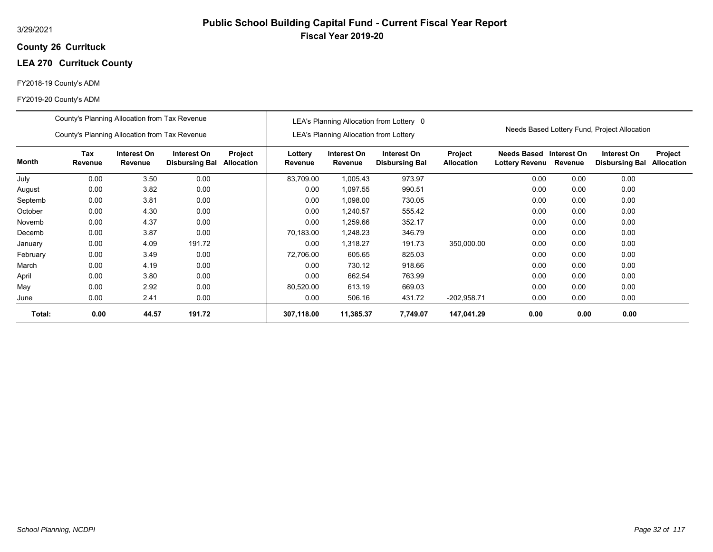## **26 Currituck County**

# **LEA 270 Currituck County**

## FY2018-19 County's ADM

|          | County's Planning Allocation from Tax Revenue                                                                                     |              |        |  | LEA's Planning Allocation from Lottery 0 |                                               |                                      |                              | Needs Based Lottery Fund, Project Allocation |                        |                                      |                              |
|----------|-----------------------------------------------------------------------------------------------------------------------------------|--------------|--------|--|------------------------------------------|-----------------------------------------------|--------------------------------------|------------------------------|----------------------------------------------|------------------------|--------------------------------------|------------------------------|
|          | County's Planning Allocation from Tax Revenue                                                                                     |              |        |  |                                          | <b>LEA's Planning Allocation from Lottery</b> |                                      |                              |                                              |                        |                                      |                              |
| Month    | Tax<br>Interest On<br>Interest On<br>Project<br>Revenue<br>Revenue<br>Allocation<br><b>Disbursing Bal</b><br>3.50<br>0.00<br>0.00 |              |        |  | Lottery<br>Revenue                       | Interest On<br>Revenue                        | Interest On<br><b>Disbursing Bal</b> | Project<br><b>Allocation</b> | Needs Based<br><b>Lottery Revenu</b>         | Interest On<br>Revenue | Interest On<br><b>Disbursing Bal</b> | Project<br><b>Allocation</b> |
| July     |                                                                                                                                   |              |        |  | 83,709.00                                | 1,005.43                                      | 973.97                               |                              | 0.00                                         | 0.00                   | 0.00                                 |                              |
| August   | 0.00                                                                                                                              | 3.82         | 0.00   |  | 0.00                                     | 1,097.55                                      | 990.51                               |                              | 0.00                                         | 0.00                   | 0.00                                 |                              |
| Septemb  | 0.00                                                                                                                              | 3.81<br>0.00 |        |  |                                          | 1,098.00                                      | 730.05                               |                              | 0.00                                         | 0.00                   | 0.00                                 |                              |
| October  | 0.00                                                                                                                              | 4.30         | 0.00   |  | 0.00                                     | 1,240.57                                      | 555.42                               |                              | 0.00                                         | 0.00                   | 0.00                                 |                              |
| Novemb   | 0.00                                                                                                                              | 4.37         | 0.00   |  | 0.00                                     | 1,259.66                                      | 352.17                               |                              | 0.00                                         | 0.00                   | 0.00                                 |                              |
| Decemb   | 0.00                                                                                                                              | 3.87         | 0.00   |  | 70,183.00                                | 1,248.23                                      | 346.79                               |                              | 0.00                                         | 0.00                   | 0.00                                 |                              |
| January  | 0.00                                                                                                                              | 4.09         | 191.72 |  | 0.00                                     | 1,318.27                                      | 191.73                               | 350,000.00                   | 0.00                                         | 0.00                   | 0.00                                 |                              |
| February | 0.00                                                                                                                              | 3.49         | 0.00   |  | 72,706.00                                | 605.65                                        | 825.03                               |                              | 0.00                                         | 0.00                   | 0.00                                 |                              |
| March    | 0.00                                                                                                                              | 4.19         | 0.00   |  | 0.00                                     | 730.12                                        | 918.66                               |                              | 0.00                                         | 0.00                   | 0.00                                 |                              |
| April    | 0.00                                                                                                                              | 3.80         | 0.00   |  | 0.00                                     | 662.54                                        | 763.99                               |                              | 0.00                                         | 0.00                   | 0.00                                 |                              |
| May      | 0.00                                                                                                                              | 2.92         | 0.00   |  | 80,520.00                                | 613.19                                        | 669.03                               |                              | 0.00                                         | 0.00                   | 0.00                                 |                              |
| June     | 0.00                                                                                                                              | 2.41         | 0.00   |  | 0.00                                     | 506.16                                        | 431.72                               | $-202,958.71$                | 0.00                                         | 0.00                   | 0.00                                 |                              |
| Total:   | 0.00                                                                                                                              | 44.57        | 191.72 |  | 307,118.00                               | 11,385.37                                     | 7,749.07                             | 147,041.29                   | 0.00                                         | 0.00                   | 0.00                                 |                              |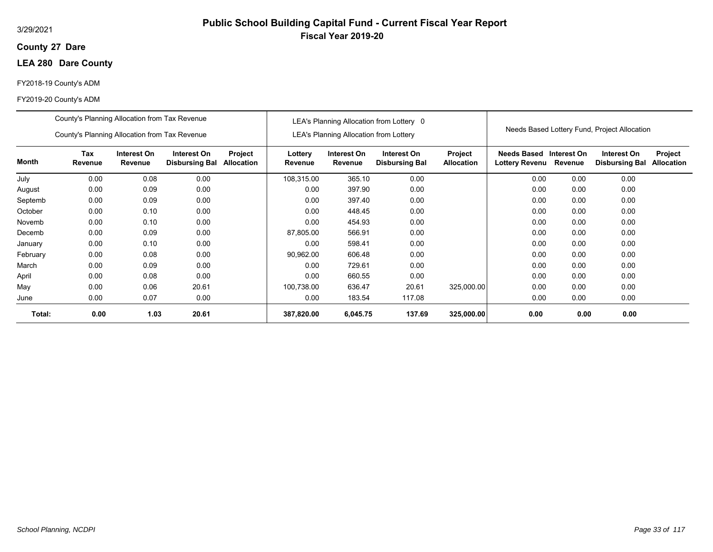## **27 Dare County**

## **LEA 280 Dare County**

## FY2018-19 County's ADM

|          | County's Planning Allocation from Tax Revenue<br>County's Planning Allocation from Tax Revenue |                        |                                      |                              | LEA's Planning Allocation from Lottery 0<br><b>LEA's Planning Allocation from Lottery</b> |                        |                                      |                              | Needs Based Lottery Fund, Project Allocation |                        |                                      |                              |
|----------|------------------------------------------------------------------------------------------------|------------------------|--------------------------------------|------------------------------|-------------------------------------------------------------------------------------------|------------------------|--------------------------------------|------------------------------|----------------------------------------------|------------------------|--------------------------------------|------------------------------|
|          |                                                                                                |                        |                                      |                              |                                                                                           |                        |                                      |                              |                                              |                        |                                      |                              |
| Month    | Tax<br>Revenue                                                                                 | Interest On<br>Revenue | Interest On<br><b>Disbursing Bal</b> | Project<br><b>Allocation</b> | Lottery<br>Revenue                                                                        | Interest On<br>Revenue | Interest On<br><b>Disbursing Bal</b> | Project<br><b>Allocation</b> | <b>Needs Based</b><br><b>Lottery Revenu</b>  | Interest On<br>Revenue | Interest On<br><b>Disbursing Bal</b> | Project<br><b>Allocation</b> |
| July     | 0.00                                                                                           | 0.08                   | 0.00                                 |                              | 108,315.00                                                                                | 365.10                 | 0.00                                 |                              | 0.00                                         | 0.00                   | 0.00                                 |                              |
| August   | 0.00                                                                                           | 0.09                   | 0.00                                 |                              | 0.00                                                                                      | 397.90                 | 0.00                                 |                              | 0.00                                         | 0.00                   | 0.00                                 |                              |
| Septemb  | 0.00                                                                                           | 0.00                   |                                      | 0.00                         | 397.40                                                                                    | 0.00                   |                                      | 0.00                         | 0.00                                         | 0.00                   |                                      |                              |
| October  | 0.00                                                                                           | 0.10                   | 0.00                                 |                              | 0.00                                                                                      | 448.45                 | 0.00                                 |                              | 0.00                                         | 0.00                   | 0.00                                 |                              |
| Novemb   | 0.00                                                                                           | 0.10                   | 0.00                                 |                              | 0.00                                                                                      | 454.93                 | 0.00                                 |                              | 0.00                                         | 0.00                   | 0.00                                 |                              |
| Decemb   | 0.00                                                                                           | 0.09                   | 0.00                                 |                              | 87,805.00                                                                                 | 566.91                 | 0.00                                 |                              | 0.00                                         | 0.00                   | 0.00                                 |                              |
| January  | 0.00                                                                                           | 0.10                   | 0.00                                 |                              | 0.00                                                                                      | 598.41                 | 0.00                                 |                              | 0.00                                         | 0.00                   | 0.00                                 |                              |
| February | 0.00                                                                                           | 0.08                   | 0.00                                 |                              | 90,962.00                                                                                 | 606.48                 | 0.00                                 |                              | 0.00                                         | 0.00                   | 0.00                                 |                              |
| March    | 0.00                                                                                           | 0.09                   | 0.00                                 |                              | 0.00                                                                                      | 729.61                 | 0.00                                 |                              | 0.00                                         | 0.00                   | 0.00                                 |                              |
| April    | 0.00                                                                                           | 0.08                   | 0.00                                 |                              | 0.00                                                                                      | 660.55                 | 0.00                                 |                              | 0.00                                         | 0.00                   | 0.00                                 |                              |
| May      | 0.00                                                                                           | 0.06                   | 20.61                                |                              | 100,738.00                                                                                | 636.47                 | 20.61                                | 325,000.00                   | 0.00                                         | 0.00                   | 0.00                                 |                              |
| June     | 0.00                                                                                           | 0.07                   | 0.00                                 |                              | 0.00                                                                                      | 183.54                 | 117.08                               |                              | 0.00                                         | 0.00                   | 0.00                                 |                              |
| Total:   | 0.00                                                                                           | 1.03                   | 20.61                                |                              | 387,820.00                                                                                | 6,045.75               | 137.69                               | 325,000.00                   | 0.00                                         | 0.00                   | 0.00                                 |                              |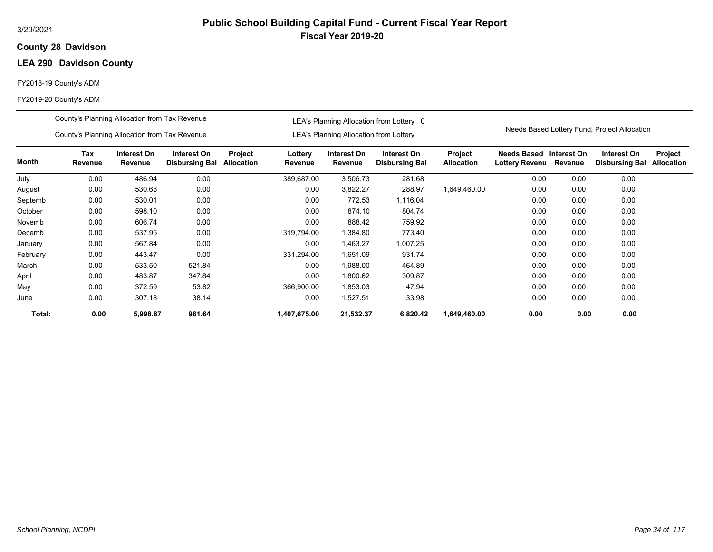## **28 Davidson County**

# **LEA 290 Davidson County**

## FY2018-19 County's ADM

|          | County's Planning Allocation from Tax Revenue |                        |                                      |                       | LEA's Planning Allocation from Lottery 0 |                                               |                                      |                              | Needs Based Lottery Fund, Project Allocation |                        |                                      |                              |
|----------|-----------------------------------------------|------------------------|--------------------------------------|-----------------------|------------------------------------------|-----------------------------------------------|--------------------------------------|------------------------------|----------------------------------------------|------------------------|--------------------------------------|------------------------------|
|          | County's Planning Allocation from Tax Revenue |                        |                                      |                       |                                          | <b>LEA's Planning Allocation from Lottery</b> |                                      |                              |                                              |                        |                                      |                              |
| Month    | Tax<br>Revenue                                | Interest On<br>Revenue | Interest On<br><b>Disbursing Bal</b> | Project<br>Allocation | Lottery<br>Revenue                       | Interest On<br>Revenue                        | Interest On<br><b>Disbursing Bal</b> | Project<br><b>Allocation</b> | Needs Based<br><b>Lottery Revenu</b>         | Interest On<br>Revenue | Interest On<br><b>Disbursing Bal</b> | Project<br><b>Allocation</b> |
| July     | 0.00                                          | 486.94                 | 0.00                                 |                       | 389,687.00                               | 3,506.73                                      | 281.68                               |                              | 0.00                                         | 0.00                   | 0.00                                 |                              |
| August   | 0.00                                          | 530.68                 | 0.00                                 |                       | 0.00                                     | 3,822.27                                      | 288.97                               | 1,649,460.00                 | 0.00                                         | 0.00                   | 0.00                                 |                              |
| Septemb  | 0.00<br>0.00<br>530.01                        |                        |                                      |                       | 0.00                                     | 772.53                                        | 1,116.04                             |                              | 0.00                                         | 0.00                   | 0.00                                 |                              |
| October  | 0.00                                          | 598.10                 | 0.00                                 |                       | 0.00                                     | 874.10                                        | 804.74                               |                              | 0.00                                         | 0.00                   | 0.00                                 |                              |
| Novemb   | 0.00                                          | 606.74                 | 0.00                                 |                       | 0.00                                     | 888.42                                        | 759.92                               |                              | 0.00                                         | 0.00                   | 0.00                                 |                              |
| Decemb   | 0.00                                          | 537.95                 | 0.00                                 |                       | 319,794.00                               | 1,384.80                                      | 773.40                               |                              | 0.00                                         | 0.00                   | 0.00                                 |                              |
| January  | 0.00                                          | 567.84                 | 0.00                                 |                       | 0.00                                     | .463.27                                       | 1,007.25                             |                              | 0.00                                         | 0.00                   | 0.00                                 |                              |
| February | 0.00                                          | 443.47                 | 0.00                                 |                       | 331,294.00                               | 1,651.09                                      | 931.74                               |                              | 0.00                                         | 0.00                   | 0.00                                 |                              |
| March    | 0.00                                          | 533.50                 | 521.84                               |                       | 0.00                                     | 1,988.00                                      | 464.89                               |                              | 0.00                                         | 0.00                   | 0.00                                 |                              |
| April    | 0.00                                          | 483.87                 | 347.84                               |                       | 0.00                                     | 1,800.62                                      | 309.87                               |                              | 0.00                                         | 0.00                   | 0.00                                 |                              |
| May      | 0.00                                          | 372.59                 | 53.82                                |                       | 366,900.00                               | 1,853.03                                      | 47.94                                |                              | 0.00                                         | 0.00                   | 0.00                                 |                              |
| June     | 0.00                                          | 307.18                 | 38.14                                |                       | 0.00                                     | 1,527.51                                      | 33.98                                |                              | 0.00                                         | 0.00                   | 0.00                                 |                              |
| Total:   | 0.00                                          | 5,998.87               | 961.64                               |                       | 1,407,675.00                             | 21,532.37                                     | 6,820.42                             | 1,649,460.00                 | 0.00                                         | 0.00                   | 0.00                                 |                              |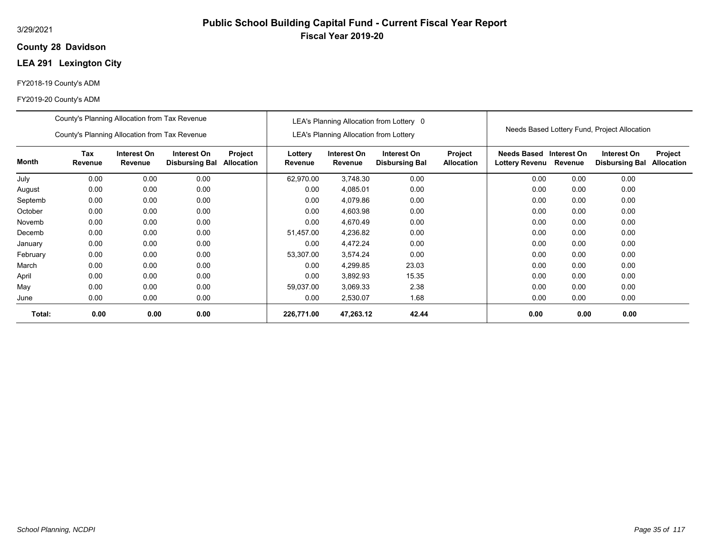## **28 Davidson County**

# **LEA 291 Lexington City**

## FY2018-19 County's ADM

|          | County's Planning Allocation from Tax Revenue                                                                                            |      |      | LEA's Planning Allocation from Lottery 0 |                    |                                               |                                      | Needs Based Lottery Fund, Project Allocation |                                      |                        |                                      |                              |
|----------|------------------------------------------------------------------------------------------------------------------------------------------|------|------|------------------------------------------|--------------------|-----------------------------------------------|--------------------------------------|----------------------------------------------|--------------------------------------|------------------------|--------------------------------------|------------------------------|
|          | County's Planning Allocation from Tax Revenue                                                                                            |      |      |                                          |                    | <b>LEA's Planning Allocation from Lottery</b> |                                      |                                              |                                      |                        |                                      |                              |
| Month    | Tax<br>Interest On<br>Interest On<br>Project<br><b>Allocation</b><br>Revenue<br>Revenue<br><b>Disbursing Bal</b><br>0.00<br>0.00<br>0.00 |      |      |                                          | Lottery<br>Revenue | Interest On<br>Revenue                        | Interest On<br><b>Disbursing Bal</b> | <b>Project</b><br><b>Allocation</b>          | Needs Based<br><b>Lottery Revenu</b> | Interest On<br>Revenue | Interest On<br><b>Disbursing Bal</b> | Project<br><b>Allocation</b> |
| July     |                                                                                                                                          |      |      |                                          | 62,970.00          | 3,748.30                                      | 0.00                                 |                                              | 0.00                                 | 0.00                   | 0.00                                 |                              |
| August   | 0.00                                                                                                                                     | 0.00 | 0.00 |                                          | 0.00               | 4,085.01                                      | 0.00                                 |                                              | 0.00                                 | 0.00                   | 0.00                                 |                              |
| Septemb  | 0.00<br>0.00<br>0.00                                                                                                                     |      |      |                                          | 0.00               | 4,079.86                                      | 0.00                                 |                                              | 0.00                                 | 0.00                   | 0.00                                 |                              |
| October  | 0.00                                                                                                                                     | 0.00 | 0.00 |                                          | 0.00               | 4,603.98                                      | 0.00                                 |                                              | 0.00                                 | 0.00                   | 0.00                                 |                              |
| Novemb   | 0.00                                                                                                                                     | 0.00 | 0.00 |                                          | 0.00               | 4,670.49                                      | 0.00                                 |                                              | 0.00                                 | 0.00                   | 0.00                                 |                              |
| Decemb   | 0.00                                                                                                                                     | 0.00 | 0.00 |                                          | 51,457.00          | 4,236.82                                      | 0.00                                 |                                              | 0.00                                 | 0.00                   | 0.00                                 |                              |
| January  | 0.00                                                                                                                                     | 0.00 | 0.00 |                                          | 0.00               | 4,472.24                                      | 0.00                                 |                                              | 0.00                                 | 0.00                   | 0.00                                 |                              |
| February | 0.00                                                                                                                                     | 0.00 | 0.00 |                                          | 53,307.00          | 3,574.24                                      | 0.00                                 |                                              | 0.00                                 | 0.00                   | 0.00                                 |                              |
| March    | 0.00                                                                                                                                     | 0.00 | 0.00 |                                          | 0.00               | 4,299.85                                      | 23.03                                |                                              | 0.00                                 | 0.00                   | 0.00                                 |                              |
| April    | 0.00                                                                                                                                     | 0.00 | 0.00 |                                          | 0.00               | 3,892.93                                      | 15.35                                |                                              | 0.00                                 | 0.00                   | 0.00                                 |                              |
| May      | 0.00                                                                                                                                     | 0.00 | 0.00 |                                          | 59,037.00          | 3,069.33                                      | 2.38                                 |                                              | 0.00                                 | 0.00                   | 0.00                                 |                              |
| June     | 0.00                                                                                                                                     | 0.00 | 0.00 |                                          | 0.00               | 2,530.07                                      | 1.68                                 |                                              | 0.00                                 | 0.00                   | 0.00                                 |                              |
| Total:   | 0.00                                                                                                                                     | 0.00 | 0.00 |                                          | 226,771.00         | 47,263.12                                     | 42.44                                |                                              | 0.00                                 | 0.00                   | 0.00                                 |                              |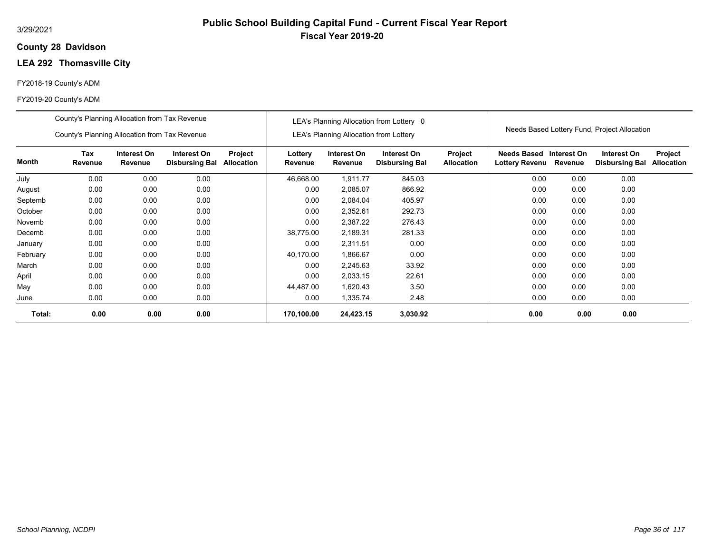### **28 Davidson County**

# **LEA 292 Thomasville City**

#### FY2018-19 County's ADM

|          | County's Planning Allocation from Tax Revenue |                        |                                      |                       |                    |                                        | LEA's Planning Allocation from Lottery 0 |                              |                                      |                        | Needs Based Lottery Fund, Project Allocation |                              |
|----------|-----------------------------------------------|------------------------|--------------------------------------|-----------------------|--------------------|----------------------------------------|------------------------------------------|------------------------------|--------------------------------------|------------------------|----------------------------------------------|------------------------------|
|          | County's Planning Allocation from Tax Revenue |                        |                                      |                       |                    | LEA's Planning Allocation from Lottery |                                          |                              |                                      |                        |                                              |                              |
| Month    | Tax<br>Revenue                                | Interest On<br>Revenue | Interest On<br><b>Disbursing Bal</b> | Project<br>Allocation | Lottery<br>Revenue | Interest On<br>Revenue                 | Interest On<br><b>Disbursing Bal</b>     | Project<br><b>Allocation</b> | <b>Needs Based</b><br>Lottery Revenu | Interest On<br>Revenue | Interest On<br><b>Disbursing Bal</b>         | Project<br><b>Allocation</b> |
| July     | 0.00                                          | 0.00                   | 0.00                                 |                       | 46,668.00          | 1,911.77                               | 845.03                                   |                              | 0.00                                 | 0.00                   | 0.00                                         |                              |
| August   | 0.00                                          | 0.00                   | 0.00                                 |                       | 0.00               | 2,085.07                               | 866.92                                   |                              | 0.00                                 | 0.00                   | 0.00                                         |                              |
| Septemb  | 0.00                                          | 0.00                   | 0.00                                 |                       | 0.00               | 2,084.04                               | 405.97                                   |                              | 0.00                                 | 0.00                   | 0.00                                         |                              |
| October  | 0.00                                          | 0.00                   | 0.00                                 |                       | 0.00               | 2,352.61                               | 292.73                                   |                              | 0.00                                 | 0.00                   | 0.00                                         |                              |
| Novemb   | 0.00                                          | 0.00                   | 0.00                                 |                       | 0.00               | 2,387.22                               | 276.43                                   |                              | 0.00                                 | 0.00                   | 0.00                                         |                              |
| Decemb   | 0.00                                          | 0.00                   | 0.00                                 |                       | 38,775.00          | 2,189.31                               | 281.33                                   |                              | 0.00                                 | 0.00                   | 0.00                                         |                              |
| January  | 0.00                                          | 0.00                   | 0.00                                 |                       | 0.00               | 2.311.51                               | 0.00                                     |                              | 0.00                                 | 0.00                   | 0.00                                         |                              |
| February | 0.00                                          | 0.00                   | 0.00                                 |                       | 40,170.00          | 1,866.67                               | 0.00                                     |                              | 0.00                                 | 0.00                   | 0.00                                         |                              |
| March    | 0.00                                          | 0.00                   | 0.00                                 |                       | 0.00               | 2,245.63                               | 33.92                                    |                              | 0.00                                 | 0.00                   | 0.00                                         |                              |
| April    | 0.00                                          | 0.00                   | 0.00                                 |                       | 0.00               | 2,033.15                               | 22.61                                    |                              | 0.00                                 | 0.00                   | 0.00                                         |                              |
| May      | 0.00                                          | 0.00                   | 0.00                                 |                       | 44,487.00          | 1,620.43                               | 3.50                                     |                              | 0.00                                 | 0.00                   | 0.00                                         |                              |
| June     | 0.00                                          | 0.00                   | 0.00                                 |                       | 0.00               | 1,335.74                               | 2.48                                     |                              | 0.00                                 | 0.00                   | 0.00                                         |                              |
| Total:   | 0.00                                          | 0.00                   | 0.00                                 |                       | 170,100.00         | 24,423.15                              | 3,030.92                                 |                              | 0.00                                 | 0.00                   | 0.00                                         |                              |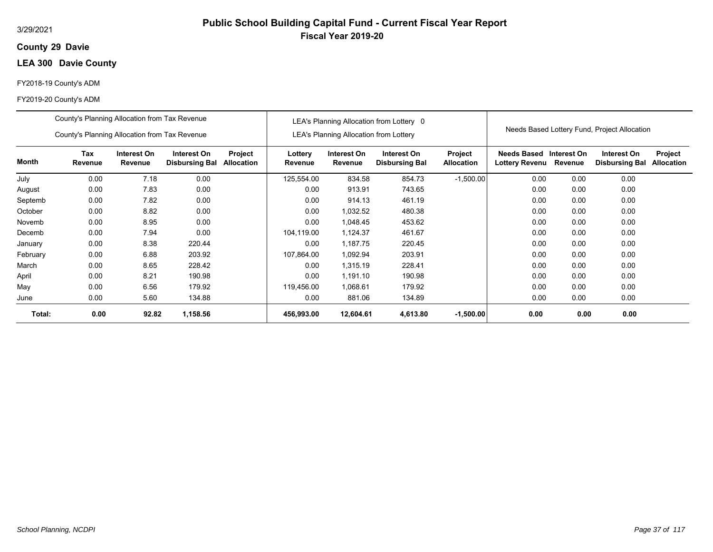#### 3/29/2021

### **29 Davie County**

# **LEA 300 Davie County**

#### FY2018-19 County's ADM

|          | County's Planning Allocation from Tax Revenue |                        |                                      |                       |                    |                                               | LEA's Planning Allocation from Lottery 0 |                              |                               |                        | Needs Based Lottery Fund, Project Allocation |                              |
|----------|-----------------------------------------------|------------------------|--------------------------------------|-----------------------|--------------------|-----------------------------------------------|------------------------------------------|------------------------------|-------------------------------|------------------------|----------------------------------------------|------------------------------|
|          | County's Planning Allocation from Tax Revenue |                        |                                      |                       |                    | <b>LEA's Planning Allocation from Lottery</b> |                                          |                              |                               |                        |                                              |                              |
| Month    | Tax<br>Revenue                                | Interest On<br>Revenue | Interest On<br><b>Disbursing Bal</b> | Project<br>Allocation | Lottery<br>Revenue | Interest On<br>Revenue                        | Interest On<br><b>Disbursing Bal</b>     | Project<br><b>Allocation</b> | Needs Based<br>Lottery Revenu | Interest On<br>Revenue | Interest On<br><b>Disbursing Bal</b>         | Project<br><b>Allocation</b> |
| July     | 0.00                                          | 7.18                   | 0.00                                 |                       | 125,554.00         | 834.58                                        | 854.73                                   | $-1,500.00$                  | 0.00                          | 0.00                   | 0.00                                         |                              |
| August   | 0.00                                          | 7.83                   | 0.00                                 |                       | 0.00               | 913.91                                        | 743.65                                   |                              | 0.00                          | 0.00                   | 0.00                                         |                              |
| Septemb  | 0.00                                          | 7.82                   | 0.00                                 |                       | 0.00               | 914.13                                        | 461.19                                   |                              | 0.00                          | 0.00                   | 0.00                                         |                              |
| October  | 0.00                                          | 8.82                   | 0.00                                 |                       | 0.00               | 1,032.52                                      | 480.38                                   |                              | 0.00                          | 0.00                   | 0.00                                         |                              |
| Novemb   | 0.00                                          | 8.95                   | 0.00                                 |                       | 0.00               | 1,048.45                                      | 453.62                                   |                              | 0.00                          | 0.00                   | 0.00                                         |                              |
| Decemb   | 0.00                                          | 7.94                   | 0.00                                 |                       | 104,119.00         | 1,124.37                                      | 461.67                                   |                              | 0.00                          | 0.00                   | 0.00                                         |                              |
| January  | 0.00                                          | 8.38                   | 220.44                               |                       | 0.00               | 1,187.75                                      | 220.45                                   |                              | 0.00                          | 0.00                   | 0.00                                         |                              |
| February | 0.00                                          | 6.88                   | 203.92                               |                       | 107,864.00         | 1,092.94                                      | 203.91                                   |                              | 0.00                          | 0.00                   | 0.00                                         |                              |
| March    | 0.00                                          | 8.65                   | 228.42                               |                       | 0.00               | 1,315.19                                      | 228.41                                   |                              | 0.00                          | 0.00                   | 0.00                                         |                              |
| April    | 0.00                                          | 8.21                   | 190.98                               |                       | 0.00               | 1,191.10                                      | 190.98                                   |                              | 0.00                          | 0.00                   | 0.00                                         |                              |
| May      | 0.00                                          | 6.56                   | 179.92                               |                       | 119,456.00         | 1,068.61                                      | 179.92                                   |                              | 0.00                          | 0.00                   | 0.00                                         |                              |
| June     | 0.00                                          | 5.60                   | 134.88                               |                       | 0.00               | 881.06                                        | 134.89                                   |                              | 0.00                          | 0.00                   | 0.00                                         |                              |
| Total:   | 0.00                                          | 92.82                  | 1,158.56                             |                       | 456,993.00         | 12,604.61                                     | 4,613.80                                 | $-1,500.00$                  | 0.00                          | 0.00                   | 0.00                                         |                              |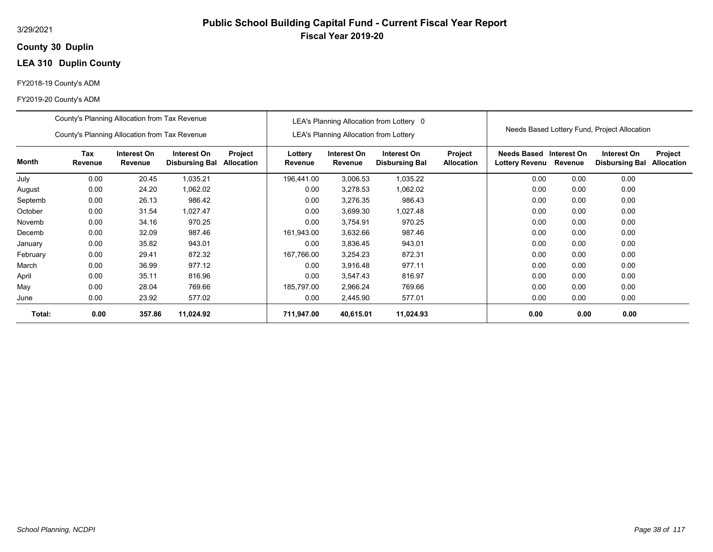### **30 Duplin County**

# **LEA 310 Duplin County**

#### FY2018-19 County's ADM

|          | County's Planning Allocation from Tax Revenue |                        |                                      |                              |                    |                                               | LEA's Planning Allocation from Lottery 0 |                              |                                      |                        |                                              |                              |
|----------|-----------------------------------------------|------------------------|--------------------------------------|------------------------------|--------------------|-----------------------------------------------|------------------------------------------|------------------------------|--------------------------------------|------------------------|----------------------------------------------|------------------------------|
|          | County's Planning Allocation from Tax Revenue |                        |                                      |                              |                    | <b>LEA's Planning Allocation from Lottery</b> |                                          |                              |                                      |                        | Needs Based Lottery Fund, Project Allocation |                              |
| Month    | Tax<br>Revenue                                | Interest On<br>Revenue | Interest On<br><b>Disbursing Bal</b> | Project<br><b>Allocation</b> | Lottery<br>Revenue | Interest On<br>Revenue                        | Interest On<br><b>Disbursing Bal</b>     | Project<br><b>Allocation</b> | <b>Needs Based</b><br>Lottery Revenu | Interest On<br>Revenue | Interest On<br><b>Disbursing Bal</b>         | Project<br><b>Allocation</b> |
| July     | 0.00                                          | 20.45                  | 1,035.21                             |                              | 196,441.00         | 3,006.53                                      | 1,035.22                                 |                              | 0.00                                 | 0.00                   | 0.00                                         |                              |
| August   | 0.00                                          | 24.20                  | 1,062.02                             |                              | 0.00               | 3,278.53                                      | 1,062.02                                 |                              | 0.00                                 | 0.00                   | 0.00                                         |                              |
| Septemb  | 0.00<br>26.13<br>986.42                       |                        |                                      |                              | 0.00               | 3,276.35                                      | 986.43                                   |                              | 0.00                                 | 0.00                   | 0.00                                         |                              |
| October  | 0.00                                          | 31.54                  | 1,027.47                             |                              | 0.00               | 3,699.30                                      | 1,027.48                                 |                              | 0.00                                 | 0.00                   | 0.00                                         |                              |
| Novemb   | 0.00                                          | 34.16                  | 970.25                               |                              | 0.00               | 3,754.91                                      | 970.25                                   |                              | 0.00                                 | 0.00                   | 0.00                                         |                              |
| Decemb   | 0.00                                          | 32.09                  | 987.46                               |                              | 161,943.00         | 3,632.66                                      | 987.46                                   |                              | 0.00                                 | 0.00                   | 0.00                                         |                              |
| January  | 0.00                                          | 35.82                  | 943.01                               |                              | 0.00               | 3,836.45                                      | 943.01                                   |                              | 0.00                                 | 0.00                   | 0.00                                         |                              |
| February | 0.00                                          | 29.41                  | 872.32                               |                              | 167,766.00         | 3,254.23                                      | 872.31                                   |                              | 0.00                                 | 0.00                   | 0.00                                         |                              |
| March    | 0.00                                          | 36.99                  | 977.12                               |                              | 0.00               | 3,916.48                                      | 977.11                                   |                              | 0.00                                 | 0.00                   | 0.00                                         |                              |
| April    | 0.00                                          | 35.11                  | 816.96                               |                              | 0.00               | 3,547.43                                      | 816.97                                   |                              | 0.00                                 | 0.00                   | 0.00                                         |                              |
| May      | 0.00                                          | 28.04                  | 769.66                               |                              | 185,797.00         | 2,966.24                                      | 769.66                                   |                              | 0.00                                 | 0.00                   | 0.00                                         |                              |
| June     | 0.00                                          | 23.92                  | 577.02                               |                              | 0.00               | 2,445.90                                      | 577.01                                   |                              | 0.00                                 | 0.00                   | 0.00                                         |                              |
| Total:   | 0.00                                          | 357.86                 | 11,024.92                            |                              | 711,947.00         | 40,615.01                                     | 11,024.93                                |                              | 0.00                                 | 0.00                   | 0.00                                         |                              |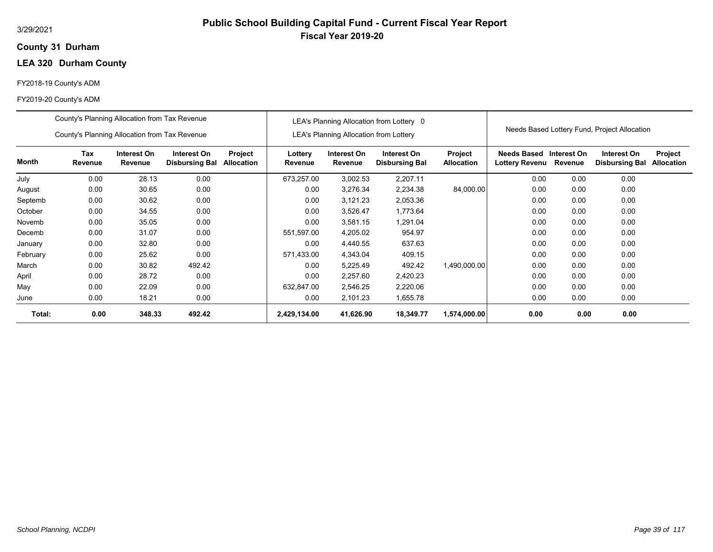### **31 Durham County**

# **LEA 320 Durham County**

#### FY2018-19 County's ADM

|          | County's Planning Allocation from Tax Revenue |                        |                                      |                       |                    |                                               | LEA's Planning Allocation from Lottery 0 |                                     |                                      |                        |                                              |                              |
|----------|-----------------------------------------------|------------------------|--------------------------------------|-----------------------|--------------------|-----------------------------------------------|------------------------------------------|-------------------------------------|--------------------------------------|------------------------|----------------------------------------------|------------------------------|
|          | County's Planning Allocation from Tax Revenue |                        |                                      |                       |                    | <b>LEA's Planning Allocation from Lottery</b> |                                          |                                     |                                      |                        | Needs Based Lottery Fund, Project Allocation |                              |
| Month    | Tax<br>Revenue                                | Interest On<br>Revenue | Interest On<br><b>Disbursing Bal</b> | Project<br>Allocation | Lottery<br>Revenue | Interest On<br>Revenue                        | Interest On<br><b>Disbursing Bal</b>     | <b>Project</b><br><b>Allocation</b> | Needs Based<br><b>Lottery Revenu</b> | Interest On<br>Revenue | Interest On<br><b>Disbursing Bal</b>         | Project<br><b>Allocation</b> |
| July     | 0.00                                          | 28.13                  | 0.00                                 |                       | 673,257.00         | 3,002.53                                      | 2,207.11                                 |                                     | 0.00                                 | 0.00                   | 0.00                                         |                              |
| August   | 0.00                                          | 30.65                  | 0.00                                 |                       | 0.00               | 3,276.34                                      | 2,234.38                                 | 84,000.00                           | 0.00                                 | 0.00                   | 0.00                                         |                              |
| Septemb  | 0.00                                          | 30.62                  | 0.00                                 |                       | 0.00               | 3,121.23                                      | 2,053.36                                 |                                     | 0.00                                 | 0.00                   | 0.00                                         |                              |
| October  | 0.00                                          | 34.55                  | 0.00                                 |                       | 0.00               | 3,526.47                                      | 1,773.64                                 |                                     | 0.00                                 | 0.00                   | 0.00                                         |                              |
| Novemb   | 0.00                                          | 35.05                  | 0.00                                 |                       | 0.00               | 3,581.15                                      | 1,291.04                                 |                                     | 0.00                                 | 0.00                   | 0.00                                         |                              |
| Decemb   | 0.00                                          | 31.07                  | 0.00                                 |                       | 551,597.00         | 4,205.02                                      | 954.97                                   |                                     | 0.00                                 | 0.00                   | 0.00                                         |                              |
| January  | 0.00                                          | 32.80                  | 0.00                                 |                       | 0.00               | 4,440.55                                      | 637.63                                   |                                     | 0.00                                 | 0.00                   | 0.00                                         |                              |
| February | 0.00                                          | 25.62                  | 0.00                                 |                       | 571,433.00         | 4,343.04                                      | 409.15                                   |                                     | 0.00                                 | 0.00                   | 0.00                                         |                              |
| March    | 0.00                                          | 30.82                  | 492.42                               |                       | 0.00               | 5,225.49                                      | 492.42                                   | 1,490,000.00                        | 0.00                                 | 0.00                   | 0.00                                         |                              |
| April    | 0.00                                          | 28.72                  | 0.00                                 |                       | 0.00               | 2,257.60                                      | 2,420.23                                 |                                     | 0.00                                 | 0.00                   | 0.00                                         |                              |
| May      | 0.00                                          | 22.09                  | 0.00                                 |                       | 632,847.00         | 2,546.25                                      | 2,220.06                                 |                                     | 0.00                                 | 0.00                   | 0.00                                         |                              |
| June     | 0.00                                          | 18.21                  | 0.00                                 |                       | 0.00               | 2,101.23                                      | 1,655.78                                 |                                     | 0.00                                 | 0.00                   | 0.00                                         |                              |
| Total:   | 0.00                                          | 348.33                 | 492.42                               |                       | 2,429,134.00       | 41,626.90                                     | 18,349.77                                | 1,574,000.00                        | 0.00                                 | 0.00                   | 0.00                                         |                              |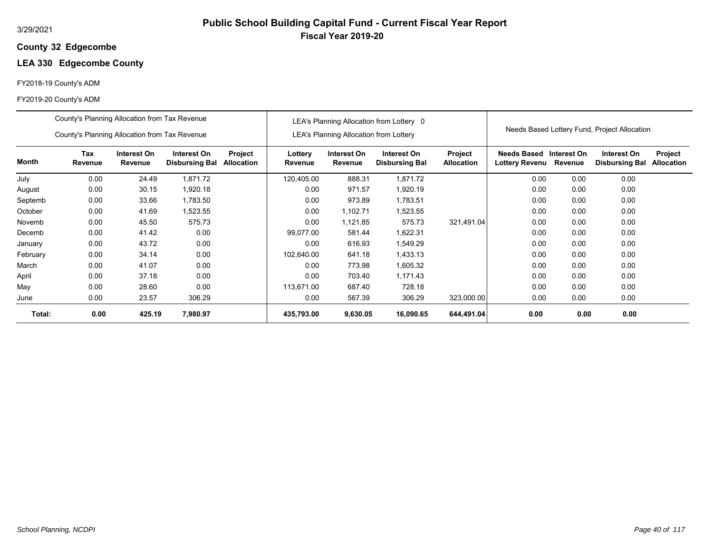### **32 Edgecombe County**

# **LEA 330 Edgecombe County**

#### FY2018-19 County's ADM

|          | County's Planning Allocation from Tax Revenue |                        |                                      |                              |                    |                                               | LEA's Planning Allocation from Lottery 0 |                              |                               |                        |                                              |                              |
|----------|-----------------------------------------------|------------------------|--------------------------------------|------------------------------|--------------------|-----------------------------------------------|------------------------------------------|------------------------------|-------------------------------|------------------------|----------------------------------------------|------------------------------|
|          | County's Planning Allocation from Tax Revenue |                        |                                      |                              |                    | <b>LEA's Planning Allocation from Lottery</b> |                                          |                              |                               |                        | Needs Based Lottery Fund, Project Allocation |                              |
| Month    | Tax<br>Revenue                                | Interest On<br>Revenue | Interest On<br><b>Disbursing Bal</b> | Project<br><b>Allocation</b> | Lottery<br>Revenue | Interest On<br>Revenue                        | Interest On<br><b>Disbursing Bal</b>     | Project<br><b>Allocation</b> | Needs Based<br>Lottery Revenu | Interest On<br>Revenue | Interest On<br><b>Disbursing Bal</b>         | Project<br><b>Allocation</b> |
| July     | 0.00                                          | 24.49                  | 1,871.72                             |                              | 120,405.00         | 888.31                                        | 1,871.72                                 |                              | 0.00                          | 0.00                   | 0.00                                         |                              |
| August   | 0.00                                          | 30.15                  | 1,920.18                             |                              | 0.00               | 971.57                                        | 1,920.19                                 |                              | 0.00                          | 0.00                   | 0.00                                         |                              |
| Septemb  | 0.00                                          | 33.66                  | 1,783.50                             |                              | 0.00               | 973.89                                        | 1,783.51                                 |                              | 0.00                          | 0.00                   | 0.00                                         |                              |
| October  | 0.00                                          | 41.69                  | 1,523.55                             |                              | 0.00               | 1,102.71                                      | 1,523.55                                 |                              | 0.00                          | 0.00                   | 0.00                                         |                              |
| Novemb   | 0.00                                          | 45.50                  | 575.73                               |                              | 0.00               | 1,121.85                                      | 575.73                                   | 321,491.04                   | 0.00                          | 0.00                   | 0.00                                         |                              |
| Decemb   | 0.00                                          | 41.42                  | 0.00                                 |                              | 99.077.00          | 581.44                                        | 1,622.31                                 |                              | 0.00                          | 0.00                   | 0.00                                         |                              |
| January  | 0.00                                          | 43.72                  | 0.00                                 |                              | 0.00               | 616.93                                        | 1,549.29                                 |                              | 0.00                          | 0.00                   | 0.00                                         |                              |
| February | 0.00                                          | 34.14                  | 0.00                                 |                              | 102,640.00         | 641.18                                        | 1,433.13                                 |                              | 0.00                          | 0.00                   | 0.00                                         |                              |
| March    | 0.00                                          | 41.07                  | 0.00                                 |                              | 0.00               | 773.98                                        | 1,605.32                                 |                              | 0.00                          | 0.00                   | 0.00                                         |                              |
| April    | 0.00                                          | 37.18                  | 0.00                                 |                              | 0.00               | 703.40                                        | 1,171.43                                 |                              | 0.00                          | 0.00                   | 0.00                                         |                              |
| May      | 0.00                                          | 28.60                  | 0.00                                 |                              | 113,671.00         | 687.40                                        | 728.18                                   |                              | 0.00                          | 0.00                   | 0.00                                         |                              |
| June     | 0.00                                          | 23.57                  | 306.29                               |                              | 0.00               | 567.39                                        | 306.29                                   | 323,000.00                   | 0.00                          | 0.00                   | 0.00                                         |                              |
| Total:   | 0.00                                          | 425.19                 | 7,980.97                             |                              | 435,793.00         | 9,630.05                                      | 16,090.65                                | 644,491.04                   | 0.00                          | 0.00                   | 0.00                                         |                              |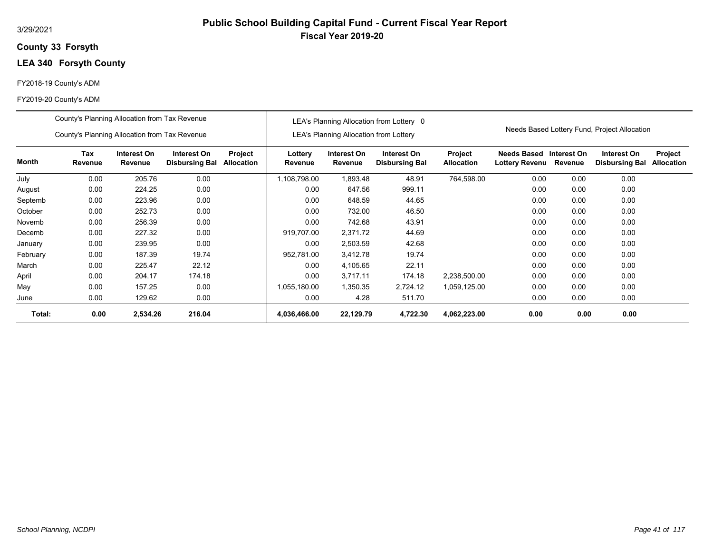### **33 Forsyth County**

# **LEA 340 Forsyth County**

#### FY2018-19 County's ADM

|          | County's Planning Allocation from Tax Revenue |                        |                                      |                       |                    |                                               | LEA's Planning Allocation from Lottery 0 |                              |                               |                        |                                              |                              |
|----------|-----------------------------------------------|------------------------|--------------------------------------|-----------------------|--------------------|-----------------------------------------------|------------------------------------------|------------------------------|-------------------------------|------------------------|----------------------------------------------|------------------------------|
|          | County's Planning Allocation from Tax Revenue |                        |                                      |                       |                    | <b>LEA's Planning Allocation from Lottery</b> |                                          |                              |                               |                        | Needs Based Lottery Fund, Project Allocation |                              |
| Month    | Tax<br>Revenue                                | Interest On<br>Revenue | Interest On<br><b>Disbursing Bal</b> | Project<br>Allocation | Lottery<br>Revenue | Interest On<br>Revenue                        | Interest On<br><b>Disbursing Bal</b>     | Project<br><b>Allocation</b> | Needs Based<br>Lottery Revenu | Interest On<br>Revenue | Interest On<br><b>Disbursing Bal</b>         | Project<br><b>Allocation</b> |
| July     | 0.00                                          | 205.76                 | 0.00                                 |                       | 1,108,798.00       | 893.48.                                       | 48.91                                    | 764,598.00                   | 0.00                          | 0.00                   | 0.00                                         |                              |
| August   | 0.00                                          | 224.25                 | 0.00                                 |                       | 0.00               | 647.56                                        | 999.11                                   |                              | 0.00                          | 0.00                   | 0.00                                         |                              |
| Septemb  | 0.00                                          | 223.96                 | 0.00                                 |                       | 0.00               | 648.59                                        | 44.65                                    |                              | 0.00                          | 0.00                   | 0.00                                         |                              |
| October  | 0.00                                          | 252.73                 | 0.00                                 |                       | 0.00               | 732.00                                        | 46.50                                    |                              | 0.00                          | 0.00                   | 0.00                                         |                              |
| Novemb   | 0.00                                          | 256.39                 | 0.00                                 |                       | 0.00               | 742.68                                        | 43.91                                    |                              | 0.00                          | 0.00                   | 0.00                                         |                              |
| Decemb   | 0.00                                          | 227.32                 | 0.00                                 |                       | 919.707.00         | 2,371.72                                      | 44.69                                    |                              | 0.00                          | 0.00                   | 0.00                                         |                              |
| January  | 0.00                                          | 239.95                 | 0.00                                 |                       | 0.00               | 2,503.59                                      | 42.68                                    |                              | 0.00                          | 0.00                   | 0.00                                         |                              |
| February | 0.00                                          | 187.39                 | 19.74                                |                       | 952,781.00         | 3,412.78                                      | 19.74                                    |                              | 0.00                          | 0.00                   | 0.00                                         |                              |
| March    | 0.00                                          | 225.47                 | 22.12                                |                       | 0.00               | 4,105.65                                      | 22.11                                    |                              | 0.00                          | 0.00                   | 0.00                                         |                              |
| April    | 0.00                                          | 204.17                 | 174.18                               |                       | 0.00               | 3,717.11                                      | 174.18                                   | 2,238,500.00                 | 0.00                          | 0.00                   | 0.00                                         |                              |
| May      | 0.00                                          | 157.25                 | 0.00                                 |                       | 1,055,180.00       | 1,350.35                                      | 2,724.12                                 | 1,059,125.00                 | 0.00                          | 0.00                   | 0.00                                         |                              |
| June     | 0.00                                          | 129.62                 | 0.00                                 |                       | 0.00               | 4.28                                          | 511.70                                   |                              | 0.00                          | 0.00                   | 0.00                                         |                              |
| Total:   | 0.00                                          | 2,534.26               | 216.04                               |                       | 4,036,466.00       | 22,129.79                                     | 4,722.30                                 | 4,062,223.00                 | 0.00                          | 0.00                   | 0.00                                         |                              |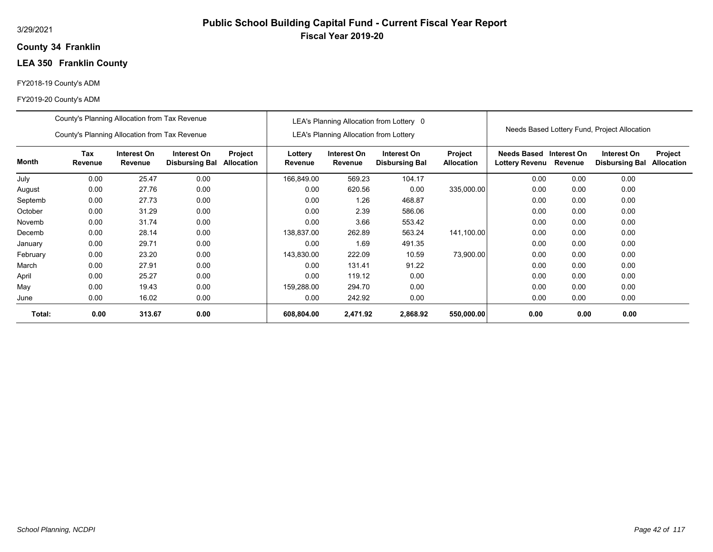### **34 Franklin County**

# **LEA 350 Franklin County**

#### FY2018-19 County's ADM

|          | County's Planning Allocation from Tax Revenue                                                             |        |      |                       |                    |                                               | LEA's Planning Allocation from Lottery 0 |                              |                                           |         |                                              |                              |
|----------|-----------------------------------------------------------------------------------------------------------|--------|------|-----------------------|--------------------|-----------------------------------------------|------------------------------------------|------------------------------|-------------------------------------------|---------|----------------------------------------------|------------------------------|
|          | County's Planning Allocation from Tax Revenue                                                             |        |      |                       |                    | <b>LEA's Planning Allocation from Lottery</b> |                                          |                              |                                           |         | Needs Based Lottery Fund, Project Allocation |                              |
| Month    | Tax<br>Interest On<br>Interest On<br>Revenue<br>Revenue<br><b>Disbursing Bal</b><br>0.00<br>25.47<br>0.00 |        |      | Project<br>Allocation | Lottery<br>Revenue | Interest On<br>Revenue                        | Interest On<br><b>Disbursing Bal</b>     | Project<br><b>Allocation</b> | Needs Based Interest On<br>Lottery Revenu | Revenue | Interest On<br><b>Disbursing Bal</b>         | Project<br><b>Allocation</b> |
| July     |                                                                                                           |        |      |                       | 166,849.00         | 569.23                                        | 104.17                                   |                              | 0.00                                      | 0.00    | 0.00                                         |                              |
| August   | 0.00                                                                                                      | 27.76  | 0.00 |                       | 0.00               | 620.56                                        | 0.00                                     | 335,000.00                   | 0.00                                      | 0.00    | 0.00                                         |                              |
| Septemb  | 0.00                                                                                                      | 27.73  | 0.00 |                       | 0.00               | 1.26                                          | 468.87                                   |                              | 0.00                                      | 0.00    | 0.00                                         |                              |
| October  | 0.00                                                                                                      | 31.29  | 0.00 |                       | 0.00               | 2.39                                          | 586.06                                   |                              | 0.00                                      | 0.00    | 0.00                                         |                              |
| Novemb   | 0.00                                                                                                      | 31.74  | 0.00 |                       | 0.00               | 3.66                                          | 553.42                                   |                              | 0.00                                      | 0.00    | 0.00                                         |                              |
| Decemb   | 0.00                                                                                                      | 28.14  | 0.00 |                       | 138.837.00         | 262.89                                        | 563.24                                   | 141,100.00                   | 0.00                                      | 0.00    | 0.00                                         |                              |
| January  | 0.00                                                                                                      | 29.71  | 0.00 |                       | 0.00               | 1.69                                          | 491.35                                   |                              | 0.00                                      | 0.00    | 0.00                                         |                              |
| February | 0.00                                                                                                      | 23.20  | 0.00 |                       | 143,830.00         | 222.09                                        | 10.59                                    | 73,900.00                    | 0.00                                      | 0.00    | 0.00                                         |                              |
| March    | 0.00                                                                                                      | 27.91  | 0.00 |                       | 0.00               | 131.41                                        | 91.22                                    |                              | 0.00                                      | 0.00    | 0.00                                         |                              |
| April    | 0.00                                                                                                      | 25.27  | 0.00 |                       | 0.00               | 119.12                                        | 0.00                                     |                              | 0.00                                      | 0.00    | 0.00                                         |                              |
| May      | 0.00                                                                                                      | 19.43  | 0.00 |                       | 159,288.00         | 294.70                                        | 0.00                                     |                              | 0.00                                      | 0.00    | 0.00                                         |                              |
| June     | 0.00                                                                                                      | 16.02  | 0.00 |                       | 0.00               | 242.92                                        | 0.00                                     |                              | 0.00                                      | 0.00    | 0.00                                         |                              |
| Total:   | 0.00                                                                                                      | 313.67 | 0.00 |                       | 608,804.00         | 2,471.92                                      | 2,868.92                                 | 550,000.00                   | 0.00                                      | 0.00    | 0.00                                         |                              |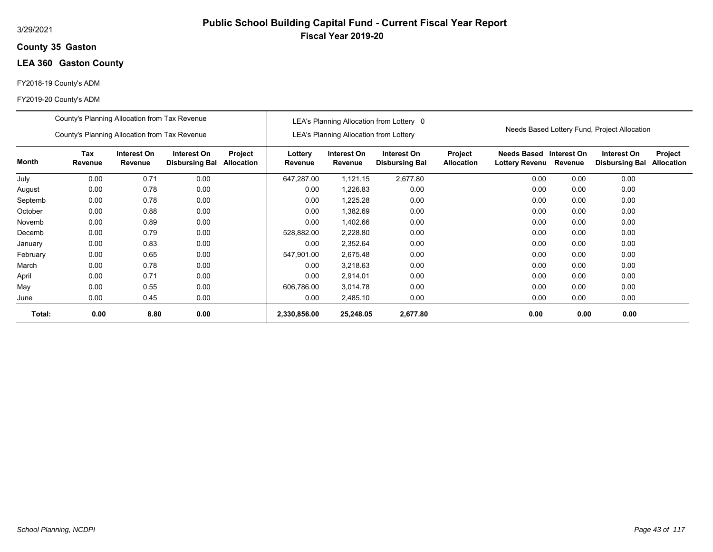### **35 Gaston County**

# **LEA 360 Gaston County**

#### FY2018-19 County's ADM

|          | County's Planning Allocation from Tax Revenue |                        |                                      |                              |                    |                                               | LEA's Planning Allocation from Lottery 0 |                                     |                                             |                        | Needs Based Lottery Fund, Project Allocation |                              |
|----------|-----------------------------------------------|------------------------|--------------------------------------|------------------------------|--------------------|-----------------------------------------------|------------------------------------------|-------------------------------------|---------------------------------------------|------------------------|----------------------------------------------|------------------------------|
|          | County's Planning Allocation from Tax Revenue |                        |                                      |                              |                    | <b>LEA's Planning Allocation from Lottery</b> |                                          |                                     |                                             |                        |                                              |                              |
| Month    | Tax<br>Revenue                                | Interest On<br>Revenue | Interest On<br><b>Disbursing Bal</b> | Project<br><b>Allocation</b> | Lottery<br>Revenue | Interest On<br>Revenue                        | Interest On<br><b>Disbursing Bal</b>     | <b>Project</b><br><b>Allocation</b> | <b>Needs Based</b><br><b>Lottery Revenu</b> | Interest On<br>Revenue | Interest On<br><b>Disbursing Bal</b>         | Project<br><b>Allocation</b> |
| July     | 0.00                                          | 0.71                   | 0.00                                 |                              | 647,287.00         | 1,121.15                                      | 2,677.80                                 |                                     | 0.00                                        | 0.00                   | 0.00                                         |                              |
| August   | 0.00                                          | 0.78                   | 0.00                                 |                              | 0.00               | 1,226.83                                      | 0.00                                     |                                     | 0.00                                        | 0.00                   | 0.00                                         |                              |
| Septemb  | 0.00                                          | 0.78                   | 0.00                                 |                              | 0.00               | 1,225.28                                      | 0.00                                     |                                     | 0.00                                        | 0.00                   | 0.00                                         |                              |
| October  | 0.00                                          | 0.88                   | 0.00                                 |                              | 0.00               | 1,382.69                                      | 0.00                                     |                                     | 0.00                                        | 0.00                   | 0.00                                         |                              |
| Novemb   | 0.00                                          | 0.89                   | 0.00                                 |                              | 0.00               | 1,402.66                                      | 0.00                                     |                                     | 0.00                                        | 0.00                   | 0.00                                         |                              |
| Decemb   | 0.00                                          | 0.79                   | 0.00                                 |                              | 528,882.00         | 2,228.80                                      | 0.00                                     |                                     | 0.00                                        | 0.00                   | 0.00                                         |                              |
| January  | 0.00                                          | 0.83                   | 0.00                                 |                              | 0.00               | 2,352.64                                      | 0.00                                     |                                     | 0.00                                        | 0.00                   | 0.00                                         |                              |
| February | 0.00                                          | 0.65                   | 0.00                                 |                              | 547,901.00         | 2,675.48                                      | 0.00                                     |                                     | 0.00                                        | 0.00                   | 0.00                                         |                              |
| March    | 0.00                                          | 0.78                   | 0.00                                 |                              | 0.00               | 3,218.63                                      | 0.00                                     |                                     | 0.00                                        | 0.00                   | 0.00                                         |                              |
| April    | 0.00                                          | 0.71                   | 0.00                                 |                              | 0.00               | 2,914.01                                      | 0.00                                     |                                     | 0.00                                        | 0.00                   | 0.00                                         |                              |
| May      | 0.00                                          | 0.55                   | 0.00                                 |                              | 606,786.00         | 3,014.78                                      | 0.00                                     |                                     | 0.00                                        | 0.00                   | 0.00                                         |                              |
| June     | 0.00                                          | 0.45                   | 0.00                                 |                              | 0.00               | 2,485.10                                      | 0.00                                     |                                     | 0.00                                        | 0.00                   | 0.00                                         |                              |
| Total:   | 0.00                                          | 8.80                   | 0.00                                 |                              | 2,330,856.00       | 25,248.05                                     | 2,677.80                                 |                                     | 0.00                                        | 0.00                   | 0.00                                         |                              |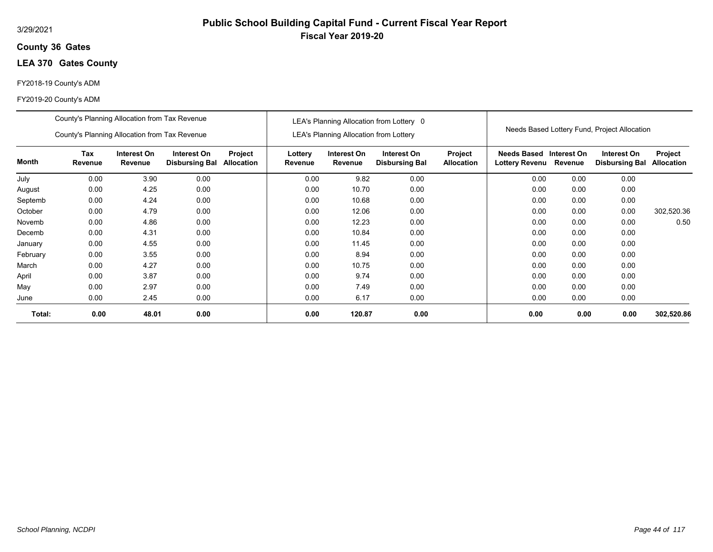### **36 Gates County**

# **LEA 370 Gates County**

#### FY2018-19 County's ADM

|          | County's Planning Allocation from Tax Revenue |                        |                                      |                              |                    |                                               | LEA's Planning Allocation from Lottery 0 |                              |                                                          |      |                                              |                       |
|----------|-----------------------------------------------|------------------------|--------------------------------------|------------------------------|--------------------|-----------------------------------------------|------------------------------------------|------------------------------|----------------------------------------------------------|------|----------------------------------------------|-----------------------|
|          | County's Planning Allocation from Tax Revenue |                        |                                      |                              |                    | <b>LEA's Planning Allocation from Lottery</b> |                                          |                              |                                                          |      | Needs Based Lottery Fund, Project Allocation |                       |
| Month    | Tax<br>Revenue                                | Interest On<br>Revenue | Interest On<br><b>Disbursing Bal</b> | Project<br><b>Allocation</b> | Lottery<br>Revenue | Interest On<br>Revenue                        | Interest On<br><b>Disbursing Bal</b>     | Project<br><b>Allocation</b> | <b>Needs Based Interest On</b><br>Lottery Revenu Revenue |      | Interest On<br><b>Disbursing Bal</b>         | Project<br>Allocation |
| July     | 0.00                                          | 3.90                   | 0.00                                 |                              | 0.00               | 9.82                                          | 0.00                                     |                              | 0.00                                                     | 0.00 | 0.00                                         |                       |
| August   | 0.00                                          | 4.25                   | 0.00                                 |                              | 0.00               | 10.70                                         | 0.00                                     |                              | 0.00                                                     | 0.00 | 0.00                                         |                       |
| Septemb  | 4.24<br>0.00<br>0.00<br>0.00<br>4.79<br>0.00  |                        |                                      |                              | 0.00               | 10.68                                         | 0.00                                     |                              | 0.00                                                     | 0.00 | 0.00                                         |                       |
| October  |                                               |                        |                                      |                              | 0.00               | 12.06                                         | 0.00                                     |                              | 0.00                                                     | 0.00 | 0.00                                         | 302,520.36            |
| Novemb   | 0.00                                          | 4.86                   | 0.00                                 |                              | 0.00               | 12.23                                         | 0.00                                     |                              | 0.00                                                     | 0.00 | 0.00                                         | 0.50                  |
| Decemb   | 0.00                                          | 4.31                   | 0.00                                 |                              | 0.00               | 10.84                                         | 0.00                                     |                              | 0.00                                                     | 0.00 | 0.00                                         |                       |
| January  | 0.00                                          | 4.55                   | 0.00                                 |                              | 0.00               | 11.45                                         | 0.00                                     |                              | 0.00                                                     | 0.00 | 0.00                                         |                       |
| February | 0.00                                          | 3.55                   | 0.00                                 |                              | 0.00               | 8.94                                          | 0.00                                     |                              | 0.00                                                     | 0.00 | 0.00                                         |                       |
| March    | 0.00                                          | 4.27                   | 0.00                                 |                              | 0.00               | 10.75                                         | 0.00                                     |                              | 0.00                                                     | 0.00 | 0.00                                         |                       |
| April    | 0.00                                          | 3.87                   | 0.00                                 |                              | 0.00               | 9.74                                          | 0.00                                     |                              | 0.00                                                     | 0.00 | 0.00                                         |                       |
| May      | 0.00                                          | 2.97                   | 0.00                                 |                              | 0.00               | 7.49                                          | 0.00                                     |                              | 0.00                                                     | 0.00 | 0.00                                         |                       |
| June     | 0.00                                          | 2.45                   | 0.00                                 |                              | 0.00               | 6.17                                          | 0.00                                     |                              | 0.00                                                     | 0.00 | 0.00                                         |                       |
| Total:   | 0.00                                          | 48.01                  | 0.00                                 |                              | 0.00               | 120.87                                        | 0.00                                     |                              | 0.00                                                     | 0.00 | 0.00                                         | 302,520.86            |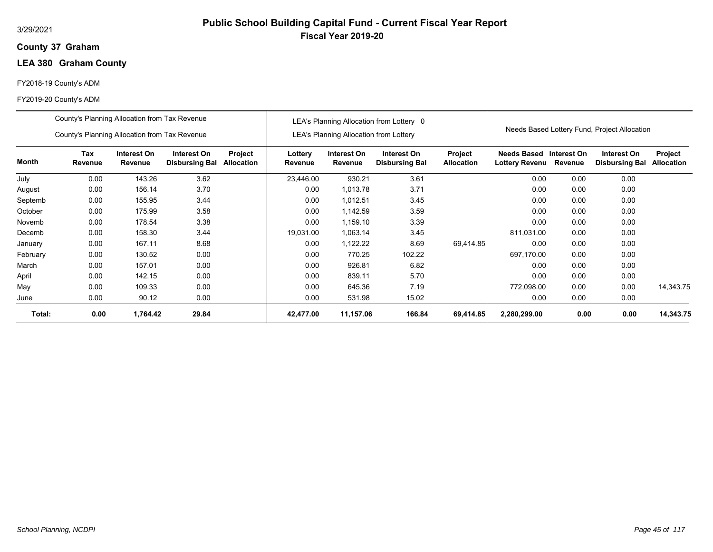### **37 Graham County**

# **LEA 380 Graham County**

#### FY2018-19 County's ADM

|          | County's Planning Allocation from Tax Revenue |                        |                                      |                              |                    |                                               | LEA's Planning Allocation from Lottery 0 |                              |                                      |                        |                                              |                                     |
|----------|-----------------------------------------------|------------------------|--------------------------------------|------------------------------|--------------------|-----------------------------------------------|------------------------------------------|------------------------------|--------------------------------------|------------------------|----------------------------------------------|-------------------------------------|
|          | County's Planning Allocation from Tax Revenue |                        |                                      |                              |                    | <b>LEA's Planning Allocation from Lottery</b> |                                          |                              |                                      |                        | Needs Based Lottery Fund, Project Allocation |                                     |
| Month    | Tax<br>Revenue                                | Interest On<br>Revenue | Interest On<br><b>Disbursing Bal</b> | Project<br><b>Allocation</b> | Lottery<br>Revenue | Interest On<br>Revenue                        | Interest On<br><b>Disbursing Bal</b>     | Project<br><b>Allocation</b> | Needs Based<br><b>Lottery Revenu</b> | Interest On<br>Revenue | Interest On<br><b>Disbursing Bal</b>         | <b>Project</b><br><b>Allocation</b> |
| July     | 0.00                                          | 143.26                 | 3.62                                 |                              | 23,446.00          | 930.21                                        | 3.61                                     |                              | 0.00                                 | 0.00                   | 0.00                                         |                                     |
| August   | 0.00                                          | 156.14                 | 3.70                                 |                              | 0.00               | 1,013.78                                      | 3.71                                     |                              | 0.00                                 | 0.00                   | 0.00                                         |                                     |
| Septemb  | 0.00                                          | 155.95                 | 3.44                                 |                              | 0.00               | 1,012.51                                      | 3.45                                     |                              | 0.00                                 | 0.00                   | 0.00                                         |                                     |
| October  | 0.00                                          | 175.99                 | 3.58                                 |                              | 0.00               | 1,142.59                                      | 3.59                                     |                              | 0.00                                 | 0.00                   | 0.00                                         |                                     |
| Novemb   | 0.00                                          | 178.54                 | 3.38                                 |                              | 0.00               | 1,159.10                                      | 3.39                                     |                              | 0.00                                 | 0.00                   | 0.00                                         |                                     |
| Decemb   | 0.00                                          | 158.30                 | 3.44                                 |                              | 19.031.00          | 1.063.14                                      | 3.45                                     |                              | 811,031.00                           | 0.00                   | 0.00                                         |                                     |
| January  | 0.00                                          | 167.11                 | 8.68                                 |                              | 0.00               | 1,122.22                                      | 8.69                                     | 69.414.85                    | 0.00                                 | 0.00                   | 0.00                                         |                                     |
| February | 0.00                                          | 130.52                 | 0.00                                 |                              | 0.00               | 770.25                                        | 102.22                                   |                              | 697,170.00                           | 0.00                   | 0.00                                         |                                     |
| March    | 0.00                                          | 157.01                 | 0.00                                 |                              | 0.00               | 926.81                                        | 6.82                                     |                              | 0.00                                 | 0.00                   | 0.00                                         |                                     |
| April    | 0.00                                          | 142.15                 | 0.00                                 |                              | 0.00               | 839.11                                        | 5.70                                     |                              | 0.00                                 | 0.00                   | 0.00                                         |                                     |
| May      | 0.00                                          | 109.33                 | 0.00                                 |                              | 0.00               | 645.36                                        | 7.19                                     |                              | 772,098.00                           | 0.00                   | 0.00                                         | 14,343.75                           |
| June     | 0.00                                          | 90.12                  | 0.00                                 |                              | 0.00               | 531.98                                        | 15.02                                    |                              | 0.00                                 | 0.00                   | 0.00                                         |                                     |
| Total:   | 0.00                                          | 1,764.42               | 29.84                                |                              | 42,477.00          | 11,157.06                                     | 166.84                                   | 69,414.85                    | 2,280,299.00                         | 0.00                   | 0.00                                         | 14,343.75                           |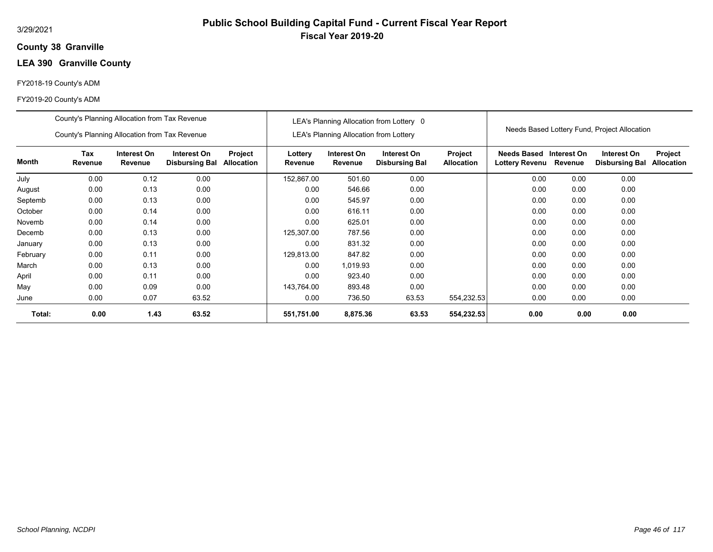### **38 Granville County**

# **LEA 390 Granville County**

#### FY2018-19 County's ADM

|          | County's Planning Allocation from Tax Revenue |                        |                                      |                              |                    |                                               | LEA's Planning Allocation from Lottery 0 |                              |                                           |         |                                              |                              |
|----------|-----------------------------------------------|------------------------|--------------------------------------|------------------------------|--------------------|-----------------------------------------------|------------------------------------------|------------------------------|-------------------------------------------|---------|----------------------------------------------|------------------------------|
|          | County's Planning Allocation from Tax Revenue |                        |                                      |                              |                    | <b>LEA's Planning Allocation from Lottery</b> |                                          |                              |                                           |         | Needs Based Lottery Fund, Project Allocation |                              |
| Month    | <b>Tax</b><br>Revenue                         | Interest On<br>Revenue | Interest On<br><b>Disbursing Bal</b> | Project<br><b>Allocation</b> | Lottery<br>Revenue | Interest On<br>Revenue                        | Interest On<br><b>Disbursing Bal</b>     | Project<br><b>Allocation</b> | Needs Based Interest On<br>Lottery Revenu | Revenue | Interest On<br><b>Disbursing Bal</b>         | Project<br><b>Allocation</b> |
| July     | 0.00                                          | 0.12                   | 0.00                                 |                              | 152,867.00         | 501.60                                        | 0.00                                     |                              | 0.00                                      | 0.00    | 0.00                                         |                              |
| August   | 0.00                                          | 0.13                   | 0.00                                 |                              | 0.00               | 546.66                                        | 0.00                                     |                              | 0.00                                      | 0.00    | 0.00                                         |                              |
| Septemb  | 0.00                                          | 0.13                   | 0.00                                 |                              | 0.00               | 545.97                                        | 0.00                                     |                              | 0.00                                      | 0.00    | 0.00                                         |                              |
| October  | 0.00                                          | 0.14                   | 0.00                                 |                              | 0.00               | 616.11                                        | 0.00                                     |                              | 0.00                                      | 0.00    | 0.00                                         |                              |
| Novemb   | 0.00                                          | 0.14                   | 0.00                                 |                              | 0.00               | 625.01                                        | 0.00                                     |                              | 0.00                                      | 0.00    | 0.00                                         |                              |
| Decemb   | 0.00                                          | 0.13                   | 0.00                                 |                              | 125,307.00         | 787.56                                        | 0.00                                     |                              | 0.00                                      | 0.00    | 0.00                                         |                              |
| January  | 0.00                                          | 0.13                   | 0.00                                 |                              | 0.00               | 831.32                                        | 0.00                                     |                              | 0.00                                      | 0.00    | 0.00                                         |                              |
| February | 0.00                                          | 0.11                   | 0.00                                 |                              | 129,813.00         | 847.82                                        | 0.00                                     |                              | 0.00                                      | 0.00    | 0.00                                         |                              |
| March    | 0.00                                          | 0.13                   | 0.00                                 |                              | 0.00               | 1,019.93                                      | 0.00                                     |                              | 0.00                                      | 0.00    | 0.00                                         |                              |
| April    | 0.00                                          | 0.11                   | 0.00                                 |                              | 0.00               | 923.40                                        | 0.00                                     |                              | 0.00                                      | 0.00    | 0.00                                         |                              |
| May      | 0.00                                          | 0.09                   | 0.00                                 |                              | 143,764.00         | 893.48                                        | 0.00                                     |                              | 0.00                                      | 0.00    | 0.00                                         |                              |
| June     | 0.00                                          | 0.07                   | 63.52                                |                              | 0.00               | 736.50                                        | 63.53                                    | 554,232.53                   | 0.00                                      | 0.00    | 0.00                                         |                              |
| Total:   | 0.00                                          | 1.43                   | 63.52                                |                              | 551,751.00         | 8,875.36                                      | 63.53                                    | 554,232.53                   | 0.00                                      | 0.00    | 0.00                                         |                              |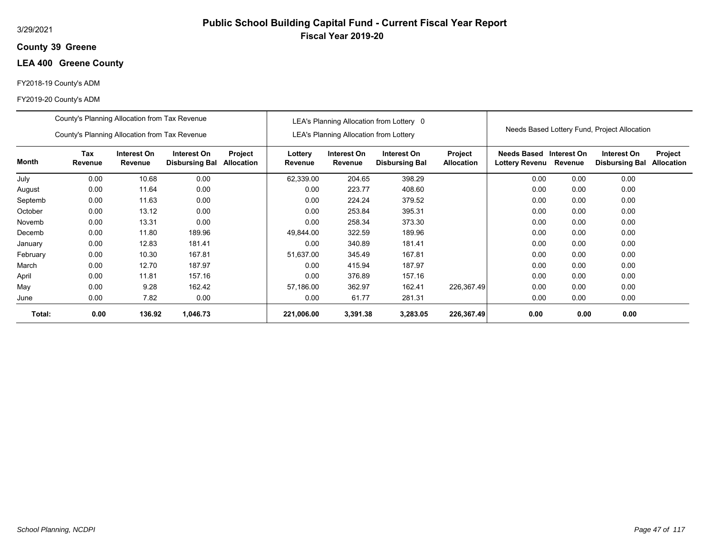### **39 Greene County**

# **LEA 400 Greene County**

#### FY2018-19 County's ADM

|          | County's Planning Allocation from Tax Revenue |                        |                                      |                       |                    |                                               | LEA's Planning Allocation from Lottery 0 |                              |                               |                        |                                              |                              |
|----------|-----------------------------------------------|------------------------|--------------------------------------|-----------------------|--------------------|-----------------------------------------------|------------------------------------------|------------------------------|-------------------------------|------------------------|----------------------------------------------|------------------------------|
|          | County's Planning Allocation from Tax Revenue |                        |                                      |                       |                    | <b>LEA's Planning Allocation from Lottery</b> |                                          |                              |                               |                        | Needs Based Lottery Fund, Project Allocation |                              |
| Month    | Tax<br>Revenue                                | Interest On<br>Revenue | Interest On<br><b>Disbursing Bal</b> | Project<br>Allocation | Lottery<br>Revenue | Interest On<br>Revenue                        | Interest On<br><b>Disbursing Bal</b>     | Project<br><b>Allocation</b> | Needs Based<br>Lottery Revenu | Interest On<br>Revenue | Interest On<br><b>Disbursing Bal</b>         | Project<br><b>Allocation</b> |
| July     | 0.00                                          | 10.68                  | 0.00                                 |                       | 62,339.00          | 204.65                                        | 398.29                                   |                              | 0.00                          | 0.00                   | 0.00                                         |                              |
| August   | 0.00                                          | 11.64                  | 0.00                                 |                       | 0.00               | 223.77                                        | 408.60                                   |                              | 0.00                          | 0.00                   | 0.00                                         |                              |
| Septemb  | 0.00                                          | 11.63                  | 0.00                                 |                       | 0.00               | 224.24                                        | 379.52                                   |                              | 0.00                          | 0.00                   | 0.00                                         |                              |
| October  | 0.00                                          | 13.12                  | 0.00                                 |                       | 0.00               | 253.84                                        | 395.31                                   |                              | 0.00                          | 0.00                   | 0.00                                         |                              |
| Novemb   | 0.00                                          | 13.31                  | 0.00                                 |                       | 0.00               | 258.34                                        | 373.30                                   |                              | 0.00                          | 0.00                   | 0.00                                         |                              |
| Decemb   | 0.00                                          | 11.80                  | 189.96                               |                       | 49.844.00          | 322.59                                        | 189.96                                   |                              | 0.00                          | 0.00                   | 0.00                                         |                              |
| January  | 0.00                                          | 12.83                  | 181.41                               |                       | 0.00               | 340.89                                        | 181.41                                   |                              | 0.00                          | 0.00                   | 0.00                                         |                              |
| February | 0.00                                          | 10.30                  | 167.81                               |                       | 51,637.00          | 345.49                                        | 167.81                                   |                              | 0.00                          | 0.00                   | 0.00                                         |                              |
| March    | 0.00                                          | 12.70                  | 187.97                               |                       | 0.00               | 415.94                                        | 187.97                                   |                              | 0.00                          | 0.00                   | 0.00                                         |                              |
| April    | 0.00                                          | 11.81                  | 157.16                               |                       | 0.00               | 376.89                                        | 157.16                                   |                              | 0.00                          | 0.00                   | 0.00                                         |                              |
| May      | 0.00                                          | 9.28                   | 162.42                               |                       | 57,186.00          | 362.97                                        | 162.41                                   | 226,367.49                   | 0.00                          | 0.00                   | 0.00                                         |                              |
| June     | 0.00                                          | 7.82                   | 0.00                                 |                       | 0.00               | 61.77                                         | 281.31                                   |                              | 0.00                          | 0.00                   | 0.00                                         |                              |
| Total:   | 0.00                                          | 136.92                 | 1,046.73                             |                       | 221,006.00         | 3,391.38                                      | 3,283.05                                 | 226,367.49                   | 0.00                          | 0.00                   | 0.00                                         |                              |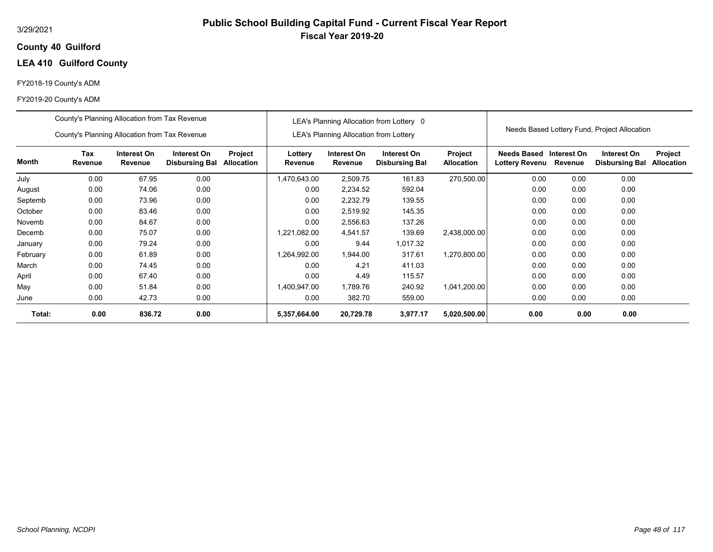### **40 Guilford County**

# **LEA 410 Guilford County**

#### FY2018-19 County's ADM

|          | County's Planning Allocation from Tax Revenue                                                                                      |        |      |  |                    |                                               | LEA's Planning Allocation from Lottery 0 |                                     |                               |                        |                                              |                              |
|----------|------------------------------------------------------------------------------------------------------------------------------------|--------|------|--|--------------------|-----------------------------------------------|------------------------------------------|-------------------------------------|-------------------------------|------------------------|----------------------------------------------|------------------------------|
|          | County's Planning Allocation from Tax Revenue                                                                                      |        |      |  |                    | <b>LEA's Planning Allocation from Lottery</b> |                                          |                                     |                               |                        | Needs Based Lottery Fund, Project Allocation |                              |
| Month    | Tax<br>Interest On<br>Interest On<br>Project<br>Allocation<br>Revenue<br>Revenue<br><b>Disbursing Bal</b><br>0.00<br>67.95<br>0.00 |        |      |  | Lottery<br>Revenue | Interest On<br>Revenue                        | Interest On<br><b>Disbursing Bal</b>     | <b>Project</b><br><b>Allocation</b> | Needs Based<br>Lottery Revenu | Interest On<br>Revenue | Interest On<br><b>Disbursing Bal</b>         | Project<br><b>Allocation</b> |
| July     |                                                                                                                                    |        |      |  | 1,470,643.00       | 2,509.75                                      | 161.83                                   | 270,500.00                          | 0.00                          | 0.00                   | 0.00                                         |                              |
| August   | 0.00                                                                                                                               | 74.06  | 0.00 |  | 0.00               | 2,234.52                                      | 592.04                                   |                                     | 0.00                          | 0.00                   | 0.00                                         |                              |
| Septemb  | 0.00                                                                                                                               | 73.96  | 0.00 |  | 0.00               | 2,232.79                                      | 139.55                                   |                                     | 0.00                          | 0.00                   | 0.00                                         |                              |
| October  | 0.00                                                                                                                               | 83.46  | 0.00 |  | 0.00               | 2,519.92                                      | 145.35                                   |                                     | 0.00                          | 0.00                   | 0.00                                         |                              |
| Novemb   | 0.00                                                                                                                               | 84.67  | 0.00 |  | 0.00               | 2,556.63                                      | 137.26                                   |                                     | 0.00                          | 0.00                   | 0.00                                         |                              |
| Decemb   | 0.00                                                                                                                               | 75.07  | 0.00 |  | 1,221,082.00       | 4,541.57                                      | 139.69                                   | 2,438,000.00                        | 0.00                          | 0.00                   | 0.00                                         |                              |
| January  | 0.00                                                                                                                               | 79.24  | 0.00 |  | 0.00               | 9.44                                          | 1,017.32                                 |                                     | 0.00                          | 0.00                   | 0.00                                         |                              |
| February | 0.00                                                                                                                               | 61.89  | 0.00 |  | 1,264,992.00       | 1,944.00                                      | 317.61                                   | 1,270,800.00                        | 0.00                          | 0.00                   | 0.00                                         |                              |
| March    | 0.00                                                                                                                               | 74.45  | 0.00 |  | 0.00               | 4.21                                          | 411.03                                   |                                     | 0.00                          | 0.00                   | 0.00                                         |                              |
| April    | 0.00                                                                                                                               | 67.40  | 0.00 |  | 0.00               | 4.49                                          | 115.57                                   |                                     | 0.00                          | 0.00                   | 0.00                                         |                              |
| May      | 0.00                                                                                                                               | 51.84  | 0.00 |  | 1,400,947.00       | 1,789.76                                      | 240.92                                   | 1,041,200.00                        | 0.00                          | 0.00                   | 0.00                                         |                              |
| June     | 0.00                                                                                                                               | 42.73  | 0.00 |  | 0.00               | 382.70                                        | 559.00                                   |                                     | 0.00                          | 0.00                   | 0.00                                         |                              |
| Total:   | 0.00                                                                                                                               | 836.72 | 0.00 |  | 5,357,664.00       | 20,729.78                                     | 3,977.17                                 | 5,020,500.00                        | 0.00                          | 0.00                   | 0.00                                         |                              |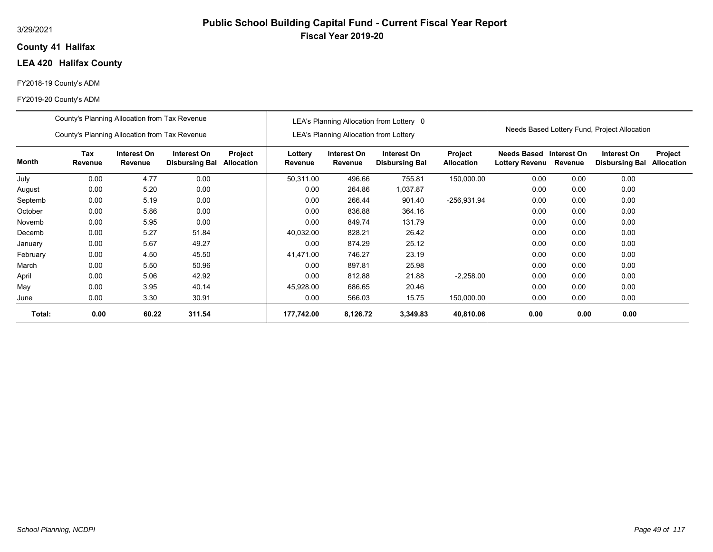### **41 Halifax County**

# **LEA 420 Halifax County**

#### FY2018-19 County's ADM

|          | County's Planning Allocation from Tax Revenue |                        |                                      |                       |                    |                                               | LEA's Planning Allocation from Lottery 0 |                              |                               |                        |                                              |                              |
|----------|-----------------------------------------------|------------------------|--------------------------------------|-----------------------|--------------------|-----------------------------------------------|------------------------------------------|------------------------------|-------------------------------|------------------------|----------------------------------------------|------------------------------|
|          | County's Planning Allocation from Tax Revenue |                        |                                      |                       |                    | <b>LEA's Planning Allocation from Lottery</b> |                                          |                              |                               |                        | Needs Based Lottery Fund, Project Allocation |                              |
| Month    | Tax<br>Revenue                                | Interest On<br>Revenue | Interest On<br><b>Disbursing Bal</b> | Project<br>Allocation | Lottery<br>Revenue | Interest On<br>Revenue                        | Interest On<br><b>Disbursing Bal</b>     | Project<br><b>Allocation</b> | Needs Based<br>Lottery Revenu | Interest On<br>Revenue | Interest On<br><b>Disbursing Bal</b>         | Project<br><b>Allocation</b> |
| July     | 0.00                                          | 4.77                   | 0.00                                 |                       | 50,311.00          | 496.66                                        | 755.81                                   | 150,000.00                   | 0.00                          | 0.00                   | 0.00                                         |                              |
| August   | 0.00                                          | 5.20                   | 0.00                                 |                       | 0.00               | 264.86                                        | 1,037.87                                 |                              | 0.00                          | 0.00                   | 0.00                                         |                              |
| Septemb  | 0.00                                          | 5.19                   | 0.00                                 |                       | 0.00               | 266.44                                        | 901.40                                   | -256,931.94                  | 0.00                          | 0.00                   | 0.00                                         |                              |
| October  | 0.00                                          | 5.86                   | 0.00                                 |                       | 0.00               | 836.88                                        | 364.16                                   |                              | 0.00                          | 0.00                   | 0.00                                         |                              |
| Novemb   | 0.00                                          | 5.95                   | 0.00                                 |                       | 0.00               | 849.74                                        | 131.79                                   |                              | 0.00                          | 0.00                   | 0.00                                         |                              |
| Decemb   | 0.00                                          | 5.27                   | 51.84                                |                       | 40,032.00          | 828.21                                        | 26.42                                    |                              | 0.00                          | 0.00                   | 0.00                                         |                              |
| January  | 0.00                                          | 5.67                   | 49.27                                |                       | 0.00               | 874.29                                        | 25.12                                    |                              | 0.00                          | 0.00                   | 0.00                                         |                              |
| February | 0.00                                          | 4.50                   | 45.50                                |                       | 41,471.00          | 746.27                                        | 23.19                                    |                              | 0.00                          | 0.00                   | 0.00                                         |                              |
| March    | 0.00                                          | 5.50                   | 50.96                                |                       | 0.00               | 897.81                                        | 25.98                                    |                              | 0.00                          | 0.00                   | 0.00                                         |                              |
| April    | 0.00                                          | 5.06                   | 42.92                                |                       | 0.00               | 812.88                                        | 21.88                                    | $-2,258.00$                  | 0.00                          | 0.00                   | 0.00                                         |                              |
| May      | 0.00                                          | 3.95                   | 40.14                                |                       | 45,928.00          | 686.65                                        | 20.46                                    |                              | 0.00                          | 0.00                   | 0.00                                         |                              |
| June     | 0.00                                          | 3.30                   | 30.91                                |                       | 0.00               | 566.03                                        | 15.75                                    | 150,000.00                   | 0.00                          | 0.00                   | 0.00                                         |                              |
| Total:   | 0.00                                          | 60.22                  | 311.54                               |                       | 177,742.00         | 8,126.72                                      | 3,349.83                                 | 40,810.06                    | 0.00                          | 0.00                   | 0.00                                         |                              |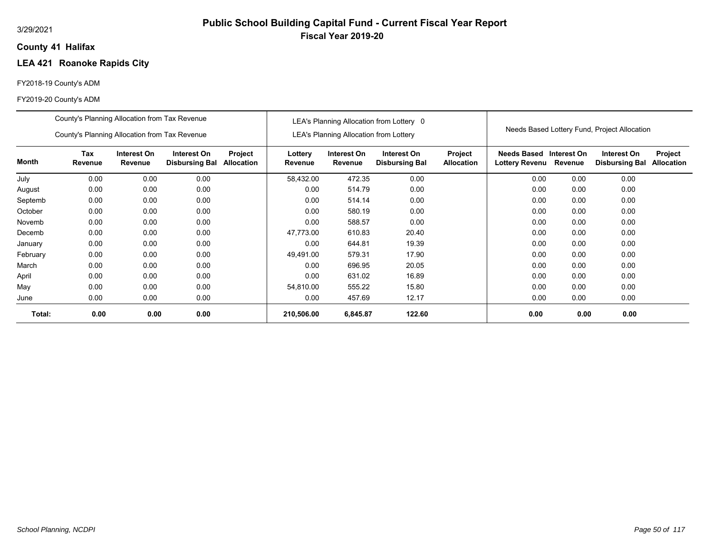# **Public School Building Capital Fund - Current Fiscal Year Report Fiscal Year 2019-20**

### **41 Halifax County**

# **LEA 421 Roanoke Rapids City**

### FY2018-19 County's ADM

|          | County's Planning Allocation from Tax Revenue |                        |                                      |                              |                    |                                               | LEA's Planning Allocation from Lottery 0 |                              |                               |                        |                                              |                              |
|----------|-----------------------------------------------|------------------------|--------------------------------------|------------------------------|--------------------|-----------------------------------------------|------------------------------------------|------------------------------|-------------------------------|------------------------|----------------------------------------------|------------------------------|
|          | County's Planning Allocation from Tax Revenue |                        |                                      |                              |                    | <b>LEA's Planning Allocation from Lottery</b> |                                          |                              |                               |                        | Needs Based Lottery Fund, Project Allocation |                              |
| Month    | Tax<br>Revenue                                | Interest On<br>Revenue | Interest On<br><b>Disbursing Bal</b> | Project<br><b>Allocation</b> | Lottery<br>Revenue | Interest On<br>Revenue                        | Interest On<br><b>Disbursing Bal</b>     | Project<br><b>Allocation</b> | Needs Based<br>Lottery Revenu | Interest On<br>Revenue | Interest On<br><b>Disbursing Bal</b>         | Project<br><b>Allocation</b> |
| July     | 0.00                                          | 0.00                   | 0.00                                 |                              | 58,432.00          | 472.35                                        | 0.00                                     |                              | 0.00                          | 0.00                   | 0.00                                         |                              |
| August   | 0.00                                          | 0.00                   | 0.00                                 |                              | 0.00               | 514.79                                        | 0.00                                     |                              | 0.00                          | 0.00                   | 0.00                                         |                              |
| Septemb  | 0.00                                          | 0.00                   | 0.00                                 |                              | 0.00               | 514.14                                        | 0.00                                     |                              | 0.00                          | 0.00                   | 0.00                                         |                              |
| October  | 0.00                                          | 0.00                   | 0.00                                 |                              | 0.00               | 580.19                                        | 0.00                                     |                              | 0.00                          | 0.00                   | 0.00                                         |                              |
| Novemb   | 0.00                                          | 0.00                   | 0.00                                 |                              | 0.00               | 588.57                                        | 0.00                                     |                              | 0.00                          | 0.00                   | 0.00                                         |                              |
| Decemb   | 0.00                                          | 0.00                   | 0.00                                 |                              | 47,773.00          | 610.83                                        | 20.40                                    |                              | 0.00                          | 0.00                   | 0.00                                         |                              |
| January  | 0.00                                          | 0.00                   | 0.00                                 |                              | 0.00               | 644.81                                        | 19.39                                    |                              | 0.00                          | 0.00                   | 0.00                                         |                              |
| February | 0.00                                          | 0.00                   | 0.00                                 |                              | 49,491.00          | 579.31                                        | 17.90                                    |                              | 0.00                          | 0.00                   | 0.00                                         |                              |
| March    | 0.00                                          | 0.00                   | 0.00                                 |                              | 0.00               | 696.95                                        | 20.05                                    |                              | 0.00                          | 0.00                   | 0.00                                         |                              |
| April    | 0.00                                          | 0.00                   | 0.00                                 |                              | 0.00               | 631.02                                        | 16.89                                    |                              | 0.00                          | 0.00                   | 0.00                                         |                              |
| May      | 0.00                                          | 0.00                   | 0.00                                 |                              | 54,810.00          | 555.22                                        | 15.80                                    |                              | 0.00                          | 0.00                   | 0.00                                         |                              |
| June     | 0.00                                          | 0.00                   | 0.00                                 |                              | 0.00               | 457.69                                        | 12.17                                    |                              | 0.00                          | 0.00                   | 0.00                                         |                              |
| Total:   | 0.00                                          | 0.00                   | 0.00                                 |                              | 210,506.00         | 6,845.87                                      | 122.60                                   |                              | 0.00                          | 0.00                   | 0.00                                         |                              |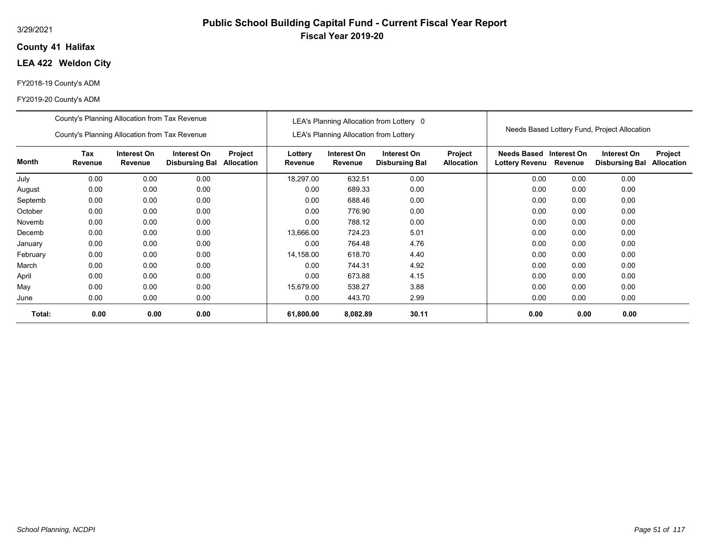#### 3/29/2021

### **41 Halifax County**

# **LEA 422 Weldon City**

#### FY2018-19 County's ADM

|          | County's Planning Allocation from Tax Revenue |                        |                                      |                              |                    |                                               | LEA's Planning Allocation from Lottery 0 |                              |                                             |                        | Needs Based Lottery Fund, Project Allocation |                              |
|----------|-----------------------------------------------|------------------------|--------------------------------------|------------------------------|--------------------|-----------------------------------------------|------------------------------------------|------------------------------|---------------------------------------------|------------------------|----------------------------------------------|------------------------------|
|          | County's Planning Allocation from Tax Revenue |                        |                                      |                              |                    | <b>LEA's Planning Allocation from Lottery</b> |                                          |                              |                                             |                        |                                              |                              |
| Month    | Tax<br>Revenue                                | Interest On<br>Revenue | Interest On<br><b>Disbursing Bal</b> | Project<br><b>Allocation</b> | Lottery<br>Revenue | Interest On<br>Revenue                        | Interest On<br><b>Disbursing Bal</b>     | Project<br><b>Allocation</b> | <b>Needs Based</b><br><b>Lottery Revenu</b> | Interest On<br>Revenue | Interest On<br><b>Disbursing Bal</b>         | Project<br><b>Allocation</b> |
| July     | 0.00                                          | 0.00                   | 0.00                                 |                              | 18,297.00          | 632.51                                        | 0.00                                     |                              | 0.00                                        | 0.00                   | 0.00                                         |                              |
| August   | 0.00                                          | 0.00                   | 0.00                                 |                              | 0.00               | 689.33                                        | 0.00                                     |                              | 0.00                                        | 0.00                   | 0.00                                         |                              |
| Septemb  | 0.00                                          | 0.00                   | 0.00                                 |                              | 0.00               | 688.46                                        | 0.00                                     |                              | 0.00                                        | 0.00                   | 0.00                                         |                              |
| October  | 0.00                                          | 0.00                   | 0.00                                 |                              | 0.00               | 776.90                                        | 0.00                                     |                              | 0.00                                        | 0.00                   | 0.00                                         |                              |
| Novemb   | 0.00                                          | 0.00                   | 0.00                                 |                              | 0.00               | 788.12                                        | 0.00                                     |                              | 0.00                                        | 0.00                   | 0.00                                         |                              |
| Decemb   | 0.00                                          | 0.00                   | 0.00                                 |                              | 13,666.00          | 724.23                                        | 5.01                                     |                              | 0.00                                        | 0.00                   | 0.00                                         |                              |
| January  | 0.00                                          | 0.00                   | 0.00                                 |                              | 0.00               | 764.48                                        | 4.76                                     |                              | 0.00                                        | 0.00                   | 0.00                                         |                              |
| February | 0.00                                          | 0.00                   | 0.00                                 |                              | 14,158.00          | 618.70                                        | 4.40                                     |                              | 0.00                                        | 0.00                   | 0.00                                         |                              |
| March    | 0.00                                          | 0.00                   | 0.00                                 |                              | 0.00               | 744.31                                        | 4.92                                     |                              | 0.00                                        | 0.00                   | 0.00                                         |                              |
| April    | 0.00                                          | 0.00                   | 0.00                                 |                              | 0.00               | 673.88                                        | 4.15                                     |                              | 0.00                                        | 0.00                   | 0.00                                         |                              |
| May      | 0.00                                          | 0.00                   | 0.00                                 |                              | 15,679.00          | 538.27                                        | 3.88                                     |                              | 0.00                                        | 0.00                   | 0.00                                         |                              |
| June     | 0.00                                          | 0.00                   | 0.00                                 |                              | 0.00               | 443.70                                        | 2.99                                     |                              | 0.00                                        | 0.00                   | 0.00                                         |                              |
| Total:   | 0.00                                          | 0.00                   | 0.00                                 |                              | 61,800.00          | 8,082.89                                      | 30.11                                    |                              | 0.00                                        | 0.00                   | 0.00                                         |                              |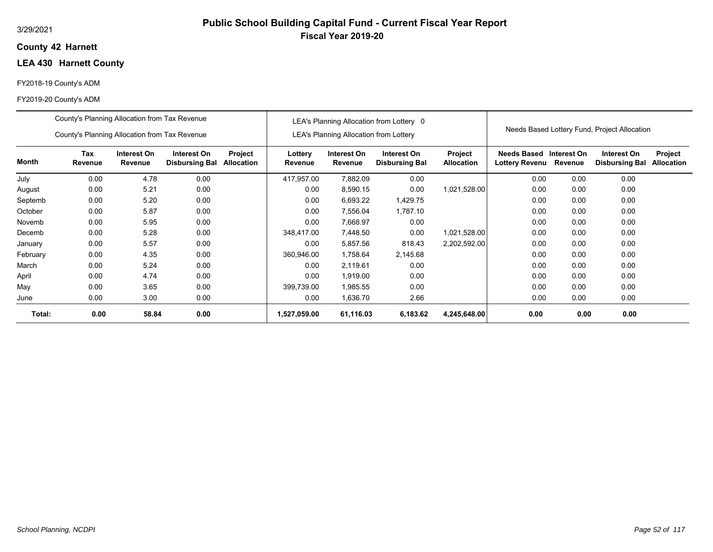### **42 Harnett County**

# **LEA 430 Harnett County**

#### FY2018-19 County's ADM

|          | County's Planning Allocation from Tax Revenue                                                                                     |       |      |  |                    |                                               | LEA's Planning Allocation from Lottery 0 |                              |                                             |                        |                                              |                              |
|----------|-----------------------------------------------------------------------------------------------------------------------------------|-------|------|--|--------------------|-----------------------------------------------|------------------------------------------|------------------------------|---------------------------------------------|------------------------|----------------------------------------------|------------------------------|
|          | County's Planning Allocation from Tax Revenue                                                                                     |       |      |  |                    | <b>LEA's Planning Allocation from Lottery</b> |                                          |                              |                                             |                        | Needs Based Lottery Fund, Project Allocation |                              |
| Month    | Tax<br>Interest On<br>Interest On<br>Project<br>Revenue<br>Revenue<br><b>Disbursing Bal</b><br>Allocation<br>4.78<br>0.00<br>0.00 |       |      |  | Lottery<br>Revenue | Interest On<br>Revenue                        | Interest On<br><b>Disbursing Bal</b>     | Project<br><b>Allocation</b> | <b>Needs Based</b><br><b>Lottery Revenu</b> | Interest On<br>Revenue | Interest On<br><b>Disbursing Bal</b>         | Project<br><b>Allocation</b> |
| July     |                                                                                                                                   |       |      |  | 417,957.00         | 7,882.09                                      | 0.00                                     |                              | 0.00                                        | 0.00                   | 0.00                                         |                              |
| August   | 0.00                                                                                                                              | 5.21  | 0.00 |  | 0.00               | 8,590.15                                      | 0.00                                     | 1,021,528.00                 | 0.00                                        | 0.00                   | 0.00                                         |                              |
| Septemb  | 0.00                                                                                                                              | 5.20  | 0.00 |  | 0.00               | 6,693.22                                      | 1,429.75                                 |                              | 0.00                                        | 0.00                   | 0.00                                         |                              |
| October  | 0.00                                                                                                                              | 5.87  | 0.00 |  | 0.00               | 7,556.04                                      | 1,787.10                                 |                              | 0.00                                        | 0.00                   | 0.00                                         |                              |
| Novemb   | 0.00                                                                                                                              | 5.95  | 0.00 |  | 0.00               | 7,668.97                                      | 0.00                                     |                              | 0.00                                        | 0.00                   | 0.00                                         |                              |
| Decemb   | 0.00                                                                                                                              | 5.28  | 0.00 |  | 348,417.00         | 7,448.50                                      | 0.00                                     | 1,021,528.00                 | 0.00                                        | 0.00                   | 0.00                                         |                              |
| January  | 0.00                                                                                                                              | 5.57  | 0.00 |  | 0.00               | 5,857.56                                      | 818.43                                   | 2,202,592.00                 | 0.00                                        | 0.00                   | 0.00                                         |                              |
| February | 0.00                                                                                                                              | 4.35  | 0.00 |  | 360,946.00         | 1,758.64                                      | 2,145.68                                 |                              | 0.00                                        | 0.00                   | 0.00                                         |                              |
| March    | 0.00                                                                                                                              | 5.24  | 0.00 |  | 0.00               | 2,119.61                                      | 0.00                                     |                              | 0.00                                        | 0.00                   | 0.00                                         |                              |
| April    | 0.00                                                                                                                              | 4.74  | 0.00 |  | 0.00               | 1,919.00                                      | 0.00                                     |                              | 0.00                                        | 0.00                   | 0.00                                         |                              |
| May      | 0.00                                                                                                                              | 3.65  | 0.00 |  | 399,739.00         | 1,985.55                                      | 0.00                                     |                              | 0.00                                        | 0.00                   | 0.00                                         |                              |
| June     | 0.00                                                                                                                              | 3.00  | 0.00 |  | 0.00               | 1,636.70                                      | 2.66                                     |                              | 0.00                                        | 0.00                   | 0.00                                         |                              |
| Total:   | 0.00                                                                                                                              | 58.84 | 0.00 |  | 1,527,059.00       | 61,116.03                                     | 6,183.62                                 | 4,245,648.00                 | 0.00                                        | 0.00                   | 0.00                                         |                              |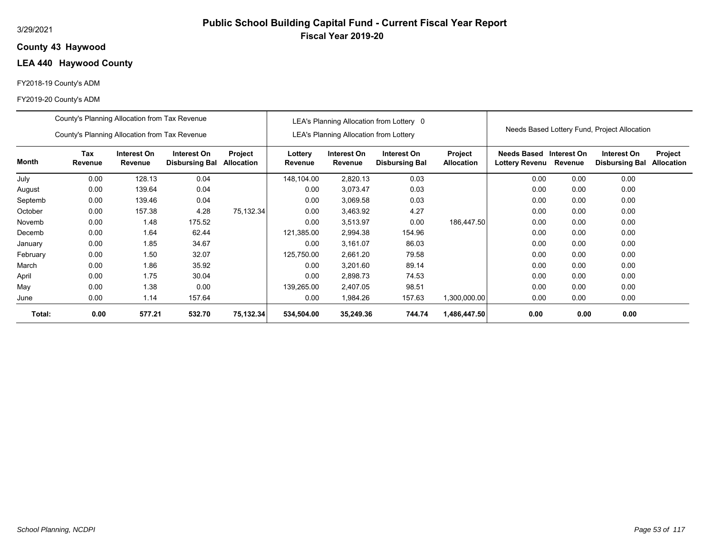### **43 Haywood County**

# **LEA 440 Haywood County**

#### FY2018-19 County's ADM

|          | County's Planning Allocation from Tax Revenue |                        |                                      |                              |                    |                                               | LEA's Planning Allocation from Lottery 0 |                              |                               |                        |                                              |                              |
|----------|-----------------------------------------------|------------------------|--------------------------------------|------------------------------|--------------------|-----------------------------------------------|------------------------------------------|------------------------------|-------------------------------|------------------------|----------------------------------------------|------------------------------|
|          | County's Planning Allocation from Tax Revenue |                        |                                      |                              |                    | <b>LEA's Planning Allocation from Lottery</b> |                                          |                              |                               |                        | Needs Based Lottery Fund, Project Allocation |                              |
| Month    | <b>Tax</b><br>Revenue                         | Interest On<br>Revenue | Interest On<br><b>Disbursing Bal</b> | Project<br><b>Allocation</b> | Lottery<br>Revenue | Interest On<br>Revenue                        | Interest On<br><b>Disbursing Bal</b>     | Project<br><b>Allocation</b> | Needs Based<br>Lottery Revenu | Interest On<br>Revenue | Interest On<br><b>Disbursing Bal</b>         | Project<br><b>Allocation</b> |
| July     | 0.00                                          | 128.13                 | 0.04                                 |                              | 148,104.00         | 2,820.13                                      | 0.03                                     |                              | 0.00                          | 0.00                   | 0.00                                         |                              |
| August   | 0.00                                          | 139.64                 | 0.04                                 |                              | 0.00               | 3,073.47                                      | 0.03                                     |                              | 0.00                          | 0.00                   | 0.00                                         |                              |
| Septemb  | 0.00                                          | 139.46                 | 0.04                                 |                              | 0.00               | 3,069.58                                      | 0.03                                     |                              | 0.00                          | 0.00                   | 0.00                                         |                              |
| October  | 0.00                                          | 157.38                 | 4.28                                 | 75,132.34                    | 0.00               | 3,463.92                                      | 4.27                                     |                              | 0.00                          | 0.00                   | 0.00                                         |                              |
| Novemb   | 0.00                                          | 1.48                   | 175.52                               |                              | 0.00               | 3,513.97                                      | 0.00                                     | 186,447.50                   | 0.00                          | 0.00                   | 0.00                                         |                              |
| Decemb   | 0.00                                          | 1.64                   | 62.44                                |                              | 121,385.00         | 2,994.38                                      | 154.96                                   |                              | 0.00                          | 0.00                   | 0.00                                         |                              |
| January  | 0.00                                          | 1.85                   | 34.67                                |                              | 0.00               | 3,161.07                                      | 86.03                                    |                              | 0.00                          | 0.00                   | 0.00                                         |                              |
| February | 0.00                                          | 1.50                   | 32.07                                |                              | 125,750.00         | 2,661.20                                      | 79.58                                    |                              | 0.00                          | 0.00                   | 0.00                                         |                              |
| March    | 0.00                                          | 1.86                   | 35.92                                |                              | 0.00               | 3,201.60                                      | 89.14                                    |                              | 0.00                          | 0.00                   | 0.00                                         |                              |
| April    | 0.00                                          | 1.75                   | 30.04                                |                              | 0.00               | 2,898.73                                      | 74.53                                    |                              | 0.00                          | 0.00                   | 0.00                                         |                              |
| May      | 0.00                                          | 1.38                   | 0.00                                 |                              | 139,265.00         | 2,407.05                                      | 98.51                                    |                              | 0.00                          | 0.00                   | 0.00                                         |                              |
| June     | 0.00                                          | 1.14                   | 157.64                               |                              | 0.00               | 1,984.26                                      | 157.63                                   | 1,300,000.00                 | 0.00                          | 0.00                   | 0.00                                         |                              |
| Total:   | 0.00                                          | 577.21                 | 532.70                               | 75,132.34                    | 534,504.00         | 35,249.36                                     | 744.74                                   | 1,486,447.50                 | 0.00                          | 0.00                   | 0.00                                         |                              |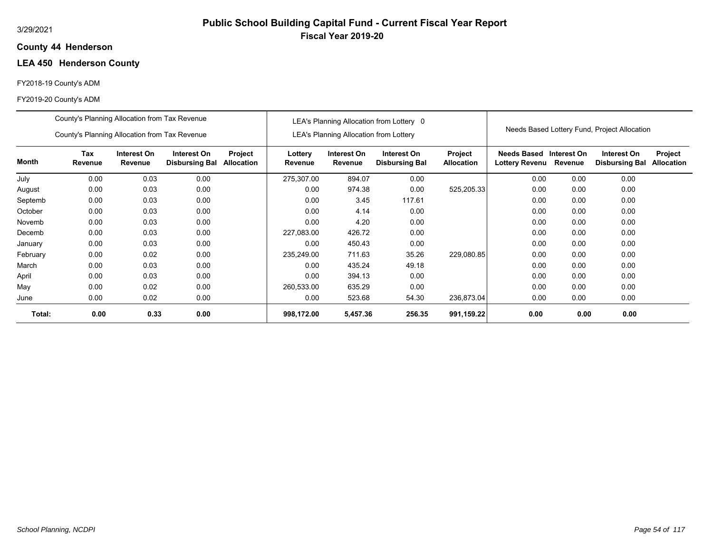# **Public School Building Capital Fund - Current Fiscal Year Report Fiscal Year 2019-20**

#### **44 Henderson County**

# **LEA 450 Henderson County**

### FY2018-19 County's ADM

|          | County's Planning Allocation from Tax Revenue |                        |                                      |                              |                    |                                               | LEA's Planning Allocation from Lottery 0 |                              |                                      |                        |                                              |                                     |
|----------|-----------------------------------------------|------------------------|--------------------------------------|------------------------------|--------------------|-----------------------------------------------|------------------------------------------|------------------------------|--------------------------------------|------------------------|----------------------------------------------|-------------------------------------|
|          | County's Planning Allocation from Tax Revenue |                        |                                      |                              |                    | <b>LEA's Planning Allocation from Lottery</b> |                                          |                              |                                      |                        | Needs Based Lottery Fund, Project Allocation |                                     |
| Month    | Tax<br>Revenue                                | Interest On<br>Revenue | Interest On<br><b>Disbursing Bal</b> | <b>Project</b><br>Allocation | Lottery<br>Revenue | Interest On<br>Revenue                        | Interest On<br><b>Disbursing Bal</b>     | Project<br><b>Allocation</b> | Needs Based<br><b>Lottery Revenu</b> | Interest On<br>Revenue | Interest On<br><b>Disbursing Bal</b>         | <b>Project</b><br><b>Allocation</b> |
| July     | 0.00                                          | 0.03                   | 0.00                                 |                              | 275,307.00         | 894.07                                        | 0.00                                     |                              | 0.00                                 | 0.00                   | 0.00                                         |                                     |
| August   | 0.00                                          | 0.03                   | 0.00                                 |                              | 0.00               | 974.38                                        | 0.00                                     | 525,205.33                   | 0.00                                 | 0.00                   | 0.00                                         |                                     |
| Septemb  | 0.00                                          | 0.03                   | 0.00                                 |                              | 0.00               | 3.45                                          | 117.61                                   |                              | 0.00                                 | 0.00                   | 0.00                                         |                                     |
| October  | 0.00                                          | 0.03                   | 0.00                                 |                              | 0.00               | 4.14                                          | 0.00                                     |                              | 0.00                                 | 0.00                   | 0.00                                         |                                     |
| Novemb   | 0.00                                          | 0.03                   | 0.00                                 |                              | 0.00               | 4.20                                          | 0.00                                     |                              | 0.00                                 | 0.00                   | 0.00                                         |                                     |
| Decemb   | 0.00                                          | 0.03                   | 0.00                                 |                              | 227,083.00         | 426.72                                        | 0.00                                     |                              | 0.00                                 | 0.00                   | 0.00                                         |                                     |
| January  | 0.00                                          | 0.03                   | 0.00                                 |                              | 0.00               | 450.43                                        | 0.00                                     |                              | 0.00                                 | 0.00                   | 0.00                                         |                                     |
| February | 0.00                                          | 0.02                   | 0.00                                 |                              | 235,249.00         | 711.63                                        | 35.26                                    | 229,080.85                   | 0.00                                 | 0.00                   | 0.00                                         |                                     |
| March    | 0.00                                          | 0.03                   | 0.00                                 |                              | 0.00               | 435.24                                        | 49.18                                    |                              | 0.00                                 | 0.00                   | 0.00                                         |                                     |
| April    | 0.00                                          | 0.03                   | 0.00                                 |                              | 0.00               | 394.13                                        | 0.00                                     |                              | 0.00                                 | 0.00                   | 0.00                                         |                                     |
| May      | 0.00                                          | 0.02                   | 0.00                                 |                              | 260,533.00         | 635.29                                        | 0.00                                     |                              | 0.00                                 | 0.00                   | 0.00                                         |                                     |
| June     | 0.00                                          | 0.02                   | 0.00                                 |                              | 0.00               | 523.68                                        | 54.30                                    | 236,873.04                   | 0.00                                 | 0.00                   | 0.00                                         |                                     |
| Total:   | 0.00                                          | 0.33                   | 0.00                                 |                              | 998,172.00         | 5,457.36                                      | 256.35                                   | 991,159.22                   | 0.00                                 | 0.00                   | 0.00                                         |                                     |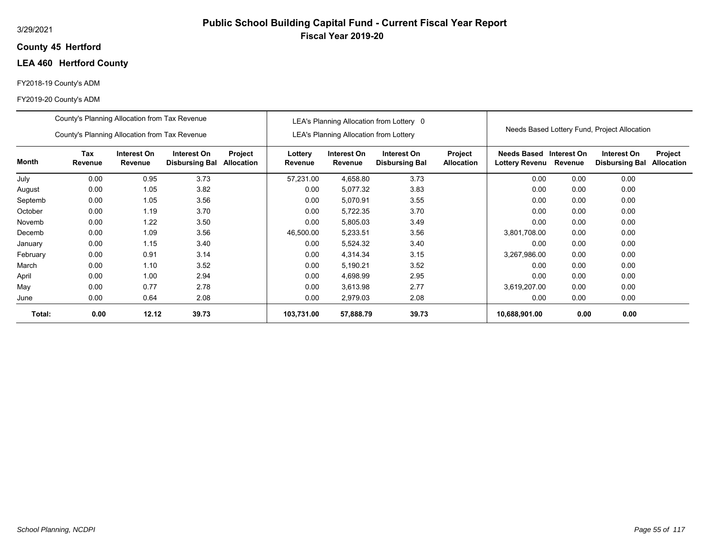### **45 Hertford County**

# **LEA 460 Hertford County**

#### FY2018-19 County's ADM

|          | County's Planning Allocation from Tax Revenue |                        |                                      |                              |                    |                                               | LEA's Planning Allocation from Lottery 0 |                              |                                           |         |                                              |                              |
|----------|-----------------------------------------------|------------------------|--------------------------------------|------------------------------|--------------------|-----------------------------------------------|------------------------------------------|------------------------------|-------------------------------------------|---------|----------------------------------------------|------------------------------|
|          | County's Planning Allocation from Tax Revenue |                        |                                      |                              |                    | <b>LEA's Planning Allocation from Lottery</b> |                                          |                              |                                           |         | Needs Based Lottery Fund, Project Allocation |                              |
| Month    | <b>Tax</b><br>Revenue                         | Interest On<br>Revenue | Interest On<br><b>Disbursing Bal</b> | Project<br><b>Allocation</b> | Lottery<br>Revenue | Interest On<br>Revenue                        | Interest On<br><b>Disbursing Bal</b>     | Project<br><b>Allocation</b> | Needs Based Interest On<br>Lottery Revenu | Revenue | Interest On<br><b>Disbursing Bal</b>         | Project<br><b>Allocation</b> |
| July     | 0.00                                          | 0.95                   | 3.73                                 |                              | 57.231.00          | 4,658.80                                      | 3.73                                     |                              | 0.00                                      | 0.00    | 0.00                                         |                              |
| August   | 0.00                                          | 1.05                   | 3.82                                 |                              | 0.00               | 5,077.32                                      | 3.83                                     |                              | 0.00                                      | 0.00    | 0.00                                         |                              |
| Septemb  | 0.00                                          | 1.05                   | 3.56                                 |                              | 0.00               | 5,070.91                                      | 3.55                                     |                              | 0.00                                      | 0.00    | 0.00                                         |                              |
| October  | 0.00                                          | 1.19                   | 3.70                                 |                              | 0.00               | 5,722.35                                      | 3.70                                     |                              | 0.00                                      | 0.00    | 0.00                                         |                              |
| Novemb   | 0.00                                          | 1.22                   | 3.50                                 |                              | 0.00               | 5,805.03                                      | 3.49                                     |                              | 0.00                                      | 0.00    | 0.00                                         |                              |
| Decemb   | 0.00                                          | 1.09                   | 3.56                                 |                              | 46,500.00          | 5,233.51                                      | 3.56                                     |                              | 3,801,708.00                              | 0.00    | 0.00                                         |                              |
| January  | 0.00                                          | 1.15                   | 3.40                                 |                              | 0.00               | 5,524.32                                      | 3.40                                     |                              | 0.00                                      | 0.00    | 0.00                                         |                              |
| February | 0.00                                          | 0.91                   | 3.14                                 |                              | 0.00               | 4,314.34                                      | 3.15                                     |                              | 3,267,986.00                              | 0.00    | 0.00                                         |                              |
| March    | 0.00                                          | 1.10                   | 3.52                                 |                              | 0.00               | 5,190.21                                      | 3.52                                     |                              | 0.00                                      | 0.00    | 0.00                                         |                              |
| April    | 0.00                                          | 1.00                   | 2.94                                 |                              | 0.00               | 4,698.99                                      | 2.95                                     |                              | 0.00                                      | 0.00    | 0.00                                         |                              |
| May      | 0.00                                          | 0.77                   | 2.78                                 |                              | 0.00               | 3,613.98                                      | 2.77                                     |                              | 3,619,207.00                              | 0.00    | 0.00                                         |                              |
| June     | 0.00                                          | 0.64                   | 2.08                                 |                              | 0.00               | 2,979.03                                      | 2.08                                     |                              | 0.00                                      | 0.00    | 0.00                                         |                              |
| Total:   | 0.00                                          | 12.12                  | 39.73                                |                              | 103,731.00         | 57,888.79                                     | 39.73                                    |                              | 10,688,901.00                             | 0.00    | 0.00                                         |                              |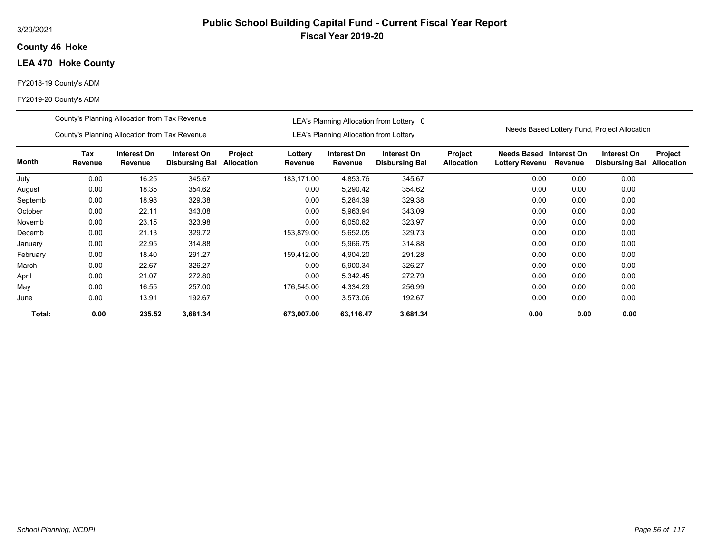#### 3/29/2021

### **46 Hoke County**

# **LEA 470 Hoke County**

#### FY2018-19 County's ADM

|          | County's Planning Allocation from Tax Revenue |                        |                                      |                       |                    |                                               | LEA's Planning Allocation from Lottery 0 |                              |                               |                        |                                              |                              |
|----------|-----------------------------------------------|------------------------|--------------------------------------|-----------------------|--------------------|-----------------------------------------------|------------------------------------------|------------------------------|-------------------------------|------------------------|----------------------------------------------|------------------------------|
|          | County's Planning Allocation from Tax Revenue |                        |                                      |                       |                    | <b>LEA's Planning Allocation from Lottery</b> |                                          |                              |                               |                        | Needs Based Lottery Fund, Project Allocation |                              |
| Month    | Tax<br>Revenue                                | Interest On<br>Revenue | Interest On<br><b>Disbursing Bal</b> | Project<br>Allocation | Lottery<br>Revenue | Interest On<br>Revenue                        | Interest On<br><b>Disbursing Bal</b>     | Project<br><b>Allocation</b> | Needs Based<br>Lottery Revenu | Interest On<br>Revenue | Interest On<br><b>Disbursing Bal</b>         | Project<br><b>Allocation</b> |
| July     | 0.00                                          | 16.25                  | 345.67                               |                       | 183,171.00         | 4,853.76                                      | 345.67                                   |                              | 0.00                          | 0.00                   | 0.00                                         |                              |
| August   | 0.00                                          | 18.35                  | 354.62                               |                       | 0.00               | 5,290.42                                      | 354.62                                   |                              | 0.00                          | 0.00                   | 0.00                                         |                              |
| Septemb  | 0.00                                          | 18.98                  | 329.38                               |                       | 0.00               | 5,284.39                                      | 329.38                                   |                              | 0.00                          | 0.00                   | 0.00                                         |                              |
| October  | 0.00                                          | 22.11                  | 343.08                               |                       | 0.00               | 5,963.94                                      | 343.09                                   |                              | 0.00                          | 0.00                   | 0.00                                         |                              |
| Novemb   | 0.00                                          | 23.15                  | 323.98                               |                       | 0.00               | 6,050.82                                      | 323.97                                   |                              | 0.00                          | 0.00                   | 0.00                                         |                              |
| Decemb   | 0.00                                          | 21.13                  | 329.72                               |                       | 153,879.00         | 5,652.05                                      | 329.73                                   |                              | 0.00                          | 0.00                   | 0.00                                         |                              |
| January  | 0.00                                          | 22.95                  | 314.88                               |                       | 0.00               | 5,966.75                                      | 314.88                                   |                              | 0.00                          | 0.00                   | 0.00                                         |                              |
| February | 0.00                                          | 18.40                  | 291.27                               |                       | 159.412.00         | 4.904.20                                      | 291.28                                   |                              | 0.00                          | 0.00                   | 0.00                                         |                              |
| March    | 0.00                                          | 22.67                  | 326.27                               |                       | 0.00               | 5,900.34                                      | 326.27                                   |                              | 0.00                          | 0.00                   | 0.00                                         |                              |
| April    | 0.00                                          | 21.07                  | 272.80                               |                       | 0.00               | 5,342.45                                      | 272.79                                   |                              | 0.00                          | 0.00                   | 0.00                                         |                              |
| May      | 0.00                                          | 16.55                  | 257.00                               |                       | 176,545.00         | 4,334.29                                      | 256.99                                   |                              | 0.00                          | 0.00                   | 0.00                                         |                              |
| June     | 0.00                                          | 13.91                  | 192.67                               |                       | 0.00               | 3,573.06                                      | 192.67                                   |                              | 0.00                          | 0.00                   | 0.00                                         |                              |
| Total:   | 0.00                                          | 235.52                 | 3,681.34                             |                       | 673.007.00         | 63,116.47                                     | 3,681.34                                 |                              | 0.00                          | 0.00                   | 0.00                                         |                              |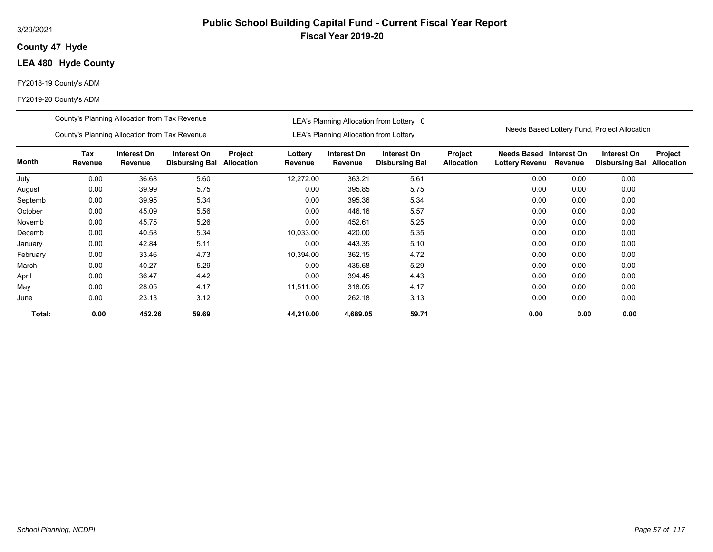#### 3/29/2021

### **47 Hyde County**

# **LEA 480 Hyde County**

#### FY2018-19 County's ADM

|          | County's Planning Allocation from Tax Revenue |                        |                                      |                       |                    |                                               | LEA's Planning Allocation from Lottery 0 |                              |                                             |                        | Needs Based Lottery Fund, Project Allocation |                              |
|----------|-----------------------------------------------|------------------------|--------------------------------------|-----------------------|--------------------|-----------------------------------------------|------------------------------------------|------------------------------|---------------------------------------------|------------------------|----------------------------------------------|------------------------------|
|          | County's Planning Allocation from Tax Revenue |                        |                                      |                       |                    | <b>LEA's Planning Allocation from Lottery</b> |                                          |                              |                                             |                        |                                              |                              |
| Month    | Tax<br>Revenue                                | Interest On<br>Revenue | Interest On<br><b>Disbursing Bal</b> | Project<br>Allocation | Lottery<br>Revenue | Interest On<br>Revenue                        | Interest On<br><b>Disbursing Bal</b>     | Project<br><b>Allocation</b> | <b>Needs Based</b><br><b>Lottery Revenu</b> | Interest On<br>Revenue | Interest On<br><b>Disbursing Bal</b>         | Project<br><b>Allocation</b> |
| July     | 0.00                                          | 36.68                  | 5.60                                 |                       | 12,272.00          | 363.21                                        | 5.61                                     |                              | 0.00                                        | 0.00                   | 0.00                                         |                              |
| August   | 0.00                                          | 39.99                  | 5.75                                 |                       | 0.00               | 395.85                                        | 5.75                                     |                              | 0.00                                        | 0.00                   | 0.00                                         |                              |
| Septemb  | 0.00                                          | 39.95                  | 5.34                                 |                       | 0.00               | 395.36                                        | 5.34                                     |                              | 0.00                                        | 0.00                   | 0.00                                         |                              |
| October  | 0.00                                          | 45.09                  | 5.56                                 |                       | 0.00               | 446.16                                        | 5.57                                     |                              | 0.00                                        | 0.00                   | 0.00                                         |                              |
| Novemb   | 0.00                                          | 45.75                  | 5.26                                 |                       | 0.00               | 452.61                                        | 5.25                                     |                              | 0.00                                        | 0.00                   | 0.00                                         |                              |
| Decemb   | 0.00                                          | 40.58                  | 5.34                                 |                       | 10,033.00          | 420.00                                        | 5.35                                     |                              | 0.00                                        | 0.00                   | 0.00                                         |                              |
| January  | 0.00                                          | 42.84                  | 5.11                                 |                       | 0.00               | 443.35                                        | 5.10                                     |                              | 0.00                                        | 0.00                   | 0.00                                         |                              |
| February | 0.00                                          | 33.46                  | 4.73                                 |                       | 10,394.00          | 362.15                                        | 4.72                                     |                              | 0.00                                        | 0.00                   | 0.00                                         |                              |
| March    | 0.00                                          | 40.27                  | 5.29                                 |                       | 0.00               | 435.68                                        | 5.29                                     |                              | 0.00                                        | 0.00                   | 0.00                                         |                              |
| April    | 0.00                                          | 36.47                  | 4.42                                 |                       | 0.00               | 394.45                                        | 4.43                                     |                              | 0.00                                        | 0.00                   | 0.00                                         |                              |
| May      | 0.00                                          | 28.05                  | 4.17                                 |                       | 11,511.00          | 318.05                                        | 4.17                                     |                              | 0.00                                        | 0.00                   | 0.00                                         |                              |
| June     | 0.00                                          | 23.13                  | 3.12                                 |                       | 0.00               | 262.18                                        | 3.13                                     |                              | 0.00                                        | 0.00                   | 0.00                                         |                              |
| Total:   | 0.00                                          | 452.26                 | 59.69                                |                       | 44,210.00          | 4,689.05                                      | 59.71                                    |                              | 0.00                                        | 0.00                   | 0.00                                         |                              |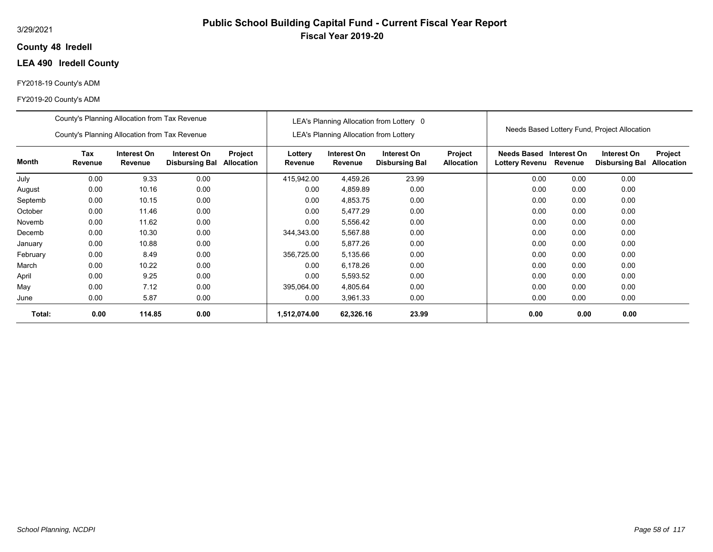### **48 Iredell County**

# **LEA 490 Iredell County**

#### FY2018-19 County's ADM

|          | County's Planning Allocation from Tax Revenue<br>County's Planning Allocation from Tax Revenue |                        |                                      |                              |                    | <b>LEA's Planning Allocation from Lottery</b> | LEA's Planning Allocation from Lottery 0 |                                     |                                                  |         | Needs Based Lottery Fund, Project Allocation |                              |
|----------|------------------------------------------------------------------------------------------------|------------------------|--------------------------------------|------------------------------|--------------------|-----------------------------------------------|------------------------------------------|-------------------------------------|--------------------------------------------------|---------|----------------------------------------------|------------------------------|
| Month    | Tax<br>Revenue                                                                                 | Interest On<br>Revenue | Interest On<br><b>Disbursing Bal</b> | Project<br><b>Allocation</b> | Lottery<br>Revenue | Interest On<br>Revenue                        | Interest On<br><b>Disbursing Bal</b>     | <b>Project</b><br><b>Allocation</b> | Needs Based Interest On<br><b>Lottery Revenu</b> | Revenue | Interest On<br><b>Disbursing Bal</b>         | Project<br><b>Allocation</b> |
| July     | 0.00                                                                                           | 9.33                   | 0.00                                 |                              | 415,942.00         | 4,459.26                                      | 23.99                                    |                                     | 0.00                                             | 0.00    | 0.00                                         |                              |
| August   | 0.00                                                                                           | 10.16                  | 0.00                                 |                              | 0.00               | 4,859.89                                      | 0.00                                     |                                     | 0.00                                             | 0.00    | 0.00                                         |                              |
| Septemb  | 0.00                                                                                           | 10.15                  | 0.00                                 |                              | 0.00               | 4,853.75                                      | 0.00                                     |                                     | 0.00                                             | 0.00    | 0.00                                         |                              |
| October  | 0.00                                                                                           | 11.46                  | 0.00                                 |                              | 0.00               | 5,477.29                                      | 0.00                                     |                                     | 0.00                                             | 0.00    | 0.00                                         |                              |
| Novemb   | 0.00                                                                                           | 11.62                  | 0.00                                 |                              | 0.00               | 5,556.42                                      | 0.00                                     |                                     | 0.00                                             | 0.00    | 0.00                                         |                              |
| Decemb   | 0.00                                                                                           | 10.30                  | 0.00                                 |                              | 344,343.00         | 5,567.88                                      | 0.00                                     |                                     | 0.00                                             | 0.00    | 0.00                                         |                              |
| January  | 0.00                                                                                           | 10.88                  | 0.00                                 |                              | 0.00               | 5.877.26                                      | 0.00                                     |                                     | 0.00                                             | 0.00    | 0.00                                         |                              |
| February | 0.00                                                                                           | 8.49                   | 0.00                                 |                              | 356,725.00         | 5,135.66                                      | 0.00                                     |                                     | 0.00                                             | 0.00    | 0.00                                         |                              |
| March    | 0.00                                                                                           | 10.22                  | 0.00                                 |                              | 0.00               | 6,178.26                                      | 0.00                                     |                                     | 0.00                                             | 0.00    | 0.00                                         |                              |
| April    | 0.00                                                                                           | 9.25                   | 0.00                                 |                              | 0.00               | 5,593.52                                      | 0.00                                     |                                     | 0.00                                             | 0.00    | 0.00                                         |                              |
| May      | 0.00                                                                                           | 7.12                   | 0.00                                 |                              | 395,064.00         | 4,805.64                                      | 0.00                                     |                                     | 0.00                                             | 0.00    | 0.00                                         |                              |
| June     | 0.00                                                                                           | 5.87                   | 0.00                                 |                              | 0.00               | 3,961.33                                      | 0.00                                     |                                     | 0.00                                             | 0.00    | 0.00                                         |                              |
| Total:   | 0.00                                                                                           | 114.85                 | 0.00                                 |                              | 1,512,074.00       | 62,326.16                                     | 23.99                                    |                                     | 0.00                                             | 0.00    | 0.00                                         |                              |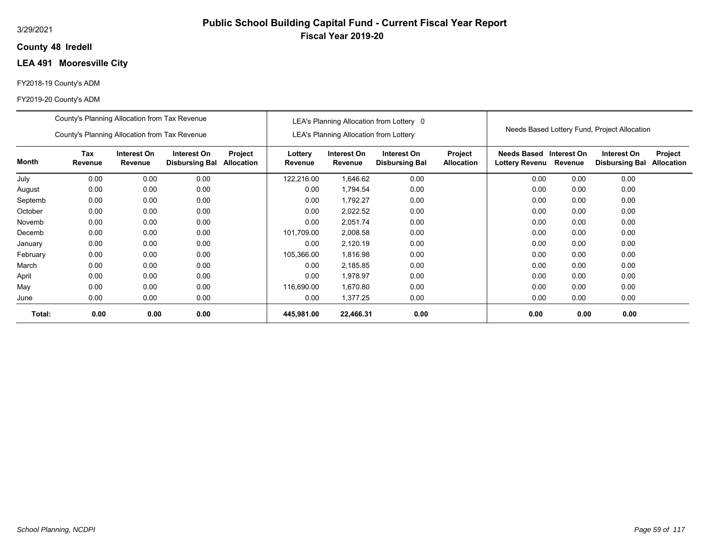### **48 Iredell County**

# **LEA 491 Mooresville City**

#### FY2018-19 County's ADM

|          | County's Planning Allocation from Tax Revenue |                        |                                      |                              |                    |                                               | LEA's Planning Allocation from Lottery 0 |                              |                                           |         |                                              |                              |
|----------|-----------------------------------------------|------------------------|--------------------------------------|------------------------------|--------------------|-----------------------------------------------|------------------------------------------|------------------------------|-------------------------------------------|---------|----------------------------------------------|------------------------------|
|          | County's Planning Allocation from Tax Revenue |                        |                                      |                              |                    | <b>LEA's Planning Allocation from Lottery</b> |                                          |                              |                                           |         | Needs Based Lottery Fund, Project Allocation |                              |
| Month    | <b>Tax</b><br>Revenue                         | Interest On<br>Revenue | Interest On<br><b>Disbursing Bal</b> | Project<br><b>Allocation</b> | Lottery<br>Revenue | Interest On<br>Revenue                        | Interest On<br><b>Disbursing Bal</b>     | Project<br><b>Allocation</b> | Needs Based Interest On<br>Lottery Revenu | Revenue | Interest On<br><b>Disbursing Bal</b>         | Project<br><b>Allocation</b> |
| July     | 0.00                                          | 0.00                   | 0.00                                 |                              | 122,216.00         | 1,646.62                                      | 0.00                                     |                              | 0.00                                      | 0.00    | 0.00                                         |                              |
| August   | 0.00                                          | 0.00                   | 0.00                                 |                              | 0.00               | 1,794.54                                      | 0.00                                     |                              | 0.00                                      | 0.00    | 0.00                                         |                              |
| Septemb  | 0.00                                          | 0.00                   | 0.00                                 |                              | 0.00               | 1,792.27                                      | 0.00                                     |                              | 0.00                                      | 0.00    | 0.00                                         |                              |
| October  | 0.00                                          | 0.00                   | 0.00                                 |                              | 0.00               | 2,022.52                                      | 0.00                                     |                              | 0.00                                      | 0.00    | 0.00                                         |                              |
| Novemb   | 0.00                                          | 0.00                   | 0.00                                 |                              | 0.00               | 2,051.74                                      | 0.00                                     |                              | 0.00                                      | 0.00    | 0.00                                         |                              |
| Decemb   | 0.00                                          | 0.00                   | 0.00                                 |                              | 101,709.00         | 2,008.58                                      | 0.00                                     |                              | 0.00                                      | 0.00    | 0.00                                         |                              |
| January  | 0.00                                          | 0.00                   | 0.00                                 |                              | 0.00               | 2,120.19                                      | 0.00                                     |                              | 0.00                                      | 0.00    | 0.00                                         |                              |
| February | 0.00                                          | 0.00                   | 0.00                                 |                              | 105,366.00         | 1,816.98                                      | 0.00                                     |                              | 0.00                                      | 0.00    | 0.00                                         |                              |
| March    | 0.00                                          | 0.00                   | 0.00                                 |                              | 0.00               | 2,185.85                                      | 0.00                                     |                              | 0.00                                      | 0.00    | 0.00                                         |                              |
| April    | 0.00                                          | 0.00                   | 0.00                                 |                              | 0.00               | 1,978.97                                      | 0.00                                     |                              | 0.00                                      | 0.00    | 0.00                                         |                              |
| May      | 0.00                                          | 0.00                   | 0.00                                 |                              | 116,690.00         | 1,670.80                                      | 0.00                                     |                              | 0.00                                      | 0.00    | 0.00                                         |                              |
| June     | 0.00                                          | 0.00                   | 0.00                                 |                              | 0.00               | 1,377.25                                      | 0.00                                     |                              | 0.00                                      | 0.00    | 0.00                                         |                              |
| Total:   | 0.00                                          | 0.00                   | 0.00                                 |                              | 445,981.00         | 22,466.31                                     | 0.00                                     |                              | 0.00                                      | 0.00    | 0.00                                         |                              |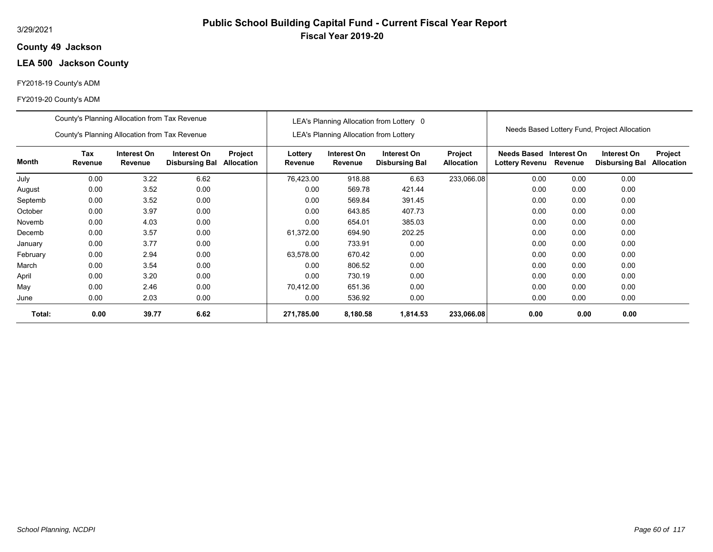### **49 Jackson County**

# **LEA 500 Jackson County**

#### FY2018-19 County's ADM

|          | County's Planning Allocation from Tax Revenue                                                                                                   |       |      |  |                    |                                               | LEA's Planning Allocation from Lottery 0 |                       |                                           |         |                                              |                              |
|----------|-------------------------------------------------------------------------------------------------------------------------------------------------|-------|------|--|--------------------|-----------------------------------------------|------------------------------------------|-----------------------|-------------------------------------------|---------|----------------------------------------------|------------------------------|
|          | County's Planning Allocation from Tax Revenue                                                                                                   |       |      |  |                    | <b>LEA's Planning Allocation from Lottery</b> |                                          |                       |                                           |         | Needs Based Lottery Fund, Project Allocation |                              |
| Month    | <b>Tax</b><br>Interest On<br>Interest On<br>Project<br>Revenue<br>Revenue<br><b>Disbursing Bal</b><br><b>Allocation</b><br>0.00<br>3.22<br>6.62 |       |      |  | Lottery<br>Revenue | Interest On<br>Revenue                        | Interest On<br><b>Disbursing Bal</b>     | Project<br>Allocation | Needs Based Interest On<br>Lottery Revenu | Revenue | Interest On<br><b>Disbursing Bal</b>         | Project<br><b>Allocation</b> |
| July     |                                                                                                                                                 |       |      |  | 76,423.00          | 918.88                                        | 6.63                                     | 233,066.08            | 0.00                                      | 0.00    | 0.00                                         |                              |
| August   | 0.00                                                                                                                                            | 3.52  | 0.00 |  | 0.00               | 569.78                                        | 421.44                                   |                       | 0.00                                      | 0.00    | 0.00                                         |                              |
| Septemb  | 0.00                                                                                                                                            | 3.52  | 0.00 |  | 0.00               | 569.84                                        | 391.45                                   |                       | 0.00                                      | 0.00    | 0.00                                         |                              |
| October  | 0.00                                                                                                                                            | 3.97  | 0.00 |  | 0.00               | 643.85                                        | 407.73                                   |                       | 0.00                                      | 0.00    | 0.00                                         |                              |
| Novemb   | 0.00                                                                                                                                            | 4.03  | 0.00 |  | 0.00               | 654.01                                        | 385.03                                   |                       | 0.00                                      | 0.00    | 0.00                                         |                              |
| Decemb   | 0.00                                                                                                                                            | 3.57  | 0.00 |  | 61,372.00          | 694.90                                        | 202.25                                   |                       | 0.00                                      | 0.00    | 0.00                                         |                              |
| January  | 0.00                                                                                                                                            | 3.77  | 0.00 |  | 0.00               | 733.91                                        | 0.00                                     |                       | 0.00                                      | 0.00    | 0.00                                         |                              |
| February | 0.00                                                                                                                                            | 2.94  | 0.00 |  | 63,578.00          | 670.42                                        | 0.00                                     |                       | 0.00                                      | 0.00    | 0.00                                         |                              |
| March    | 0.00                                                                                                                                            | 3.54  | 0.00 |  | 0.00               | 806.52                                        | 0.00                                     |                       | 0.00                                      | 0.00    | 0.00                                         |                              |
| April    | 0.00                                                                                                                                            | 3.20  | 0.00 |  | 0.00               | 730.19                                        | 0.00                                     |                       | 0.00                                      | 0.00    | 0.00                                         |                              |
| May      | 0.00                                                                                                                                            | 2.46  | 0.00 |  | 70.412.00          | 651.36                                        | 0.00                                     |                       | 0.00                                      | 0.00    | 0.00                                         |                              |
| June     | 0.00                                                                                                                                            | 2.03  | 0.00 |  | 0.00               | 536.92                                        | 0.00                                     |                       | 0.00                                      | 0.00    | 0.00                                         |                              |
| Total:   | 0.00                                                                                                                                            | 39.77 | 6.62 |  | 271,785.00         | 8,180.58                                      | 1,814.53                                 | 233,066.08            | 0.00                                      | 0.00    | 0.00                                         |                              |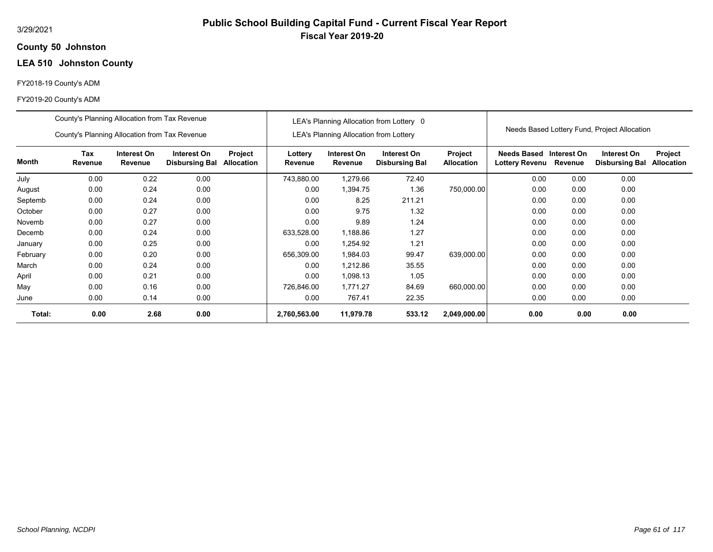### **50 Johnston County**

# **LEA 510 Johnston County**

#### FY2018-19 County's ADM

|          | County's Planning Allocation from Tax Revenue                                                                           |      |      |  |                    |                                               | LEA's Planning Allocation from Lottery 0 |                              |                                           |         |                                              |                              |
|----------|-------------------------------------------------------------------------------------------------------------------------|------|------|--|--------------------|-----------------------------------------------|------------------------------------------|------------------------------|-------------------------------------------|---------|----------------------------------------------|------------------------------|
|          | County's Planning Allocation from Tax Revenue                                                                           |      |      |  |                    | <b>LEA's Planning Allocation from Lottery</b> |                                          |                              |                                           |         | Needs Based Lottery Fund, Project Allocation |                              |
| Month    | <b>Tax</b><br>Interest On<br>Interest On<br>Project<br>Revenue<br>Revenue<br><b>Disbursing Bal</b><br><b>Allocation</b> |      |      |  | Lottery<br>Revenue | Interest On<br>Revenue                        | Interest On<br><b>Disbursing Bal</b>     | Project<br><b>Allocation</b> | Needs Based Interest On<br>Lottery Revenu | Revenue | Interest On<br><b>Disbursing Bal</b>         | Project<br><b>Allocation</b> |
| July     | 0.00                                                                                                                    | 0.22 | 0.00 |  | 743,880.00         | 1,279.66                                      | 72.40                                    |                              | 0.00                                      | 0.00    | 0.00                                         |                              |
| August   | 0.00                                                                                                                    | 0.24 | 0.00 |  | 0.00               | 1,394.75                                      | 1.36                                     | 750,000.00                   | 0.00                                      | 0.00    | 0.00                                         |                              |
| Septemb  | 0.00                                                                                                                    | 0.24 | 0.00 |  | 0.00               | 8.25                                          | 211.21                                   |                              | 0.00                                      | 0.00    | 0.00                                         |                              |
| October  | 0.00                                                                                                                    | 0.27 | 0.00 |  | 0.00               | 9.75                                          | 1.32                                     |                              | 0.00                                      | 0.00    | 0.00                                         |                              |
| Novemb   | 0.00                                                                                                                    | 0.27 | 0.00 |  | 0.00               | 9.89                                          | 1.24                                     |                              | 0.00                                      | 0.00    | 0.00                                         |                              |
| Decemb   | 0.00                                                                                                                    | 0.24 | 0.00 |  | 633,528.00         | 1,188.86                                      | 1.27                                     |                              | 0.00                                      | 0.00    | 0.00                                         |                              |
| January  | 0.00                                                                                                                    | 0.25 | 0.00 |  | 0.00               | 1,254.92                                      | 1.21                                     |                              | 0.00                                      | 0.00    | 0.00                                         |                              |
| February | 0.00                                                                                                                    | 0.20 | 0.00 |  | 656,309.00         | 1,984.03                                      | 99.47                                    | 639,000.00                   | 0.00                                      | 0.00    | 0.00                                         |                              |
| March    | 0.00                                                                                                                    | 0.24 | 0.00 |  | 0.00               | 1,212.86                                      | 35.55                                    |                              | 0.00                                      | 0.00    | 0.00                                         |                              |
| April    | 0.00                                                                                                                    | 0.21 | 0.00 |  | 0.00               | 1,098.13                                      | 1.05                                     |                              | 0.00                                      | 0.00    | 0.00                                         |                              |
| May      | 0.00                                                                                                                    | 0.16 | 0.00 |  | 726,846.00         | 1,771.27                                      | 84.69                                    | 660,000.00                   | 0.00                                      | 0.00    | 0.00                                         |                              |
| June     | 0.00                                                                                                                    | 0.14 | 0.00 |  | 0.00               | 767.41                                        | 22.35                                    |                              | 0.00                                      | 0.00    | 0.00                                         |                              |
| Total:   | 0.00                                                                                                                    | 2.68 | 0.00 |  | 2,760,563.00       | 11,979.78                                     | 533.12                                   | 2,049,000.00                 | 0.00                                      | 0.00    | 0.00                                         |                              |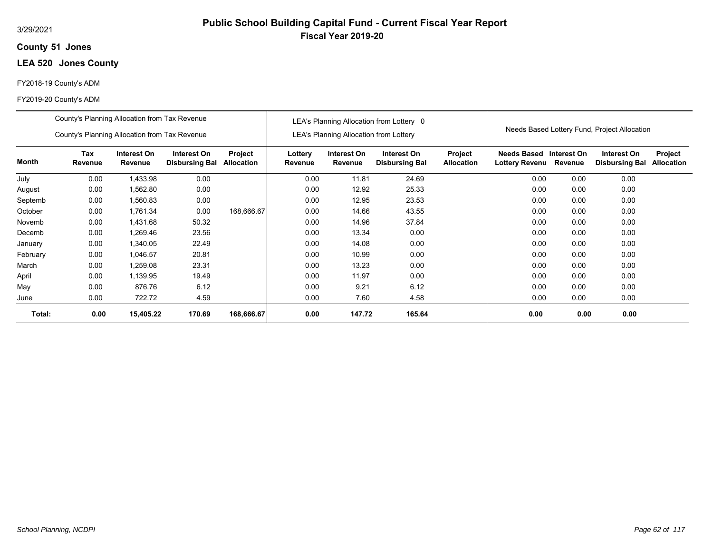### **51 Jones County**

# **LEA 520 Jones County**

#### FY2018-19 County's ADM

|              | County's Planning Allocation from Tax Revenue |                        |                                      |                              |                    | <b>LEA's Planning Allocation from Lottery</b> | LEA's Planning Allocation from Lottery 0 |                              |                                              |             | Needs Based Lottery Fund, Project Allocation |                              |
|--------------|-----------------------------------------------|------------------------|--------------------------------------|------------------------------|--------------------|-----------------------------------------------|------------------------------------------|------------------------------|----------------------------------------------|-------------|----------------------------------------------|------------------------------|
|              | County's Planning Allocation from Tax Revenue |                        |                                      |                              |                    |                                               |                                          |                              |                                              |             |                                              |                              |
| <b>Month</b> | Tax<br>Revenue                                | Interest On<br>Revenue | Interest On<br><b>Disbursing Bal</b> | Project<br><b>Allocation</b> | Lottery<br>Revenue | Interest On<br>Revenue                        | Interest On<br><b>Disbursing Bal</b>     | Project<br><b>Allocation</b> | <b>Needs Based</b><br>Lottery Revenu Revenue | Interest On | Interest On<br><b>Disbursing Bal</b>         | Project<br><b>Allocation</b> |
| July         | 0.00                                          | 1,433.98               | 0.00                                 |                              | 0.00               | 11.81                                         | 24.69                                    |                              | 0.00                                         | 0.00        | 0.00                                         |                              |
| August       | 0.00                                          | 1,562.80               | 0.00                                 |                              | 0.00               | 12.92                                         | 25.33                                    |                              | 0.00                                         | 0.00        | 0.00                                         |                              |
| Septemb      | 0.00                                          | 1,560.83               | 0.00                                 |                              | 0.00               | 12.95                                         | 23.53                                    |                              | 0.00                                         | 0.00        | 0.00                                         |                              |
| October      | 0.00                                          | 1,761.34               | 0.00                                 | 168,666.67                   | 0.00               | 14.66                                         | 43.55                                    |                              | 0.00                                         | 0.00        | 0.00                                         |                              |
| Novemb       | 0.00                                          | 1,431.68               | 50.32                                |                              | 0.00               | 14.96                                         | 37.84                                    |                              | 0.00                                         | 0.00        | 0.00                                         |                              |
| Decemb       | 0.00                                          | 1,269.46               | 23.56                                |                              | 0.00               | 13.34                                         | 0.00                                     |                              | 0.00                                         | 0.00        | 0.00                                         |                              |
| January      | 0.00                                          | 1,340.05               | 22.49                                |                              | 0.00               | 14.08                                         | 0.00                                     |                              | 0.00                                         | 0.00        | 0.00                                         |                              |
| February     | 0.00                                          | 1,046.57               | 20.81                                |                              | 0.00               | 10.99                                         | 0.00                                     |                              | 0.00                                         | 0.00        | 0.00                                         |                              |
| March        | 0.00                                          | 1,259.08               | 23.31                                |                              | 0.00               | 13.23                                         | 0.00                                     |                              | 0.00                                         | 0.00        | 0.00                                         |                              |
| April        | 0.00                                          | 1,139.95               | 19.49                                |                              | 0.00               | 11.97                                         | 0.00                                     |                              | 0.00                                         | 0.00        | 0.00                                         |                              |
| May          | 0.00                                          | 876.76                 | 6.12                                 |                              | 0.00               | 9.21                                          | 6.12                                     |                              | 0.00                                         | 0.00        | 0.00                                         |                              |
| June         | 0.00                                          | 722.72                 | 4.59                                 |                              | 0.00               | 7.60                                          | 4.58                                     |                              | 0.00                                         | 0.00        | 0.00                                         |                              |
| Total:       | 0.00                                          | 15,405.22              | 170.69                               | 168,666.67                   | 0.00               | 147.72                                        | 165.64                                   |                              | 0.00                                         | 0.00        | 0.00                                         |                              |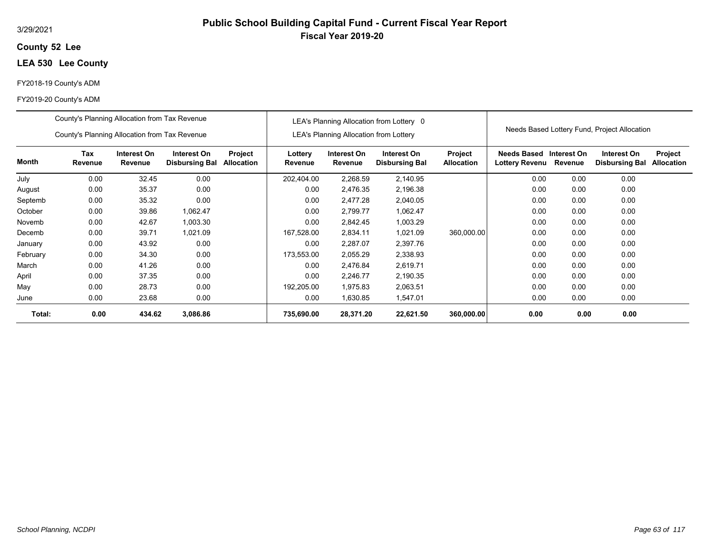#### 3/29/2021

### **52 Lee County**

# **LEA 530 Lee County**

#### FY2018-19 County's ADM

|          | County's Planning Allocation from Tax Revenue |                        |                                      |                              |                    | <b>LEA's Planning Allocation from Lottery</b> | LEA's Planning Allocation from Lottery 0 |                                     |                                             |                        | Needs Based Lottery Fund, Project Allocation |                              |
|----------|-----------------------------------------------|------------------------|--------------------------------------|------------------------------|--------------------|-----------------------------------------------|------------------------------------------|-------------------------------------|---------------------------------------------|------------------------|----------------------------------------------|------------------------------|
|          | County's Planning Allocation from Tax Revenue |                        |                                      |                              |                    |                                               |                                          |                                     |                                             |                        |                                              |                              |
| Month    | <b>Tax</b><br>Revenue                         | Interest On<br>Revenue | Interest On<br><b>Disbursing Bal</b> | Project<br><b>Allocation</b> | Lottery<br>Revenue | Interest On<br>Revenue                        | Interest On<br><b>Disbursing Bal</b>     | <b>Project</b><br><b>Allocation</b> | <b>Needs Based</b><br><b>Lottery Revenu</b> | Interest On<br>Revenue | Interest On<br><b>Disbursing Bal</b>         | Project<br><b>Allocation</b> |
| July     | 0.00                                          | 32.45                  | 0.00                                 |                              | 202,404.00         | 2,268.59                                      | 2,140.95                                 |                                     | 0.00                                        | 0.00                   | 0.00                                         |                              |
| August   | 0.00                                          | 35.37                  | 0.00                                 |                              | 0.00               | 2,476.35                                      | 2,196.38                                 |                                     | 0.00                                        | 0.00                   | 0.00                                         |                              |
| Septemb  | 0.00                                          | 35.32                  | 0.00                                 |                              | 0.00               | 2,477.28                                      | 2,040.05                                 |                                     | 0.00                                        | 0.00                   | 0.00                                         |                              |
| October  | 0.00                                          | 39.86                  | 1,062.47                             |                              | 0.00               | 2,799.77                                      | 1,062.47                                 |                                     | 0.00                                        | 0.00                   | 0.00                                         |                              |
| Novemb   | 0.00                                          | 42.67                  | 1,003.30                             |                              | 0.00               | 2,842.45                                      | 1,003.29                                 |                                     | 0.00                                        | 0.00                   | 0.00                                         |                              |
| Decemb   | 0.00                                          | 39.71                  | 1,021.09                             |                              | 167,528.00         | 2,834.11                                      | 1,021.09                                 | 360,000.00                          | 0.00                                        | 0.00                   | 0.00                                         |                              |
| January  | 0.00                                          | 43.92                  | 0.00                                 |                              | 0.00               | 2,287.07                                      | 2,397.76                                 |                                     | 0.00                                        | 0.00                   | 0.00                                         |                              |
| February | 0.00                                          | 34.30                  | 0.00                                 |                              | 173,553.00         | 2,055.29                                      | 2,338.93                                 |                                     | 0.00                                        | 0.00                   | 0.00                                         |                              |
| March    | 0.00                                          | 41.26                  | 0.00                                 |                              | 0.00               | 2.476.84                                      | 2,619.71                                 |                                     | 0.00                                        | 0.00                   | 0.00                                         |                              |
| April    | 0.00                                          | 37.35                  | 0.00                                 |                              | 0.00               | 2,246.77                                      | 2,190.35                                 |                                     | 0.00                                        | 0.00                   | 0.00                                         |                              |
| May      | 0.00                                          | 28.73                  | 0.00                                 |                              | 192,205.00         | 1,975.83                                      | 2,063.51                                 |                                     | 0.00                                        | 0.00                   | 0.00                                         |                              |
| June     | 0.00                                          | 23.68                  | 0.00                                 |                              | 0.00               | 1,630.85                                      | 1,547.01                                 |                                     | 0.00                                        | 0.00                   | 0.00                                         |                              |
| Total:   | 0.00                                          | 434.62                 | 3,086.86                             |                              | 735,690.00         | 28,371.20                                     | 22,621.50                                | 360,000.00                          | 0.00                                        | 0.00                   | 0.00                                         |                              |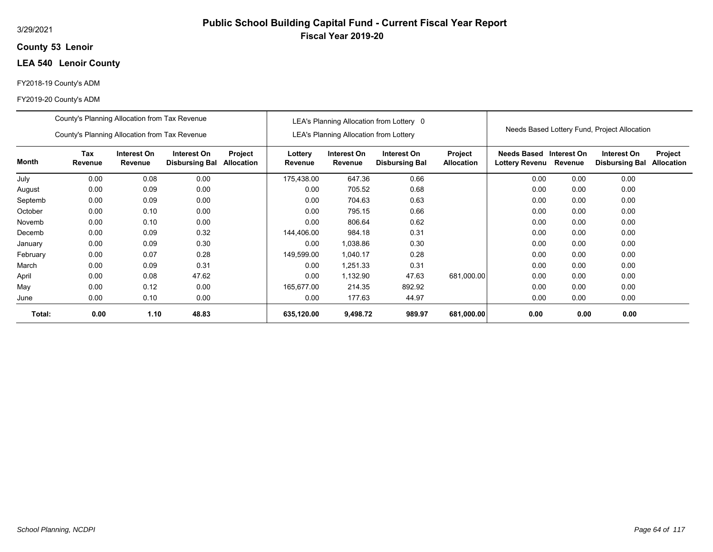#### 3/29/2021

### **53 Lenoir County**

# **LEA 540 Lenoir County**

#### FY2018-19 County's ADM

|          | County's Planning Allocation from Tax Revenue |                        |                                      |                       |                    |                                               | LEA's Planning Allocation from Lottery 0 |                              |                               |                        |                                              |                              |
|----------|-----------------------------------------------|------------------------|--------------------------------------|-----------------------|--------------------|-----------------------------------------------|------------------------------------------|------------------------------|-------------------------------|------------------------|----------------------------------------------|------------------------------|
|          | County's Planning Allocation from Tax Revenue |                        |                                      |                       |                    | <b>LEA's Planning Allocation from Lottery</b> |                                          |                              |                               |                        | Needs Based Lottery Fund, Project Allocation |                              |
| Month    | Tax<br>Revenue                                | Interest On<br>Revenue | Interest On<br><b>Disbursing Bal</b> | Project<br>Allocation | Lottery<br>Revenue | Interest On<br>Revenue                        | Interest On<br><b>Disbursing Bal</b>     | Project<br><b>Allocation</b> | Needs Based<br>Lottery Revenu | Interest On<br>Revenue | Interest On<br><b>Disbursing Bal</b>         | Project<br><b>Allocation</b> |
| July     | 0.00                                          | 0.08                   | 0.00                                 |                       | 175,438.00         | 647.36                                        | 0.66                                     |                              | 0.00                          | 0.00                   | 0.00                                         |                              |
| August   | 0.00                                          | 0.09                   | 0.00                                 |                       | 0.00               | 705.52                                        | 0.68                                     |                              | 0.00                          | 0.00                   | 0.00                                         |                              |
| Septemb  | 0.00                                          | 0.09                   | 0.00                                 |                       | 0.00               | 704.63                                        | 0.63                                     |                              | 0.00                          | 0.00                   | 0.00                                         |                              |
| October  | 0.00                                          | 0.10                   | 0.00                                 |                       | 0.00               | 795.15                                        | 0.66                                     |                              | 0.00                          | 0.00                   | 0.00                                         |                              |
| Novemb   | 0.00                                          | 0.10                   | 0.00                                 |                       | 0.00               | 806.64                                        | 0.62                                     |                              | 0.00                          | 0.00                   | 0.00                                         |                              |
| Decemb   | 0.00                                          | 0.09                   | 0.32                                 |                       | 144,406.00         | 984.18                                        | 0.31                                     |                              | 0.00                          | 0.00                   | 0.00                                         |                              |
| January  | 0.00                                          | 0.09                   | 0.30                                 |                       | 0.00               | 1,038.86                                      | 0.30                                     |                              | 0.00                          | 0.00                   | 0.00                                         |                              |
| February | 0.00                                          | 0.07                   | 0.28                                 |                       | 149,599.00         | 1,040.17                                      | 0.28                                     |                              | 0.00                          | 0.00                   | 0.00                                         |                              |
| March    | 0.00                                          | 0.09                   | 0.31                                 |                       | 0.00               | 1,251.33                                      | 0.31                                     |                              | 0.00                          | 0.00                   | 0.00                                         |                              |
| April    | 0.00                                          | 0.08                   | 47.62                                |                       | 0.00               | 1,132.90                                      | 47.63                                    | 681,000.00                   | 0.00                          | 0.00                   | 0.00                                         |                              |
| May      | 0.00                                          | 0.12                   | 0.00                                 |                       | 165,677.00         | 214.35                                        | 892.92                                   |                              | 0.00                          | 0.00                   | 0.00                                         |                              |
| June     | 0.00                                          | 0.10                   | 0.00                                 |                       | 0.00               | 177.63                                        | 44.97                                    |                              | 0.00                          | 0.00                   | 0.00                                         |                              |
| Total:   | 0.00                                          | 1.10                   | 48.83                                |                       | 635,120.00         | 9,498.72                                      | 989.97                                   | 681,000.00                   | 0.00                          | 0.00                   | 0.00                                         |                              |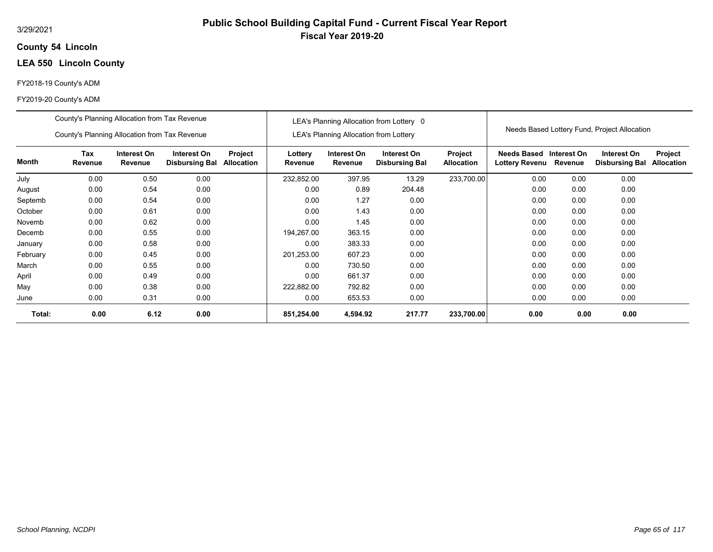### **54 Lincoln County**

# **LEA 550 Lincoln County**

#### FY2018-19 County's ADM

|          | County's Planning Allocation from Tax Revenue                                                             |      |      |  |                    |                                               | LEA's Planning Allocation from Lottery 0 |                              |                                                  |         |                                              |                              |
|----------|-----------------------------------------------------------------------------------------------------------|------|------|--|--------------------|-----------------------------------------------|------------------------------------------|------------------------------|--------------------------------------------------|---------|----------------------------------------------|------------------------------|
|          | County's Planning Allocation from Tax Revenue                                                             |      |      |  |                    | <b>LEA's Planning Allocation from Lottery</b> |                                          |                              |                                                  |         | Needs Based Lottery Fund, Project Allocation |                              |
| Month    | Tax<br>Interest On<br>Interest On<br>Project<br>Revenue<br>Revenue<br>Allocation<br><b>Disbursing Bal</b> |      |      |  | Lottery<br>Revenue | Interest On<br>Revenue                        | Interest On<br><b>Disbursing Bal</b>     | Project<br><b>Allocation</b> | Needs Based Interest On<br><b>Lottery Revenu</b> | Revenue | Interest On<br><b>Disbursing Bal</b>         | Project<br><b>Allocation</b> |
| July     | 0.00                                                                                                      | 0.50 | 0.00 |  | 232,852.00         | 397.95                                        | 13.29                                    | 233,700.00                   | 0.00                                             | 0.00    | 0.00                                         |                              |
| August   | 0.00                                                                                                      | 0.54 | 0.00 |  | 0.00               | 0.89                                          | 204.48                                   |                              | 0.00                                             | 0.00    | 0.00                                         |                              |
| Septemb  | 0.00                                                                                                      | 0.54 | 0.00 |  | 0.00               | 1.27                                          | 0.00                                     |                              | 0.00                                             | 0.00    | 0.00                                         |                              |
| October  | 0.00                                                                                                      | 0.61 | 0.00 |  | 0.00               | 1.43                                          | 0.00                                     |                              | 0.00                                             | 0.00    | 0.00                                         |                              |
| Novemb   | 0.00                                                                                                      | 0.62 | 0.00 |  | 0.00               | 1.45                                          | 0.00                                     |                              | 0.00                                             | 0.00    | 0.00                                         |                              |
| Decemb   | 0.00                                                                                                      | 0.55 | 0.00 |  | 194,267.00         | 363.15                                        | 0.00                                     |                              | 0.00                                             | 0.00    | 0.00                                         |                              |
| January  | 0.00                                                                                                      | 0.58 | 0.00 |  | 0.00               | 383.33                                        | 0.00                                     |                              | 0.00                                             | 0.00    | 0.00                                         |                              |
| February | 0.00                                                                                                      | 0.45 | 0.00 |  | 201,253.00         | 607.23                                        | 0.00                                     |                              | 0.00                                             | 0.00    | 0.00                                         |                              |
| March    | 0.00                                                                                                      | 0.55 | 0.00 |  | 0.00               | 730.50                                        | 0.00                                     |                              | 0.00                                             | 0.00    | 0.00                                         |                              |
| April    | 0.00                                                                                                      | 0.49 | 0.00 |  | 0.00               | 661.37                                        | 0.00                                     |                              | 0.00                                             | 0.00    | 0.00                                         |                              |
| May      | 0.00                                                                                                      | 0.38 | 0.00 |  | 222,882.00         | 792.82                                        | 0.00                                     |                              | 0.00                                             | 0.00    | 0.00                                         |                              |
| June     | 0.00                                                                                                      | 0.31 | 0.00 |  | 0.00               | 653.53                                        | 0.00                                     |                              | 0.00                                             | 0.00    | 0.00                                         |                              |
| Total:   | 0.00                                                                                                      | 6.12 | 0.00 |  | 851,254.00         | 4,594.92                                      | 217.77                                   | 233,700.00                   | 0.00                                             | 0.00    | 0.00                                         |                              |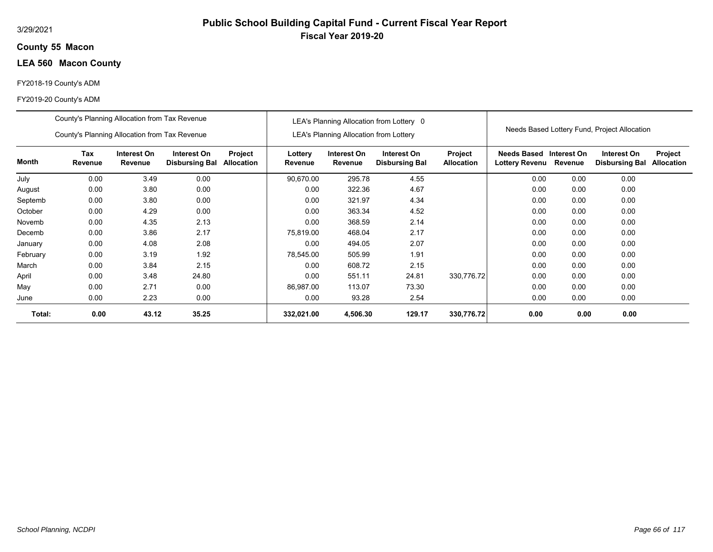### **55 Macon County**

# **LEA 560 Macon County**

#### FY2018-19 County's ADM

|          | County's Planning Allocation from Tax Revenue |                        |                                      |                       |                    |                                               | LEA's Planning Allocation from Lottery 0 |                              |                                      |                        | Needs Based Lottery Fund, Project Allocation |                              |
|----------|-----------------------------------------------|------------------------|--------------------------------------|-----------------------|--------------------|-----------------------------------------------|------------------------------------------|------------------------------|--------------------------------------|------------------------|----------------------------------------------|------------------------------|
|          | County's Planning Allocation from Tax Revenue |                        |                                      |                       |                    | <b>LEA's Planning Allocation from Lottery</b> |                                          |                              |                                      |                        |                                              |                              |
| Month    | Tax<br>Revenue                                | Interest On<br>Revenue | Interest On<br><b>Disbursing Bal</b> | Project<br>Allocation | Lottery<br>Revenue | Interest On<br>Revenue                        | Interest On<br><b>Disbursing Bal</b>     | Project<br><b>Allocation</b> | <b>Needs Based</b><br>Lottery Revenu | Interest On<br>Revenue | Interest On<br><b>Disbursing Bal</b>         | Project<br><b>Allocation</b> |
| July     | 0.00                                          | 3.49                   | 0.00                                 |                       | 90,670.00          | 295.78                                        | 4.55                                     |                              | 0.00                                 | 0.00                   | 0.00                                         |                              |
| August   | 0.00                                          | 3.80                   | 0.00                                 |                       | 0.00               | 322.36                                        | 4.67                                     |                              | 0.00                                 | 0.00                   | 0.00                                         |                              |
| Septemb  | 0.00                                          | 3.80                   | 0.00                                 |                       | 0.00               | 321.97                                        | 4.34                                     |                              | 0.00                                 | 0.00                   | 0.00                                         |                              |
| October  | 0.00                                          | 4.29                   | 0.00                                 |                       | 0.00               | 363.34                                        | 4.52                                     |                              | 0.00                                 | 0.00                   | 0.00                                         |                              |
| Novemb   | 0.00                                          | 4.35                   | 2.13                                 |                       | 0.00               | 368.59                                        | 2.14                                     |                              | 0.00                                 | 0.00                   | 0.00                                         |                              |
| Decemb   | 0.00                                          | 3.86                   | 2.17                                 |                       | 75,819.00          | 468.04                                        | 2.17                                     |                              | 0.00                                 | 0.00                   | 0.00                                         |                              |
| January  | 0.00                                          | 4.08                   | 2.08                                 |                       | 0.00               | 494.05                                        | 2.07                                     |                              | 0.00                                 | 0.00                   | 0.00                                         |                              |
| February | 0.00                                          | 3.19                   | 1.92                                 |                       | 78,545.00          | 505.99                                        | 1.91                                     |                              | 0.00                                 | 0.00                   | 0.00                                         |                              |
| March    | 0.00                                          | 3.84                   | 2.15                                 |                       | 0.00               | 608.72                                        | 2.15                                     |                              | 0.00                                 | 0.00                   | 0.00                                         |                              |
| April    | 0.00                                          | 3.48                   | 24.80                                |                       | 0.00               | 551.11                                        | 24.81                                    | 330,776.72                   | 0.00                                 | 0.00                   | 0.00                                         |                              |
| May      | 0.00                                          | 2.71                   | 0.00                                 |                       | 86,987.00          | 113.07                                        | 73.30                                    |                              | 0.00                                 | 0.00                   | 0.00                                         |                              |
| June     | 0.00                                          | 2.23                   | 0.00                                 |                       | 0.00               | 93.28                                         | 2.54                                     |                              | 0.00                                 | 0.00                   | 0.00                                         |                              |
| Total:   | 0.00                                          | 43.12                  | 35.25                                |                       | 332,021.00         | 4,506.30                                      | 129.17                                   | 330,776.72                   | 0.00                                 | 0.00                   | 0.00                                         |                              |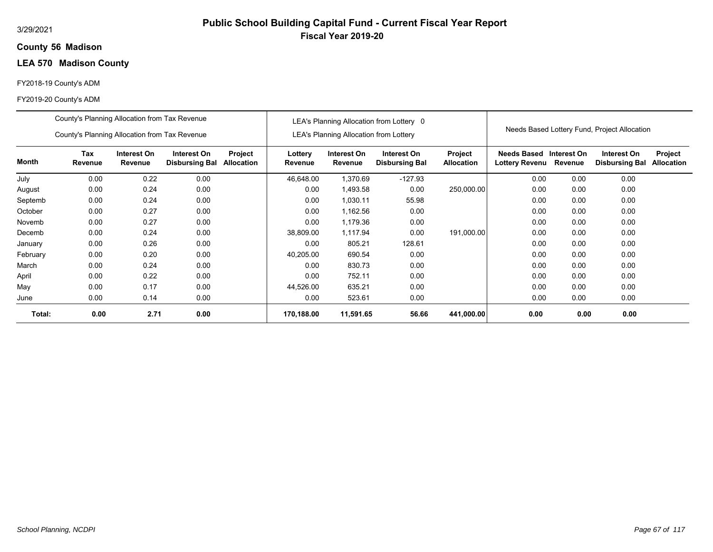### **56 Madison County**

# **LEA 570 Madison County**

#### FY2018-19 County's ADM

|          | County's Planning Allocation from Tax Revenue |                        |                                      |                              |                    |                                               | LEA's Planning Allocation from Lottery 0 |                              |                                           |         |                                              |                              |
|----------|-----------------------------------------------|------------------------|--------------------------------------|------------------------------|--------------------|-----------------------------------------------|------------------------------------------|------------------------------|-------------------------------------------|---------|----------------------------------------------|------------------------------|
|          | County's Planning Allocation from Tax Revenue |                        |                                      |                              |                    | <b>LEA's Planning Allocation from Lottery</b> |                                          |                              |                                           |         | Needs Based Lottery Fund, Project Allocation |                              |
| Month    | <b>Tax</b><br>Revenue                         | Interest On<br>Revenue | Interest On<br><b>Disbursing Bal</b> | Project<br><b>Allocation</b> | Lottery<br>Revenue | Interest On<br>Revenue                        | Interest On<br><b>Disbursing Bal</b>     | Project<br><b>Allocation</b> | Needs Based Interest On<br>Lottery Revenu | Revenue | Interest On<br><b>Disbursing Bal</b>         | Project<br><b>Allocation</b> |
| July     | 0.00                                          | 0.22                   | 0.00                                 |                              | 46,648.00          | 1,370.69                                      | $-127.93$                                |                              | 0.00                                      | 0.00    | 0.00                                         |                              |
| August   | 0.00                                          | 0.24                   | 0.00                                 |                              | 0.00               | 1,493.58                                      | 0.00                                     | 250,000.00                   | 0.00                                      | 0.00    | 0.00                                         |                              |
| Septemb  | 0.00                                          | 0.24                   | 0.00                                 |                              | 0.00               | 1,030.11                                      | 55.98                                    |                              | 0.00                                      | 0.00    | 0.00                                         |                              |
| October  | 0.00                                          | 0.27                   | 0.00                                 |                              | 0.00               | 1,162.56                                      | 0.00                                     |                              | 0.00                                      | 0.00    | 0.00                                         |                              |
| Novemb   | 0.00                                          | 0.27                   | 0.00                                 |                              | 0.00               | 1,179.36                                      | 0.00                                     |                              | 0.00                                      | 0.00    | 0.00                                         |                              |
| Decemb   | 0.00                                          | 0.24                   | 0.00                                 |                              | 38,809.00          | 1,117.94                                      | 0.00                                     | 191,000.00                   | 0.00                                      | 0.00    | 0.00                                         |                              |
| January  | 0.00                                          | 0.26                   | 0.00                                 |                              | 0.00               | 805.21                                        | 128.61                                   |                              | 0.00                                      | 0.00    | 0.00                                         |                              |
| February | 0.00                                          | 0.20                   | 0.00                                 |                              | 40,205.00          | 690.54                                        | 0.00                                     |                              | 0.00                                      | 0.00    | 0.00                                         |                              |
| March    | 0.00                                          | 0.24                   | 0.00                                 |                              | 0.00               | 830.73                                        | 0.00                                     |                              | 0.00                                      | 0.00    | 0.00                                         |                              |
| April    | 0.00                                          | 0.22                   | 0.00                                 |                              | 0.00               | 752.11                                        | 0.00                                     |                              | 0.00                                      | 0.00    | 0.00                                         |                              |
| May      | 0.00                                          | 0.17                   | 0.00                                 |                              | 44,526.00          | 635.21                                        | 0.00                                     |                              | 0.00                                      | 0.00    | 0.00                                         |                              |
| June     | 0.00                                          | 0.14                   | 0.00                                 |                              | 0.00               | 523.61                                        | 0.00                                     |                              | 0.00                                      | 0.00    | 0.00                                         |                              |
| Total:   | 0.00                                          | 2.71                   | 0.00                                 |                              | 170,188.00         | 11,591.65                                     | 56.66                                    | 441,000.00                   | 0.00                                      | 0.00    | 0.00                                         |                              |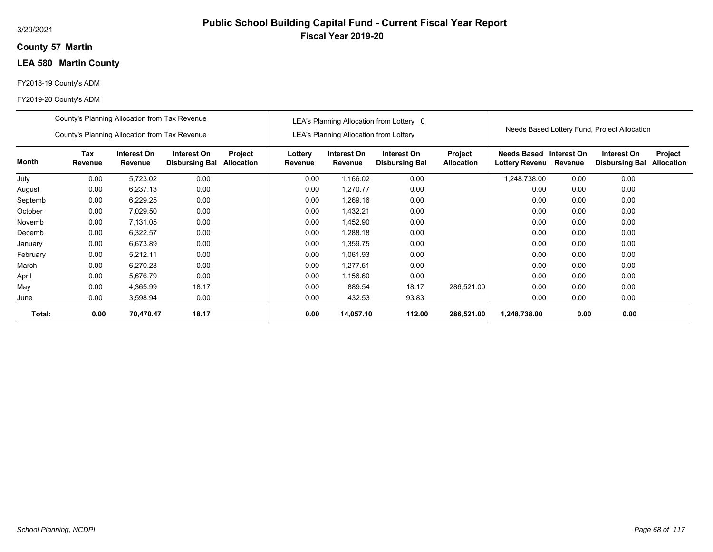### **57 Martin County**

# **LEA 580 Martin County**

#### FY2018-19 County's ADM

|          | County's Planning Allocation from Tax Revenue |                        |                                      |                              |                    |                                               | LEA's Planning Allocation from Lottery 0 |                              |                                      |                        |                                              |                              |
|----------|-----------------------------------------------|------------------------|--------------------------------------|------------------------------|--------------------|-----------------------------------------------|------------------------------------------|------------------------------|--------------------------------------|------------------------|----------------------------------------------|------------------------------|
|          | County's Planning Allocation from Tax Revenue |                        |                                      |                              |                    | <b>LEA's Planning Allocation from Lottery</b> |                                          |                              |                                      |                        | Needs Based Lottery Fund, Project Allocation |                              |
| Month    | Tax<br>Revenue                                | Interest On<br>Revenue | Interest On<br><b>Disbursing Bal</b> | Project<br><b>Allocation</b> | Lottery<br>Revenue | Interest On<br>Revenue                        | Interest On<br><b>Disbursing Bal</b>     | Project<br><b>Allocation</b> | <b>Needs Based</b><br>Lottery Revenu | Interest On<br>Revenue | Interest On<br><b>Disbursing Bal</b>         | Project<br><b>Allocation</b> |
| July     | 0.00                                          | 5,723.02               | 0.00                                 |                              | 0.00               | 1,166.02                                      | 0.00                                     |                              | .248,738.00                          | 0.00                   | 0.00                                         |                              |
| August   | 0.00                                          | 6,237.13               | 0.00                                 |                              | 0.00               | 1,270.77                                      | 0.00                                     |                              | 0.00                                 | 0.00                   | 0.00                                         |                              |
| Septemb  | 0.00                                          | 6,229.25               | 0.00                                 |                              | 0.00               | 1,269.16                                      | 0.00                                     |                              | 0.00                                 | 0.00                   | 0.00                                         |                              |
| October  | 0.00                                          | 7,029.50               | 0.00                                 |                              | 0.00               | 1,432.21                                      | 0.00                                     |                              | 0.00                                 | 0.00                   | 0.00                                         |                              |
| Novemb   | 0.00                                          | 7,131.05               | 0.00                                 |                              | 0.00               | 1,452.90                                      | 0.00                                     |                              | 0.00                                 | 0.00                   | 0.00                                         |                              |
| Decemb   | 0.00                                          | 6,322.57               | 0.00                                 |                              | 0.00               | 1,288.18                                      | 0.00                                     |                              | 0.00                                 | 0.00                   | 0.00                                         |                              |
| January  | 0.00                                          | 6,673.89               | 0.00                                 |                              | 0.00               | 1.359.75                                      | 0.00                                     |                              | 0.00                                 | 0.00                   | 0.00                                         |                              |
| February | 0.00                                          | 5,212.11               | 0.00                                 |                              | 0.00               | 1,061.93                                      | 0.00                                     |                              | 0.00                                 | 0.00                   | 0.00                                         |                              |
| March    | 0.00                                          | 6,270.23               | 0.00                                 |                              | 0.00               | 1,277.51                                      | 0.00                                     |                              | 0.00                                 | 0.00                   | 0.00                                         |                              |
| April    | 0.00                                          | 5,676.79               | 0.00                                 |                              | 0.00               | 1,156.60                                      | 0.00                                     |                              | 0.00                                 | 0.00                   | 0.00                                         |                              |
| May      | 0.00                                          | 4,365.99               | 18.17                                |                              | 0.00               | 889.54                                        | 18.17                                    | 286,521.00                   | 0.00                                 | 0.00                   | 0.00                                         |                              |
| June     | 0.00                                          | 3,598.94               | 0.00                                 |                              | 0.00               | 432.53                                        | 93.83                                    |                              | 0.00                                 | 0.00                   | 0.00                                         |                              |
| Total:   | 0.00                                          | 70,470.47              | 18.17                                |                              | 0.00               | 14,057.10                                     | 112.00                                   | 286,521.00                   | 1,248,738.00                         | 0.00                   | 0.00                                         |                              |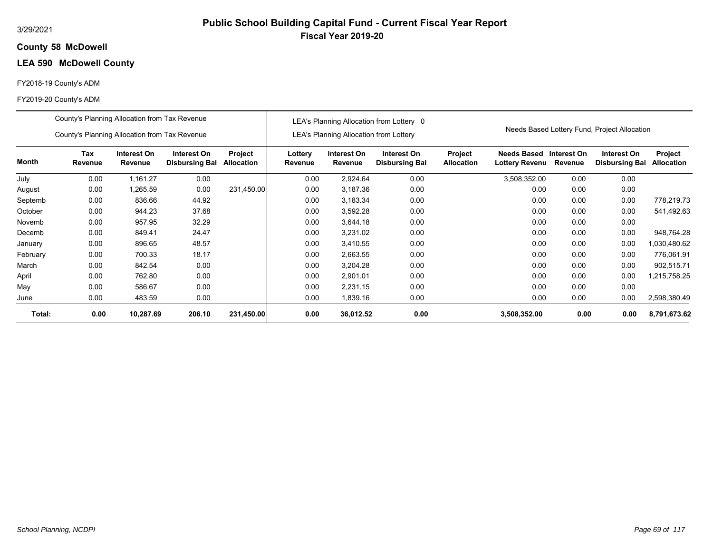### **58 McDowell County**

# **LEA 590 McDowell County**

#### FY2018-19 County's ADM

#### FY2019-20 County's ADM

|              | County's Planning Allocation from Tax Revenue |                        |                                      |                              |                    |                                               | LEA's Planning Allocation from Lottery 0 |                              |                                                          |      |                                              |                              |
|--------------|-----------------------------------------------|------------------------|--------------------------------------|------------------------------|--------------------|-----------------------------------------------|------------------------------------------|------------------------------|----------------------------------------------------------|------|----------------------------------------------|------------------------------|
|              | County's Planning Allocation from Tax Revenue |                        |                                      |                              |                    | <b>LEA's Planning Allocation from Lottery</b> |                                          |                              |                                                          |      | Needs Based Lottery Fund, Project Allocation |                              |
| <b>Month</b> | Tax<br>Revenue                                | Interest On<br>Revenue | Interest On<br><b>Disbursing Bal</b> | Project<br><b>Allocation</b> | Lottery<br>Revenue | Interest On<br>Revenue                        | Interest On<br><b>Disbursing Bal</b>     | Project<br><b>Allocation</b> | <b>Needs Based Interest On</b><br>Lottery Revenu Revenue |      | Interest On<br><b>Disbursing Bal</b>         | Project<br><b>Allocation</b> |
| July         | 0.00                                          | 1,161.27               | 0.00                                 |                              | 0.00               | 2,924.64                                      | 0.00                                     |                              | 3,508,352.00                                             | 0.00 | 0.00                                         |                              |
| August       | 0.00                                          | 1,265.59               | 0.00                                 | 231,450.00                   | 0.00               | 3,187.36                                      | 0.00                                     |                              | 0.00                                                     | 0.00 | 0.00                                         |                              |
| Septemb      | 0.00                                          | 836.66                 | 44.92                                |                              | 0.00               | 3,183.34                                      | 0.00                                     |                              | 0.00                                                     | 0.00 | 0.00                                         | 778,219.73                   |
| October      | 0.00                                          | 944.23                 | 37.68                                |                              | 0.00               | 3,592.28                                      | 0.00                                     |                              | 0.00                                                     | 0.00 | 0.00                                         | 541,492.63                   |
| Novemb       | 0.00                                          | 957.95                 | 32.29                                |                              | 0.00               | 3,644.18                                      | 0.00                                     |                              | 0.00                                                     | 0.00 | 0.00                                         |                              |
| Decemb       | 0.00                                          | 849.41                 | 24.47                                |                              | 0.00               | 3,231.02                                      | 0.00                                     |                              | 0.00                                                     | 0.00 | 0.00                                         | 948,764.28                   |
| January      | 0.00                                          | 896.65                 | 48.57                                |                              | 0.00               | 3,410.55                                      | 0.00                                     |                              | 0.00                                                     | 0.00 | 0.00                                         | 1,030,480.62                 |
| February     | 0.00                                          | 700.33                 | 18.17                                |                              | 0.00               | 2,663.55                                      | 0.00                                     |                              | 0.00                                                     | 0.00 | 0.00                                         | 776,061.91                   |
| March        | 0.00                                          | 842.54                 | 0.00                                 |                              | 0.00               | 3,204.28                                      | 0.00                                     |                              | 0.00                                                     | 0.00 | 0.00                                         | 902,515.71                   |
| April        | 0.00                                          | 762.80                 | 0.00                                 |                              | 0.00               | 2,901.01                                      | 0.00                                     |                              | 0.00                                                     | 0.00 | 0.00                                         | 1,215,758.25                 |
| May          | 0.00                                          | 586.67                 | 0.00                                 |                              | 0.00               | 2,231.15                                      | 0.00                                     |                              | 0.00                                                     | 0.00 | 0.00                                         |                              |
| June         | 0.00                                          | 483.59                 | 0.00                                 |                              | 0.00               | 1,839.16                                      | 0.00                                     |                              | 0.00                                                     | 0.00 | 0.00                                         | 2,598,380.49                 |
| Total:       | 0.00                                          | 10,287.69              | 206.10                               | 231,450.00                   | 0.00               | 36,012.52                                     | 0.00                                     |                              | 3,508,352.00                                             | 0.00 | 0.00                                         | 8,791,673.62                 |

**Public School Building Capital Fund - Current Fiscal Year Report**

**Fiscal Year 2019-20**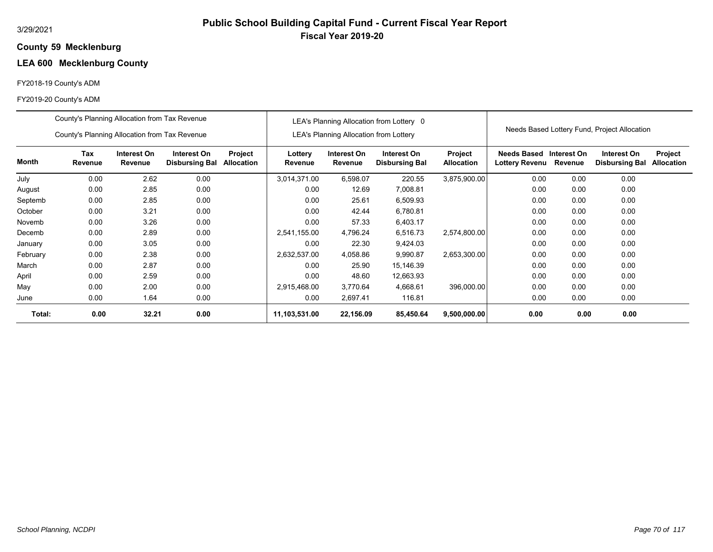# **Public School Building Capital Fund - Current Fiscal Year Report Fiscal Year 2019-20**

#### **59 Mecklenburg County**

# **LEA 600 Mecklenburg County**

### FY2018-19 County's ADM

|          | County's Planning Allocation from Tax Revenue |                        |                                      |                              |                    |                                               | LEA's Planning Allocation from Lottery 0 |                              |                                      |                        |                                              |                              |
|----------|-----------------------------------------------|------------------------|--------------------------------------|------------------------------|--------------------|-----------------------------------------------|------------------------------------------|------------------------------|--------------------------------------|------------------------|----------------------------------------------|------------------------------|
|          | County's Planning Allocation from Tax Revenue |                        |                                      |                              |                    | <b>LEA's Planning Allocation from Lottery</b> |                                          |                              |                                      |                        | Needs Based Lottery Fund, Project Allocation |                              |
| Month    | Tax<br>Revenue                                | Interest On<br>Revenue | Interest On<br><b>Disbursing Bal</b> | Project<br><b>Allocation</b> | Lottery<br>Revenue | Interest On<br>Revenue                        | Interest On<br><b>Disbursing Bal</b>     | Project<br><b>Allocation</b> | <b>Needs Based</b><br>Lottery Revenu | Interest On<br>Revenue | Interest On<br><b>Disbursing Bal</b>         | Project<br><b>Allocation</b> |
| July     | 0.00                                          | 2.62                   | 0.00                                 |                              | 3,014,371.00       | 6,598.07                                      | 220.55                                   | 3,875,900.00                 | 0.00                                 | 0.00                   | 0.00                                         |                              |
| August   | 0.00                                          | 2.85                   | 0.00                                 |                              | 0.00               | 12.69                                         | 7,008.81                                 |                              | 0.00                                 | 0.00                   | 0.00                                         |                              |
| Septemb  | 0.00                                          | 2.85                   | 0.00                                 |                              | 0.00               | 25.61                                         | 6,509.93                                 |                              | 0.00                                 | 0.00                   | 0.00                                         |                              |
| October  | 0.00                                          | 3.21                   | 0.00                                 |                              | 0.00               | 42.44                                         | 6,780.81                                 |                              | 0.00                                 | 0.00                   | 0.00                                         |                              |
| Novemb   | 0.00                                          | 3.26                   | 0.00                                 |                              | 0.00               | 57.33                                         | 6,403.17                                 |                              | 0.00                                 | 0.00                   | 0.00                                         |                              |
| Decemb   | 0.00                                          | 2.89                   | 0.00                                 |                              | 2,541,155.00       | 4,796.24                                      | 6,516.73                                 | 2,574,800.00                 | 0.00                                 | 0.00                   | 0.00                                         |                              |
| January  | 0.00                                          | 3.05                   | 0.00                                 |                              | 0.00               | 22.30                                         | 9,424.03                                 |                              | 0.00                                 | 0.00                   | 0.00                                         |                              |
| February | 0.00                                          | 2.38                   | 0.00                                 |                              | 2,632,537.00       | 4,058.86                                      | 9,990.87                                 | 2,653,300.00                 | 0.00                                 | 0.00                   | 0.00                                         |                              |
| March    | 0.00                                          | 2.87                   | 0.00                                 |                              | 0.00               | 25.90                                         | 15,146.39                                |                              | 0.00                                 | 0.00                   | 0.00                                         |                              |
| April    | 0.00                                          | 2.59                   | 0.00                                 |                              | 0.00               | 48.60                                         | 12,663.93                                |                              | 0.00                                 | 0.00                   | 0.00                                         |                              |
| May      | 0.00                                          | 2.00                   | 0.00                                 |                              | 2,915,468.00       | 3,770.64                                      | 4,668.61                                 | 396,000.00                   | 0.00                                 | 0.00                   | 0.00                                         |                              |
| June     | 0.00                                          | 1.64                   | 0.00                                 |                              | 0.00               | 2,697.41                                      | 116.81                                   |                              | 0.00                                 | 0.00                   | 0.00                                         |                              |
| Total:   | 0.00                                          | 32.21                  | 0.00                                 |                              | 11,103,531.00      | 22,156.09                                     | 85,450.64                                | 9,500,000.00                 | 0.00                                 | 0.00                   | 0.00                                         |                              |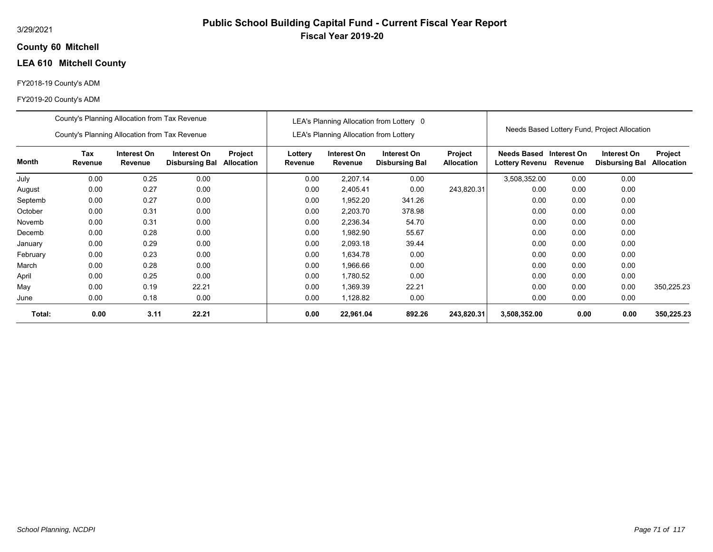### **60 Mitchell County**

# **LEA 610 Mitchell County**

### FY2018-19 County's ADM

|          | County's Planning Allocation from Tax Revenue |                        |                                      |                              |                    |                                               | LEA's Planning Allocation from Lottery 0 |                              |                                                   |      | Needs Based Lottery Fund, Project Allocation |                              |
|----------|-----------------------------------------------|------------------------|--------------------------------------|------------------------------|--------------------|-----------------------------------------------|------------------------------------------|------------------------------|---------------------------------------------------|------|----------------------------------------------|------------------------------|
|          | County's Planning Allocation from Tax Revenue |                        |                                      |                              |                    | <b>LEA's Planning Allocation from Lottery</b> |                                          |                              |                                                   |      |                                              |                              |
| Month    | Tax<br>Revenue                                | Interest On<br>Revenue | Interest On<br><b>Disbursing Bal</b> | Project<br><b>Allocation</b> | Lottery<br>Revenue | Interest On<br>Revenue                        | Interest On<br><b>Disbursing Bal</b>     | Project<br><b>Allocation</b> | Needs Based Interest On<br>Lottery Revenu Revenue |      | Interest On<br><b>Disbursing Bal</b>         | Project<br><b>Allocation</b> |
| July     | 0.00                                          | 0.25                   | 0.00                                 |                              | 0.00               | 2,207.14                                      | 0.00                                     |                              | 3,508,352.00                                      | 0.00 | 0.00                                         |                              |
| August   | 0.00                                          | 0.27                   | 0.00                                 |                              | 0.00               | 2,405.41                                      | 0.00                                     | 243,820.31                   | 0.00                                              | 0.00 | 0.00                                         |                              |
| Septemb  | 0.00                                          | 0.27                   | 0.00                                 |                              | 0.00               | 1,952.20                                      | 341.26                                   |                              | 0.00                                              | 0.00 | 0.00                                         |                              |
| October  | 0.00                                          | 0.31                   | 0.00                                 |                              | 0.00               | 2,203.70                                      | 378.98                                   |                              | 0.00                                              | 0.00 | 0.00                                         |                              |
| Novemb   | 0.00                                          | 0.31                   | 0.00                                 |                              | 0.00               | 2,236.34                                      | 54.70                                    |                              | 0.00                                              | 0.00 | 0.00                                         |                              |
| Decemb   | 0.00                                          | 0.28                   | 0.00                                 |                              | 0.00               | 1,982.90                                      | 55.67                                    |                              | 0.00                                              | 0.00 | 0.00                                         |                              |
| January  | 0.00                                          | 0.29                   | 0.00                                 |                              | 0.00               | 2,093.18                                      | 39.44                                    |                              | 0.00                                              | 0.00 | 0.00                                         |                              |
| February | 0.00                                          | 0.23                   | 0.00                                 |                              | 0.00               | 1,634.78                                      | 0.00                                     |                              | 0.00                                              | 0.00 | 0.00                                         |                              |
| March    | 0.00                                          | 0.28                   | 0.00                                 |                              | 0.00               | 1,966.66                                      | 0.00                                     |                              | 0.00                                              | 0.00 | 0.00                                         |                              |
| April    | 0.00                                          | 0.25                   | 0.00                                 |                              | 0.00               | 1,780.52                                      | 0.00                                     |                              | 0.00                                              | 0.00 | 0.00                                         |                              |
| May      | 0.00                                          | 0.19                   | 22.21                                |                              | 0.00               | 1,369.39                                      | 22.21                                    |                              | 0.00                                              | 0.00 | 0.00                                         | 350,225.23                   |
| June     | 0.00                                          | 0.18                   | 0.00                                 |                              | 0.00               | 1,128.82                                      | 0.00                                     |                              | 0.00                                              | 0.00 | 0.00                                         |                              |
| Total:   | 0.00                                          | 3.11                   | 22.21                                |                              | 0.00               | 22,961.04                                     | 892.26                                   | 243,820.31                   | 3,508,352.00                                      | 0.00 | 0.00                                         | 350,225.23                   |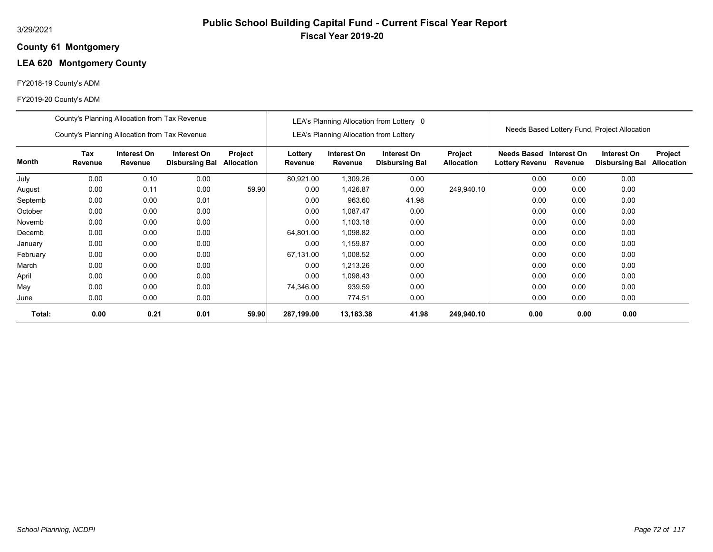### **61 Montgomery County**

# **LEA 620 Montgomery County**

## FY2018-19 County's ADM

|          | County's Planning Allocation from Tax Revenue |                        |                                      |                              |                    |                                               | LEA's Planning Allocation from Lottery 0 |                              |                                       |             |                                              |                                     |
|----------|-----------------------------------------------|------------------------|--------------------------------------|------------------------------|--------------------|-----------------------------------------------|------------------------------------------|------------------------------|---------------------------------------|-------------|----------------------------------------------|-------------------------------------|
|          | County's Planning Allocation from Tax Revenue |                        |                                      |                              |                    | <b>LEA's Planning Allocation from Lottery</b> |                                          |                              |                                       |             | Needs Based Lottery Fund, Project Allocation |                                     |
| Month    | Tax<br>Revenue                                | Interest On<br>Revenue | Interest On<br><b>Disbursing Bal</b> | Project<br><b>Allocation</b> | Lottery<br>Revenue | Interest On<br>Revenue                        | Interest On<br><b>Disbursing Bal</b>     | Project<br><b>Allocation</b> | Needs Based<br>Lottery Revenu Revenue | Interest On | Interest On<br><b>Disbursing Bal</b>         | <b>Project</b><br><b>Allocation</b> |
| July     | 0.00                                          | 0.10                   | 0.00                                 |                              | 80,921.00          | 1,309.26                                      | 0.00                                     |                              | 0.00                                  | 0.00        | 0.00                                         |                                     |
| August   | 0.00                                          | 0.11                   | 0.00                                 | 59.90                        | 0.00               | 1,426.87                                      | 0.00                                     | 249,940.10                   | 0.00                                  | 0.00        | 0.00                                         |                                     |
| Septemb  | 0.00                                          | 0.00                   | 0.01                                 |                              | 0.00               | 963.60                                        | 41.98                                    |                              | 0.00                                  | 0.00        | 0.00                                         |                                     |
| October  | 0.00                                          | 0.00                   | 0.00                                 |                              | 0.00               | 1,087.47                                      | 0.00                                     |                              | 0.00                                  | 0.00        | 0.00                                         |                                     |
| Novemb   | 0.00                                          | 0.00                   | 0.00                                 |                              | 0.00               | 1,103.18                                      | 0.00                                     |                              | 0.00                                  | 0.00        | 0.00                                         |                                     |
| Decemb   | 0.00                                          | 0.00                   | 0.00                                 |                              | 64,801.00          | 1,098.82                                      | 0.00                                     |                              | 0.00                                  | 0.00        | 0.00                                         |                                     |
| January  | 0.00                                          | 0.00                   | 0.00                                 |                              | 0.00               | 1,159.87                                      | 0.00                                     |                              | 0.00                                  | 0.00        | 0.00                                         |                                     |
| February | 0.00                                          | 0.00                   | 0.00                                 |                              | 67,131.00          | 1,008.52                                      | 0.00                                     |                              | 0.00                                  | 0.00        | 0.00                                         |                                     |
| March    | 0.00                                          | 0.00                   | 0.00                                 |                              | 0.00               | 1,213.26                                      | 0.00                                     |                              | 0.00                                  | 0.00        | 0.00                                         |                                     |
| April    | 0.00                                          | 0.00                   | 0.00                                 |                              | 0.00               | 1,098.43                                      | 0.00                                     |                              | 0.00                                  | 0.00        | 0.00                                         |                                     |
| May      | 0.00                                          | 0.00                   | 0.00                                 |                              | 74,346.00          | 939.59                                        | 0.00                                     |                              | 0.00                                  | 0.00        | 0.00                                         |                                     |
| June     | 0.00                                          | 0.00                   | 0.00                                 |                              | 0.00               | 774.51                                        | 0.00                                     |                              | 0.00                                  | 0.00        | 0.00                                         |                                     |
| Total:   | 0.00                                          | 0.21                   | 0.01                                 | 59.90                        | 287,199.00         | 13,183.38                                     | 41.98                                    | 249,940.10                   | 0.00                                  | 0.00        | 0.00                                         |                                     |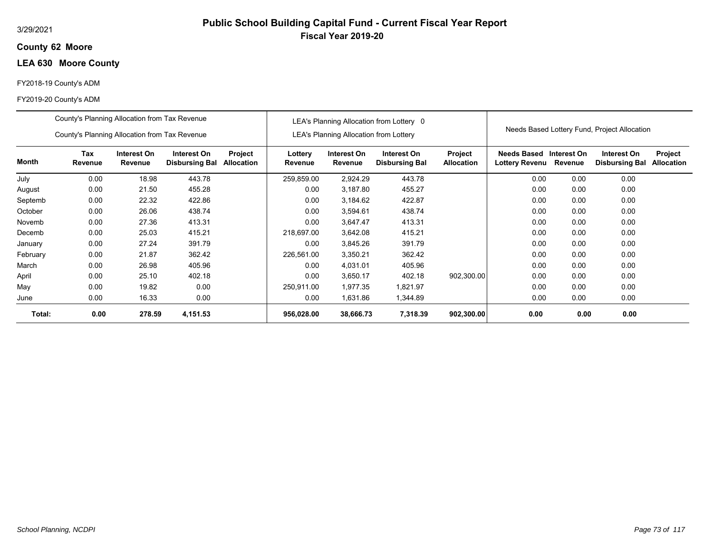## **62 Moore County**

# **LEA 630 Moore County**

## FY2018-19 County's ADM

|          | County's Planning Allocation from Tax Revenue |                        |                                      |                       |                    |                                               | LEA's Planning Allocation from Lottery 0 |                              |                               |                        |                                              |                              |
|----------|-----------------------------------------------|------------------------|--------------------------------------|-----------------------|--------------------|-----------------------------------------------|------------------------------------------|------------------------------|-------------------------------|------------------------|----------------------------------------------|------------------------------|
|          | County's Planning Allocation from Tax Revenue |                        |                                      |                       |                    | <b>LEA's Planning Allocation from Lottery</b> |                                          |                              |                               |                        | Needs Based Lottery Fund, Project Allocation |                              |
| Month    | Tax<br>Revenue                                | Interest On<br>Revenue | Interest On<br><b>Disbursing Bal</b> | Project<br>Allocation | Lottery<br>Revenue | Interest On<br>Revenue                        | Interest On<br><b>Disbursing Bal</b>     | Project<br><b>Allocation</b> | Needs Based<br>Lottery Revenu | Interest On<br>Revenue | Interest On<br><b>Disbursing Bal</b>         | Project<br><b>Allocation</b> |
| July     | 0.00                                          | 18.98                  | 443.78                               |                       | 259,859.00         | 2,924.29                                      | 443.78                                   |                              | 0.00                          | 0.00                   | 0.00                                         |                              |
| August   | 0.00                                          | 21.50                  | 455.28                               |                       | 0.00               | 3,187.80                                      | 455.27                                   |                              | 0.00                          | 0.00                   | 0.00                                         |                              |
| Septemb  | 0.00                                          | 22.32                  | 422.86                               |                       | 0.00               | 3,184.62                                      | 422.87                                   |                              | 0.00                          | 0.00                   | 0.00                                         |                              |
| October  | 0.00                                          | 26.06                  | 438.74                               |                       | 0.00               | 3,594.61                                      | 438.74                                   |                              | 0.00                          | 0.00                   | 0.00                                         |                              |
| Novemb   | 0.00                                          | 27.36                  | 413.31                               |                       | 0.00               | 3,647.47                                      | 413.31                                   |                              | 0.00                          | 0.00                   | 0.00                                         |                              |
| Decemb   | 0.00                                          | 25.03                  | 415.21                               |                       | 218,697.00         | 3,642.08                                      | 415.21                                   |                              | 0.00                          | 0.00                   | 0.00                                         |                              |
| January  | 0.00                                          | 27.24                  | 391.79                               |                       | 0.00               | 3,845.26                                      | 391.79                                   |                              | 0.00                          | 0.00                   | 0.00                                         |                              |
| February | 0.00                                          | 21.87                  | 362.42                               |                       | 226,561.00         | 3,350.21                                      | 362.42                                   |                              | 0.00                          | 0.00                   | 0.00                                         |                              |
| March    | 0.00                                          | 26.98                  | 405.96                               |                       | 0.00               | 4,031.01                                      | 405.96                                   |                              | 0.00                          | 0.00                   | 0.00                                         |                              |
| April    | 0.00                                          | 25.10                  | 402.18                               |                       | 0.00               | 3,650.17                                      | 402.18                                   | 902,300.00                   | 0.00                          | 0.00                   | 0.00                                         |                              |
| May      | 0.00                                          | 19.82                  | 0.00                                 |                       | 250,911.00         | 1,977.35                                      | 1,821.97                                 |                              | 0.00                          | 0.00                   | 0.00                                         |                              |
| June     | 0.00                                          | 16.33                  | 0.00                                 |                       | 0.00               | 1,631.86                                      | 1,344.89                                 |                              | 0.00                          | 0.00                   | 0.00                                         |                              |
| Total:   | 0.00                                          | 278.59                 | 4,151.53                             |                       | 956,028.00         | 38,666.73                                     | 7,318.39                                 | 902,300.00                   | 0.00                          | 0.00                   | 0.00                                         |                              |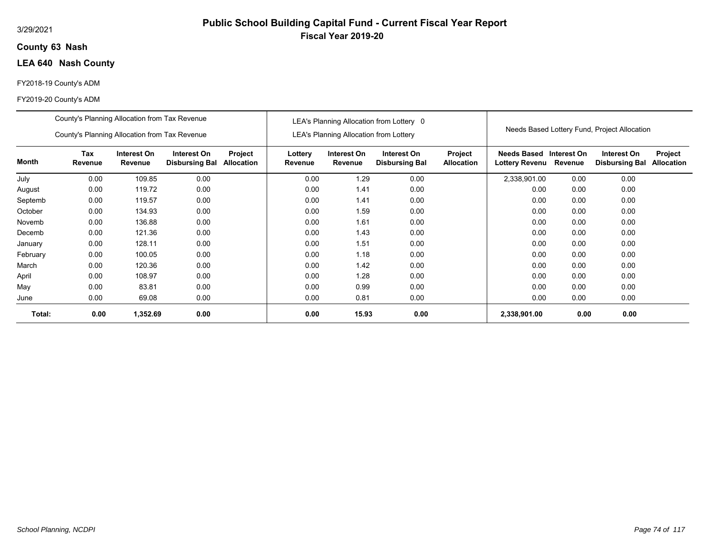## **63 Nash County**

# **LEA 640 Nash County**

## FY2018-19 County's ADM

|          | County's Planning Allocation from Tax Revenue |                        |                                      |                              |                    |                                               | LEA's Planning Allocation from Lottery 0 |                              |                                             |                        | Needs Based Lottery Fund, Project Allocation |                              |
|----------|-----------------------------------------------|------------------------|--------------------------------------|------------------------------|--------------------|-----------------------------------------------|------------------------------------------|------------------------------|---------------------------------------------|------------------------|----------------------------------------------|------------------------------|
|          | County's Planning Allocation from Tax Revenue |                        |                                      |                              |                    | <b>LEA's Planning Allocation from Lottery</b> |                                          |                              |                                             |                        |                                              |                              |
| Month    | Tax<br>Revenue                                | Interest On<br>Revenue | Interest On<br><b>Disbursing Bal</b> | Project<br><b>Allocation</b> | Lottery<br>Revenue | Interest On<br>Revenue                        | Interest On<br><b>Disbursing Bal</b>     | Project<br><b>Allocation</b> | <b>Needs Based</b><br><b>Lottery Revenu</b> | Interest On<br>Revenue | Interest On<br><b>Disbursing Bal</b>         | Project<br><b>Allocation</b> |
| July     | 0.00                                          | 109.85                 | 0.00                                 |                              | 0.00               | 1.29                                          | 0.00                                     |                              | 2,338,901.00                                | 0.00                   | 0.00                                         |                              |
| August   | 0.00                                          | 119.72                 | 0.00                                 |                              | 0.00               | 1.41                                          | 0.00                                     |                              | 0.00                                        | 0.00                   | 0.00                                         |                              |
| Septemb  | 0.00                                          | 119.57                 | 0.00                                 |                              | 0.00               | 1.41                                          | 0.00                                     |                              | 0.00                                        | 0.00                   | 0.00                                         |                              |
| October  | 0.00                                          | 134.93                 | 0.00                                 |                              | 0.00               | 1.59                                          | 0.00                                     |                              | 0.00                                        | 0.00                   | 0.00                                         |                              |
| Novemb   | 0.00                                          | 136.88                 | 0.00                                 |                              | 0.00               | 1.61                                          | 0.00                                     |                              | 0.00                                        | 0.00                   | 0.00                                         |                              |
| Decemb   | 0.00                                          | 121.36                 | 0.00                                 |                              | 0.00               | 1.43                                          | 0.00                                     |                              | 0.00                                        | 0.00                   | 0.00                                         |                              |
| January  | 0.00                                          | 128.11                 | 0.00                                 |                              | 0.00               | 1.51                                          | 0.00                                     |                              | 0.00                                        | 0.00                   | 0.00                                         |                              |
| February | 0.00                                          | 100.05                 | 0.00                                 |                              | 0.00               | 1.18                                          | 0.00                                     |                              | 0.00                                        | 0.00                   | 0.00                                         |                              |
| March    | 0.00                                          | 120.36                 | 0.00                                 |                              | 0.00               | 1.42                                          | 0.00                                     |                              | 0.00                                        | 0.00                   | 0.00                                         |                              |
| April    | 0.00                                          | 108.97                 | 0.00                                 |                              | 0.00               | 1.28                                          | 0.00                                     |                              | 0.00                                        | 0.00                   | 0.00                                         |                              |
| May      | 0.00                                          | 83.81                  | 0.00                                 |                              | 0.00               | 0.99                                          | 0.00                                     |                              | 0.00                                        | 0.00                   | 0.00                                         |                              |
| June     | 0.00                                          | 69.08                  | 0.00                                 |                              | 0.00               | 0.81                                          | 0.00                                     |                              | 0.00                                        | 0.00                   | 0.00                                         |                              |
| Total:   | 0.00                                          | 1,352.69               | 0.00                                 |                              | 0.00               | 15.93                                         | 0.00                                     |                              | 2,338,901.00                                | 0.00                   | 0.00                                         |                              |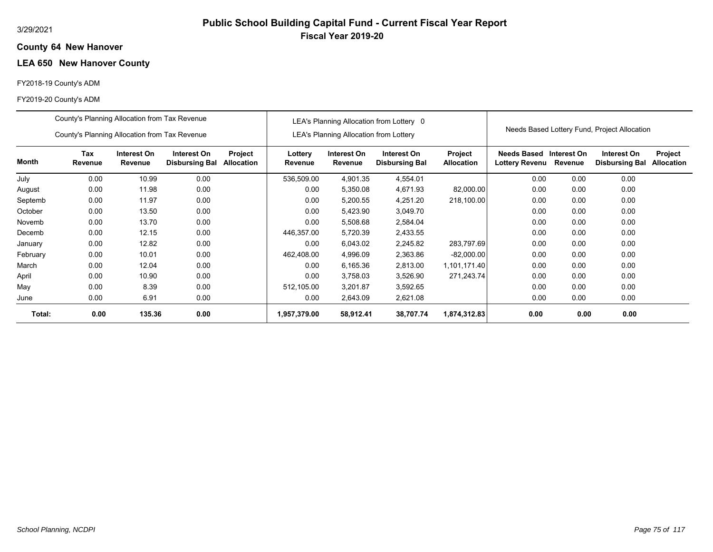### **64 New Hanover County**

# **LEA 650 New Hanover County**

## FY2018-19 County's ADM

|          | County's Planning Allocation from Tax Revenue |                        |                                      |                              |                    |                                               | LEA's Planning Allocation from Lottery 0 |                                     |                                             |                        |                                              |                              |
|----------|-----------------------------------------------|------------------------|--------------------------------------|------------------------------|--------------------|-----------------------------------------------|------------------------------------------|-------------------------------------|---------------------------------------------|------------------------|----------------------------------------------|------------------------------|
|          | County's Planning Allocation from Tax Revenue |                        |                                      |                              |                    | <b>LEA's Planning Allocation from Lottery</b> |                                          |                                     |                                             |                        | Needs Based Lottery Fund, Project Allocation |                              |
| Month    | Tax<br>Revenue                                | Interest On<br>Revenue | Interest On<br><b>Disbursing Bal</b> | Project<br><b>Allocation</b> | Lottery<br>Revenue | Interest On<br>Revenue                        | Interest On<br><b>Disbursing Bal</b>     | <b>Project</b><br><b>Allocation</b> | <b>Needs Based</b><br><b>Lottery Revenu</b> | Interest On<br>Revenue | Interest On<br><b>Disbursing Bal</b>         | Project<br><b>Allocation</b> |
| July     | 0.00                                          | 10.99                  | 0.00                                 |                              | 536,509.00         | 4,901.35                                      | 4,554.01                                 |                                     | 0.00                                        | 0.00                   | 0.00                                         |                              |
| August   | 0.00                                          | 11.98                  | 0.00                                 |                              | 0.00               | 5,350.08                                      | 4,671.93                                 | 82,000.00                           | 0.00                                        | 0.00                   | 0.00                                         |                              |
| Septemb  | 0.00                                          | 11.97                  | 0.00                                 |                              | 0.00               | 5,200.55                                      | 4,251.20                                 | 218,100.00                          | 0.00                                        | 0.00                   | 0.00                                         |                              |
| October  | 0.00                                          | 13.50                  | 0.00                                 |                              | 0.00               | 5,423.90                                      | 3,049.70                                 |                                     | 0.00                                        | 0.00                   | 0.00                                         |                              |
| Novemb   | 0.00                                          | 13.70                  | 0.00                                 |                              | 0.00               | 5,508.68                                      | 2,584.04                                 |                                     | 0.00                                        | 0.00                   | 0.00                                         |                              |
| Decemb   | 0.00                                          | 12.15                  | 0.00                                 |                              | 446,357.00         | 5,720.39                                      | 2,433.55                                 |                                     | 0.00                                        | 0.00                   | 0.00                                         |                              |
| January  | 0.00                                          | 12.82                  | 0.00                                 |                              | 0.00               | 6,043.02                                      | 2,245.82                                 | 283,797.69                          | 0.00                                        | 0.00                   | 0.00                                         |                              |
| February | 0.00                                          | 10.01                  | 0.00                                 |                              | 462,408.00         | 4,996.09                                      | 2,363.86                                 | $-82,000.00$                        | 0.00                                        | 0.00                   | 0.00                                         |                              |
| March    | 0.00                                          | 12.04                  | 0.00                                 |                              | 0.00               | 6,165.36                                      | 2,813.00                                 | 1,101,171.40                        | 0.00                                        | 0.00                   | 0.00                                         |                              |
| April    | 0.00                                          | 10.90                  | 0.00                                 |                              | 0.00               | 3.758.03                                      | 3,526.90                                 | 271.243.74                          | 0.00                                        | 0.00                   | 0.00                                         |                              |
| May      | 0.00                                          | 8.39                   | 0.00                                 |                              | 512,105.00         | 3,201.87                                      | 3,592.65                                 |                                     | 0.00                                        | 0.00                   | 0.00                                         |                              |
| June     | 0.00                                          | 6.91                   | 0.00                                 |                              | 0.00               | 2,643.09                                      | 2,621.08                                 |                                     | 0.00                                        | 0.00                   | 0.00                                         |                              |
| Total:   | 0.00                                          | 135.36                 | 0.00                                 |                              | 1,957,379.00       | 58,912.41                                     | 38,707.74                                | 1,874,312.83                        | 0.00                                        | 0.00                   | 0.00                                         |                              |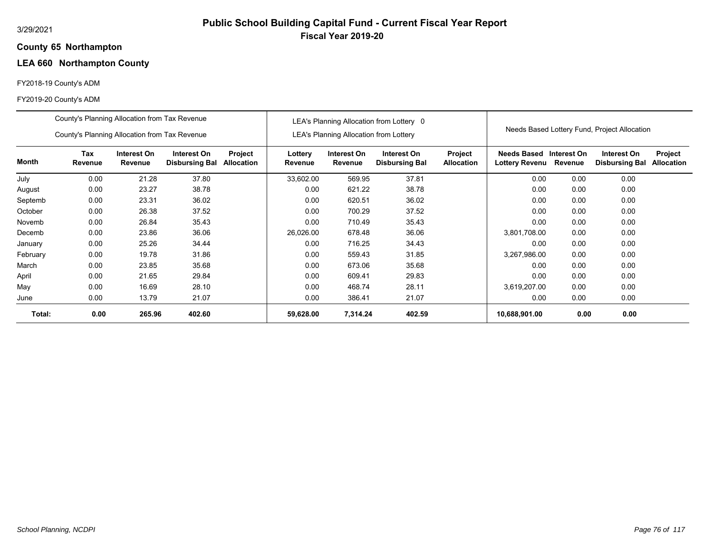### **65 Northampton County**

# **LEA 660 Northampton County**

## FY2018-19 County's ADM

|          | County's Planning Allocation from Tax Revenue |                        |                                      |                              |                    |                                        | LEA's Planning Allocation from Lottery 0 |                              |                                      |                        |                                              |                              |
|----------|-----------------------------------------------|------------------------|--------------------------------------|------------------------------|--------------------|----------------------------------------|------------------------------------------|------------------------------|--------------------------------------|------------------------|----------------------------------------------|------------------------------|
|          | County's Planning Allocation from Tax Revenue |                        |                                      |                              |                    | LEA's Planning Allocation from Lottery |                                          |                              |                                      |                        | Needs Based Lottery Fund, Project Allocation |                              |
| Month    | Tax<br>Revenue                                | Interest On<br>Revenue | Interest On<br><b>Disbursing Bal</b> | Project<br><b>Allocation</b> | Lottery<br>Revenue | Interest On<br>Revenue                 | Interest On<br><b>Disbursing Bal</b>     | Project<br><b>Allocation</b> | <b>Needs Based</b><br>Lottery Revenu | Interest On<br>Revenue | Interest On<br><b>Disbursing Bal</b>         | Project<br><b>Allocation</b> |
| July     | 0.00                                          | 21.28                  | 37.80                                |                              | 33,602.00          | 569.95                                 | 37.81                                    |                              | 0.00                                 | 0.00                   | 0.00                                         |                              |
| August   | 0.00                                          | 23.27                  | 38.78                                |                              | 0.00               | 621.22                                 | 38.78                                    |                              | 0.00                                 | 0.00                   | 0.00                                         |                              |
| Septemb  | 0.00                                          | 23.31                  | 36.02                                |                              | 0.00               | 620.51                                 | 36.02                                    |                              | 0.00                                 | 0.00                   | 0.00                                         |                              |
| October  | 0.00                                          | 26.38                  | 37.52                                |                              | 0.00               | 700.29                                 | 37.52                                    |                              | 0.00                                 | 0.00                   | 0.00                                         |                              |
| Novemb   | 0.00                                          | 26.84                  | 35.43                                |                              | 0.00               | 710.49                                 | 35.43                                    |                              | 0.00                                 | 0.00                   | 0.00                                         |                              |
| Decemb   | 0.00                                          | 23.86                  | 36.06                                |                              | 26,026.00          | 678.48                                 | 36.06                                    |                              | 3,801,708.00                         | 0.00                   | 0.00                                         |                              |
| January  | 0.00                                          | 25.26                  | 34.44                                |                              | 0.00               | 716.25                                 | 34.43                                    |                              | 0.00                                 | 0.00                   | 0.00                                         |                              |
| February | 0.00                                          | 19.78                  | 31.86                                |                              | 0.00               | 559.43                                 | 31.85                                    |                              | 3,267,986.00                         | 0.00                   | 0.00                                         |                              |
| March    | 0.00                                          | 23.85                  | 35.68                                |                              | 0.00               | 673.06                                 | 35.68                                    |                              | 0.00                                 | 0.00                   | 0.00                                         |                              |
| April    | 0.00                                          | 21.65                  | 29.84                                |                              | 0.00               | 609.41                                 | 29.83                                    |                              | 0.00                                 | 0.00                   | 0.00                                         |                              |
| May      | 0.00                                          | 16.69                  | 28.10                                |                              | 0.00               | 468.74                                 | 28.11                                    |                              | 3,619,207.00                         | 0.00                   | 0.00                                         |                              |
| June     | 0.00                                          | 13.79                  | 21.07                                |                              | 0.00               | 386.41                                 | 21.07                                    |                              | 0.00                                 | 0.00                   | 0.00                                         |                              |
| Total:   | 0.00                                          | 265.96                 | 402.60                               |                              | 59,628.00          | 7,314.24                               | 402.59                                   |                              | 10,688,901.00                        | 0.00                   | 0.00                                         |                              |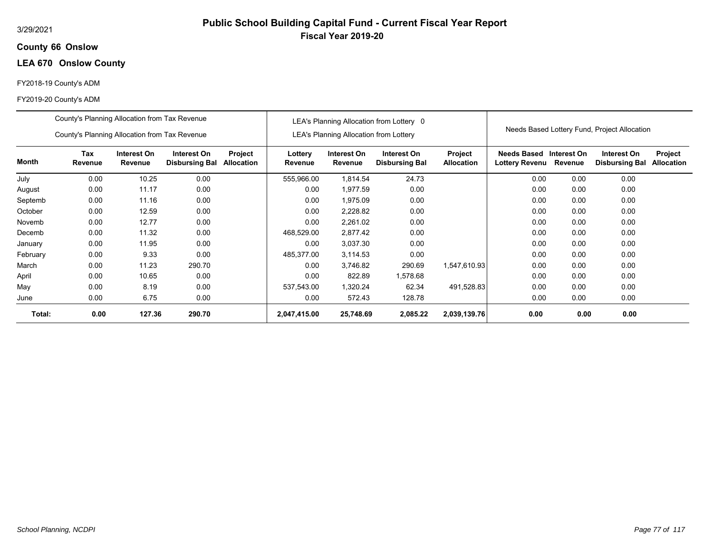## **66 Onslow County**

# **LEA 670 Onslow County**

## FY2018-19 County's ADM

|          | County's Planning Allocation from Tax Revenue |                        |                                      |                       |                    |                                               | LEA's Planning Allocation from Lottery 0 |                              |                               |                        |                                              |                              |
|----------|-----------------------------------------------|------------------------|--------------------------------------|-----------------------|--------------------|-----------------------------------------------|------------------------------------------|------------------------------|-------------------------------|------------------------|----------------------------------------------|------------------------------|
|          | County's Planning Allocation from Tax Revenue |                        |                                      |                       |                    | <b>LEA's Planning Allocation from Lottery</b> |                                          |                              |                               |                        | Needs Based Lottery Fund, Project Allocation |                              |
| Month    | Tax<br>Revenue                                | Interest On<br>Revenue | Interest On<br><b>Disbursing Bal</b> | Project<br>Allocation | Lottery<br>Revenue | Interest On<br>Revenue                        | Interest On<br><b>Disbursing Bal</b>     | Project<br><b>Allocation</b> | Needs Based<br>Lottery Revenu | Interest On<br>Revenue | Interest On<br><b>Disbursing Bal</b>         | Project<br><b>Allocation</b> |
| July     | 0.00                                          | 10.25                  | 0.00                                 |                       | 555,966.00         | 1,814.54                                      | 24.73                                    |                              | 0.00                          | 0.00                   | 0.00                                         |                              |
| August   | 0.00                                          | 11.17                  | 0.00                                 |                       | 0.00               | 1,977.59                                      | 0.00                                     |                              | 0.00                          | 0.00                   | 0.00                                         |                              |
| Septemb  | 0.00                                          | 11.16                  | 0.00                                 |                       | 0.00               | 1,975.09                                      | 0.00                                     |                              | 0.00                          | 0.00                   | 0.00                                         |                              |
| October  | 0.00                                          | 12.59                  | 0.00                                 |                       | 0.00               | 2,228.82                                      | 0.00                                     |                              | 0.00                          | 0.00                   | 0.00                                         |                              |
| Novemb   | 0.00                                          | 12.77                  | 0.00                                 |                       | 0.00               | 2,261.02                                      | 0.00                                     |                              | 0.00                          | 0.00                   | 0.00                                         |                              |
| Decemb   | 0.00                                          | 11.32                  | 0.00                                 |                       | 468,529.00         | 2.877.42                                      | 0.00                                     |                              | 0.00                          | 0.00                   | 0.00                                         |                              |
| January  | 0.00                                          | 11.95                  | 0.00                                 |                       | 0.00               | 3.037.30                                      | 0.00                                     |                              | 0.00                          | 0.00                   | 0.00                                         |                              |
| February | 0.00                                          | 9.33                   | 0.00                                 |                       | 485,377.00         | 3,114.53                                      | 0.00                                     |                              | 0.00                          | 0.00                   | 0.00                                         |                              |
| March    | 0.00                                          | 11.23                  | 290.70                               |                       | 0.00               | 3,746.82                                      | 290.69                                   | 1,547,610.93                 | 0.00                          | 0.00                   | 0.00                                         |                              |
| April    | 0.00                                          | 10.65                  | 0.00                                 |                       | 0.00               | 822.89                                        | 1,578.68                                 |                              | 0.00                          | 0.00                   | 0.00                                         |                              |
| May      | 0.00                                          | 8.19                   | 0.00                                 |                       | 537,543.00         | 1,320.24                                      | 62.34                                    | 491,528.83                   | 0.00                          | 0.00                   | 0.00                                         |                              |
| June     | 0.00                                          | 6.75                   | 0.00                                 |                       | 0.00               | 572.43                                        | 128.78                                   |                              | 0.00                          | 0.00                   | 0.00                                         |                              |
| Total:   | 0.00                                          | 127.36                 | 290.70                               |                       | 2,047,415.00       | 25,748.69                                     | 2,085.22                                 | 2,039,139.76                 | 0.00                          | 0.00                   | 0.00                                         |                              |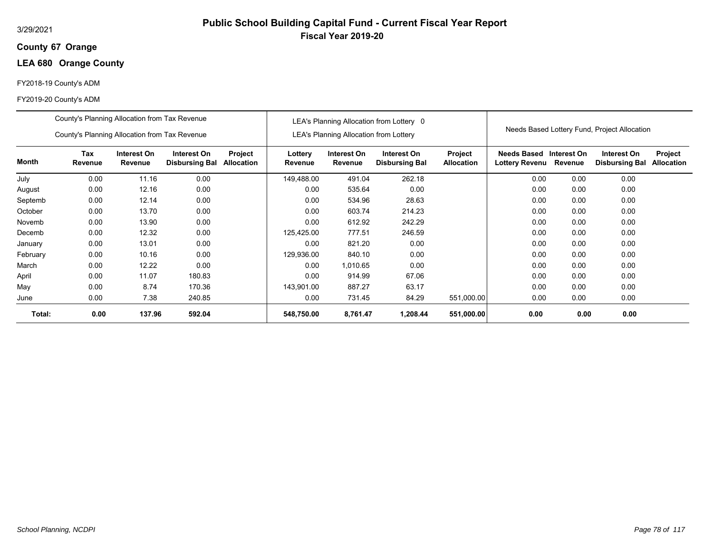## **67 Orange County**

# **LEA 680 Orange County**

## FY2018-19 County's ADM

|          | County's Planning Allocation from Tax Revenue |                        |                                      |                       |                    |                                               | LEA's Planning Allocation from Lottery 0 |                              |                               |                        |                                              |                              |
|----------|-----------------------------------------------|------------------------|--------------------------------------|-----------------------|--------------------|-----------------------------------------------|------------------------------------------|------------------------------|-------------------------------|------------------------|----------------------------------------------|------------------------------|
|          | County's Planning Allocation from Tax Revenue |                        |                                      |                       |                    | <b>LEA's Planning Allocation from Lottery</b> |                                          |                              |                               |                        | Needs Based Lottery Fund, Project Allocation |                              |
| Month    | Tax<br>Revenue                                | Interest On<br>Revenue | Interest On<br><b>Disbursing Bal</b> | Project<br>Allocation | Lottery<br>Revenue | Interest On<br>Revenue                        | Interest On<br><b>Disbursing Bal</b>     | Project<br><b>Allocation</b> | Needs Based<br>Lottery Revenu | Interest On<br>Revenue | Interest On<br><b>Disbursing Bal</b>         | Project<br><b>Allocation</b> |
| July     | 0.00                                          | 11.16                  | 0.00                                 |                       | 149.488.00         | 491.04                                        | 262.18                                   |                              | 0.00                          | 0.00                   | 0.00                                         |                              |
| August   | 0.00                                          | 12.16                  | 0.00                                 |                       | 0.00               | 535.64                                        | 0.00                                     |                              | 0.00                          | 0.00                   | 0.00                                         |                              |
| Septemb  | 0.00                                          | 12.14                  | 0.00                                 |                       | 0.00               | 534.96                                        | 28.63                                    |                              | 0.00                          | 0.00                   | 0.00                                         |                              |
| October  | 0.00                                          | 13.70                  | 0.00                                 |                       | 0.00               | 603.74                                        | 214.23                                   |                              | 0.00                          | 0.00                   | 0.00                                         |                              |
| Novemb   | 0.00                                          | 13.90                  | 0.00                                 |                       | 0.00               | 612.92                                        | 242.29                                   |                              | 0.00                          | 0.00                   | 0.00                                         |                              |
| Decemb   | 0.00                                          | 12.32                  | 0.00                                 |                       | 125,425.00         | 777.51                                        | 246.59                                   |                              | 0.00                          | 0.00                   | 0.00                                         |                              |
| January  | 0.00                                          | 13.01                  | 0.00                                 |                       | 0.00               | 821.20                                        | 0.00                                     |                              | 0.00                          | 0.00                   | 0.00                                         |                              |
| February | 0.00                                          | 10.16                  | 0.00                                 |                       | 129,936.00         | 840.10                                        | 0.00                                     |                              | 0.00                          | 0.00                   | 0.00                                         |                              |
| March    | 0.00                                          | 12.22                  | 0.00                                 |                       | 0.00               | 1,010.65                                      | 0.00                                     |                              | 0.00                          | 0.00                   | 0.00                                         |                              |
| April    | 0.00                                          | 11.07                  | 180.83                               |                       | 0.00               | 914.99                                        | 67.06                                    |                              | 0.00                          | 0.00                   | 0.00                                         |                              |
| May      | 0.00                                          | 8.74                   | 170.36                               |                       | 143,901.00         | 887.27                                        | 63.17                                    |                              | 0.00                          | 0.00                   | 0.00                                         |                              |
| June     | 0.00                                          | 7.38                   | 240.85                               |                       | 0.00               | 731.45                                        | 84.29                                    | 551,000.00                   | 0.00                          | 0.00                   | 0.00                                         |                              |
| Total:   | 0.00                                          | 137.96                 | 592.04                               |                       | 548,750.00         | 8,761.47                                      | 1,208.44                                 | 551,000.00                   | 0.00                          | 0.00                   | 0.00                                         |                              |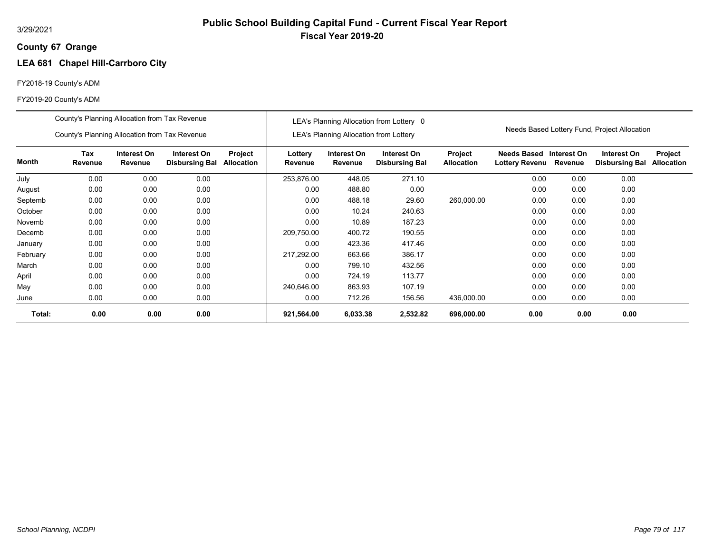## **67 Orange County**

# **LEA 681 Chapel Hill-Carrboro City**

## FY2018-19 County's ADM

|          | County's Planning Allocation from Tax Revenue |                        |                                      |                       |                    |                                               | LEA's Planning Allocation from Lottery 0 |                              |                                             |                        |                                              |                              |
|----------|-----------------------------------------------|------------------------|--------------------------------------|-----------------------|--------------------|-----------------------------------------------|------------------------------------------|------------------------------|---------------------------------------------|------------------------|----------------------------------------------|------------------------------|
|          | County's Planning Allocation from Tax Revenue |                        |                                      |                       |                    | <b>LEA's Planning Allocation from Lottery</b> |                                          |                              |                                             |                        | Needs Based Lottery Fund, Project Allocation |                              |
| Month    | Tax<br>Revenue                                | Interest On<br>Revenue | Interest On<br><b>Disbursing Bal</b> | Project<br>Allocation | Lottery<br>Revenue | Interest On<br>Revenue                        | Interest On<br><b>Disbursing Bal</b>     | Project<br><b>Allocation</b> | <b>Needs Based</b><br><b>Lottery Revenu</b> | Interest On<br>Revenue | Interest On<br><b>Disbursing Bal</b>         | Project<br><b>Allocation</b> |
| July     | 0.00                                          | 0.00                   | 0.00                                 |                       | 253,876.00         | 448.05                                        | 271.10                                   |                              | 0.00                                        | 0.00                   | 0.00                                         |                              |
| August   | 0.00                                          | 0.00                   | 0.00                                 |                       | 0.00               | 488.80                                        | 0.00                                     |                              | 0.00                                        | 0.00                   | 0.00                                         |                              |
| Septemb  | 0.00                                          | 0.00                   | 0.00                                 |                       | 0.00               | 488.18                                        | 29.60                                    | 260,000.00                   | 0.00                                        | 0.00                   | 0.00                                         |                              |
| October  | 0.00                                          | 0.00                   | 0.00                                 |                       | 0.00               | 10.24                                         | 240.63                                   |                              | 0.00                                        | 0.00                   | 0.00                                         |                              |
| Novemb   | 0.00                                          | 0.00                   | 0.00                                 |                       | 0.00               | 10.89                                         | 187.23                                   |                              | 0.00                                        | 0.00                   | 0.00                                         |                              |
| Decemb   | 0.00                                          | 0.00                   | 0.00                                 |                       | 209,750.00         | 400.72                                        | 190.55                                   |                              | 0.00                                        | 0.00                   | 0.00                                         |                              |
| January  | 0.00                                          | 0.00                   | 0.00                                 |                       | 0.00               | 423.36                                        | 417.46                                   |                              | 0.00                                        | 0.00                   | 0.00                                         |                              |
| February | 0.00                                          | 0.00                   | 0.00                                 |                       | 217,292.00         | 663.66                                        | 386.17                                   |                              | 0.00                                        | 0.00                   | 0.00                                         |                              |
| March    | 0.00                                          | 0.00                   | 0.00                                 |                       | 0.00               | 799.10                                        | 432.56                                   |                              | 0.00                                        | 0.00                   | 0.00                                         |                              |
| April    | 0.00                                          | 0.00                   | 0.00                                 |                       | 0.00               | 724.19                                        | 113.77                                   |                              | 0.00                                        | 0.00                   | 0.00                                         |                              |
| May      | 0.00                                          | 0.00                   | 0.00                                 |                       | 240,646.00         | 863.93                                        | 107.19                                   |                              | 0.00                                        | 0.00                   | 0.00                                         |                              |
| June     | 0.00                                          | 0.00                   | 0.00                                 |                       | 0.00               | 712.26                                        | 156.56                                   | 436,000.00                   | 0.00                                        | 0.00                   | 0.00                                         |                              |
| Total:   | 0.00                                          | 0.00                   | 0.00                                 |                       | 921,564.00         | 6,033.38                                      | 2,532.82                                 | 696,000.00                   | 0.00                                        | 0.00                   | 0.00                                         |                              |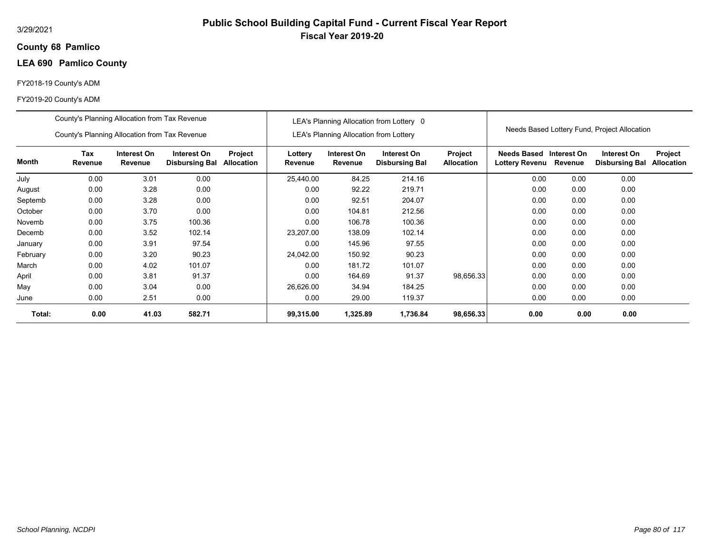## **68 Pamlico County**

# **LEA 690 Pamlico County**

## FY2018-19 County's ADM

|          | County's Planning Allocation from Tax Revenue |                        |                                      |                       |                    |                                               | LEA's Planning Allocation from Lottery 0 |                              |                               |                        |                                              |                              |
|----------|-----------------------------------------------|------------------------|--------------------------------------|-----------------------|--------------------|-----------------------------------------------|------------------------------------------|------------------------------|-------------------------------|------------------------|----------------------------------------------|------------------------------|
|          | County's Planning Allocation from Tax Revenue |                        |                                      |                       |                    | <b>LEA's Planning Allocation from Lottery</b> |                                          |                              |                               |                        | Needs Based Lottery Fund, Project Allocation |                              |
| Month    | Tax<br>Revenue                                | Interest On<br>Revenue | Interest On<br><b>Disbursing Bal</b> | Project<br>Allocation | Lottery<br>Revenue | Interest On<br>Revenue                        | Interest On<br><b>Disbursing Bal</b>     | Project<br><b>Allocation</b> | Needs Based<br>Lottery Revenu | Interest On<br>Revenue | Interest On<br><b>Disbursing Bal</b>         | Project<br><b>Allocation</b> |
| July     | 0.00                                          | 3.01                   | 0.00                                 |                       | 25,440.00          | 84.25                                         | 214.16                                   |                              | 0.00                          | 0.00                   | 0.00                                         |                              |
| August   | 0.00                                          | 3.28                   | 0.00                                 |                       | 0.00               | 92.22                                         | 219.71                                   |                              | 0.00                          | 0.00                   | 0.00                                         |                              |
| Septemb  | 0.00                                          | 3.28                   | 0.00                                 |                       | 0.00               | 92.51                                         | 204.07                                   |                              | 0.00                          | 0.00                   | 0.00                                         |                              |
| October  | 0.00                                          | 3.70                   | 0.00                                 |                       | 0.00               | 104.81                                        | 212.56                                   |                              | 0.00                          | 0.00                   | 0.00                                         |                              |
| Novemb   | 0.00                                          | 3.75                   | 100.36                               |                       | 0.00               | 106.78                                        | 100.36                                   |                              | 0.00                          | 0.00                   | 0.00                                         |                              |
| Decemb   | 0.00                                          | 3.52                   | 102.14                               |                       | 23,207.00          | 138.09                                        | 102.14                                   |                              | 0.00                          | 0.00                   | 0.00                                         |                              |
| January  | 0.00                                          | 3.91                   | 97.54                                |                       | 0.00               | 145.96                                        | 97.55                                    |                              | 0.00                          | 0.00                   | 0.00                                         |                              |
| February | 0.00                                          | 3.20                   | 90.23                                |                       | 24,042.00          | 150.92                                        | 90.23                                    |                              | 0.00                          | 0.00                   | 0.00                                         |                              |
| March    | 0.00                                          | 4.02                   | 101.07                               |                       | 0.00               | 181.72                                        | 101.07                                   |                              | 0.00                          | 0.00                   | 0.00                                         |                              |
| April    | 0.00                                          | 3.81                   | 91.37                                |                       | 0.00               | 164.69                                        | 91.37                                    | 98,656.33                    | 0.00                          | 0.00                   | 0.00                                         |                              |
| May      | 0.00                                          | 3.04                   | 0.00                                 |                       | 26,626.00          | 34.94                                         | 184.25                                   |                              | 0.00                          | 0.00                   | 0.00                                         |                              |
| June     | 0.00                                          | 2.51                   | 0.00                                 |                       | 0.00               | 29.00                                         | 119.37                                   |                              | 0.00                          | 0.00                   | 0.00                                         |                              |
| Total:   | 0.00                                          | 41.03                  | 582.71                               |                       | 99,315.00          | 1,325.89                                      | 1,736.84                                 | 98,656.33                    | 0.00                          | 0.00                   | 0.00                                         |                              |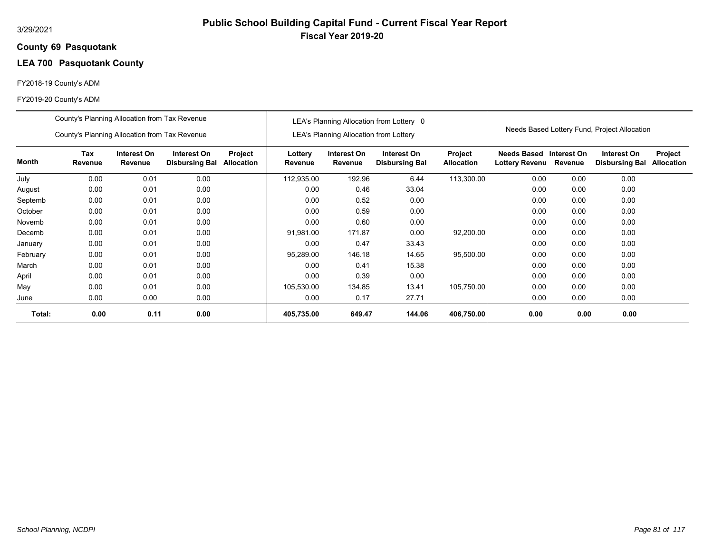### **69 Pasquotank County**

# **LEA 700 Pasquotank County**

## FY2018-19 County's ADM

|          | County's Planning Allocation from Tax Revenue                                                                                            |      |      |  |                    |                                               | LEA's Planning Allocation from Lottery 0 |                              |                                              |             |                                              |                              |
|----------|------------------------------------------------------------------------------------------------------------------------------------------|------|------|--|--------------------|-----------------------------------------------|------------------------------------------|------------------------------|----------------------------------------------|-------------|----------------------------------------------|------------------------------|
|          | County's Planning Allocation from Tax Revenue                                                                                            |      |      |  |                    | <b>LEA's Planning Allocation from Lottery</b> |                                          |                              |                                              |             | Needs Based Lottery Fund, Project Allocation |                              |
| Month    | Tax<br>Interest On<br>Project<br>Interest On<br>Revenue<br><b>Allocation</b><br>Revenue<br><b>Disbursing Bal</b><br>0.00<br>0.01<br>0.00 |      |      |  | Lottery<br>Revenue | Interest On<br>Revenue                        | Interest On<br><b>Disbursing Bal</b>     | Project<br><b>Allocation</b> | <b>Needs Based</b><br>Lottery Revenu Revenue | Interest On | Interest On<br><b>Disbursing Bal</b>         | Project<br><b>Allocation</b> |
| July     |                                                                                                                                          |      |      |  | 112,935.00         | 192.96                                        | 6.44                                     | 113,300.00                   | 0.00                                         | 0.00        | 0.00                                         |                              |
| August   | 0.00                                                                                                                                     | 0.01 | 0.00 |  | 0.00               | 0.46                                          | 33.04                                    |                              | 0.00                                         | 0.00        | 0.00                                         |                              |
| Septemb  | 0.00                                                                                                                                     | 0.01 | 0.00 |  | 0.00               | 0.52                                          | 0.00                                     |                              | 0.00                                         | 0.00        | 0.00                                         |                              |
| October  | 0.00                                                                                                                                     | 0.01 | 0.00 |  | 0.00               | 0.59                                          | 0.00                                     |                              | 0.00                                         | 0.00        | 0.00                                         |                              |
| Novemb   | 0.00                                                                                                                                     | 0.01 | 0.00 |  | 0.00               | 0.60                                          | 0.00                                     |                              | 0.00                                         | 0.00        | 0.00                                         |                              |
| Decemb   | 0.00                                                                                                                                     | 0.01 | 0.00 |  | 91,981.00          | 171.87                                        | 0.00                                     | 92,200.00                    | 0.00                                         | 0.00        | 0.00                                         |                              |
| January  | 0.00                                                                                                                                     | 0.01 | 0.00 |  | 0.00               | 0.47                                          | 33.43                                    |                              | 0.00                                         | 0.00        | 0.00                                         |                              |
| February | 0.00                                                                                                                                     | 0.01 | 0.00 |  | 95,289.00          | 146.18                                        | 14.65                                    | 95,500.00                    | 0.00                                         | 0.00        | 0.00                                         |                              |
| March    | 0.00                                                                                                                                     | 0.01 | 0.00 |  | 0.00               | 0.41                                          | 15.38                                    |                              | 0.00                                         | 0.00        | 0.00                                         |                              |
| April    | 0.00                                                                                                                                     | 0.01 | 0.00 |  | 0.00               | 0.39                                          | 0.00                                     |                              | 0.00                                         | 0.00        | 0.00                                         |                              |
| May      | 0.00                                                                                                                                     | 0.01 | 0.00 |  | 105,530.00         | 134.85                                        | 13.41                                    | 105,750.00                   | 0.00                                         | 0.00        | 0.00                                         |                              |
| June     | 0.00                                                                                                                                     | 0.00 | 0.00 |  | 0.00               | 0.17                                          | 27.71                                    |                              | 0.00                                         | 0.00        | 0.00                                         |                              |
| Total:   | 0.00                                                                                                                                     | 0.11 | 0.00 |  | 405,735.00         | 649.47                                        | 144.06                                   | 406,750.00                   | 0.00                                         | 0.00        | 0.00                                         |                              |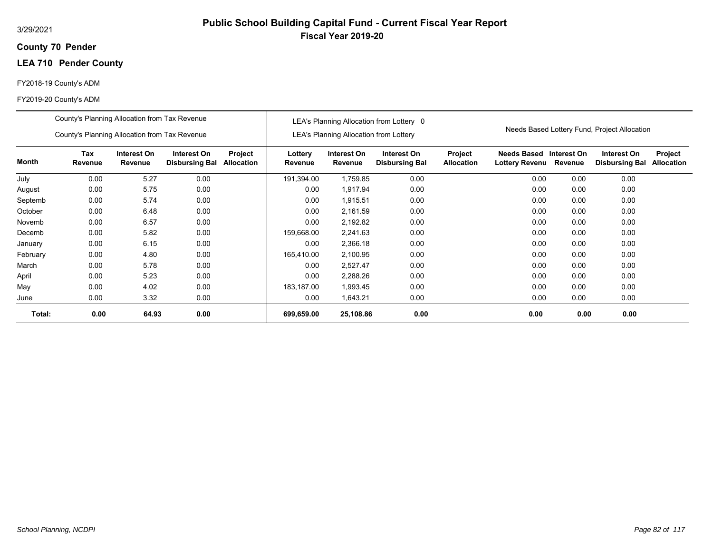## **70 Pender County**

# **LEA 710 Pender County**

## FY2018-19 County's ADM

|          | County's Planning Allocation from Tax Revenue                                                                                            |       |      |  |                    |                                               | LEA's Planning Allocation from Lottery 0 |                              |                                           |         |                                              |                              |
|----------|------------------------------------------------------------------------------------------------------------------------------------------|-------|------|--|--------------------|-----------------------------------------------|------------------------------------------|------------------------------|-------------------------------------------|---------|----------------------------------------------|------------------------------|
|          | County's Planning Allocation from Tax Revenue                                                                                            |       |      |  |                    | <b>LEA's Planning Allocation from Lottery</b> |                                          |                              |                                           |         | Needs Based Lottery Fund, Project Allocation |                              |
| Month    | Tax<br>Interest On<br>Interest On<br>Project<br>Revenue<br><b>Allocation</b><br>Revenue<br><b>Disbursing Bal</b><br>0.00<br>5.27<br>0.00 |       |      |  | Lottery<br>Revenue | Interest On<br>Revenue                        | Interest On<br><b>Disbursing Bal</b>     | Project<br><b>Allocation</b> | Needs Based Interest On<br>Lottery Revenu | Revenue | Interest On<br><b>Disbursing Bal</b>         | Project<br><b>Allocation</b> |
| July     |                                                                                                                                          |       |      |  | 191,394.00         | 1,759.85                                      | 0.00                                     |                              | 0.00                                      | 0.00    | 0.00                                         |                              |
| August   | 0.00                                                                                                                                     | 5.75  | 0.00 |  | 0.00               | 1,917.94                                      | 0.00                                     |                              | 0.00                                      | 0.00    | 0.00                                         |                              |
| Septemb  | 0.00                                                                                                                                     | 5.74  | 0.00 |  | 0.00               | 1,915.51                                      | 0.00                                     |                              | 0.00                                      | 0.00    | 0.00                                         |                              |
| October  | 0.00                                                                                                                                     | 6.48  | 0.00 |  | 0.00               | 2,161.59                                      | 0.00                                     |                              | 0.00                                      | 0.00    | 0.00                                         |                              |
| Novemb   | 0.00                                                                                                                                     | 6.57  | 0.00 |  | 0.00               | 2,192.82                                      | 0.00                                     |                              | 0.00                                      | 0.00    | 0.00                                         |                              |
| Decemb   | 0.00                                                                                                                                     | 5.82  | 0.00 |  | 159,668.00         | 2,241.63                                      | 0.00                                     |                              | 0.00                                      | 0.00    | 0.00                                         |                              |
| January  | 0.00                                                                                                                                     | 6.15  | 0.00 |  | 0.00               | 2,366.18                                      | 0.00                                     |                              | 0.00                                      | 0.00    | 0.00                                         |                              |
| February | 0.00                                                                                                                                     | 4.80  | 0.00 |  | 165,410.00         | 2,100.95                                      | 0.00                                     |                              | 0.00                                      | 0.00    | 0.00                                         |                              |
| March    | 0.00                                                                                                                                     | 5.78  | 0.00 |  | 0.00               | 2,527.47                                      | 0.00                                     |                              | 0.00                                      | 0.00    | 0.00                                         |                              |
| April    | 0.00                                                                                                                                     | 5.23  | 0.00 |  | 0.00               | 2,288.26                                      | 0.00                                     |                              | 0.00                                      | 0.00    | 0.00                                         |                              |
| May      | 0.00                                                                                                                                     | 4.02  | 0.00 |  | 183,187.00         | 1,993.45                                      | 0.00                                     |                              | 0.00                                      | 0.00    | 0.00                                         |                              |
| June     | 0.00                                                                                                                                     | 3.32  | 0.00 |  | 0.00               | 1,643.21                                      | 0.00                                     |                              | 0.00                                      | 0.00    | 0.00                                         |                              |
| Total:   | 0.00                                                                                                                                     | 64.93 | 0.00 |  | 699,659.00         | 25,108.86                                     | 0.00                                     |                              | 0.00                                      | 0.00    | 0.00                                         |                              |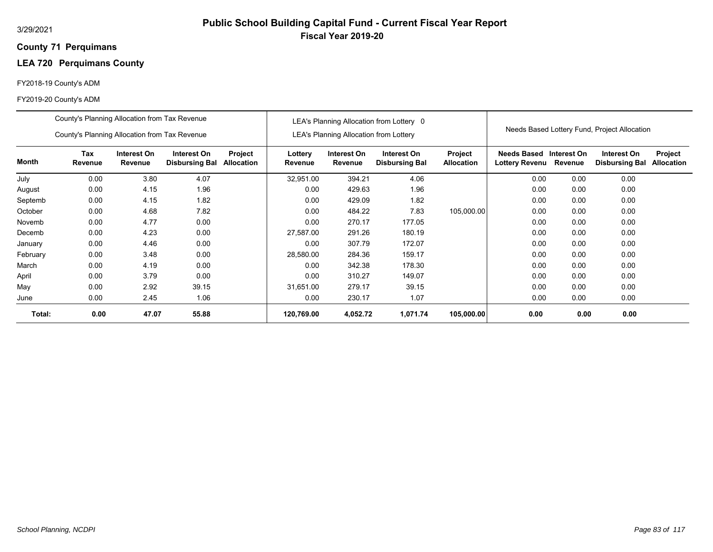## **71 Perquimans County**

# **LEA 720 Perquimans County**

## FY2018-19 County's ADM

|          | County's Planning Allocation from Tax Revenue |                               |                                      |                              |                    |                                        | LEA's Planning Allocation from Lottery 0 |                              |                                              |             |                                              |                              |
|----------|-----------------------------------------------|-------------------------------|--------------------------------------|------------------------------|--------------------|----------------------------------------|------------------------------------------|------------------------------|----------------------------------------------|-------------|----------------------------------------------|------------------------------|
|          | County's Planning Allocation from Tax Revenue |                               |                                      |                              |                    | LEA's Planning Allocation from Lottery |                                          |                              |                                              |             | Needs Based Lottery Fund, Project Allocation |                              |
| Month    | Tax<br>Revenue                                | Interest On<br><b>Revenue</b> | Interest On<br><b>Disbursing Bal</b> | Project<br><b>Allocation</b> | Lottery<br>Revenue | Interest On<br>Revenue                 | Interest On<br><b>Disbursing Bal</b>     | Project<br><b>Allocation</b> | <b>Needs Based</b><br>Lottery Revenu Revenue | Interest On | Interest On<br><b>Disbursing Bal</b>         | Project<br><b>Allocation</b> |
| July     | 0.00                                          | 3.80                          | 4.07                                 |                              | 32,951.00          | 394.21                                 | 4.06                                     |                              | 0.00                                         | 0.00        | 0.00                                         |                              |
| August   | 0.00                                          | 4.15                          | 1.96                                 |                              | 0.00               | 429.63                                 | 1.96                                     |                              | 0.00                                         | 0.00        | 0.00                                         |                              |
| Septemb  | 0.00                                          | 4.15                          | 1.82                                 |                              | 0.00               | 429.09                                 | 1.82                                     |                              | 0.00                                         | 0.00        | 0.00                                         |                              |
| October  | 0.00                                          | 4.68                          | 7.82                                 |                              | 0.00               | 484.22                                 | 7.83                                     | 105,000.00                   | 0.00                                         | 0.00        | 0.00                                         |                              |
| Novemb   | 0.00                                          | 4.77                          | 0.00                                 |                              | 0.00               | 270.17                                 | 177.05                                   |                              | 0.00                                         | 0.00        | 0.00                                         |                              |
| Decemb   | 0.00                                          | 4.23                          | 0.00                                 |                              | 27,587.00          | 291.26                                 | 180.19                                   |                              | 0.00                                         | 0.00        | 0.00                                         |                              |
| January  | 0.00                                          | 4.46                          | 0.00                                 |                              | 0.00               | 307.79                                 | 172.07                                   |                              | 0.00                                         | 0.00        | 0.00                                         |                              |
| February | 0.00                                          | 3.48                          | 0.00                                 |                              | 28,580.00          | 284.36                                 | 159.17                                   |                              | 0.00                                         | 0.00        | 0.00                                         |                              |
| March    | 0.00                                          | 4.19                          | 0.00                                 |                              | 0.00               | 342.38                                 | 178.30                                   |                              | 0.00                                         | 0.00        | 0.00                                         |                              |
| April    | 0.00                                          | 3.79                          | 0.00                                 |                              | 0.00               | 310.27                                 | 149.07                                   |                              | 0.00                                         | 0.00        | 0.00                                         |                              |
| May      | 0.00                                          | 2.92                          | 39.15                                |                              | 31,651.00          | 279.17                                 | 39.15                                    |                              | 0.00                                         | 0.00        | 0.00                                         |                              |
| June     | 0.00                                          | 2.45                          | 1.06                                 |                              | 0.00               | 230.17                                 | 1.07                                     |                              | 0.00                                         | 0.00        | 0.00                                         |                              |
| Total:   | 0.00                                          | 47.07                         | 55.88                                |                              | 120,769.00         | 4,052.72                               | 1,071.74                                 | 105,000.00                   | 0.00                                         | 0.00        | 0.00                                         |                              |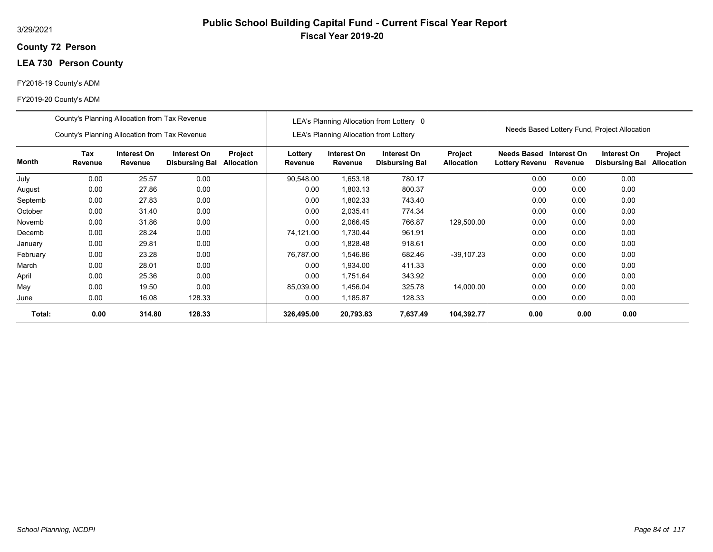## **72 Person County**

# **LEA 730 Person County**

## FY2018-19 County's ADM

|          | County's Planning Allocation from Tax Revenue                                                                                      |        |        |  |                    |                                               | LEA's Planning Allocation from Lottery 0 |                                     |                                      |                        | Needs Based Lottery Fund, Project Allocation |                              |
|----------|------------------------------------------------------------------------------------------------------------------------------------|--------|--------|--|--------------------|-----------------------------------------------|------------------------------------------|-------------------------------------|--------------------------------------|------------------------|----------------------------------------------|------------------------------|
|          | County's Planning Allocation from Tax Revenue                                                                                      |        |        |  |                    | <b>LEA's Planning Allocation from Lottery</b> |                                          |                                     |                                      |                        |                                              |                              |
| Month    | Tax<br>Interest On<br>Interest On<br>Project<br>Allocation<br>Revenue<br>Revenue<br><b>Disbursing Bal</b><br>0.00<br>25.57<br>0.00 |        |        |  | Lottery<br>Revenue | Interest On<br>Revenue                        | Interest On<br><b>Disbursing Bal</b>     | <b>Project</b><br><b>Allocation</b> | Needs Based<br><b>Lottery Revenu</b> | Interest On<br>Revenue | Interest On<br><b>Disbursing Bal</b>         | Project<br><b>Allocation</b> |
| July     |                                                                                                                                    |        |        |  | 90,548.00          | 1,653.18                                      | 780.17                                   |                                     | 0.00                                 | 0.00                   | 0.00                                         |                              |
| August   | 0.00                                                                                                                               | 27.86  | 0.00   |  | 0.00               | 1,803.13                                      | 800.37                                   |                                     | 0.00                                 | 0.00                   | 0.00                                         |                              |
| Septemb  | 0.00                                                                                                                               | 27.83  | 0.00   |  | 0.00               | 1,802.33                                      | 743.40                                   |                                     | 0.00                                 | 0.00                   | 0.00                                         |                              |
| October  | 0.00                                                                                                                               | 31.40  | 0.00   |  | 0.00               | 2,035.41                                      | 774.34                                   |                                     | 0.00                                 | 0.00                   | 0.00                                         |                              |
| Novemb   | 0.00                                                                                                                               | 31.86  | 0.00   |  | 0.00               | 2,066.45                                      | 766.87                                   | 129,500.00                          | 0.00                                 | 0.00                   | 0.00                                         |                              |
| Decemb   | 0.00                                                                                                                               | 28.24  | 0.00   |  | 74,121.00          | 1,730.44                                      | 961.91                                   |                                     | 0.00                                 | 0.00                   | 0.00                                         |                              |
| January  | 0.00                                                                                                                               | 29.81  | 0.00   |  | 0.00               | 1,828.48                                      | 918.61                                   |                                     | 0.00                                 | 0.00                   | 0.00                                         |                              |
| February | 0.00                                                                                                                               | 23.28  | 0.00   |  | 76,787.00          | 1,546.86                                      | 682.46                                   | $-39,107.23$                        | 0.00                                 | 0.00                   | 0.00                                         |                              |
| March    | 0.00                                                                                                                               | 28.01  | 0.00   |  | 0.00               | 1,934.00                                      | 411.33                                   |                                     | 0.00                                 | 0.00                   | 0.00                                         |                              |
| April    | 0.00                                                                                                                               | 25.36  | 0.00   |  | 0.00               | 1,751.64                                      | 343.92                                   |                                     | 0.00                                 | 0.00                   | 0.00                                         |                              |
| May      | 0.00                                                                                                                               | 19.50  | 0.00   |  | 85,039.00          | 1,456.04                                      | 325.78                                   | 14,000.00                           | 0.00                                 | 0.00                   | 0.00                                         |                              |
| June     | 0.00                                                                                                                               | 16.08  | 128.33 |  | 0.00               | 1,185.87                                      | 128.33                                   |                                     | 0.00                                 | 0.00                   | 0.00                                         |                              |
| Total:   | 0.00                                                                                                                               | 314.80 | 128.33 |  | 326,495.00         | 20,793.83                                     | 7,637.49                                 | 104,392.77                          | 0.00                                 | 0.00                   | 0.00                                         |                              |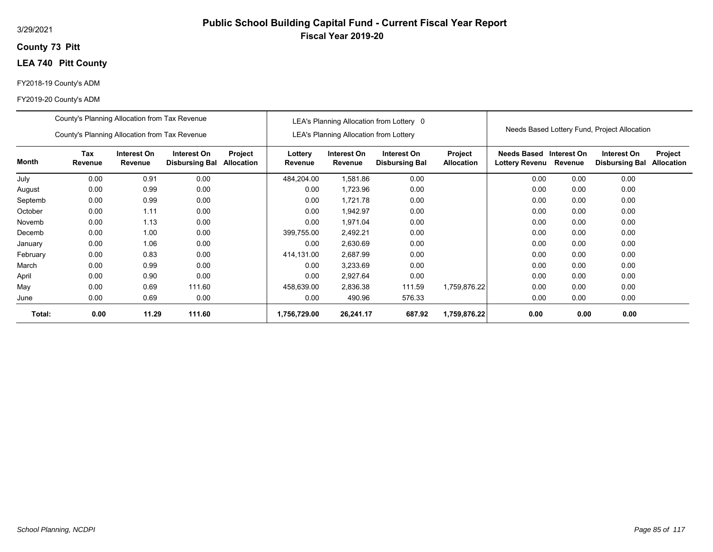## **73 Pitt County**

# **LEA 740 Pitt County**

### FY2018-19 County's ADM

# FY2019-20 County's ADM

|          | FY2019-20 County's ADM                                                                                                            |      |        |  |                    |                                               |                                          |                              |                                                   |      |                                              |                              |
|----------|-----------------------------------------------------------------------------------------------------------------------------------|------|--------|--|--------------------|-----------------------------------------------|------------------------------------------|------------------------------|---------------------------------------------------|------|----------------------------------------------|------------------------------|
|          | County's Planning Allocation from Tax Revenue<br>County's Planning Allocation from Tax Revenue                                    |      |        |  |                    | <b>LEA's Planning Allocation from Lottery</b> | LEA's Planning Allocation from Lottery 0 |                              |                                                   |      | Needs Based Lottery Fund, Project Allocation |                              |
| Month    | Tax<br>Interest On<br>Interest On<br>Project<br><b>Disbursing Bal</b><br>Allocation<br>Revenue<br>Revenue<br>0.00<br>0.91<br>0.00 |      |        |  | Lottery<br>Revenue | Interest On<br>Revenue                        | Interest On<br><b>Disbursing Bal</b>     | Project<br><b>Allocation</b> | Needs Based Interest On<br>Lottery Revenu Revenue |      | Interest On<br><b>Disbursing Bal</b>         | Project<br><b>Allocation</b> |
| July     |                                                                                                                                   |      |        |  | 484,204.00         | 1,581.86                                      | 0.00                                     |                              | 0.00                                              | 0.00 | 0.00                                         |                              |
| August   | 0.00                                                                                                                              | 0.99 | 0.00   |  | 0.00               | 1,723.96                                      | 0.00                                     |                              | 0.00                                              | 0.00 | 0.00                                         |                              |
| Septemb  | 0.00                                                                                                                              | 0.99 | 0.00   |  | 0.00               | 1,721.78                                      | 0.00                                     |                              | 0.00                                              | 0.00 | 0.00                                         |                              |
| October  | 0.00                                                                                                                              | 1.11 | 0.00   |  | 0.00               | 1,942.97                                      | 0.00                                     |                              | 0.00                                              | 0.00 | 0.00                                         |                              |
| Novemb   | 0.00                                                                                                                              | 1.13 | 0.00   |  | 0.00               | 1,971.04                                      | 0.00                                     |                              | 0.00                                              | 0.00 | 0.00                                         |                              |
| Decemb   | 0.00                                                                                                                              | 1.00 | 0.00   |  | 399,755.00         | 2,492.21                                      | 0.00                                     |                              | 0.00                                              | 0.00 | 0.00                                         |                              |
| January  | 0.00                                                                                                                              | 1.06 | 0.00   |  | 0.00               | 2,630.69                                      | 0.00                                     |                              | 0.00                                              | 0.00 | 0.00                                         |                              |
| February | 0.00                                                                                                                              | 0.83 | 0.00   |  | 414,131.00         | 2,687.99                                      | 0.00                                     |                              | 0.00                                              | 0.00 | 0.00                                         |                              |
| March    | 0.00                                                                                                                              | 0.99 | 0.00   |  | 0.00               | 3,233.69                                      | 0.00                                     |                              | 0.00                                              | 0.00 | 0.00                                         |                              |
| April    | 0.00                                                                                                                              | 0.90 | 0.00   |  | 0.00               | 2,927.64                                      | 0.00                                     |                              | 0.00                                              | 0.00 | 0.00                                         |                              |
| May      | 0.00                                                                                                                              | 0.69 | 111.60 |  | 458,639.00         | 2,836.38                                      | 111.59                                   | 1,759,876.22                 | 0.00                                              | 0.00 | 0.00                                         |                              |
| June     | 0.00                                                                                                                              | 0.69 | 0.00   |  | 0.00               | 490.96                                        | 576.33                                   |                              | 0.00                                              | 0.00 | 0.00                                         |                              |

**0.00 11.29 111.60 1,756,729.00 1,759,876.22 26,241.17 687.92 0.00 0.00 0.00**

**Total:**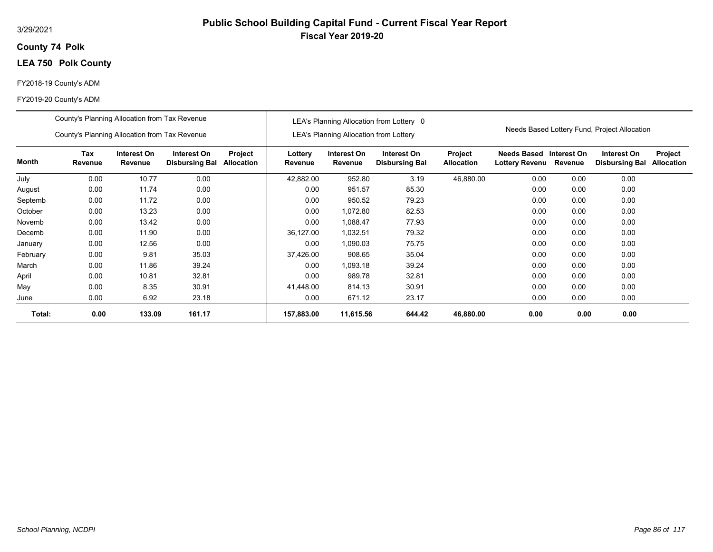## **74 Polk County**

# **LEA 750 Polk County**

## FY2018-19 County's ADM

|          | County's Planning Allocation from Tax Revenue |                        |                                      |                       |                    |                                               | LEA's Planning Allocation from Lottery 0 |                              |                               |                        |                                              |                              |
|----------|-----------------------------------------------|------------------------|--------------------------------------|-----------------------|--------------------|-----------------------------------------------|------------------------------------------|------------------------------|-------------------------------|------------------------|----------------------------------------------|------------------------------|
|          | County's Planning Allocation from Tax Revenue |                        |                                      |                       |                    | <b>LEA's Planning Allocation from Lottery</b> |                                          |                              |                               |                        | Needs Based Lottery Fund, Project Allocation |                              |
| Month    | Tax<br>Revenue                                | Interest On<br>Revenue | Interest On<br><b>Disbursing Bal</b> | Project<br>Allocation | Lottery<br>Revenue | Interest On<br>Revenue                        | Interest On<br><b>Disbursing Bal</b>     | Project<br><b>Allocation</b> | Needs Based<br>Lottery Revenu | Interest On<br>Revenue | Interest On<br><b>Disbursing Bal</b>         | Project<br><b>Allocation</b> |
| July     | 0.00                                          | 10.77                  | 0.00                                 |                       | 42,882.00          | 952.80                                        | 3.19                                     | 46,880.00                    | 0.00                          | 0.00                   | 0.00                                         |                              |
| August   | 0.00                                          | 11.74                  | 0.00                                 |                       | 0.00               | 951.57                                        | 85.30                                    |                              | 0.00                          | 0.00                   | 0.00                                         |                              |
| Septemb  | 0.00                                          | 11.72                  | 0.00                                 |                       | 0.00               | 950.52                                        | 79.23                                    |                              | 0.00                          | 0.00                   | 0.00                                         |                              |
| October  | 0.00                                          | 13.23                  | 0.00                                 |                       | 0.00               | 1,072.80                                      | 82.53                                    |                              | 0.00                          | 0.00                   | 0.00                                         |                              |
| Novemb   | 0.00                                          | 13.42                  | 0.00                                 |                       | 0.00               | 1,088.47                                      | 77.93                                    |                              | 0.00                          | 0.00                   | 0.00                                         |                              |
| Decemb   | 0.00                                          | 11.90                  | 0.00                                 |                       | 36,127.00          | 1,032.51                                      | 79.32                                    |                              | 0.00                          | 0.00                   | 0.00                                         |                              |
| January  | 0.00                                          | 12.56                  | 0.00                                 |                       | 0.00               | 1.090.03                                      | 75.75                                    |                              | 0.00                          | 0.00                   | 0.00                                         |                              |
| February | 0.00                                          | 9.81                   | 35.03                                |                       | 37,426.00          | 908.65                                        | 35.04                                    |                              | 0.00                          | 0.00                   | 0.00                                         |                              |
| March    | 0.00                                          | 11.86                  | 39.24                                |                       | 0.00               | 1,093.18                                      | 39.24                                    |                              | 0.00                          | 0.00                   | 0.00                                         |                              |
| April    | 0.00                                          | 10.81                  | 32.81                                |                       | 0.00               | 989.78                                        | 32.81                                    |                              | 0.00                          | 0.00                   | 0.00                                         |                              |
| May      | 0.00                                          | 8.35                   | 30.91                                |                       | 41,448.00          | 814.13                                        | 30.91                                    |                              | 0.00                          | 0.00                   | 0.00                                         |                              |
| June     | 0.00                                          | 6.92                   | 23.18                                |                       | 0.00               | 671.12                                        | 23.17                                    |                              | 0.00                          | 0.00                   | 0.00                                         |                              |
| Total:   | 0.00                                          | 133.09                 | 161.17                               |                       | 157,883.00         | 11,615.56                                     | 644.42                                   | 46,880.00                    | 0.00                          | 0.00                   | 0.00                                         |                              |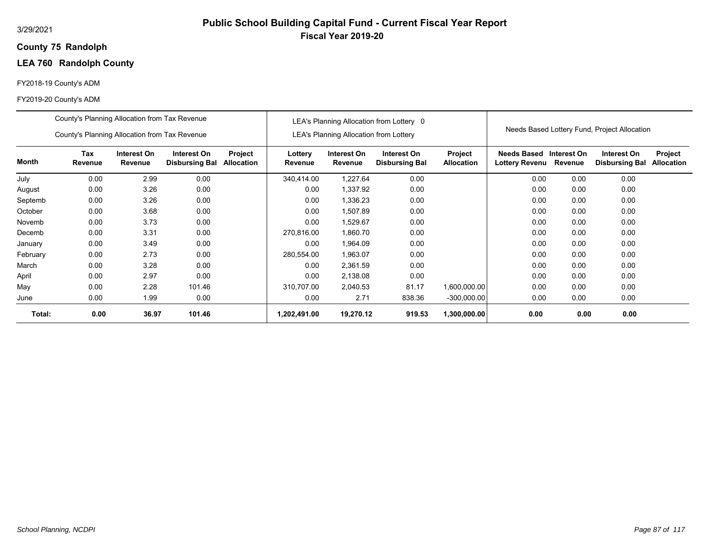## **75 Randolph County**

# **LEA 760 Randolph County**

## FY2018-19 County's ADM

|          | County's Planning Allocation from Tax Revenue |                        |                                      |                              |                    |                                               | LEA's Planning Allocation from Lottery 0 |                              |                                           |         |                                              |                              |
|----------|-----------------------------------------------|------------------------|--------------------------------------|------------------------------|--------------------|-----------------------------------------------|------------------------------------------|------------------------------|-------------------------------------------|---------|----------------------------------------------|------------------------------|
|          | County's Planning Allocation from Tax Revenue |                        |                                      |                              |                    | <b>LEA's Planning Allocation from Lottery</b> |                                          |                              |                                           |         | Needs Based Lottery Fund, Project Allocation |                              |
| Month    | Tax<br>Revenue                                | Interest On<br>Revenue | Interest On<br><b>Disbursing Bal</b> | Project<br><b>Allocation</b> | Lottery<br>Revenue | Interest On<br>Revenue                        | Interest On<br><b>Disbursing Bal</b>     | Project<br><b>Allocation</b> | Needs Based Interest On<br>Lottery Revenu | Revenue | Interest On<br><b>Disbursing Bal</b>         | Project<br><b>Allocation</b> |
| July     | 0.00                                          | 2.99                   | 0.00                                 |                              | 340,414.00         | 1,227.64                                      | 0.00                                     |                              | 0.00                                      | 0.00    | 0.00                                         |                              |
| August   | 0.00                                          | 3.26                   | 0.00                                 |                              | 0.00               | 1,337.92                                      | 0.00                                     |                              | 0.00                                      | 0.00    | 0.00                                         |                              |
| Septemb  | 0.00                                          | 3.26                   | 0.00                                 |                              | 0.00               | 1,336.23                                      | 0.00                                     |                              | 0.00                                      | 0.00    | 0.00                                         |                              |
| October  | 0.00                                          | 3.68                   | 0.00                                 |                              | 0.00               | 1,507.89                                      | 0.00                                     |                              | 0.00                                      | 0.00    | 0.00                                         |                              |
| Novemb   | 0.00                                          | 3.73                   | 0.00                                 |                              | 0.00               | 1,529.67                                      | 0.00                                     |                              | 0.00                                      | 0.00    | 0.00                                         |                              |
| Decemb   | 0.00                                          | 3.31                   | 0.00                                 |                              | 270,816.00         | 1,860.70                                      | 0.00                                     |                              | 0.00                                      | 0.00    | 0.00                                         |                              |
| January  | 0.00                                          | 3.49                   | 0.00                                 |                              | 0.00               | 1,964.09                                      | 0.00                                     |                              | 0.00                                      | 0.00    | 0.00                                         |                              |
| February | 0.00                                          | 2.73                   | 0.00                                 |                              | 280,554.00         | 1,963.07                                      | 0.00                                     |                              | 0.00                                      | 0.00    | 0.00                                         |                              |
| March    | 0.00                                          | 3.28                   | 0.00                                 |                              | 0.00               | 2,361.59                                      | 0.00                                     |                              | 0.00                                      | 0.00    | 0.00                                         |                              |
| April    | 0.00                                          | 2.97                   | 0.00                                 |                              | 0.00               | 2,138.08                                      | 0.00                                     |                              | 0.00                                      | 0.00    | 0.00                                         |                              |
| May      | 0.00                                          | 2.28                   | 101.46                               |                              | 310.707.00         | 2,040.53                                      | 81.17                                    | 1,600,000.00                 | 0.00                                      | 0.00    | 0.00                                         |                              |
| June     | 0.00                                          | 1.99                   | 0.00                                 |                              | 0.00               | 2.71                                          | 838.36                                   | $-300,000.00$                | 0.00                                      | 0.00    | 0.00                                         |                              |
| Total:   | 0.00                                          | 36.97                  | 101.46                               |                              | 1,202,491.00       | 19,270.12                                     | 919.53                                   | 1,300,000.00                 | 0.00                                      | 0.00    | 0.00                                         |                              |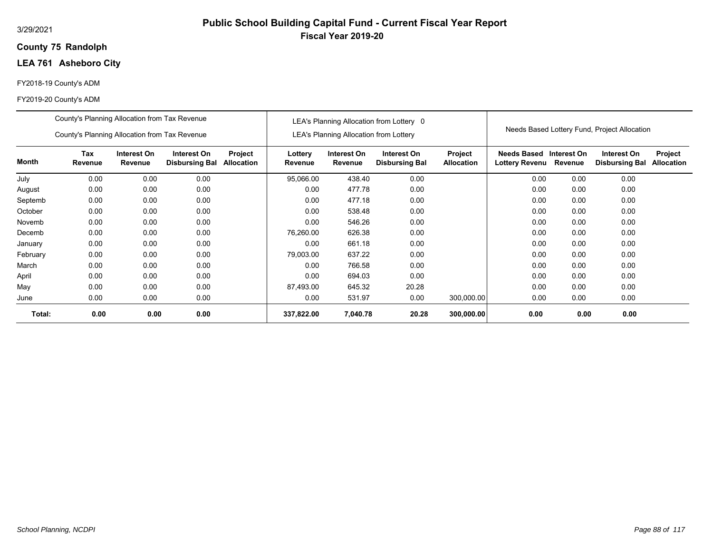## **75 Randolph County**

## **LEA 761 Asheboro City**

## FY2018-19 County's ADM

|          | County's Planning Allocation from Tax Revenue |                        |                                      |                       |                    |                                               | LEA's Planning Allocation from Lottery 0 |                              |                               |                        | Needs Based Lottery Fund, Project Allocation |                              |
|----------|-----------------------------------------------|------------------------|--------------------------------------|-----------------------|--------------------|-----------------------------------------------|------------------------------------------|------------------------------|-------------------------------|------------------------|----------------------------------------------|------------------------------|
|          | County's Planning Allocation from Tax Revenue |                        |                                      |                       |                    | <b>LEA's Planning Allocation from Lottery</b> |                                          |                              |                               |                        |                                              |                              |
| Month    | Tax<br>Revenue                                | Interest On<br>Revenue | Interest On<br><b>Disbursing Bal</b> | Project<br>Allocation | Lottery<br>Revenue | Interest On<br>Revenue                        | Interest On<br><b>Disbursing Bal</b>     | Project<br><b>Allocation</b> | Needs Based<br>Lottery Revenu | Interest On<br>Revenue | Interest On<br><b>Disbursing Bal</b>         | Project<br><b>Allocation</b> |
| July     | 0.00                                          | 0.00                   | 0.00                                 |                       | 95,066.00          | 438.40                                        | 0.00                                     |                              | 0.00                          | 0.00                   | 0.00                                         |                              |
| August   | 0.00                                          | 0.00                   | 0.00                                 |                       | 0.00               | 477.78                                        | 0.00                                     |                              | 0.00                          | 0.00                   | 0.00                                         |                              |
| Septemb  | 0.00                                          | 0.00                   | 0.00                                 |                       | 0.00               | 477.18                                        | 0.00                                     |                              | 0.00                          | 0.00                   | 0.00                                         |                              |
| October  | 0.00                                          | 0.00                   | 0.00                                 |                       | 0.00               | 538.48                                        | 0.00                                     |                              | 0.00                          | 0.00                   | 0.00                                         |                              |
| Novemb   | 0.00                                          | 0.00                   | 0.00                                 |                       | 0.00               | 546.26                                        | 0.00                                     |                              | 0.00                          | 0.00                   | 0.00                                         |                              |
| Decemb   | 0.00                                          | 0.00                   | 0.00                                 |                       | 76,260.00          | 626.38                                        | 0.00                                     |                              | 0.00                          | 0.00                   | 0.00                                         |                              |
| January  | 0.00                                          | 0.00                   | 0.00                                 |                       | 0.00               | 661.18                                        | 0.00                                     |                              | 0.00                          | 0.00                   | 0.00                                         |                              |
| February | 0.00                                          | 0.00                   | 0.00                                 |                       | 79,003.00          | 637.22                                        | 0.00                                     |                              | 0.00                          | 0.00                   | 0.00                                         |                              |
| March    | 0.00                                          | 0.00                   | 0.00                                 |                       | 0.00               | 766.58                                        | 0.00                                     |                              | 0.00                          | 0.00                   | 0.00                                         |                              |
| April    | 0.00                                          | 0.00                   | 0.00                                 |                       | 0.00               | 694.03                                        | 0.00                                     |                              | 0.00                          | 0.00                   | 0.00                                         |                              |
| May      | 0.00                                          | 0.00                   | 0.00                                 |                       | 87,493.00          | 645.32                                        | 20.28                                    |                              | 0.00                          | 0.00                   | 0.00                                         |                              |
| June     | 0.00                                          | 0.00                   | 0.00                                 |                       | 0.00               | 531.97                                        | 0.00                                     | 300,000.00                   | 0.00                          | 0.00                   | 0.00                                         |                              |
| Total:   | 0.00                                          | 0.00                   | 0.00                                 |                       | 337,822.00         | 7,040.78                                      | 20.28                                    | 300,000.00                   | 0.00                          | 0.00                   | 0.00                                         |                              |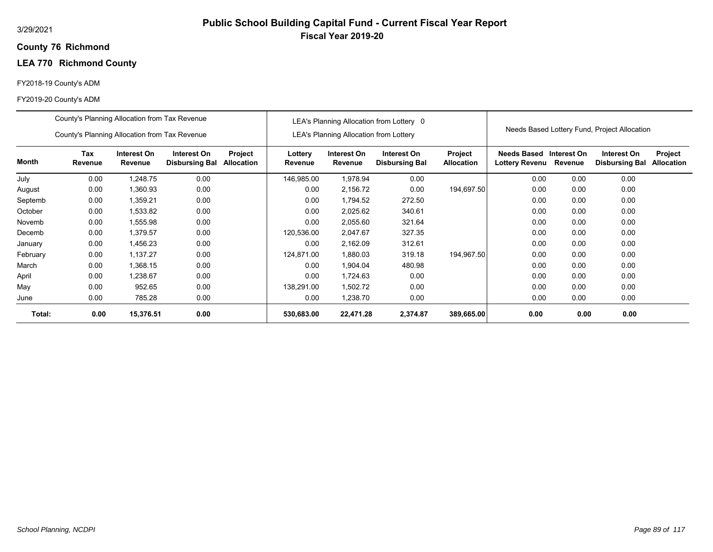## **76 Richmond County**

# **LEA 770 Richmond County**

## FY2018-19 County's ADM

|          | County's Planning Allocation from Tax Revenue |                        |                                      |                       |                    |                                               | LEA's Planning Allocation from Lottery 0 |                              |                               |                        |                                              |                              |
|----------|-----------------------------------------------|------------------------|--------------------------------------|-----------------------|--------------------|-----------------------------------------------|------------------------------------------|------------------------------|-------------------------------|------------------------|----------------------------------------------|------------------------------|
|          | County's Planning Allocation from Tax Revenue |                        |                                      |                       |                    | <b>LEA's Planning Allocation from Lottery</b> |                                          |                              |                               |                        | Needs Based Lottery Fund, Project Allocation |                              |
| Month    | Tax<br>Revenue                                | Interest On<br>Revenue | Interest On<br><b>Disbursing Bal</b> | Project<br>Allocation | Lottery<br>Revenue | Interest On<br>Revenue                        | Interest On<br><b>Disbursing Bal</b>     | Project<br><b>Allocation</b> | Needs Based<br>Lottery Revenu | Interest On<br>Revenue | Interest On<br><b>Disbursing Bal</b>         | Project<br><b>Allocation</b> |
| July     | 0.00                                          | 1,248.75               | 0.00                                 |                       | 146,985.00         | 1,978.94                                      | 0.00                                     |                              | 0.00                          | 0.00                   | 0.00                                         |                              |
| August   | 0.00                                          | 1,360.93               | 0.00                                 |                       | 0.00               | 2,156.72                                      | 0.00                                     | 194,697.50                   | 0.00                          | 0.00                   | 0.00                                         |                              |
| Septemb  | 0.00                                          | 1,359.21               | 0.00                                 |                       | 0.00               | 1,794.52                                      | 272.50                                   |                              | 0.00                          | 0.00                   | 0.00                                         |                              |
| October  | 0.00                                          | 1,533.82               | 0.00                                 |                       | 0.00               | 2,025.62                                      | 340.61                                   |                              | 0.00                          | 0.00                   | 0.00                                         |                              |
| Novemb   | 0.00                                          | 1,555.98               | 0.00                                 |                       | 0.00               | 2,055.60                                      | 321.64                                   |                              | 0.00                          | 0.00                   | 0.00                                         |                              |
| Decemb   | 0.00                                          | 1,379.57               | 0.00                                 |                       | 120,536.00         | 2.047.67                                      | 327.35                                   |                              | 0.00                          | 0.00                   | 0.00                                         |                              |
| January  | 0.00                                          | 1,456.23               | 0.00                                 |                       | 0.00               | 2,162.09                                      | 312.61                                   |                              | 0.00                          | 0.00                   | 0.00                                         |                              |
| February | 0.00                                          | 1,137.27               | 0.00                                 |                       | 124,871.00         | 1,880.03                                      | 319.18                                   | 194,967.50                   | 0.00                          | 0.00                   | 0.00                                         |                              |
| March    | 0.00                                          | 1,368.15               | 0.00                                 |                       | 0.00               | 1,904.04                                      | 480.98                                   |                              | 0.00                          | 0.00                   | 0.00                                         |                              |
| April    | 0.00                                          | 1,238.67               | 0.00                                 |                       | 0.00               | 1,724.63                                      | 0.00                                     |                              | 0.00                          | 0.00                   | 0.00                                         |                              |
| May      | 0.00                                          | 952.65                 | 0.00                                 |                       | 138,291.00         | 1,502.72                                      | 0.00                                     |                              | 0.00                          | 0.00                   | 0.00                                         |                              |
| June     | 0.00                                          | 785.28                 | 0.00                                 |                       | 0.00               | 1,238.70                                      | 0.00                                     |                              | 0.00                          | 0.00                   | 0.00                                         |                              |
| Total:   | 0.00                                          | 15,376.51              | 0.00                                 |                       | 530,683.00         | 22,471.28                                     | 2,374.87                                 | 389,665.00                   | 0.00                          | 0.00                   | 0.00                                         |                              |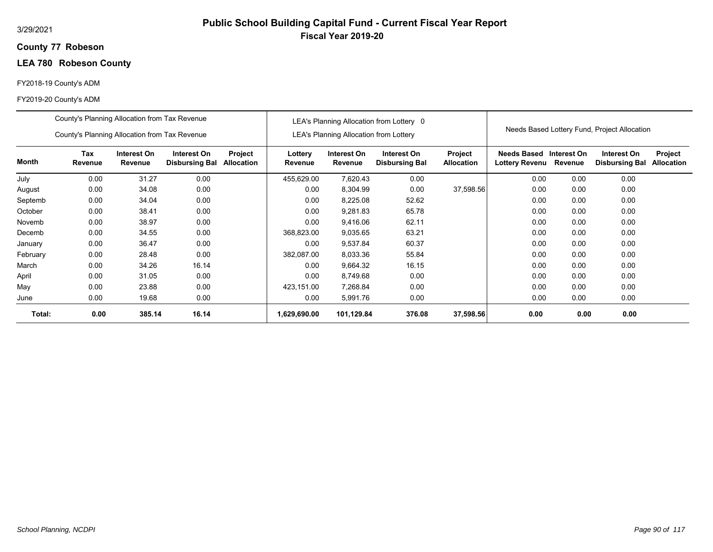## **77 Robeson County**

# **LEA 780 Robeson County**

## FY2018-19 County's ADM

|          | County's Planning Allocation from Tax Revenue |                                                                                                                         |       |  |                    |                                               | LEA's Planning Allocation from Lottery 0 |                              |                                      |                        |                                              |                              |
|----------|-----------------------------------------------|-------------------------------------------------------------------------------------------------------------------------|-------|--|--------------------|-----------------------------------------------|------------------------------------------|------------------------------|--------------------------------------|------------------------|----------------------------------------------|------------------------------|
|          | County's Planning Allocation from Tax Revenue |                                                                                                                         |       |  |                    | <b>LEA's Planning Allocation from Lottery</b> |                                          |                              |                                      |                        | Needs Based Lottery Fund, Project Allocation |                              |
| Month    | <b>Tax</b><br>Revenue                         | Interest On<br>Interest On<br>Project<br>Revenue<br><b>Disbursing Bal</b><br><b>Allocation</b><br>0.00<br>31.27<br>0.00 |       |  | Lottery<br>Revenue | Interest On<br>Revenue                        | Interest On<br><b>Disbursing Bal</b>     | Project<br><b>Allocation</b> | <b>Needs Based</b><br>Lottery Revenu | Interest On<br>Revenue | Interest On<br><b>Disbursing Bal</b>         | Project<br><b>Allocation</b> |
| July     |                                               |                                                                                                                         |       |  | 455,629.00         | 7,620.43                                      | 0.00                                     |                              | 0.00                                 | 0.00                   | 0.00                                         |                              |
| August   | 0.00                                          | 34.08                                                                                                                   | 0.00  |  | 0.00               | 8,304.99                                      | 0.00                                     | 37,598.56                    | 0.00                                 | 0.00                   | 0.00                                         |                              |
| Septemb  | 0.00                                          | 34.04                                                                                                                   | 0.00  |  | 0.00               | 8,225.08                                      | 52.62                                    |                              | 0.00                                 | 0.00                   | 0.00                                         |                              |
| October  | 0.00                                          | 38.41                                                                                                                   | 0.00  |  | 0.00               | 9,281.83                                      | 65.78                                    |                              | 0.00                                 | 0.00                   | 0.00                                         |                              |
| Novemb   | 0.00                                          | 38.97                                                                                                                   | 0.00  |  | 0.00               | 9,416.06                                      | 62.11                                    |                              | 0.00                                 | 0.00                   | 0.00                                         |                              |
| Decemb   | 0.00                                          | 34.55                                                                                                                   | 0.00  |  | 368,823.00         | 9,035.65                                      | 63.21                                    |                              | 0.00                                 | 0.00                   | 0.00                                         |                              |
| January  | 0.00                                          | 36.47                                                                                                                   | 0.00  |  | 0.00               | 9,537.84                                      | 60.37                                    |                              | 0.00                                 | 0.00                   | 0.00                                         |                              |
| February | 0.00                                          | 28.48                                                                                                                   | 0.00  |  | 382,087.00         | 8,033.36                                      | 55.84                                    |                              | 0.00                                 | 0.00                   | 0.00                                         |                              |
| March    | 0.00                                          | 34.26                                                                                                                   | 16.14 |  | 0.00               | 9,664.32                                      | 16.15                                    |                              | 0.00                                 | 0.00                   | 0.00                                         |                              |
| April    | 0.00                                          | 31.05                                                                                                                   | 0.00  |  | 0.00               | 8,749.68                                      | 0.00                                     |                              | 0.00                                 | 0.00                   | 0.00                                         |                              |
| May      | 0.00                                          | 23.88                                                                                                                   | 0.00  |  | 423,151.00         | 7.268.84                                      | 0.00                                     |                              | 0.00                                 | 0.00                   | 0.00                                         |                              |
| June     | 0.00                                          | 19.68                                                                                                                   | 0.00  |  | 0.00               | 5,991.76                                      | 0.00                                     |                              | 0.00                                 | 0.00                   | 0.00                                         |                              |
| Total:   | 0.00                                          | 385.14                                                                                                                  | 16.14 |  | 1,629,690.00       | 101,129.84                                    | 376.08                                   | 37,598.56                    | 0.00                                 | 0.00                   | 0.00                                         |                              |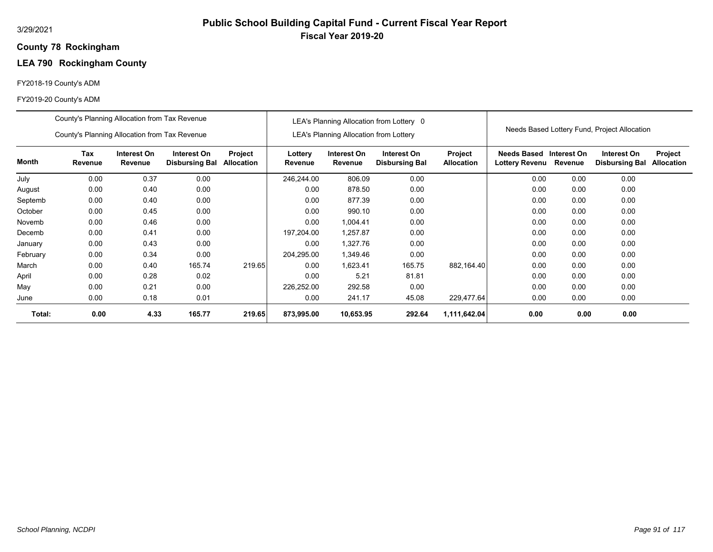## **78 Rockingham County**

# **LEA 790 Rockingham County**

## FY2018-19 County's ADM

|          | County's Planning Allocation from Tax Revenue |                        |                                      |                              |                    |                                        | LEA's Planning Allocation from Lottery 0 |                              |                                      |                        |                                              |                                     |
|----------|-----------------------------------------------|------------------------|--------------------------------------|------------------------------|--------------------|----------------------------------------|------------------------------------------|------------------------------|--------------------------------------|------------------------|----------------------------------------------|-------------------------------------|
|          | County's Planning Allocation from Tax Revenue |                        |                                      |                              |                    | LEA's Planning Allocation from Lottery |                                          |                              |                                      |                        | Needs Based Lottery Fund, Project Allocation |                                     |
| Month    | Tax<br>Revenue                                | Interest On<br>Revenue | Interest On<br><b>Disbursing Bal</b> | Project<br><b>Allocation</b> | Lottery<br>Revenue | Interest On<br>Revenue                 | Interest On<br><b>Disbursing Bal</b>     | Project<br><b>Allocation</b> | <b>Needs Based</b><br>Lottery Revenu | Interest On<br>Revenue | Interest On<br><b>Disbursing Bal</b>         | <b>Project</b><br><b>Allocation</b> |
| July     | 0.00                                          | 0.37                   | 0.00                                 |                              | 246,244.00         | 806.09                                 | 0.00                                     |                              | 0.00                                 | 0.00                   | 0.00                                         |                                     |
| August   | 0.00                                          | 0.40                   | 0.00                                 |                              | 0.00               | 878.50                                 | 0.00                                     |                              | 0.00                                 | 0.00                   | 0.00                                         |                                     |
| Septemb  | 0.00<br>0.00<br>0.40                          |                        |                                      |                              | 0.00               | 877.39                                 | 0.00                                     |                              | 0.00                                 | 0.00                   | 0.00                                         |                                     |
| October  | 0.00                                          | 0.45                   | 0.00                                 |                              | 0.00               | 990.10                                 | 0.00                                     |                              | 0.00                                 | 0.00                   | 0.00                                         |                                     |
| Novemb   | 0.00                                          | 0.46                   | 0.00                                 |                              | 0.00               | 1,004.41                               | 0.00                                     |                              | 0.00                                 | 0.00                   | 0.00                                         |                                     |
| Decemb   | 0.00                                          | 0.41                   | 0.00                                 |                              | 197,204.00         | 1,257.87                               | 0.00                                     |                              | 0.00                                 | 0.00                   | 0.00                                         |                                     |
| January  | 0.00                                          | 0.43                   | 0.00                                 |                              | 0.00               | 1,327.76                               | 0.00                                     |                              | 0.00                                 | 0.00                   | 0.00                                         |                                     |
| February | 0.00                                          | 0.34                   | 0.00                                 |                              | 204,295.00         | 1,349.46                               | 0.00                                     |                              | 0.00                                 | 0.00                   | 0.00                                         |                                     |
| March    | 0.00                                          | 0.40                   | 165.74                               | 219.65                       | 0.00               | 1,623.41                               | 165.75                                   | 882,164.40                   | 0.00                                 | 0.00                   | 0.00                                         |                                     |
| April    | 0.00                                          | 0.28                   | 0.02                                 |                              | 0.00               | 5.21                                   | 81.81                                    |                              | 0.00                                 | 0.00                   | 0.00                                         |                                     |
| May      | 0.00                                          | 0.21                   | 0.00                                 |                              | 226,252.00         | 292.58                                 | 0.00                                     |                              | 0.00                                 | 0.00                   | 0.00                                         |                                     |
| June     | 0.00                                          | 0.18                   | 0.01                                 |                              | 0.00               | 241.17                                 | 45.08                                    | 229,477.64                   | 0.00                                 | 0.00                   | 0.00                                         |                                     |
| Total:   | 0.00                                          | 4.33                   | 165.77                               | 219.65                       | 873,995.00         | 10,653.95                              | 292.64                                   | 1,111,642.04                 | 0.00                                 | 0.00                   | 0.00                                         |                                     |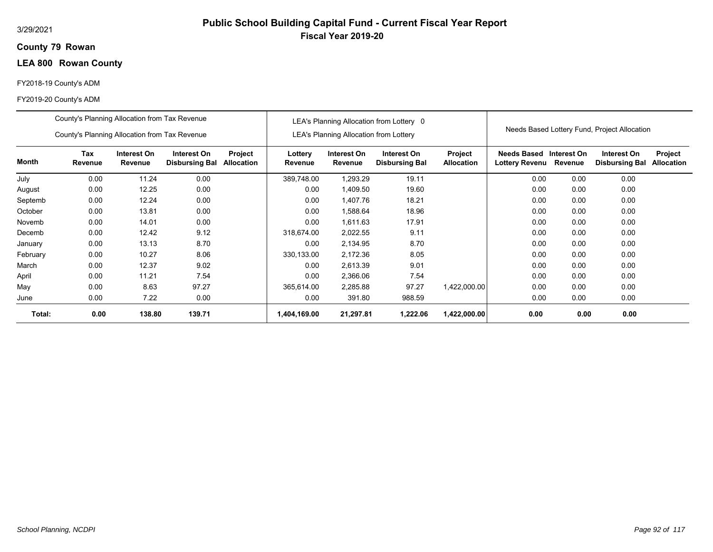## **79 Rowan County**

# **LEA 800 Rowan County**

## FY2018-19 County's ADM

|          | County's Planning Allocation from Tax Revenue |                        |                                      |                       |                    |                                               | LEA's Planning Allocation from Lottery 0 |                              |                               |                        |                                              |                              |
|----------|-----------------------------------------------|------------------------|--------------------------------------|-----------------------|--------------------|-----------------------------------------------|------------------------------------------|------------------------------|-------------------------------|------------------------|----------------------------------------------|------------------------------|
|          | County's Planning Allocation from Tax Revenue |                        |                                      |                       |                    | <b>LEA's Planning Allocation from Lottery</b> |                                          |                              |                               |                        | Needs Based Lottery Fund, Project Allocation |                              |
| Month    | Tax<br>Revenue                                | Interest On<br>Revenue | Interest On<br><b>Disbursing Bal</b> | Project<br>Allocation | Lottery<br>Revenue | Interest On<br>Revenue                        | Interest On<br><b>Disbursing Bal</b>     | Project<br><b>Allocation</b> | Needs Based<br>Lottery Revenu | Interest On<br>Revenue | Interest On<br><b>Disbursing Bal</b>         | Project<br><b>Allocation</b> |
| July     | 0.00                                          | 11.24                  | 0.00                                 |                       | 389,748.00         | 1,293.29                                      | 19.11                                    |                              | 0.00                          | 0.00                   | 0.00                                         |                              |
| August   | 0.00                                          | 12.25                  | 0.00                                 |                       | 0.00               | 1,409.50                                      | 19.60                                    |                              | 0.00                          | 0.00                   | 0.00                                         |                              |
| Septemb  | 0.00                                          | 12.24                  | 0.00                                 |                       | 0.00               | 1,407.76                                      | 18.21                                    |                              | 0.00                          | 0.00                   | 0.00                                         |                              |
| October  | 0.00                                          | 13.81                  | 0.00                                 |                       | 0.00               | 1,588.64                                      | 18.96                                    |                              | 0.00                          | 0.00                   | 0.00                                         |                              |
| Novemb   | 0.00                                          | 14.01                  | 0.00                                 |                       | 0.00               | 1,611.63                                      | 17.91                                    |                              | 0.00                          | 0.00                   | 0.00                                         |                              |
| Decemb   | 0.00                                          | 12.42                  | 9.12                                 |                       | 318.674.00         | 2,022.55                                      | 9.11                                     |                              | 0.00                          | 0.00                   | 0.00                                         |                              |
| January  | 0.00                                          | 13.13                  | 8.70                                 |                       | 0.00               | 2,134.95                                      | 8.70                                     |                              | 0.00                          | 0.00                   | 0.00                                         |                              |
| February | 0.00                                          | 10.27                  | 8.06                                 |                       | 330,133.00         | 2,172.36                                      | 8.05                                     |                              | 0.00                          | 0.00                   | 0.00                                         |                              |
| March    | 0.00                                          | 12.37                  | 9.02                                 |                       | 0.00               | 2,613.39                                      | 9.01                                     |                              | 0.00                          | 0.00                   | 0.00                                         |                              |
| April    | 0.00                                          | 11.21                  | 7.54                                 |                       | 0.00               | 2,366.06                                      | 7.54                                     |                              | 0.00                          | 0.00                   | 0.00                                         |                              |
| May      | 0.00                                          | 8.63                   | 97.27                                |                       | 365,614.00         | 2,285.88                                      | 97.27                                    | 1,422,000.00                 | 0.00                          | 0.00                   | 0.00                                         |                              |
| June     | 0.00                                          | 7.22                   | 0.00                                 |                       | 0.00               | 391.80                                        | 988.59                                   |                              | 0.00                          | 0.00                   | 0.00                                         |                              |
| Total:   | 0.00                                          | 138.80                 | 139.71                               |                       | 1,404,169.00       | 21,297.81                                     | 1,222.06                                 | 1,422,000.00                 | 0.00                          | 0.00                   | 0.00                                         |                              |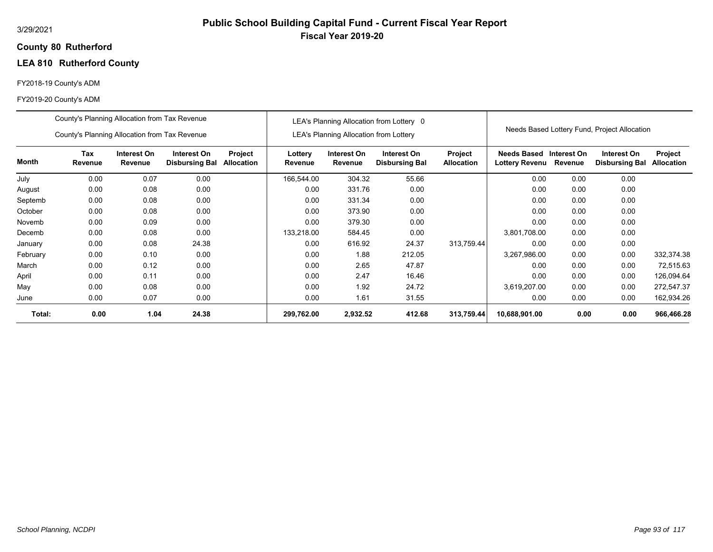### **80 Rutherford County**

# **LEA 810 Rutherford County**

## FY2018-19 County's ADM

|          | County's Planning Allocation from Tax Revenue |                        |                                      |                              |                           |                                               | LEA's Planning Allocation from Lottery 0 |                              |                                                          |      |                                              |                              |
|----------|-----------------------------------------------|------------------------|--------------------------------------|------------------------------|---------------------------|-----------------------------------------------|------------------------------------------|------------------------------|----------------------------------------------------------|------|----------------------------------------------|------------------------------|
|          | County's Planning Allocation from Tax Revenue |                        |                                      |                              |                           | <b>LEA's Planning Allocation from Lottery</b> |                                          |                              |                                                          |      | Needs Based Lottery Fund, Project Allocation |                              |
| Month    | Tax<br>Revenue                                | Interest On<br>Revenue | Interest On<br><b>Disbursing Bal</b> | Project<br><b>Allocation</b> | Lottery<br><b>Revenue</b> | Interest On<br>Revenue                        | Interest On<br><b>Disbursing Bal</b>     | Project<br><b>Allocation</b> | <b>Needs Based Interest On</b><br>Lottery Revenu Revenue |      | Interest On<br><b>Disbursing Bal</b>         | Project<br><b>Allocation</b> |
| July     | 0.00                                          | 0.07                   | 0.00                                 |                              | 166,544.00                | 304.32                                        | 55.66                                    |                              | 0.00                                                     | 0.00 | 0.00                                         |                              |
| August   | 0.00                                          | 0.08                   | 0.00                                 |                              | 0.00                      | 331.76                                        | 0.00                                     |                              | 0.00                                                     | 0.00 | 0.00                                         |                              |
| Septemb  | 0.00                                          | 0.08                   | 0.00                                 |                              | 0.00                      | 331.34                                        | 0.00                                     |                              | 0.00                                                     | 0.00 | 0.00                                         |                              |
| October  | 0.00                                          | 0.08                   | 0.00                                 |                              | 0.00                      | 373.90                                        | 0.00                                     |                              | 0.00                                                     | 0.00 | 0.00                                         |                              |
| Novemb   | 0.00                                          | 0.09                   | 0.00                                 |                              | 0.00                      | 379.30                                        | 0.00                                     |                              | 0.00                                                     | 0.00 | 0.00                                         |                              |
| Decemb   | 0.00                                          | 0.08                   | 0.00                                 |                              | 133,218.00                | 584.45                                        | 0.00                                     |                              | 3,801,708.00                                             | 0.00 | 0.00                                         |                              |
| January  | 0.00                                          | 0.08                   | 24.38                                |                              | 0.00                      | 616.92                                        | 24.37                                    | 313,759.44                   | 0.00                                                     | 0.00 | 0.00                                         |                              |
| February | 0.00                                          | 0.10                   | 0.00                                 |                              | 0.00                      | 1.88                                          | 212.05                                   |                              | 3,267,986.00                                             | 0.00 | 0.00                                         | 332,374.38                   |
| March    | 0.00                                          | 0.12                   | 0.00                                 |                              | 0.00                      | 2.65                                          | 47.87                                    |                              | 0.00                                                     | 0.00 | 0.00                                         | 72,515.63                    |
| April    | 0.00                                          | 0.11                   | 0.00                                 |                              | 0.00                      | 2.47                                          | 16.46                                    |                              | 0.00                                                     | 0.00 | 0.00                                         | 126,094.64                   |
| May      | 0.00                                          | 0.08                   | 0.00                                 |                              | 0.00                      | 1.92                                          | 24.72                                    |                              | 3,619,207.00                                             | 0.00 | 0.00                                         | 272,547.37                   |
| June     | 0.00                                          | 0.07                   | 0.00                                 |                              | 0.00                      | 1.61                                          | 31.55                                    |                              | 0.00                                                     | 0.00 | 0.00                                         | 162,934.26                   |
| Total:   | 0.00                                          | 1.04                   | 24.38                                |                              | 299,762.00                | 2,932.52                                      | 412.68                                   | 313,759.44                   | 10,688,901.00                                            | 0.00 | 0.00                                         | 966,466.28                   |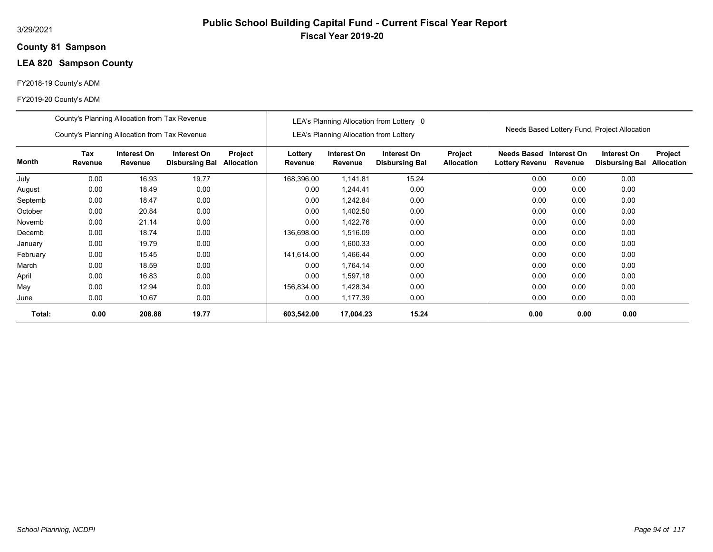## **81 Sampson County**

# **LEA 820 Sampson County**

## FY2018-19 County's ADM

|          | County's Planning Allocation from Tax Revenue |                        |                                      |                              |                    |                                               | LEA's Planning Allocation from Lottery 0 |                              |                                           |         |                                              |                              |
|----------|-----------------------------------------------|------------------------|--------------------------------------|------------------------------|--------------------|-----------------------------------------------|------------------------------------------|------------------------------|-------------------------------------------|---------|----------------------------------------------|------------------------------|
|          | County's Planning Allocation from Tax Revenue |                        |                                      |                              |                    | <b>LEA's Planning Allocation from Lottery</b> |                                          |                              |                                           |         | Needs Based Lottery Fund, Project Allocation |                              |
| Month    | <b>Tax</b><br>Revenue                         | Interest On<br>Revenue | Interest On<br><b>Disbursing Bal</b> | Project<br><b>Allocation</b> | Lottery<br>Revenue | Interest On<br>Revenue                        | Interest On<br><b>Disbursing Bal</b>     | Project<br><b>Allocation</b> | Needs Based Interest On<br>Lottery Revenu | Revenue | Interest On<br><b>Disbursing Bal</b>         | Project<br><b>Allocation</b> |
| July     | 0.00                                          | 16.93                  | 19.77                                |                              | 168,396.00         | 1,141.81                                      | 15.24                                    |                              | 0.00                                      | 0.00    | 0.00                                         |                              |
| August   | 0.00                                          | 18.49                  | 0.00                                 |                              | 0.00               | 1,244.41                                      | 0.00                                     |                              | 0.00                                      | 0.00    | 0.00                                         |                              |
| Septemb  | 0.00                                          | 18.47                  | 0.00                                 |                              | 0.00               | 1,242.84                                      | 0.00                                     |                              | 0.00                                      | 0.00    | 0.00                                         |                              |
| October  | 0.00                                          | 20.84                  | 0.00                                 |                              | 0.00               | 1,402.50                                      | 0.00                                     |                              | 0.00                                      | 0.00    | 0.00                                         |                              |
| Novemb   | 0.00                                          | 21.14                  | 0.00                                 |                              | 0.00               | 1,422.76                                      | 0.00                                     |                              | 0.00                                      | 0.00    | 0.00                                         |                              |
| Decemb   | 0.00                                          | 18.74                  | 0.00                                 |                              | 136,698.00         | 1,516.09                                      | 0.00                                     |                              | 0.00                                      | 0.00    | 0.00                                         |                              |
| January  | 0.00                                          | 19.79                  | 0.00                                 |                              | 0.00               | 1,600.33                                      | 0.00                                     |                              | 0.00                                      | 0.00    | 0.00                                         |                              |
| February | 0.00                                          | 15.45                  | 0.00                                 |                              | 141,614.00         | 1,466.44                                      | 0.00                                     |                              | 0.00                                      | 0.00    | 0.00                                         |                              |
| March    | 0.00                                          | 18.59                  | 0.00                                 |                              | 0.00               | 1,764.14                                      | 0.00                                     |                              | 0.00                                      | 0.00    | 0.00                                         |                              |
| April    | 0.00                                          | 16.83                  | 0.00                                 |                              | 0.00               | 1,597.18                                      | 0.00                                     |                              | 0.00                                      | 0.00    | 0.00                                         |                              |
| May      | 0.00                                          | 12.94                  | 0.00                                 |                              | 156,834.00         | 1,428.34                                      | 0.00                                     |                              | 0.00                                      | 0.00    | 0.00                                         |                              |
| June     | 0.00                                          | 10.67                  | 0.00                                 |                              | 0.00               | 1,177.39                                      | 0.00                                     |                              | 0.00                                      | 0.00    | 0.00                                         |                              |
| Total:   | 0.00                                          | 208.88                 | 19.77                                |                              | 603,542.00         | 17,004.23                                     | 15.24                                    |                              | 0.00                                      | 0.00    | 0.00                                         |                              |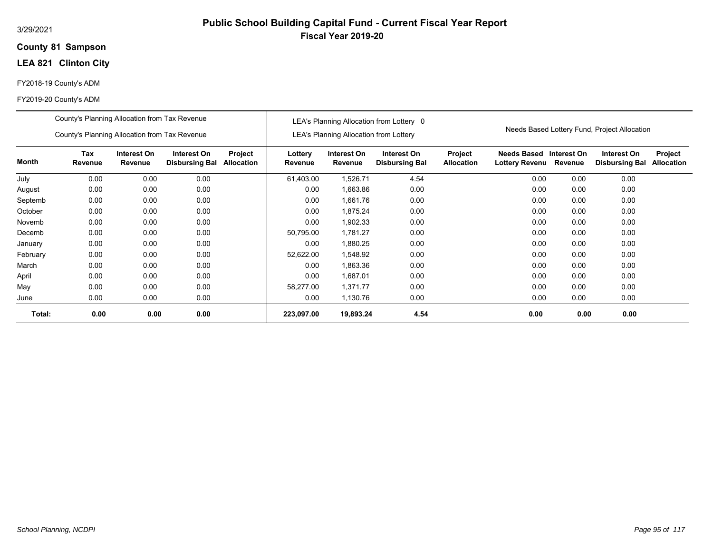### **81 Sampson County**

# **LEA 821 Clinton City**

## FY2018-19 County's ADM

|          | County's Planning Allocation from Tax Revenue<br>County's Planning Allocation from Tax Revenue |                        |                                      |                              |                    | <b>LEA's Planning Allocation from Lottery</b> | LEA's Planning Allocation from Lottery 0 |                              |                                             |                        | Needs Based Lottery Fund, Project Allocation |                              |
|----------|------------------------------------------------------------------------------------------------|------------------------|--------------------------------------|------------------------------|--------------------|-----------------------------------------------|------------------------------------------|------------------------------|---------------------------------------------|------------------------|----------------------------------------------|------------------------------|
| Month    | Tax<br>Revenue                                                                                 | Interest On<br>Revenue | Interest On<br><b>Disbursing Bal</b> | Project<br><b>Allocation</b> | Lottery<br>Revenue | Interest On<br>Revenue                        | Interest On<br><b>Disbursing Bal</b>     | Project<br><b>Allocation</b> | <b>Needs Based</b><br><b>Lottery Revenu</b> | Interest On<br>Revenue | Interest On<br><b>Disbursing Bal</b>         | Project<br><b>Allocation</b> |
| July     | 0.00                                                                                           | 0.00                   | 0.00                                 |                              | 61,403.00          | 1,526.71                                      | 4.54                                     |                              | 0.00                                        | 0.00                   | 0.00                                         |                              |
| August   | 0.00                                                                                           | 0.00                   | 0.00                                 |                              | 0.00               | 1,663.86                                      | 0.00                                     |                              | 0.00                                        | 0.00                   | 0.00                                         |                              |
| Septemb  | 0.00                                                                                           | 0.00                   | 0.00                                 |                              | 0.00               | 1,661.76                                      | 0.00                                     |                              | 0.00                                        | 0.00                   | 0.00                                         |                              |
| October  | 0.00                                                                                           | 0.00                   | 0.00                                 |                              | 0.00               | 1,875.24                                      | 0.00                                     |                              | 0.00                                        | 0.00                   | 0.00                                         |                              |
| Novemb   | 0.00                                                                                           | 0.00                   | 0.00                                 |                              | 0.00               | 1,902.33                                      | 0.00                                     |                              | 0.00                                        | 0.00                   | 0.00                                         |                              |
| Decemb   | 0.00                                                                                           | 0.00                   | 0.00                                 |                              | 50,795.00          | 1,781.27                                      | 0.00                                     |                              | 0.00                                        | 0.00                   | 0.00                                         |                              |
| January  | 0.00                                                                                           | 0.00                   | 0.00                                 |                              | 0.00               | 1,880.25                                      | 0.00                                     |                              | 0.00                                        | 0.00                   | 0.00                                         |                              |
| February | 0.00                                                                                           | 0.00                   | 0.00                                 |                              | 52,622.00          | 1,548.92                                      | 0.00                                     |                              | 0.00                                        | 0.00                   | 0.00                                         |                              |
| March    | 0.00                                                                                           | 0.00                   | 0.00                                 |                              | 0.00               | 1,863.36                                      | 0.00                                     |                              | 0.00                                        | 0.00                   | 0.00                                         |                              |
| April    | 0.00                                                                                           | 0.00                   | 0.00                                 |                              | 0.00               | 1,687.01                                      | 0.00                                     |                              | 0.00                                        | 0.00                   | 0.00                                         |                              |
| May      | 0.00                                                                                           | 0.00                   | 0.00                                 |                              | 58,277.00          | 1,371.77                                      | 0.00                                     |                              | 0.00                                        | 0.00                   | 0.00                                         |                              |
| June     | 0.00                                                                                           | 0.00                   | 0.00                                 |                              | 0.00               | 1,130.76                                      | 0.00                                     |                              | 0.00                                        | 0.00                   | 0.00                                         |                              |
| Total:   | 0.00                                                                                           | 0.00                   | 0.00                                 |                              | 223,097.00         | 19,893.24                                     | 4.54                                     |                              | 0.00                                        | 0.00                   | 0.00                                         |                              |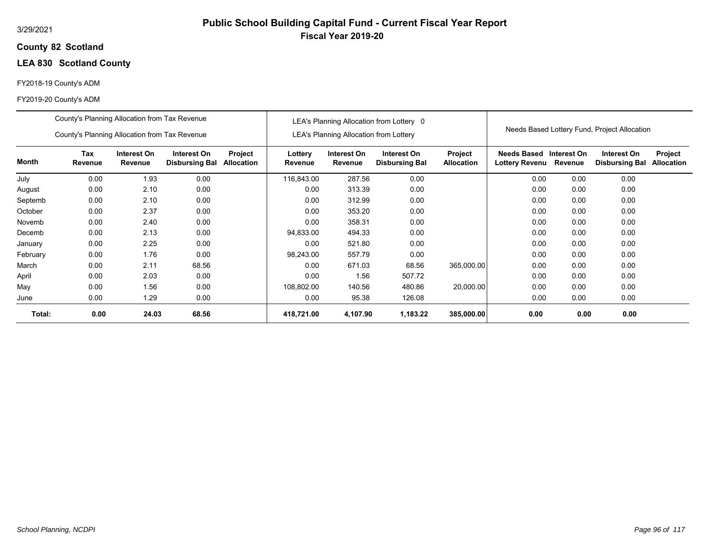## **82 Scotland County**

# **LEA 830 Scotland County**

## FY2018-19 County's ADM

|          | County's Planning Allocation from Tax Revenue |                        |                                      |                       |                    |                                               | LEA's Planning Allocation from Lottery 0 |                              |                               |                        |                                              |                              |
|----------|-----------------------------------------------|------------------------|--------------------------------------|-----------------------|--------------------|-----------------------------------------------|------------------------------------------|------------------------------|-------------------------------|------------------------|----------------------------------------------|------------------------------|
|          | County's Planning Allocation from Tax Revenue |                        |                                      |                       |                    | <b>LEA's Planning Allocation from Lottery</b> |                                          |                              |                               |                        | Needs Based Lottery Fund, Project Allocation |                              |
| Month    | Tax<br>Revenue                                | Interest On<br>Revenue | Interest On<br><b>Disbursing Bal</b> | Project<br>Allocation | Lottery<br>Revenue | Interest On<br>Revenue                        | Interest On<br><b>Disbursing Bal</b>     | Project<br><b>Allocation</b> | Needs Based<br>Lottery Revenu | Interest On<br>Revenue | Interest On<br><b>Disbursing Bal</b>         | Project<br><b>Allocation</b> |
| July     | 0.00                                          | 1.93                   | 0.00                                 |                       | 116,843.00         | 287.56                                        | 0.00                                     |                              | 0.00                          | 0.00                   | 0.00                                         |                              |
| August   | 0.00                                          | 2.10                   | 0.00                                 |                       | 0.00               | 313.39                                        | 0.00                                     |                              | 0.00                          | 0.00                   | 0.00                                         |                              |
| Septemb  | 0.00                                          | 2.10                   | 0.00                                 |                       | 0.00               | 312.99                                        | 0.00                                     |                              | 0.00                          | 0.00                   | 0.00                                         |                              |
| October  | 0.00                                          | 2.37                   | 0.00                                 |                       | 0.00               | 353.20                                        | 0.00                                     |                              | 0.00                          | 0.00                   | 0.00                                         |                              |
| Novemb   | 0.00                                          | 2.40                   | 0.00                                 |                       | 0.00               | 358.31                                        | 0.00                                     |                              | 0.00                          | 0.00                   | 0.00                                         |                              |
| Decemb   | 0.00                                          | 2.13                   | 0.00                                 |                       | 94,833.00          | 494.33                                        | 0.00                                     |                              | 0.00                          | 0.00                   | 0.00                                         |                              |
| January  | 0.00                                          | 2.25                   | 0.00                                 |                       | 0.00               | 521.80                                        | 0.00                                     |                              | 0.00                          | 0.00                   | 0.00                                         |                              |
| February | 0.00                                          | 1.76                   | 0.00                                 |                       | 98,243.00          | 557.79                                        | 0.00                                     |                              | 0.00                          | 0.00                   | 0.00                                         |                              |
| March    | 0.00                                          | 2.11                   | 68.56                                |                       | 0.00               | 671.03                                        | 68.56                                    | 365,000.00                   | 0.00                          | 0.00                   | 0.00                                         |                              |
| April    | 0.00                                          | 2.03                   | 0.00                                 |                       | 0.00               | 1.56                                          | 507.72                                   |                              | 0.00                          | 0.00                   | 0.00                                         |                              |
| May      | 0.00                                          | 1.56                   | 0.00                                 |                       | 108,802.00         | 140.56                                        | 480.86                                   | 20,000.00                    | 0.00                          | 0.00                   | 0.00                                         |                              |
| June     | 0.00                                          | 1.29                   | 0.00                                 |                       | 0.00               | 95.38                                         | 126.08                                   |                              | 0.00                          | 0.00                   | 0.00                                         |                              |
| Total:   | 0.00                                          | 24.03                  | 68.56                                |                       | 418,721.00         | 4,107.90                                      | 1,183.22                                 | 385,000.00                   | 0.00                          | 0.00                   | 0.00                                         |                              |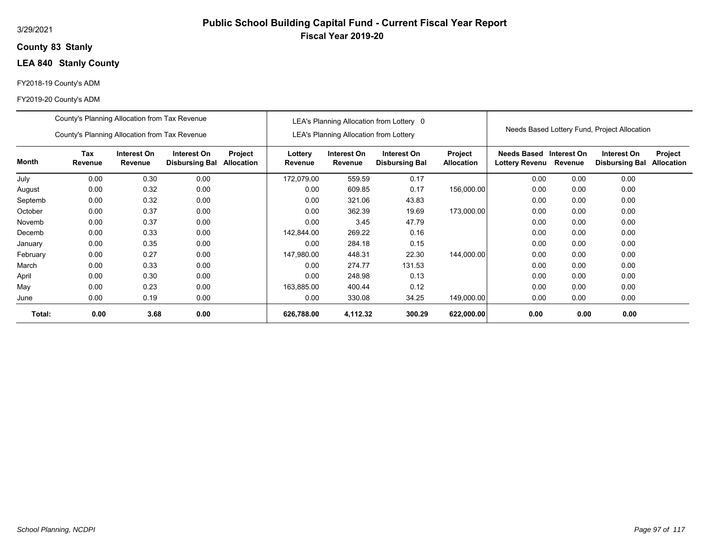## **83 Stanly County**

# **LEA 840 Stanly County**

## FY2018-19 County's ADM

|          | County's Planning Allocation from Tax Revenue |                        |                                      |                       |                    |                                        | LEA's Planning Allocation from Lottery 0 |                              |                                      |                        |                                              |                              |
|----------|-----------------------------------------------|------------------------|--------------------------------------|-----------------------|--------------------|----------------------------------------|------------------------------------------|------------------------------|--------------------------------------|------------------------|----------------------------------------------|------------------------------|
|          | County's Planning Allocation from Tax Revenue |                        |                                      |                       |                    | LEA's Planning Allocation from Lottery |                                          |                              |                                      |                        | Needs Based Lottery Fund, Project Allocation |                              |
| Month    | Tax<br>Revenue                                | Interest On<br>Revenue | Interest On<br><b>Disbursing Bal</b> | Project<br>Allocation | Lottery<br>Revenue | Interest On<br>Revenue                 | Interest On<br><b>Disbursing Bal</b>     | Project<br><b>Allocation</b> | Needs Based<br><b>Lottery Revenu</b> | Interest On<br>Revenue | Interest On<br><b>Disbursing Bal</b>         | Project<br><b>Allocation</b> |
| July     | 0.00                                          | 0.30                   | 0.00                                 |                       | 172,079.00         | 559.59                                 | 0.17                                     |                              | 0.00                                 | 0.00                   | 0.00                                         |                              |
| August   | 0.00                                          | 0.32                   | 0.00                                 |                       | 0.00               | 609.85                                 | 0.17                                     | 156,000.00                   | 0.00                                 | 0.00                   | 0.00                                         |                              |
| Septemb  | 0.00                                          | 0.32                   | 0.00                                 |                       | 0.00               | 321.06                                 | 43.83                                    |                              | 0.00                                 | 0.00                   | 0.00                                         |                              |
| October  | 0.00                                          | 0.37                   | 0.00                                 |                       | 0.00               | 362.39                                 | 19.69                                    | 173,000.00                   | 0.00                                 | 0.00                   | 0.00                                         |                              |
| Novemb   | 0.00                                          | 0.37                   | 0.00                                 |                       | 0.00               | 3.45                                   | 47.79                                    |                              | 0.00                                 | 0.00                   | 0.00                                         |                              |
| Decemb   | 0.00                                          | 0.33                   | 0.00                                 |                       | 142.844.00         | 269.22                                 | 0.16                                     |                              | 0.00                                 | 0.00                   | 0.00                                         |                              |
| January  | 0.00                                          | 0.35                   | 0.00                                 |                       | 0.00               | 284.18                                 | 0.15                                     |                              | 0.00                                 | 0.00                   | 0.00                                         |                              |
| February | 0.00                                          | 0.27                   | 0.00                                 |                       | 147,980.00         | 448.31                                 | 22.30                                    | 144,000.00                   | 0.00                                 | 0.00                   | 0.00                                         |                              |
| March    | 0.00                                          | 0.33                   | 0.00                                 |                       | 0.00               | 274.77                                 | 131.53                                   |                              | 0.00                                 | 0.00                   | 0.00                                         |                              |
| April    | 0.00                                          | 0.30                   | 0.00                                 |                       | 0.00               | 248.98                                 | 0.13                                     |                              | 0.00                                 | 0.00                   | 0.00                                         |                              |
| May      | 0.00                                          | 0.23                   | 0.00                                 |                       | 163,885.00         | 400.44                                 | 0.12                                     |                              | 0.00                                 | 0.00                   | 0.00                                         |                              |
| June     | 0.00                                          | 0.19                   | 0.00                                 |                       | 0.00               | 330.08                                 | 34.25                                    | 149,000.00                   | 0.00                                 | 0.00                   | 0.00                                         |                              |
| Total:   | 0.00                                          | 3.68                   | 0.00                                 |                       | 626,788.00         | 4,112.32                               | 300.29                                   | 622,000.00                   | 0.00                                 | 0.00                   | 0.00                                         |                              |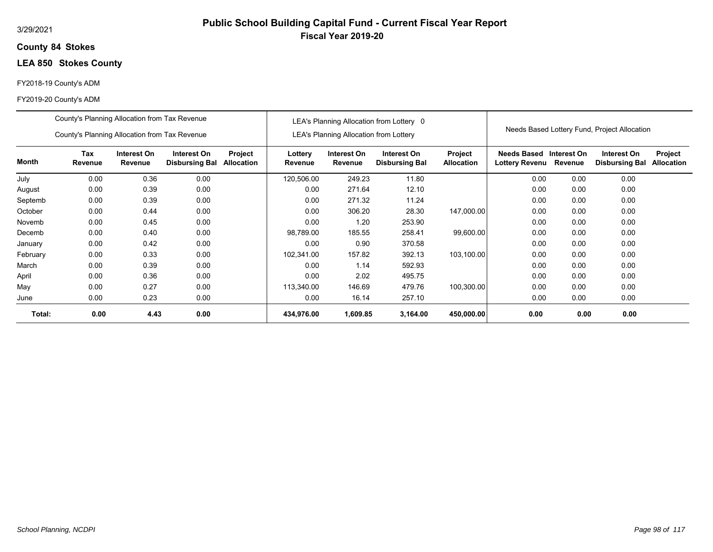## **84 Stokes County**

# **LEA 850 Stokes County**

## FY2018-19 County's ADM

|          | County's Planning Allocation from Tax Revenue |                        |                                      |                       |                    |                                               | LEA's Planning Allocation from Lottery 0 |                                     |                                      |                        | Needs Based Lottery Fund, Project Allocation |                              |
|----------|-----------------------------------------------|------------------------|--------------------------------------|-----------------------|--------------------|-----------------------------------------------|------------------------------------------|-------------------------------------|--------------------------------------|------------------------|----------------------------------------------|------------------------------|
|          | County's Planning Allocation from Tax Revenue |                        |                                      |                       |                    | <b>LEA's Planning Allocation from Lottery</b> |                                          |                                     |                                      |                        |                                              |                              |
| Month    | Tax<br>Revenue                                | Interest On<br>Revenue | Interest On<br><b>Disbursing Bal</b> | Project<br>Allocation | Lottery<br>Revenue | Interest On<br>Revenue                        | Interest On<br><b>Disbursing Bal</b>     | <b>Project</b><br><b>Allocation</b> | Needs Based<br><b>Lottery Revenu</b> | Interest On<br>Revenue | Interest On<br><b>Disbursing Bal</b>         | Project<br><b>Allocation</b> |
| July     | 0.00                                          | 0.36                   | 0.00                                 |                       | 120,506.00         | 249.23                                        | 11.80                                    |                                     | 0.00                                 | 0.00                   | 0.00                                         |                              |
| August   | 0.00                                          | 0.39                   | 0.00                                 |                       | 0.00               | 271.64                                        | 12.10                                    |                                     | 0.00                                 | 0.00                   | 0.00                                         |                              |
| Septemb  | 0.00                                          | 0.39                   | 0.00                                 |                       | 0.00               | 271.32                                        | 11.24                                    |                                     | 0.00                                 | 0.00                   | 0.00                                         |                              |
| October  | 0.00                                          | 0.44                   | 0.00                                 |                       | 0.00               | 306.20                                        | 28.30                                    | 147,000.00                          | 0.00                                 | 0.00                   | 0.00                                         |                              |
| Novemb   | 0.00                                          | 0.45                   | 0.00                                 |                       | 0.00               | 1.20                                          | 253.90                                   |                                     | 0.00                                 | 0.00                   | 0.00                                         |                              |
| Decemb   | 0.00                                          | 0.40                   | 0.00                                 |                       | 98,789.00          | 185.55                                        | 258.41                                   | 99,600.00                           | 0.00                                 | 0.00                   | 0.00                                         |                              |
| January  | 0.00                                          | 0.42                   | 0.00                                 |                       | 0.00               | 0.90                                          | 370.58                                   |                                     | 0.00                                 | 0.00                   | 0.00                                         |                              |
| February | 0.00                                          | 0.33                   | 0.00                                 |                       | 102,341.00         | 157.82                                        | 392.13                                   | 103,100.00                          | 0.00                                 | 0.00                   | 0.00                                         |                              |
| March    | 0.00                                          | 0.39                   | 0.00                                 |                       | 0.00               | 1.14                                          | 592.93                                   |                                     | 0.00                                 | 0.00                   | 0.00                                         |                              |
| April    | 0.00                                          | 0.36                   | 0.00                                 |                       | 0.00               | 2.02                                          | 495.75                                   |                                     | 0.00                                 | 0.00                   | 0.00                                         |                              |
| May      | 0.00                                          | 0.27                   | 0.00                                 |                       | 113,340.00         | 146.69                                        | 479.76                                   | 100,300.00                          | 0.00                                 | 0.00                   | 0.00                                         |                              |
| June     | 0.00                                          | 0.23                   | 0.00                                 |                       | 0.00               | 16.14                                         | 257.10                                   |                                     | 0.00                                 | 0.00                   | 0.00                                         |                              |
| Total:   | 0.00                                          | 4.43                   | 0.00                                 |                       | 434,976.00         | 1,609.85                                      | 3,164.00                                 | 450,000.00                          | 0.00                                 | 0.00                   | 0.00                                         |                              |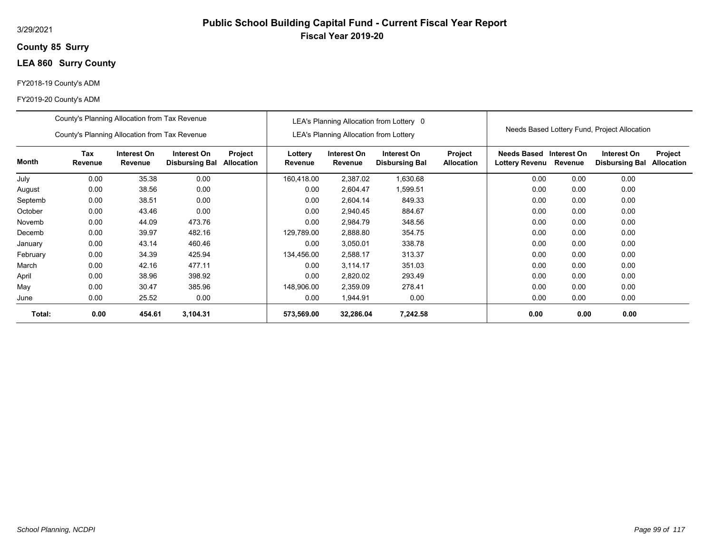## **85 Surry County**

# **LEA 860 Surry County**

## FY2018-19 County's ADM

|          | County's Planning Allocation from Tax Revenue |                        |                                      |                       |                    |                                               | LEA's Planning Allocation from Lottery 0 |                                     |                                      |                        | Needs Based Lottery Fund, Project Allocation |                       |
|----------|-----------------------------------------------|------------------------|--------------------------------------|-----------------------|--------------------|-----------------------------------------------|------------------------------------------|-------------------------------------|--------------------------------------|------------------------|----------------------------------------------|-----------------------|
|          | County's Planning Allocation from Tax Revenue |                        |                                      |                       |                    | <b>LEA's Planning Allocation from Lottery</b> |                                          |                                     |                                      |                        |                                              |                       |
| Month    | Tax<br>Revenue                                | Interest On<br>Revenue | Interest On<br><b>Disbursing Bal</b> | Project<br>Allocation | Lottery<br>Revenue | Interest On<br>Revenue                        | Interest On<br><b>Disbursing Bal</b>     | <b>Project</b><br><b>Allocation</b> | Needs Based<br><b>Lottery Revenu</b> | Interest On<br>Revenue | Interest On<br><b>Disbursing Bal</b>         | Project<br>Allocation |
| July     | 0.00                                          | 35.38                  | 0.00                                 |                       | 160,418.00         | 2,387.02                                      | 1,630.68                                 |                                     | 0.00                                 | 0.00                   | 0.00                                         |                       |
| August   | 0.00                                          | 38.56                  | 0.00                                 |                       | 0.00               | 2,604.47                                      | 1,599.51                                 |                                     | 0.00                                 | 0.00                   | 0.00                                         |                       |
| Septemb  | 0.00                                          | 38.51                  | 0.00                                 |                       | 0.00               | 2,604.14                                      | 849.33                                   |                                     | 0.00                                 | 0.00                   | 0.00                                         |                       |
| October  | 0.00                                          | 43.46                  | 0.00                                 |                       | 0.00               | 2,940.45                                      | 884.67                                   |                                     | 0.00                                 | 0.00                   | 0.00                                         |                       |
| Novemb   | 0.00                                          | 44.09                  | 473.76                               |                       | 0.00               | 2,984.79                                      | 348.56                                   |                                     | 0.00                                 | 0.00                   | 0.00                                         |                       |
| Decemb   | 0.00                                          | 39.97                  | 482.16                               |                       | 129,789.00         | 2,888.80                                      | 354.75                                   |                                     | 0.00                                 | 0.00                   | 0.00                                         |                       |
| January  | 0.00                                          | 43.14                  | 460.46                               |                       | 0.00               | 3,050.01                                      | 338.78                                   |                                     | 0.00                                 | 0.00                   | 0.00                                         |                       |
| February | 0.00                                          | 34.39                  | 425.94                               |                       | 134,456.00         | 2,588.17                                      | 313.37                                   |                                     | 0.00                                 | 0.00                   | 0.00                                         |                       |
| March    | 0.00                                          | 42.16                  | 477.11                               |                       | 0.00               | 3,114.17                                      | 351.03                                   |                                     | 0.00                                 | 0.00                   | 0.00                                         |                       |
| April    | 0.00                                          | 38.96                  | 398.92                               |                       | 0.00               | 2,820.02                                      | 293.49                                   |                                     | 0.00                                 | 0.00                   | 0.00                                         |                       |
| May      | 0.00                                          | 30.47                  | 385.96                               |                       | 148,906.00         | 2,359.09                                      | 278.41                                   |                                     | 0.00                                 | 0.00                   | 0.00                                         |                       |
| June     | 0.00                                          | 25.52                  | 0.00                                 |                       | 0.00               | 1,944.91                                      | 0.00                                     |                                     | 0.00                                 | 0.00                   | 0.00                                         |                       |
| Total:   | 0.00                                          | 454.61                 | 3,104.31                             |                       | 573,569.00         | 32,286.04                                     | 7,242.58                                 |                                     | 0.00                                 | 0.00                   | 0.00                                         |                       |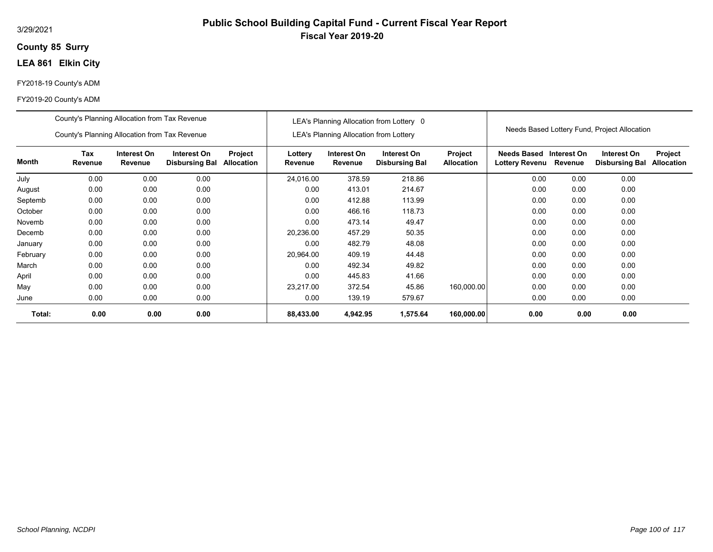## **85 Surry County**

# **LEA 861 Elkin City**

## FY2018-19 County's ADM

|          | County's Planning Allocation from Tax Revenue |                        |                                      |                              |                    |                                               | LEA's Planning Allocation from Lottery 0 |                              |                                      |                        | Needs Based Lottery Fund, Project Allocation |                       |
|----------|-----------------------------------------------|------------------------|--------------------------------------|------------------------------|--------------------|-----------------------------------------------|------------------------------------------|------------------------------|--------------------------------------|------------------------|----------------------------------------------|-----------------------|
|          | County's Planning Allocation from Tax Revenue |                        |                                      |                              |                    | <b>LEA's Planning Allocation from Lottery</b> |                                          |                              |                                      |                        |                                              |                       |
| Month    | Tax<br>Revenue                                | Interest On<br>Revenue | Interest On<br><b>Disbursing Bal</b> | Project<br><b>Allocation</b> | Lottery<br>Revenue | Interest On<br>Revenue                        | Interest On<br><b>Disbursing Bal</b>     | Project<br><b>Allocation</b> | Needs Based<br><b>Lottery Revenu</b> | Interest On<br>Revenue | Interest On<br><b>Disbursing Bal</b>         | Project<br>Allocation |
| July     | 0.00                                          | 0.00                   | 0.00                                 |                              | 24,016.00          | 378.59                                        | 218.86                                   |                              | 0.00                                 | 0.00                   | 0.00                                         |                       |
| August   | 0.00                                          | 0.00                   | 0.00                                 |                              | 0.00               | 413.01                                        | 214.67                                   |                              | 0.00                                 | 0.00                   | 0.00                                         |                       |
| Septemb  | 0.00                                          | 0.00                   | 0.00                                 |                              | 0.00               | 412.88                                        | 113.99                                   |                              | 0.00                                 | 0.00                   | 0.00                                         |                       |
| October  | 0.00                                          | 0.00                   | 0.00                                 |                              | 0.00               | 466.16                                        | 118.73                                   |                              | 0.00                                 | 0.00                   | 0.00                                         |                       |
| Novemb   | 0.00                                          | 0.00                   | 0.00                                 |                              | 0.00               | 473.14                                        | 49.47                                    |                              | 0.00                                 | 0.00                   | 0.00                                         |                       |
| Decemb   | 0.00                                          | 0.00                   | 0.00                                 |                              | 20,236.00          | 457.29                                        | 50.35                                    |                              | 0.00                                 | 0.00                   | 0.00                                         |                       |
| January  | 0.00                                          | 0.00                   | 0.00                                 |                              | 0.00               | 482.79                                        | 48.08                                    |                              | 0.00                                 | 0.00                   | 0.00                                         |                       |
| February | 0.00                                          | 0.00                   | 0.00                                 |                              | 20,964.00          | 409.19                                        | 44.48                                    |                              | 0.00                                 | 0.00                   | 0.00                                         |                       |
| March    | 0.00                                          | 0.00                   | 0.00                                 |                              | 0.00               | 492.34                                        | 49.82                                    |                              | 0.00                                 | 0.00                   | 0.00                                         |                       |
| April    | 0.00                                          | 0.00                   | 0.00                                 |                              | 0.00               | 445.83                                        | 41.66                                    |                              | 0.00                                 | 0.00                   | 0.00                                         |                       |
| May      | 0.00                                          | 0.00                   | 0.00                                 |                              | 23.217.00          | 372.54                                        | 45.86                                    | 160,000.00                   | 0.00                                 | 0.00                   | 0.00                                         |                       |
| June     | 0.00                                          | 0.00                   | 0.00                                 |                              | 0.00               | 139.19                                        | 579.67                                   |                              | 0.00                                 | 0.00                   | 0.00                                         |                       |
| Total:   | 0.00                                          | 0.00                   | 0.00                                 |                              | 88,433.00          | 4,942.95                                      | 1,575.64                                 | 160,000.00                   | 0.00                                 | 0.00                   | 0.00                                         |                       |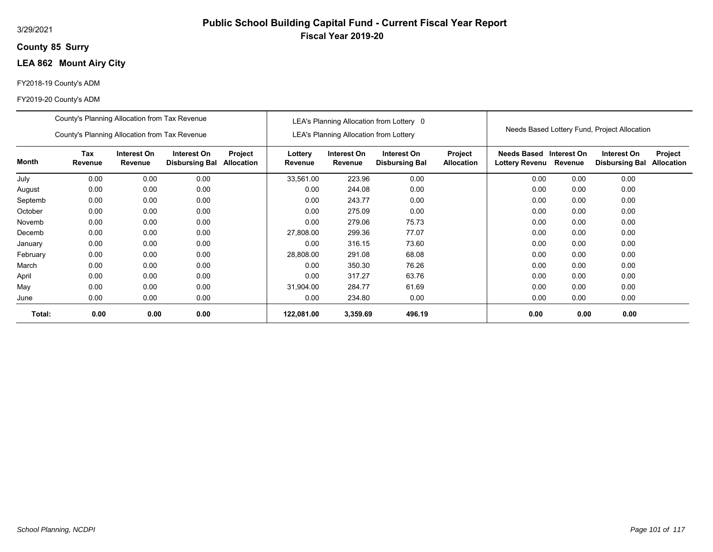## **85 Surry County**

# **LEA 862 Mount Airy City**

## FY2018-19 County's ADM

|          | County's Planning Allocation from Tax Revenue |                        |                                      |                              |                    |                                               | LEA's Planning Allocation from Lottery 0 |                              |                                           |         |                                              |                              |
|----------|-----------------------------------------------|------------------------|--------------------------------------|------------------------------|--------------------|-----------------------------------------------|------------------------------------------|------------------------------|-------------------------------------------|---------|----------------------------------------------|------------------------------|
|          | County's Planning Allocation from Tax Revenue |                        |                                      |                              |                    | <b>LEA's Planning Allocation from Lottery</b> |                                          |                              |                                           |         | Needs Based Lottery Fund, Project Allocation |                              |
| Month    | <b>Tax</b><br>Revenue                         | Interest On<br>Revenue | Interest On<br><b>Disbursing Bal</b> | Project<br><b>Allocation</b> | Lottery<br>Revenue | Interest On<br>Revenue                        | Interest On<br><b>Disbursing Bal</b>     | Project<br><b>Allocation</b> | Needs Based Interest On<br>Lottery Revenu | Revenue | Interest On<br><b>Disbursing Bal</b>         | Project<br><b>Allocation</b> |
| July     | 0.00                                          | 0.00                   | 0.00                                 |                              | 33,561.00          | 223.96                                        | 0.00                                     |                              | 0.00                                      | 0.00    | 0.00                                         |                              |
| August   | 0.00                                          | 0.00                   | 0.00                                 |                              | 0.00               | 244.08                                        | 0.00                                     |                              | 0.00                                      | 0.00    | 0.00                                         |                              |
| Septemb  | 0.00                                          | 0.00                   | 0.00                                 |                              | 0.00               | 243.77                                        | 0.00                                     |                              | 0.00                                      | 0.00    | 0.00                                         |                              |
| October  | 0.00                                          | 0.00                   | 0.00                                 |                              | 0.00               | 275.09                                        | 0.00                                     |                              | 0.00                                      | 0.00    | 0.00                                         |                              |
| Novemb   | 0.00                                          | 0.00                   | 0.00                                 |                              | 0.00               | 279.06                                        | 75.73                                    |                              | 0.00                                      | 0.00    | 0.00                                         |                              |
| Decemb   | 0.00                                          | 0.00                   | 0.00                                 |                              | 27,808.00          | 299.36                                        | 77.07                                    |                              | 0.00                                      | 0.00    | 0.00                                         |                              |
| January  | 0.00                                          | 0.00                   | 0.00                                 |                              | 0.00               | 316.15                                        | 73.60                                    |                              | 0.00                                      | 0.00    | 0.00                                         |                              |
| February | 0.00                                          | 0.00                   | 0.00                                 |                              | 28,808.00          | 291.08                                        | 68.08                                    |                              | 0.00                                      | 0.00    | 0.00                                         |                              |
| March    | 0.00                                          | 0.00                   | 0.00                                 |                              | 0.00               | 350.30                                        | 76.26                                    |                              | 0.00                                      | 0.00    | 0.00                                         |                              |
| April    | 0.00                                          | 0.00                   | 0.00                                 |                              | 0.00               | 317.27                                        | 63.76                                    |                              | 0.00                                      | 0.00    | 0.00                                         |                              |
| May      | 0.00                                          | 0.00                   | 0.00                                 |                              | 31,904.00          | 284.77                                        | 61.69                                    |                              | 0.00                                      | 0.00    | 0.00                                         |                              |
| June     | 0.00                                          | 0.00                   | 0.00                                 |                              | 0.00               | 234.80                                        | 0.00                                     |                              | 0.00                                      | 0.00    | 0.00                                         |                              |
| Total:   | 0.00                                          | 0.00                   | 0.00                                 |                              | 122,081.00         | 3,359.69                                      | 496.19                                   |                              | 0.00                                      | 0.00    | 0.00                                         |                              |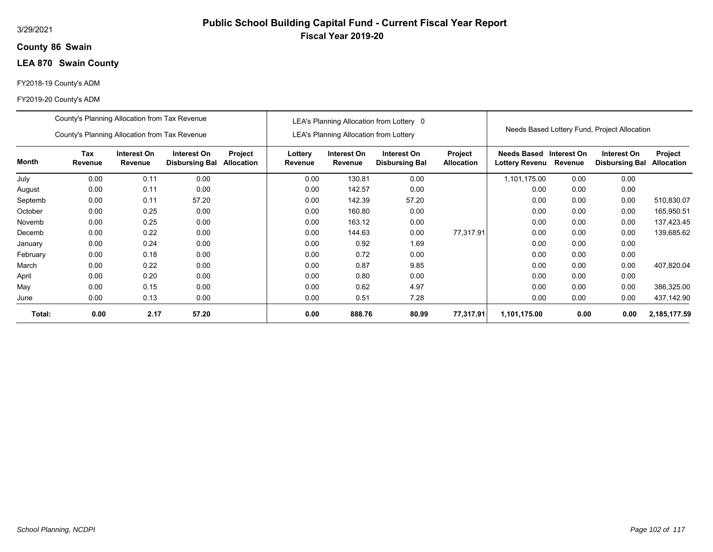## **86 Swain County**

# **LEA 870 Swain County**

## FY2018-19 County's ADM

|          | County's Planning Allocation from Tax Revenue |                        |                                      |                              |                    |                                               | LEA's Planning Allocation from Lottery 0 |                              |                                           |         |                                              |                              |
|----------|-----------------------------------------------|------------------------|--------------------------------------|------------------------------|--------------------|-----------------------------------------------|------------------------------------------|------------------------------|-------------------------------------------|---------|----------------------------------------------|------------------------------|
|          | County's Planning Allocation from Tax Revenue |                        |                                      |                              |                    | <b>LEA's Planning Allocation from Lottery</b> |                                          |                              |                                           |         | Needs Based Lottery Fund, Project Allocation |                              |
| Month    | Tax<br>Revenue                                | Interest On<br>Revenue | Interest On<br><b>Disbursing Bal</b> | Project<br><b>Allocation</b> | Lottery<br>Revenue | Interest On<br>Revenue                        | Interest On<br><b>Disbursing Bal</b>     | Project<br><b>Allocation</b> | Needs Based Interest On<br>Lottery Revenu | Revenue | Interest On<br><b>Disbursing Bal</b>         | Project<br><b>Allocation</b> |
| July     | 0.00                                          | 0.11                   | 0.00                                 |                              | 0.00               | 130.81                                        | 0.00                                     |                              | 1,101,175.00                              | 0.00    | 0.00                                         |                              |
| August   | 0.00                                          | 0.11                   | 0.00                                 |                              | 0.00               | 142.57                                        | 0.00                                     |                              | 0.00                                      | 0.00    | 0.00                                         |                              |
| Septemb  | 0.00<br>0.11<br>57.20                         |                        |                                      |                              | 0.00               | 142.39                                        | 57.20                                    |                              | 0.00                                      | 0.00    | 0.00                                         | 510,830.07                   |
| October  | 0.00                                          | 0.25                   | 0.00                                 |                              | 0.00               | 160.80                                        | 0.00                                     |                              | 0.00                                      | 0.00    | 0.00                                         | 165,950.51                   |
| Novemb   | 0.00                                          | 0.25                   | 0.00                                 |                              | 0.00               | 163.12                                        | 0.00                                     |                              | 0.00                                      | 0.00    | 0.00                                         | 137,423.45                   |
| Decemb   | 0.00                                          | 0.22                   | 0.00                                 |                              | 0.00               | 144.63                                        | 0.00                                     | 77.317.91                    | 0.00                                      | 0.00    | 0.00                                         | 139,685.62                   |
| January  | 0.00                                          | 0.24                   | 0.00                                 |                              | 0.00               | 0.92                                          | 1.69                                     |                              | 0.00                                      | 0.00    | 0.00                                         |                              |
| February | 0.00                                          | 0.18                   | 0.00                                 |                              | 0.00               | 0.72                                          | 0.00                                     |                              | 0.00                                      | 0.00    | 0.00                                         |                              |
| March    | 0.00                                          | 0.22                   | 0.00                                 |                              | 0.00               | 0.87                                          | 9.85                                     |                              | 0.00                                      | 0.00    | 0.00                                         | 407,820.04                   |
| April    | 0.00                                          | 0.20                   | 0.00                                 |                              | 0.00               | 0.80                                          | 0.00                                     |                              | 0.00                                      | 0.00    | 0.00                                         |                              |
| May      | 0.00                                          | 0.15                   | 0.00                                 |                              | 0.00               | 0.62                                          | 4.97                                     |                              | 0.00                                      | 0.00    | 0.00                                         | 386,325.00                   |
| June     | 0.00                                          | 0.13                   | 0.00                                 |                              | 0.00               | 0.51                                          | 7.28                                     |                              | 0.00                                      | 0.00    | 0.00                                         | 437,142.90                   |
| Total:   | 0.00                                          | 2.17                   | 57.20                                |                              | 0.00               | 888.76                                        | 80.99                                    | 77,317.91                    | 1,101,175.00                              | 0.00    | 0.00                                         | 2,185,177.59                 |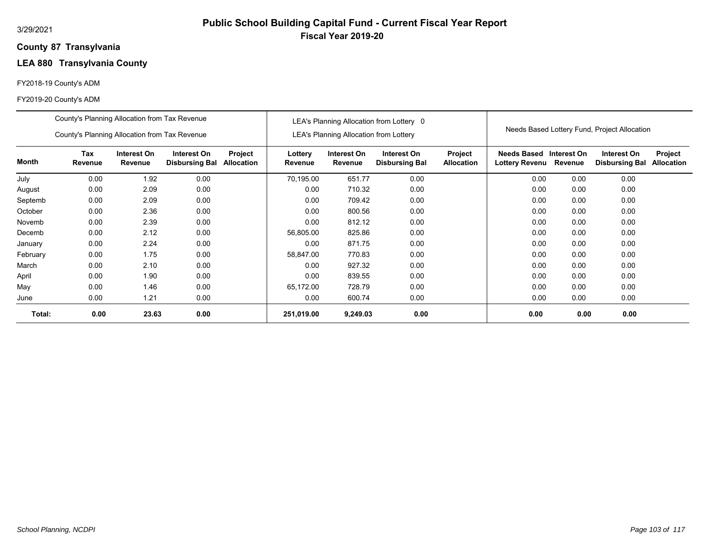## **87 Transylvania County**

# **LEA 880 Transylvania County**

## FY2018-19 County's ADM

|          | County's Planning Allocation from Tax Revenue |                               |                                      |                              |                    |                                               | LEA's Planning Allocation from Lottery 0 |                              |                                             |                        |                                              |                              |
|----------|-----------------------------------------------|-------------------------------|--------------------------------------|------------------------------|--------------------|-----------------------------------------------|------------------------------------------|------------------------------|---------------------------------------------|------------------------|----------------------------------------------|------------------------------|
|          | County's Planning Allocation from Tax Revenue |                               |                                      |                              |                    | <b>LEA's Planning Allocation from Lottery</b> |                                          |                              |                                             |                        | Needs Based Lottery Fund, Project Allocation |                              |
| Month    | Tax<br>Revenue                                | Interest On<br><b>Revenue</b> | Interest On<br><b>Disbursing Bal</b> | Project<br><b>Allocation</b> | Lottery<br>Revenue | Interest On<br>Revenue                        | Interest On<br><b>Disbursing Bal</b>     | Project<br><b>Allocation</b> | <b>Needs Based</b><br><b>Lottery Revenu</b> | Interest On<br>Revenue | Interest On<br><b>Disbursing Bal</b>         | Project<br><b>Allocation</b> |
| July     | 0.00                                          | 1.92                          | 0.00                                 |                              | 70,195.00          | 651.77                                        | 0.00                                     |                              | 0.00                                        | 0.00                   | 0.00                                         |                              |
| August   | 0.00                                          | 2.09                          | 0.00                                 |                              | 0.00               | 710.32                                        | 0.00                                     |                              | 0.00                                        | 0.00                   | 0.00                                         |                              |
| Septemb  | 0.00                                          | 2.09                          | 0.00                                 |                              | 0.00               | 709.42                                        | 0.00                                     |                              | 0.00                                        | 0.00                   | 0.00                                         |                              |
| October  | 0.00                                          | 2.36                          | 0.00                                 |                              | 0.00               | 800.56                                        | 0.00                                     |                              | 0.00                                        | 0.00                   | 0.00                                         |                              |
| Novemb   | 0.00                                          | 2.39                          | 0.00                                 |                              | 0.00               | 812.12                                        | 0.00                                     |                              | 0.00                                        | 0.00                   | 0.00                                         |                              |
| Decemb   | 0.00                                          | 2.12                          | 0.00                                 |                              | 56,805.00          | 825.86                                        | 0.00                                     |                              | 0.00                                        | 0.00                   | 0.00                                         |                              |
| January  | 0.00                                          | 2.24                          | 0.00                                 |                              | 0.00               | 871.75                                        | 0.00                                     |                              | 0.00                                        | 0.00                   | 0.00                                         |                              |
| February | 0.00                                          | 1.75                          | 0.00                                 |                              | 58,847.00          | 770.83                                        | 0.00                                     |                              | 0.00                                        | 0.00                   | 0.00                                         |                              |
| March    | 0.00                                          | 2.10                          | 0.00                                 |                              | 0.00               | 927.32                                        | 0.00                                     |                              | 0.00                                        | 0.00                   | 0.00                                         |                              |
| April    | 0.00                                          | 1.90                          | 0.00                                 |                              | 0.00               | 839.55                                        | 0.00                                     |                              | 0.00                                        | 0.00                   | 0.00                                         |                              |
| May      | 0.00                                          | 1.46                          | 0.00                                 |                              | 65,172.00          | 728.79                                        | 0.00                                     |                              | 0.00                                        | 0.00                   | 0.00                                         |                              |
| June     | 0.00                                          | 1.21                          | 0.00                                 |                              | 0.00               | 600.74                                        | 0.00                                     |                              | 0.00                                        | 0.00                   | 0.00                                         |                              |
| Total:   | 0.00                                          | 23.63                         | 0.00                                 |                              | 251,019.00         | 9,249.03                                      | 0.00                                     |                              | 0.00                                        | 0.00                   | 0.00                                         |                              |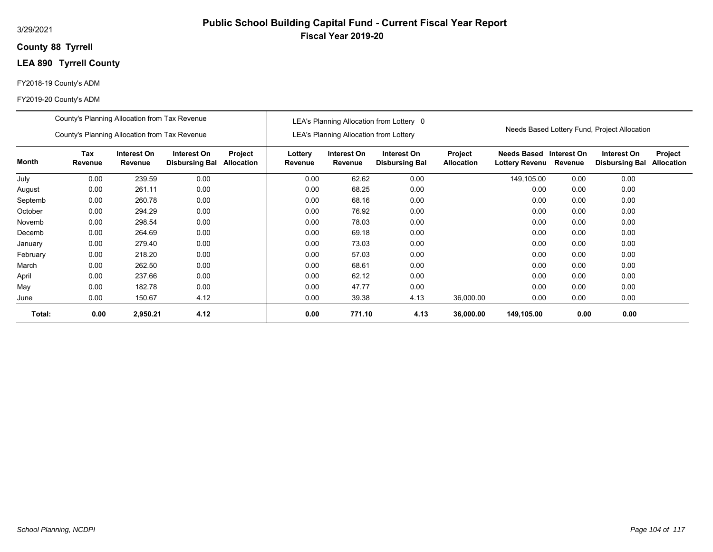## **88 Tyrrell County**

# **LEA 890 Tyrrell County**

## FY2018-19 County's ADM

|          | County's Planning Allocation from Tax Revenue |                        |                                      |                              |                    | LEA's Planning Allocation from Lottery | LEA's Planning Allocation from Lottery 0 |                              |                                      |                        | Needs Based Lottery Fund, Project Allocation |                              |
|----------|-----------------------------------------------|------------------------|--------------------------------------|------------------------------|--------------------|----------------------------------------|------------------------------------------|------------------------------|--------------------------------------|------------------------|----------------------------------------------|------------------------------|
|          | County's Planning Allocation from Tax Revenue |                        |                                      |                              |                    |                                        |                                          |                              |                                      |                        |                                              |                              |
| Month    | Tax<br>Revenue                                | Interest On<br>Revenue | Interest On<br><b>Disbursing Bal</b> | Project<br><b>Allocation</b> | Lottery<br>Revenue | Interest On<br>Revenue                 | Interest On<br><b>Disbursing Bal</b>     | Project<br><b>Allocation</b> | <b>Needs Based</b><br>Lottery Revenu | Interest On<br>Revenue | Interest On<br><b>Disbursing Bal</b>         | Project<br><b>Allocation</b> |
| July     | 0.00                                          | 239.59                 | 0.00                                 |                              | 0.00               | 62.62                                  | 0.00                                     |                              | 149,105.00                           | 0.00                   | 0.00                                         |                              |
| August   | 0.00                                          | 261.11                 | 0.00                                 |                              | 0.00               | 68.25                                  | 0.00                                     |                              | 0.00                                 | 0.00                   | 0.00                                         |                              |
| Septemb  | 0.00                                          | 260.78                 | 0.00                                 |                              | 0.00               | 68.16                                  | 0.00                                     |                              | 0.00                                 | 0.00                   | 0.00                                         |                              |
| October  | 0.00                                          | 294.29                 | 0.00                                 |                              | 0.00               | 76.92                                  | 0.00                                     |                              | 0.00                                 | 0.00                   | 0.00                                         |                              |
| Novemb   | 0.00                                          | 298.54                 | 0.00                                 |                              | 0.00               | 78.03                                  | 0.00                                     |                              | 0.00                                 | 0.00                   | 0.00                                         |                              |
| Decemb   | 0.00                                          | 264.69                 | 0.00                                 |                              | 0.00               | 69.18                                  | 0.00                                     |                              | 0.00                                 | 0.00                   | 0.00                                         |                              |
| January  | 0.00                                          | 279.40                 | 0.00                                 |                              | 0.00               | 73.03                                  | 0.00                                     |                              | 0.00                                 | 0.00                   | 0.00                                         |                              |
| February | 0.00                                          | 218.20                 | 0.00                                 |                              | 0.00               | 57.03                                  | 0.00                                     |                              | 0.00                                 | 0.00                   | 0.00                                         |                              |
| March    | 0.00                                          | 262.50                 | 0.00                                 |                              | 0.00               | 68.61                                  | 0.00                                     |                              | 0.00                                 | 0.00                   | 0.00                                         |                              |
| April    | 0.00                                          | 237.66                 | 0.00                                 |                              | 0.00               | 62.12                                  | 0.00                                     |                              | 0.00                                 | 0.00                   | 0.00                                         |                              |
| May      | 0.00                                          | 182.78                 | 0.00                                 |                              | 0.00               | 47.77                                  | 0.00                                     |                              | 0.00                                 | 0.00                   | 0.00                                         |                              |
| June     | 0.00                                          | 150.67                 | 4.12                                 |                              | 0.00               | 39.38                                  | 4.13                                     | 36,000.00                    | 0.00                                 | 0.00                   | 0.00                                         |                              |
| Total:   | 0.00                                          | 2,950.21               | 4.12                                 |                              | 0.00               | 771.10                                 | 4.13                                     | 36,000.00                    | 149,105.00                           | 0.00                   | 0.00                                         |                              |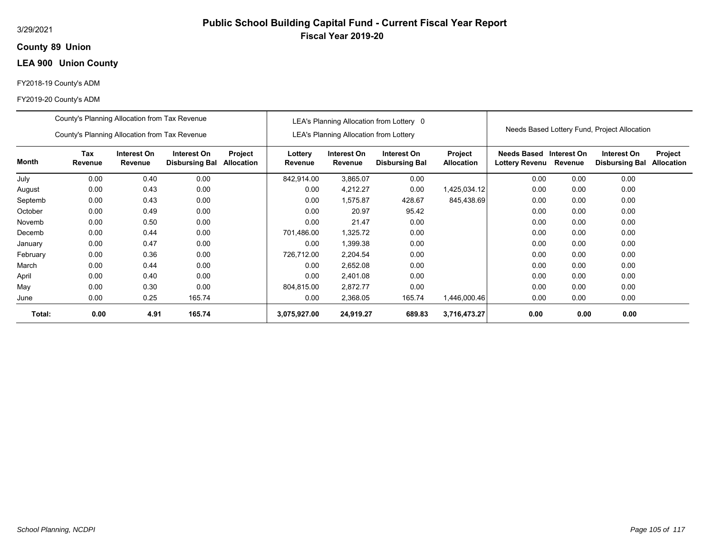## **89 Union County**

# **LEA 900 Union County**

## FY2018-19 County's ADM

|          | County's Planning Allocation from Tax Revenue |                        |                                      |                              |                    |                                               | LEA's Planning Allocation from Lottery 0 |                                     |                                      |                        |                                              |                              |
|----------|-----------------------------------------------|------------------------|--------------------------------------|------------------------------|--------------------|-----------------------------------------------|------------------------------------------|-------------------------------------|--------------------------------------|------------------------|----------------------------------------------|------------------------------|
|          | County's Planning Allocation from Tax Revenue |                        |                                      |                              |                    | <b>LEA's Planning Allocation from Lottery</b> |                                          |                                     |                                      |                        | Needs Based Lottery Fund, Project Allocation |                              |
| Month    | Tax<br>Revenue                                | Interest On<br>Revenue | Interest On<br><b>Disbursing Bal</b> | Project<br><b>Allocation</b> | Lottery<br>Revenue | Interest On<br>Revenue                        | Interest On<br><b>Disbursing Bal</b>     | <b>Project</b><br><b>Allocation</b> | Needs Based<br><b>Lottery Revenu</b> | Interest On<br>Revenue | Interest On<br><b>Disbursing Bal</b>         | Project<br><b>Allocation</b> |
| July     | 0.00                                          | 0.40                   | 0.00                                 |                              | 842,914.00         | 3,865.07                                      | 0.00                                     |                                     | 0.00                                 | 0.00                   | 0.00                                         |                              |
| August   | 0.00                                          | 0.43                   | 0.00                                 |                              | 0.00               | 4,212.27                                      | 0.00                                     | 1,425,034.12                        | 0.00                                 | 0.00                   | 0.00                                         |                              |
| Septemb  | 0.00                                          | 0.43                   | 0.00                                 |                              | 0.00               | 1,575.87                                      | 428.67                                   | 845,438.69                          | 0.00                                 | 0.00                   | 0.00                                         |                              |
| October  | 0.00                                          | 0.49                   | 0.00                                 |                              | 0.00               | 20.97                                         | 95.42                                    |                                     | 0.00                                 | 0.00                   | 0.00                                         |                              |
| Novemb   | 0.00                                          | 0.50                   | 0.00                                 |                              | 0.00               | 21.47                                         | 0.00                                     |                                     | 0.00                                 | 0.00                   | 0.00                                         |                              |
| Decemb   | 0.00                                          | 0.44                   | 0.00                                 |                              | 701,486.00         | 1,325.72                                      | 0.00                                     |                                     | 0.00                                 | 0.00                   | 0.00                                         |                              |
| January  | 0.00                                          | 0.47                   | 0.00                                 |                              | 0.00               | 1,399.38                                      | 0.00                                     |                                     | 0.00                                 | 0.00                   | 0.00                                         |                              |
| February | 0.00                                          | 0.36                   | 0.00                                 |                              | 726,712.00         | 2,204.54                                      | 0.00                                     |                                     | 0.00                                 | 0.00                   | 0.00                                         |                              |
| March    | 0.00                                          | 0.44                   | 0.00                                 |                              | 0.00               | 2,652.08                                      | 0.00                                     |                                     | 0.00                                 | 0.00                   | 0.00                                         |                              |
| April    | 0.00                                          | 0.40                   | 0.00                                 |                              | 0.00               | 2,401.08                                      | 0.00                                     |                                     | 0.00                                 | 0.00                   | 0.00                                         |                              |
| May      | 0.00                                          | 0.30                   | 0.00                                 |                              | 804,815.00         | 2,872.77                                      | 0.00                                     |                                     | 0.00                                 | 0.00                   | 0.00                                         |                              |
| June     | 0.00                                          | 0.25                   | 165.74                               |                              | 0.00               | 2,368.05                                      | 165.74                                   | 1,446,000.46                        | 0.00                                 | 0.00                   | 0.00                                         |                              |
| Total:   | 0.00                                          | 4.91                   | 165.74                               |                              | 3,075,927.00       | 24,919.27                                     | 689.83                                   | 3,716,473.27                        | 0.00                                 | 0.00                   | 0.00                                         |                              |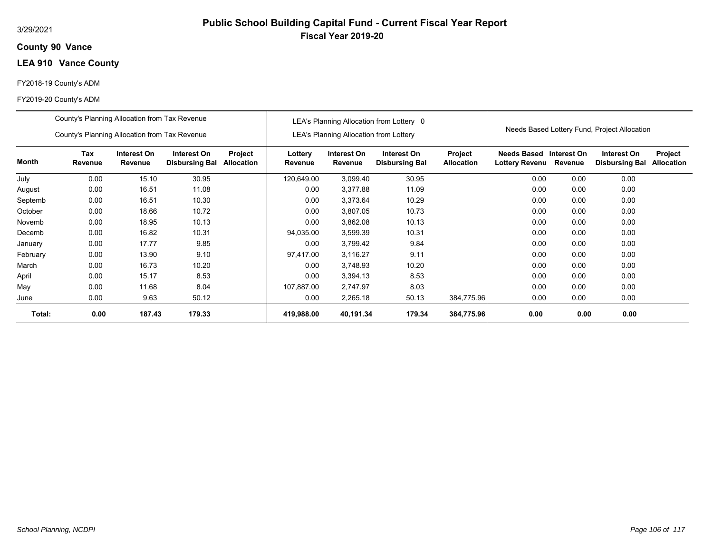## **90 Vance County**

# **LEA 910 Vance County**

## FY2018-19 County's ADM

|          | County's Planning Allocation from Tax Revenue |                        |                                      |                       |                    |                                               | LEA's Planning Allocation from Lottery 0 |                              |                               |                        |                                              |                              |
|----------|-----------------------------------------------|------------------------|--------------------------------------|-----------------------|--------------------|-----------------------------------------------|------------------------------------------|------------------------------|-------------------------------|------------------------|----------------------------------------------|------------------------------|
|          | County's Planning Allocation from Tax Revenue |                        |                                      |                       |                    | <b>LEA's Planning Allocation from Lottery</b> |                                          |                              |                               |                        | Needs Based Lottery Fund, Project Allocation |                              |
| Month    | Tax<br>Revenue                                | Interest On<br>Revenue | Interest On<br><b>Disbursing Bal</b> | Project<br>Allocation | Lottery<br>Revenue | Interest On<br>Revenue                        | Interest On<br><b>Disbursing Bal</b>     | Project<br><b>Allocation</b> | Needs Based<br>Lottery Revenu | Interest On<br>Revenue | Interest On<br><b>Disbursing Bal</b>         | Project<br><b>Allocation</b> |
| July     | 0.00                                          | 15.10                  | 30.95                                |                       | 120,649.00         | 3,099.40                                      | 30.95                                    |                              | 0.00                          | 0.00                   | 0.00                                         |                              |
| August   | 0.00                                          | 16.51                  | 11.08                                |                       | 0.00               | 3,377.88                                      | 11.09                                    |                              | 0.00                          | 0.00                   | 0.00                                         |                              |
| Septemb  | 0.00                                          | 16.51                  | 10.30                                |                       | 0.00               | 3,373.64                                      | 10.29                                    |                              | 0.00                          | 0.00                   | 0.00                                         |                              |
| October  | 0.00                                          | 18.66                  | 10.72                                |                       | 0.00               | 3,807.05                                      | 10.73                                    |                              | 0.00                          | 0.00                   | 0.00                                         |                              |
| Novemb   | 0.00                                          | 18.95                  | 10.13                                |                       | 0.00               | 3,862.08                                      | 10.13                                    |                              | 0.00                          | 0.00                   | 0.00                                         |                              |
| Decemb   | 0.00                                          | 16.82                  | 10.31                                |                       | 94,035.00          | 3,599.39                                      | 10.31                                    |                              | 0.00                          | 0.00                   | 0.00                                         |                              |
| January  | 0.00                                          | 17.77                  | 9.85                                 |                       | 0.00               | 3,799.42                                      | 9.84                                     |                              | 0.00                          | 0.00                   | 0.00                                         |                              |
| February | 0.00                                          | 13.90                  | 9.10                                 |                       | 97,417.00          | 3,116.27                                      | 9.11                                     |                              | 0.00                          | 0.00                   | 0.00                                         |                              |
| March    | 0.00                                          | 16.73                  | 10.20                                |                       | 0.00               | 3,748.93                                      | 10.20                                    |                              | 0.00                          | 0.00                   | 0.00                                         |                              |
| April    | 0.00                                          | 15.17                  | 8.53                                 |                       | 0.00               | 3,394.13                                      | 8.53                                     |                              | 0.00                          | 0.00                   | 0.00                                         |                              |
| May      | 0.00                                          | 11.68                  | 8.04                                 |                       | 107,887.00         | 2,747.97                                      | 8.03                                     |                              | 0.00                          | 0.00                   | 0.00                                         |                              |
| June     | 0.00                                          | 9.63                   | 50.12                                |                       | 0.00               | 2,265.18                                      | 50.13                                    | 384,775.96                   | 0.00                          | 0.00                   | 0.00                                         |                              |
| Total:   | 0.00                                          | 187.43                 | 179.33                               |                       | 419,988.00         | 40,191.34                                     | 179.34                                   | 384,775.96                   | 0.00                          | 0.00                   | 0.00                                         |                              |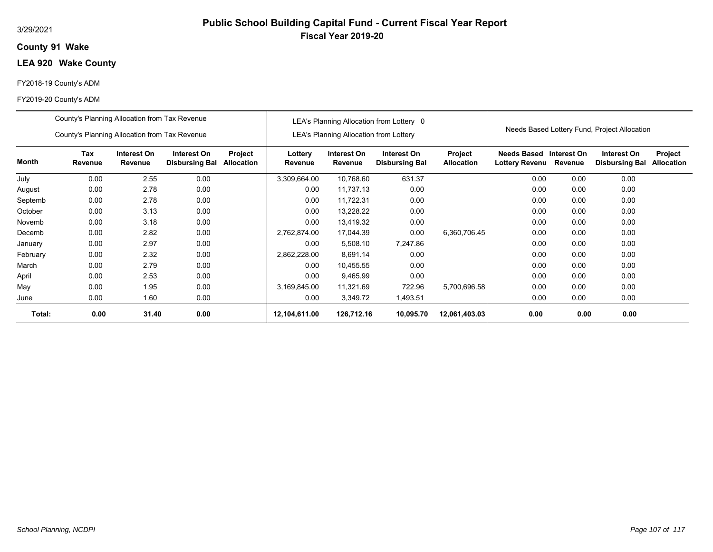## **91 Wake County**

# **LEA 920 Wake County**

## FY2018-19 County's ADM

|          | County's Planning Allocation from Tax Revenue |                        |                                      |                       |                    |                                               | LEA's Planning Allocation from Lottery 0 |                              |                               |                        |                                              |                              |
|----------|-----------------------------------------------|------------------------|--------------------------------------|-----------------------|--------------------|-----------------------------------------------|------------------------------------------|------------------------------|-------------------------------|------------------------|----------------------------------------------|------------------------------|
|          | County's Planning Allocation from Tax Revenue |                        |                                      |                       |                    | <b>LEA's Planning Allocation from Lottery</b> |                                          |                              |                               |                        | Needs Based Lottery Fund, Project Allocation |                              |
| Month    | Tax<br>Revenue                                | Interest On<br>Revenue | Interest On<br><b>Disbursing Bal</b> | Project<br>Allocation | Lottery<br>Revenue | Interest On<br>Revenue                        | Interest On<br><b>Disbursing Bal</b>     | Project<br><b>Allocation</b> | Needs Based<br>Lottery Revenu | Interest On<br>Revenue | Interest On<br><b>Disbursing Bal</b>         | Project<br><b>Allocation</b> |
| July     | 0.00                                          | 2.55                   | 0.00                                 |                       | 3,309,664.00       | 10,768.60                                     | 631.37                                   |                              | 0.00                          | 0.00                   | 0.00                                         |                              |
| August   | 0.00                                          | 2.78                   | 0.00                                 |                       | 0.00               | 11,737.13                                     | 0.00                                     |                              | 0.00                          | 0.00                   | 0.00                                         |                              |
| Septemb  | 0.00                                          | 2.78                   | 0.00                                 |                       | 0.00               | 11,722.31                                     | 0.00                                     |                              | 0.00                          | 0.00                   | 0.00                                         |                              |
| October  | 0.00                                          | 3.13                   | 0.00                                 |                       | 0.00               | 13,228.22                                     | 0.00                                     |                              | 0.00                          | 0.00                   | 0.00                                         |                              |
| Novemb   | 0.00                                          | 3.18                   | 0.00                                 |                       | 0.00               | 13,419.32                                     | 0.00                                     |                              | 0.00                          | 0.00                   | 0.00                                         |                              |
| Decemb   | 0.00                                          | 2.82                   | 0.00                                 |                       | 2,762,874.00       | 17,044.39                                     | 0.00                                     | 6,360,706.45                 | 0.00                          | 0.00                   | 0.00                                         |                              |
| January  | 0.00                                          | 2.97                   | 0.00                                 |                       | 0.00               | 5,508.10                                      | 7,247.86                                 |                              | 0.00                          | 0.00                   | 0.00                                         |                              |
| February | 0.00                                          | 2.32                   | 0.00                                 |                       | 2,862,228.00       | 8,691.14                                      | 0.00                                     |                              | 0.00                          | 0.00                   | 0.00                                         |                              |
| March    | 0.00                                          | 2.79                   | 0.00                                 |                       | 0.00               | 10,455.55                                     | 0.00                                     |                              | 0.00                          | 0.00                   | 0.00                                         |                              |
| April    | 0.00                                          | 2.53                   | 0.00                                 |                       | 0.00               | 9,465.99                                      | 0.00                                     |                              | 0.00                          | 0.00                   | 0.00                                         |                              |
| May      | 0.00                                          | 1.95                   | 0.00                                 |                       | 3,169,845.00       | 11,321.69                                     | 722.96                                   | 5,700,696.58                 | 0.00                          | 0.00                   | 0.00                                         |                              |
| June     | 0.00                                          | 1.60                   | 0.00                                 |                       | 0.00               | 3,349.72                                      | 1,493.51                                 |                              | 0.00                          | 0.00                   | 0.00                                         |                              |
| Total:   | 0.00                                          | 31.40                  | 0.00                                 |                       | 12,104,611.00      | 126,712.16                                    | 10,095.70                                | 12,061,403.03                | 0.00                          | 0.00                   | 0.00                                         |                              |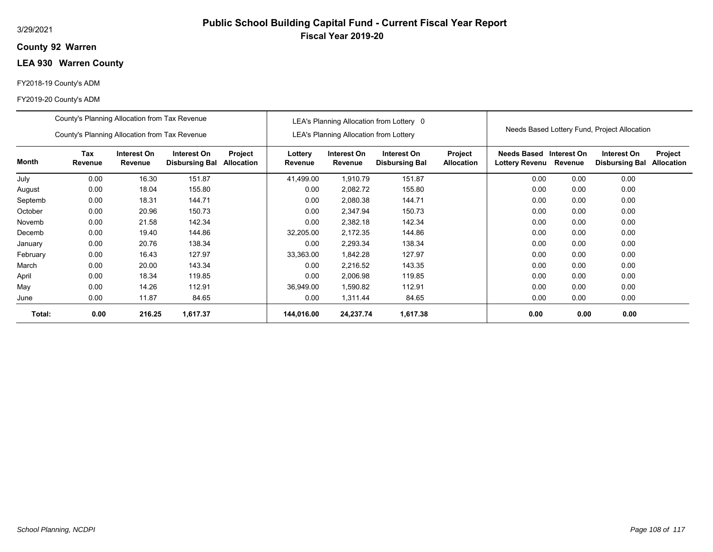## **92 Warren County**

## **LEA 930 Warren County**

#### FY2018-19 County's ADM

|          | County's Planning Allocation from Tax Revenue |                        |                                      |                              | LEA's Planning Allocation from Lottery 0 |                                               |                                      |                              | Needs Based Lottery Fund, Project Allocation |                        |                                      |                              |
|----------|-----------------------------------------------|------------------------|--------------------------------------|------------------------------|------------------------------------------|-----------------------------------------------|--------------------------------------|------------------------------|----------------------------------------------|------------------------|--------------------------------------|------------------------------|
|          | County's Planning Allocation from Tax Revenue |                        |                                      |                              |                                          | <b>LEA's Planning Allocation from Lottery</b> |                                      |                              |                                              |                        |                                      |                              |
| Month    | Tax<br>Revenue                                | Interest On<br>Revenue | Interest On<br><b>Disbursing Bal</b> | Project<br><b>Allocation</b> | Lottery<br>Revenue                       | Interest On<br>Revenue                        | Interest On<br><b>Disbursing Bal</b> | Project<br><b>Allocation</b> | Needs Based<br>Lottery Revenu                | Interest On<br>Revenue | Interest On<br><b>Disbursing Bal</b> | Project<br><b>Allocation</b> |
| July     | 0.00                                          | 16.30                  | 151.87                               |                              | 41,499.00                                | 1,910.79                                      | 151.87                               |                              | 0.00                                         | 0.00                   | 0.00                                 |                              |
| August   | 0.00                                          | 18.04                  | 155.80                               |                              | 0.00                                     | 2,082.72                                      | 155.80                               |                              | 0.00                                         | 0.00                   | 0.00                                 |                              |
| Septemb  | 0.00                                          | 18.31                  | 144.71                               |                              | 0.00                                     | 2,080.38                                      | 144.71                               |                              | 0.00                                         | 0.00                   | 0.00                                 |                              |
| October  | 0.00                                          | 20.96                  | 150.73                               |                              | 0.00                                     | 2,347.94                                      | 150.73                               |                              | 0.00                                         | 0.00                   | 0.00                                 |                              |
| Novemb   | 0.00                                          | 21.58                  | 142.34                               |                              | 0.00                                     | 2,382.18                                      | 142.34                               |                              | 0.00                                         | 0.00                   | 0.00                                 |                              |
| Decemb   | 0.00                                          | 19.40                  | 144.86                               |                              | 32,205.00                                | 2,172.35                                      | 144.86                               |                              | 0.00                                         | 0.00                   | 0.00                                 |                              |
| January  | 0.00                                          | 20.76                  | 138.34                               |                              | 0.00                                     | 2,293.34                                      | 138.34                               |                              | 0.00                                         | 0.00                   | 0.00                                 |                              |
| February | 0.00                                          | 16.43                  | 127.97                               |                              | 33,363.00                                | 1,842.28                                      | 127.97                               |                              | 0.00                                         | 0.00                   | 0.00                                 |                              |
| March    | 0.00                                          | 20.00                  | 143.34                               |                              | 0.00                                     | 2,216.52                                      | 143.35                               |                              | 0.00                                         | 0.00                   | 0.00                                 |                              |
| April    | 0.00                                          | 18.34                  | 119.85                               |                              | 0.00                                     | 2,006.98                                      | 119.85                               |                              | 0.00                                         | 0.00                   | 0.00                                 |                              |
| May      | 0.00                                          | 14.26                  | 112.91                               |                              | 36,949.00                                | 1,590.82                                      | 112.91                               |                              | 0.00                                         | 0.00                   | 0.00                                 |                              |
| June     | 0.00                                          | 11.87                  | 84.65                                |                              | 0.00                                     | 1,311.44                                      | 84.65                                |                              | 0.00                                         | 0.00                   | 0.00                                 |                              |
| Total:   | 0.00                                          | 216.25                 | 1,617.37                             |                              | 144.016.00                               | 24,237.74                                     | 1,617.38                             |                              | 0.00                                         | 0.00                   | 0.00                                 |                              |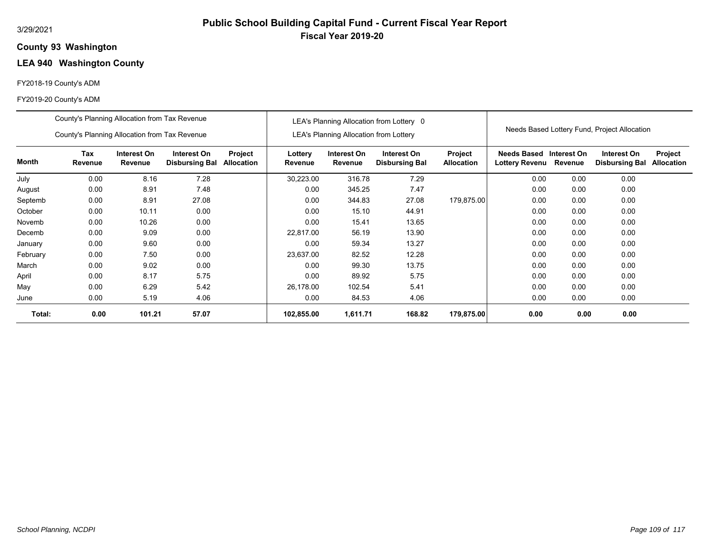# **Public School Building Capital Fund - Current Fiscal Year Report Fiscal Year 2019-20**

#### **93 Washington County**

# **LEA 940 Washington County**

#### FY2018-19 County's ADM

|          | County's Planning Allocation from Tax Revenue |                               |                                      |                              | LEA's Planning Allocation from Lottery 0      |                        |                                      |                              |                                              |             |                                      |                              |
|----------|-----------------------------------------------|-------------------------------|--------------------------------------|------------------------------|-----------------------------------------------|------------------------|--------------------------------------|------------------------------|----------------------------------------------|-------------|--------------------------------------|------------------------------|
|          | County's Planning Allocation from Tax Revenue |                               |                                      |                              | <b>LEA's Planning Allocation from Lottery</b> |                        |                                      |                              | Needs Based Lottery Fund, Project Allocation |             |                                      |                              |
| Month    | Tax<br>Revenue                                | Interest On<br><b>Revenue</b> | Interest On<br><b>Disbursing Bal</b> | Project<br><b>Allocation</b> | Lottery<br>Revenue                            | Interest On<br>Revenue | Interest On<br><b>Disbursing Bal</b> | Project<br><b>Allocation</b> | <b>Needs Based</b><br>Lottery Revenu Revenue | Interest On | Interest On<br><b>Disbursing Bal</b> | Project<br><b>Allocation</b> |
| July     | 0.00                                          | 8.16                          | 7.28                                 |                              | 30,223.00                                     | 316.78                 | 7.29                                 |                              | 0.00                                         | 0.00        | 0.00                                 |                              |
| August   | 0.00                                          | 8.91                          | 7.48                                 |                              | 0.00                                          | 345.25                 | 7.47                                 |                              | 0.00                                         | 0.00        | 0.00                                 |                              |
| Septemb  | 0.00                                          | 8.91                          | 27.08                                |                              | 0.00                                          | 344.83                 | 27.08                                | 179,875.00                   | 0.00                                         | 0.00        | 0.00                                 |                              |
| October  | 0.00                                          | 10.11                         | 0.00                                 |                              | 0.00                                          | 15.10                  | 44.91                                |                              | 0.00                                         | 0.00        | 0.00                                 |                              |
| Novemb   | 0.00                                          | 10.26                         | 0.00                                 |                              | 0.00                                          | 15.41                  | 13.65                                |                              | 0.00                                         | 0.00        | 0.00                                 |                              |
| Decemb   | 0.00                                          | 9.09                          | 0.00                                 |                              | 22,817.00                                     | 56.19                  | 13.90                                |                              | 0.00                                         | 0.00        | 0.00                                 |                              |
| January  | 0.00                                          | 9.60                          | 0.00                                 |                              | 0.00                                          | 59.34                  | 13.27                                |                              | 0.00                                         | 0.00        | 0.00                                 |                              |
| February | 0.00                                          | 7.50                          | 0.00                                 |                              | 23,637.00                                     | 82.52                  | 12.28                                |                              | 0.00                                         | 0.00        | 0.00                                 |                              |
| March    | 0.00                                          | 9.02                          | 0.00                                 |                              | 0.00                                          | 99.30                  | 13.75                                |                              | 0.00                                         | 0.00        | 0.00                                 |                              |
| April    | 0.00                                          | 8.17                          | 5.75                                 |                              | 0.00                                          | 89.92                  | 5.75                                 |                              | 0.00                                         | 0.00        | 0.00                                 |                              |
| May      | 0.00                                          | 6.29                          | 5.42                                 |                              | 26,178.00                                     | 102.54                 | 5.41                                 |                              | 0.00                                         | 0.00        | 0.00                                 |                              |
| June     | 0.00                                          | 5.19                          | 4.06                                 |                              | 0.00                                          | 84.53                  | 4.06                                 |                              | 0.00                                         | 0.00        | 0.00                                 |                              |
| Total:   | 0.00                                          | 101.21                        | 57.07                                |                              | 102,855.00                                    | 1,611.71               | 168.82                               | 179,875.00                   | 0.00                                         | 0.00        | 0.00                                 |                              |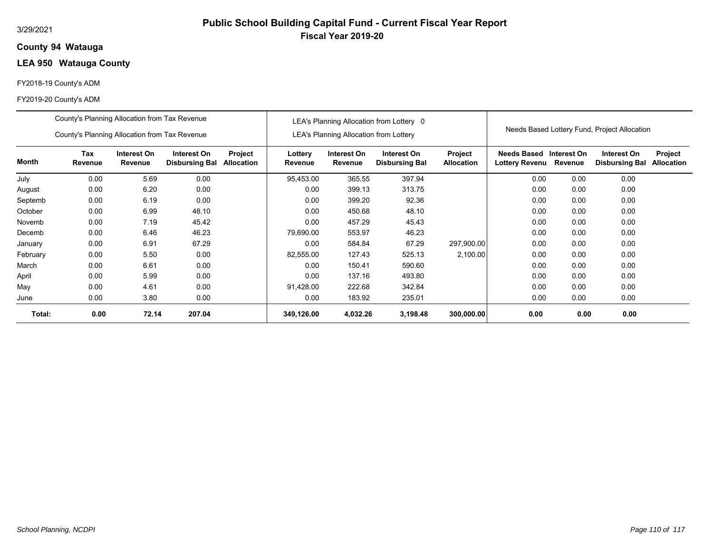### **94 Watauga County**

## **LEA 950 Watauga County**

#### FY2018-19 County's ADM

|          | County's Planning Allocation from Tax Revenue |                        |                                      |                              | LEA's Planning Allocation from Lottery 0      |                        |                                      |                              |                                              |         |                                      |                              |
|----------|-----------------------------------------------|------------------------|--------------------------------------|------------------------------|-----------------------------------------------|------------------------|--------------------------------------|------------------------------|----------------------------------------------|---------|--------------------------------------|------------------------------|
|          | County's Planning Allocation from Tax Revenue |                        |                                      |                              | <b>LEA's Planning Allocation from Lottery</b> |                        |                                      |                              | Needs Based Lottery Fund, Project Allocation |         |                                      |                              |
| Month    | Tax<br>Revenue                                | Interest On<br>Revenue | Interest On<br><b>Disbursing Bal</b> | Project<br><b>Allocation</b> | Lottery<br>Revenue                            | Interest On<br>Revenue | Interest On<br><b>Disbursing Bal</b> | Project<br><b>Allocation</b> | Needs Based Interest On<br>Lottery Revenu    | Revenue | Interest On<br><b>Disbursing Bal</b> | Project<br><b>Allocation</b> |
| July     | 0.00                                          | 5.69                   | 0.00                                 |                              | 95,453.00                                     | 365.55                 | 397.94                               |                              | 0.00                                         | 0.00    | 0.00                                 |                              |
| August   | 0.00                                          | 6.20                   | 0.00                                 |                              | 0.00                                          | 399.13                 | 313.75                               |                              | 0.00                                         | 0.00    | 0.00                                 |                              |
| Septemb  | 0.00                                          | 6.19                   | 0.00                                 |                              | 0.00                                          | 399.20                 | 92.36                                |                              | 0.00                                         | 0.00    | 0.00                                 |                              |
| October  | 0.00                                          | 6.99                   | 48.10                                |                              | 0.00                                          | 450.68                 | 48.10                                |                              | 0.00                                         | 0.00    | 0.00                                 |                              |
| Novemb   | 0.00                                          | 7.19                   | 45.42                                |                              | 0.00                                          | 457.29                 | 45.43                                |                              | 0.00                                         | 0.00    | 0.00                                 |                              |
| Decemb   | 0.00                                          | 6.46                   | 46.23                                |                              | 79.690.00                                     | 553.97                 | 46.23                                |                              | 0.00                                         | 0.00    | 0.00                                 |                              |
| January  | 0.00                                          | 6.91                   | 67.29                                |                              | 0.00                                          | 584.84                 | 67.29                                | 297,900.00                   | 0.00                                         | 0.00    | 0.00                                 |                              |
| February | 0.00                                          | 5.50                   | 0.00                                 |                              | 82,555.00                                     | 127.43                 | 525.13                               | 2,100.00                     | 0.00                                         | 0.00    | 0.00                                 |                              |
| March    | 0.00                                          | 6.61                   | 0.00                                 |                              | 0.00                                          | 150.41                 | 590.60                               |                              | 0.00                                         | 0.00    | 0.00                                 |                              |
| April    | 0.00                                          | 5.99                   | 0.00                                 |                              | 0.00                                          | 137.16                 | 493.80                               |                              | 0.00                                         | 0.00    | 0.00                                 |                              |
| May      | 0.00                                          | 4.61                   | 0.00                                 |                              | 91,428.00                                     | 222.68                 | 342.84                               |                              | 0.00                                         | 0.00    | 0.00                                 |                              |
| June     | 0.00                                          | 3.80                   | 0.00                                 |                              | 0.00                                          | 183.92                 | 235.01                               |                              | 0.00                                         | 0.00    | 0.00                                 |                              |
| Total:   | 0.00                                          | 72.14                  | 207.04                               |                              | 349,126.00                                    | 4,032.26               | 3,198.48                             | 300,000.00                   | 0.00                                         | 0.00    | 0.00                                 |                              |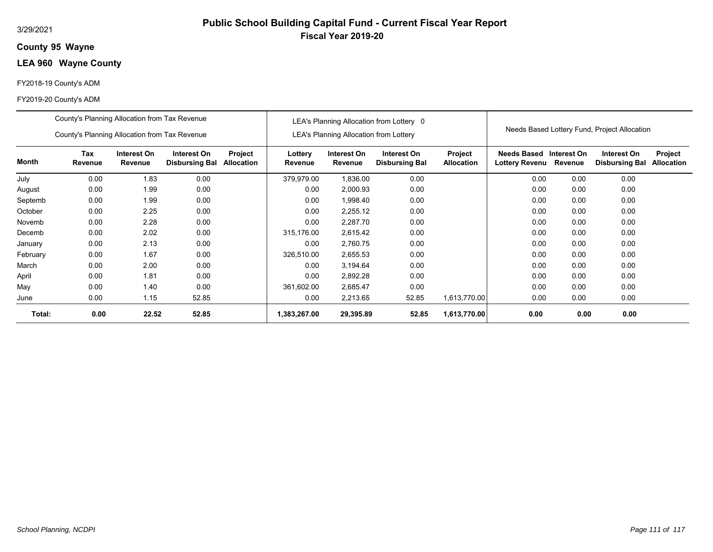## **95 Wayne County**

# **LEA 960 Wayne County**

#### FY2018-19 County's ADM

|          | County's Planning Allocation from Tax Revenue<br>County's Planning Allocation from Tax Revenue |                        |                                      |                       | LEA's Planning Allocation from Lottery 0 |                                               |                                      |                              | Needs Based Lottery Fund, Project Allocation |                        |                                      |                              |
|----------|------------------------------------------------------------------------------------------------|------------------------|--------------------------------------|-----------------------|------------------------------------------|-----------------------------------------------|--------------------------------------|------------------------------|----------------------------------------------|------------------------|--------------------------------------|------------------------------|
|          |                                                                                                |                        |                                      |                       |                                          | <b>LEA's Planning Allocation from Lottery</b> |                                      |                              |                                              |                        |                                      |                              |
| Month    | Tax<br>Revenue                                                                                 | Interest On<br>Revenue | Interest On<br><b>Disbursing Bal</b> | Project<br>Allocation | Lottery<br>Revenue                       | Interest On<br>Revenue                        | Interest On<br><b>Disbursing Bal</b> | Project<br><b>Allocation</b> | Needs Based<br>Lottery Revenu                | Interest On<br>Revenue | Interest On<br><b>Disbursing Bal</b> | Project<br><b>Allocation</b> |
| July     | 0.00                                                                                           | 1.83                   | 0.00                                 |                       | 379,979.00                               | 1,836.00                                      | 0.00                                 |                              | 0.00                                         | 0.00                   | 0.00                                 |                              |
| August   | 0.00                                                                                           | 1.99                   | 0.00                                 |                       | 0.00                                     | 2,000.93                                      | 0.00                                 |                              | 0.00                                         | 0.00                   | 0.00                                 |                              |
| Septemb  | 0.00                                                                                           | 1.99                   | 0.00                                 |                       | 0.00                                     | 1,998.40                                      | 0.00                                 |                              | 0.00                                         | 0.00                   | 0.00                                 |                              |
| October  | 0.00                                                                                           | 2.25                   | 0.00                                 |                       | 0.00                                     | 2,255.12                                      | 0.00                                 |                              | 0.00                                         | 0.00                   | 0.00                                 |                              |
| Novemb   | 0.00                                                                                           | 2.28                   | 0.00                                 |                       | 0.00                                     | 2,287.70                                      | 0.00                                 |                              | 0.00                                         | 0.00                   | 0.00                                 |                              |
| Decemb   | 0.00                                                                                           | 2.02                   | 0.00                                 |                       | 315,176.00                               | 2,615.42                                      | 0.00                                 |                              | 0.00                                         | 0.00                   | 0.00                                 |                              |
| January  | 0.00                                                                                           | 2.13                   | 0.00                                 |                       | 0.00                                     | 2,760.75                                      | 0.00                                 |                              | 0.00                                         | 0.00                   | 0.00                                 |                              |
| February | 0.00                                                                                           | 1.67                   | 0.00                                 |                       | 326,510.00                               | 2,655.53                                      | 0.00                                 |                              | 0.00                                         | 0.00                   | 0.00                                 |                              |
| March    | 0.00                                                                                           | 2.00                   | 0.00                                 |                       | 0.00                                     | 3,194.64                                      | 0.00                                 |                              | 0.00                                         | 0.00                   | 0.00                                 |                              |
| April    | 0.00                                                                                           | 1.81                   | 0.00                                 |                       | 0.00                                     | 2,892.28                                      | 0.00                                 |                              | 0.00                                         | 0.00                   | 0.00                                 |                              |
| May      | 0.00                                                                                           | 1.40                   | 0.00                                 |                       | 361,602.00                               | 2,685.47                                      | 0.00                                 |                              | 0.00                                         | 0.00                   | 0.00                                 |                              |
| June     | 0.00                                                                                           | 1.15                   | 52.85                                |                       | 0.00                                     | 2,213.65                                      | 52.85                                | 1,613,770.00                 | 0.00                                         | 0.00                   | 0.00                                 |                              |
| Total:   | 0.00                                                                                           | 22.52                  | 52.85                                |                       | 1,383,267.00                             | 29,395.89                                     | 52.85                                | 1,613,770.00                 | 0.00                                         | 0.00                   | 0.00                                 |                              |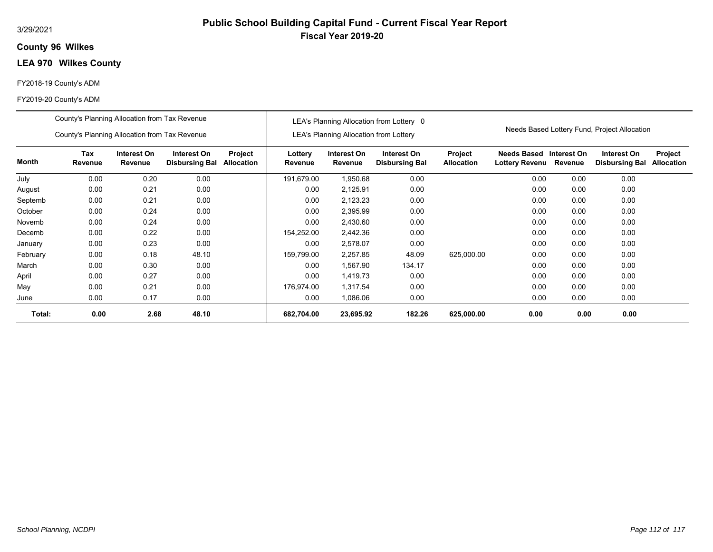## **96 Wilkes County**

## **LEA 970 Wilkes County**

#### FY2018-19 County's ADM

|          | County's Planning Allocation from Tax Revenue |                        |                                      |                              |                                               |                        | LEA's Planning Allocation from Lottery 0 |                              | Needs Based Lottery Fund, Project Allocation |         |                                      |                              |
|----------|-----------------------------------------------|------------------------|--------------------------------------|------------------------------|-----------------------------------------------|------------------------|------------------------------------------|------------------------------|----------------------------------------------|---------|--------------------------------------|------------------------------|
|          | County's Planning Allocation from Tax Revenue |                        |                                      |                              | <b>LEA's Planning Allocation from Lottery</b> |                        |                                          |                              |                                              |         |                                      |                              |
| Month    | Tax<br>Revenue                                | Interest On<br>Revenue | Interest On<br><b>Disbursing Bal</b> | Project<br><b>Allocation</b> | Lottery<br>Revenue                            | Interest On<br>Revenue | Interest On<br><b>Disbursing Bal</b>     | Project<br><b>Allocation</b> | Needs Based Interest On<br>Lottery Revenu    | Revenue | Interest On<br><b>Disbursing Bal</b> | Project<br><b>Allocation</b> |
| July     | 0.00                                          | 0.20                   | 0.00                                 |                              | 191.679.00                                    | 1,950.68               | 0.00                                     |                              | 0.00                                         | 0.00    | 0.00                                 |                              |
| August   | 0.00                                          | 0.21                   | 0.00                                 |                              | 0.00                                          | 2,125.91               | 0.00                                     |                              | 0.00                                         | 0.00    | 0.00                                 |                              |
| Septemb  | 0.00                                          | 0.21                   | 0.00                                 |                              | 0.00                                          | 2,123.23               | 0.00                                     |                              | 0.00                                         | 0.00    | 0.00                                 |                              |
| October  | 0.00                                          | 0.24                   | 0.00                                 |                              | 0.00                                          | 2,395.99               | 0.00                                     |                              | 0.00                                         | 0.00    | 0.00                                 |                              |
| Novemb   | 0.00                                          | 0.24                   | 0.00                                 |                              | 0.00                                          | 2,430.60               | 0.00                                     |                              | 0.00                                         | 0.00    | 0.00                                 |                              |
| Decemb   | 0.00                                          | 0.22                   | 0.00                                 |                              | 154,252.00                                    | 2,442.36               | 0.00                                     |                              | 0.00                                         | 0.00    | 0.00                                 |                              |
| January  | 0.00                                          | 0.23                   | 0.00                                 |                              | 0.00                                          | 2,578.07               | 0.00                                     |                              | 0.00                                         | 0.00    | 0.00                                 |                              |
| February | 0.00                                          | 0.18                   | 48.10                                |                              | 159,799.00                                    | 2,257.85               | 48.09                                    | 625,000.00                   | 0.00                                         | 0.00    | 0.00                                 |                              |
| March    | 0.00                                          | 0.30                   | 0.00                                 |                              | 0.00                                          | 1,567.90               | 134.17                                   |                              | 0.00                                         | 0.00    | 0.00                                 |                              |
| April    | 0.00                                          | 0.27                   | 0.00                                 |                              | 0.00                                          | 1,419.73               | 0.00                                     |                              | 0.00                                         | 0.00    | 0.00                                 |                              |
| May      | 0.00                                          | 0.21                   | 0.00                                 |                              | 176.974.00                                    | 1,317.54               | 0.00                                     |                              | 0.00                                         | 0.00    | 0.00                                 |                              |
| June     | 0.00                                          | 0.17                   | 0.00                                 |                              | 0.00                                          | 1,086.06               | 0.00                                     |                              | 0.00                                         | 0.00    | 0.00                                 |                              |
| Total:   | 0.00                                          | 2.68                   | 48.10                                |                              | 682,704.00                                    | 23,695.92              | 182.26                                   | 625,000.00                   | 0.00                                         | 0.00    | 0.00                                 |                              |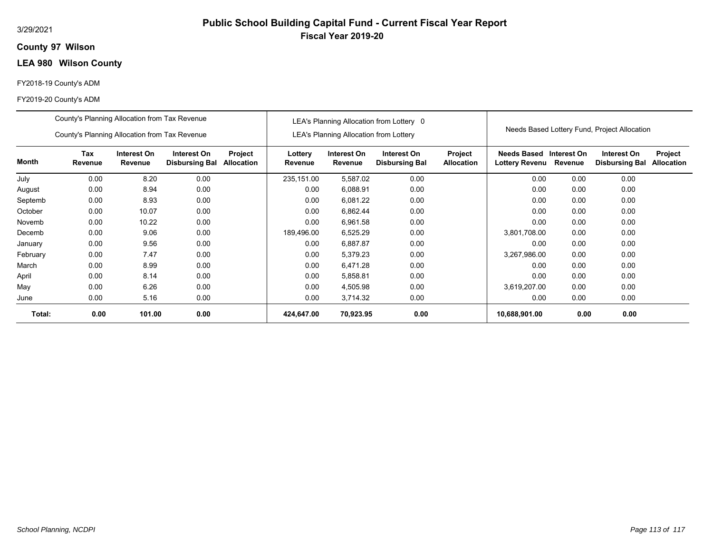## **97 Wilson County**

## **LEA 980 Wilson County**

#### FY2018-19 County's ADM

|          | County's Planning Allocation from Tax Revenue<br>County's Planning Allocation from Tax Revenue |                        |                                      |                              | LEA's Planning Allocation from Lottery 0<br><b>LEA's Planning Allocation from Lottery</b> |                        |                                      |                                     | Needs Based Lottery Fund, Project Allocation     |         |                                      |                              |
|----------|------------------------------------------------------------------------------------------------|------------------------|--------------------------------------|------------------------------|-------------------------------------------------------------------------------------------|------------------------|--------------------------------------|-------------------------------------|--------------------------------------------------|---------|--------------------------------------|------------------------------|
| Month    | Tax<br>Revenue                                                                                 | Interest On<br>Revenue | Interest On<br><b>Disbursing Bal</b> | Project<br><b>Allocation</b> | Lottery<br>Revenue                                                                        | Interest On<br>Revenue | Interest On<br><b>Disbursing Bal</b> | <b>Project</b><br><b>Allocation</b> | Needs Based Interest On<br><b>Lottery Revenu</b> | Revenue | Interest On<br><b>Disbursing Bal</b> | Project<br><b>Allocation</b> |
| July     | 0.00                                                                                           | 8.20                   | 0.00                                 |                              | 235,151.00                                                                                | 5,587.02               | 0.00                                 |                                     | 0.00                                             | 0.00    | 0.00                                 |                              |
| August   | 0.00                                                                                           | 8.94                   | 0.00                                 |                              | 0.00                                                                                      | 6,088.91               | 0.00                                 |                                     | 0.00                                             | 0.00    | 0.00                                 |                              |
| Septemb  | 0.00                                                                                           | 8.93                   | 0.00                                 |                              | 0.00                                                                                      | 6,081.22               | 0.00                                 |                                     | 0.00                                             | 0.00    | 0.00                                 |                              |
| October  | 0.00                                                                                           | 10.07                  | 0.00                                 |                              | 0.00                                                                                      | 6,862.44               | 0.00                                 |                                     | 0.00                                             | 0.00    | 0.00                                 |                              |
| Novemb   | 0.00                                                                                           | 10.22                  | 0.00                                 |                              | 0.00                                                                                      | 6,961.58               | 0.00                                 |                                     | 0.00                                             | 0.00    | 0.00                                 |                              |
| Decemb   | 0.00                                                                                           | 9.06                   | 0.00                                 |                              | 189,496.00                                                                                | 6,525.29               | 0.00                                 |                                     | 3,801,708.00                                     | 0.00    | 0.00                                 |                              |
| January  | 0.00                                                                                           | 9.56                   | 0.00                                 |                              | 0.00                                                                                      | 6,887.87               | 0.00                                 |                                     | 0.00                                             | 0.00    | 0.00                                 |                              |
| February | 0.00                                                                                           | 7.47                   | 0.00                                 |                              | 0.00                                                                                      | 5,379.23               | 0.00                                 |                                     | 3,267,986.00                                     | 0.00    | 0.00                                 |                              |
| March    | 0.00                                                                                           | 8.99                   | 0.00                                 |                              | 0.00                                                                                      | 6,471.28               | 0.00                                 |                                     | 0.00                                             | 0.00    | 0.00                                 |                              |
| April    | 0.00                                                                                           | 8.14                   | 0.00                                 |                              | 0.00                                                                                      | 5,858.81               | 0.00                                 |                                     | 0.00                                             | 0.00    | 0.00                                 |                              |
| May      | 0.00                                                                                           | 6.26                   | 0.00                                 |                              | 0.00                                                                                      | 4,505.98               | 0.00                                 |                                     | 3,619,207.00                                     | 0.00    | 0.00                                 |                              |
| June     | 0.00                                                                                           | 5.16                   | 0.00                                 |                              | 0.00                                                                                      | 3,714.32               | 0.00                                 |                                     | 0.00                                             | 0.00    | 0.00                                 |                              |
| Total:   | 0.00                                                                                           | 101.00                 | 0.00                                 |                              | 424,647.00                                                                                | 70,923.95              | 0.00                                 |                                     | 10,688,901.00                                    | 0.00    | 0.00                                 |                              |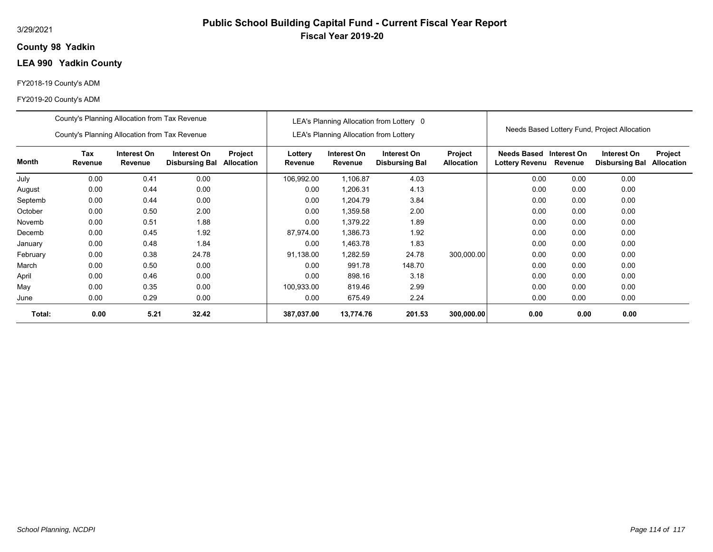## **98 Yadkin County**

# **LEA 990 Yadkin County**

#### FY2018-19 County's ADM

|          | County's Planning Allocation from Tax Revenue<br>County's Planning Allocation from Tax Revenue |                        |                                      |                              | LEA's Planning Allocation from Lottery 0<br><b>LEA's Planning Allocation from Lottery</b> |                        |                                      |                                     | Needs Based Lottery Fund, Project Allocation     |         |                                      |                       |
|----------|------------------------------------------------------------------------------------------------|------------------------|--------------------------------------|------------------------------|-------------------------------------------------------------------------------------------|------------------------|--------------------------------------|-------------------------------------|--------------------------------------------------|---------|--------------------------------------|-----------------------|
| Month    | Tax<br>Revenue                                                                                 | Interest On<br>Revenue | Interest On<br><b>Disbursing Bal</b> | Project<br><b>Allocation</b> | Lottery<br>Revenue                                                                        | Interest On<br>Revenue | Interest On<br><b>Disbursing Bal</b> | <b>Project</b><br><b>Allocation</b> | Needs Based Interest On<br><b>Lottery Revenu</b> | Revenue | Interest On<br><b>Disbursing Bal</b> | Project<br>Allocation |
| July     | 0.00                                                                                           | 0.41                   | 0.00                                 |                              | 106,992.00                                                                                | 1,106.87               | 4.03                                 |                                     | 0.00                                             | 0.00    | 0.00                                 |                       |
| August   | 0.00                                                                                           | 0.44                   | 0.00                                 |                              | 0.00                                                                                      | 1,206.31               | 4.13                                 |                                     | 0.00                                             | 0.00    | 0.00                                 |                       |
| Septemb  | 0.00                                                                                           | 0.44                   | 0.00                                 |                              | 0.00                                                                                      | 1,204.79               | 3.84                                 |                                     | 0.00                                             | 0.00    | 0.00                                 |                       |
| October  | 0.00                                                                                           | 0.50                   | 2.00                                 |                              | 0.00                                                                                      | 1,359.58               | 2.00                                 |                                     | 0.00                                             | 0.00    | 0.00                                 |                       |
| Novemb   | 0.00                                                                                           | 0.51                   | 1.88                                 |                              | 0.00                                                                                      | 1,379.22               | 1.89                                 |                                     | 0.00                                             | 0.00    | 0.00                                 |                       |
| Decemb   | 0.00                                                                                           | 0.45                   | 1.92                                 |                              | 87,974.00                                                                                 | 1,386.73               | 1.92                                 |                                     | 0.00                                             | 0.00    | 0.00                                 |                       |
| January  | 0.00                                                                                           | 0.48                   | 1.84                                 |                              | 0.00                                                                                      | 1,463.78               | 1.83                                 |                                     | 0.00                                             | 0.00    | 0.00                                 |                       |
| February | 0.00                                                                                           | 0.38                   | 24.78                                |                              | 91,138.00                                                                                 | .282.59                | 24.78                                | 300,000.00                          | 0.00                                             | 0.00    | 0.00                                 |                       |
| March    | 0.00                                                                                           | 0.50                   | 0.00                                 |                              | 0.00                                                                                      | 991.78                 | 148.70                               |                                     | 0.00                                             | 0.00    | 0.00                                 |                       |
| April    | 0.00                                                                                           | 0.46                   | 0.00                                 |                              | 0.00                                                                                      | 898.16                 | 3.18                                 |                                     | 0.00                                             | 0.00    | 0.00                                 |                       |
| May      | 0.00                                                                                           | 0.35                   | 0.00                                 |                              | 100,933.00                                                                                | 819.46                 | 2.99                                 |                                     | 0.00                                             | 0.00    | 0.00                                 |                       |
| June     | 0.00                                                                                           | 0.29                   | 0.00                                 |                              | 0.00                                                                                      | 675.49                 | 2.24                                 |                                     | 0.00                                             | 0.00    | 0.00                                 |                       |
| Total:   | 0.00                                                                                           | 5.21                   | 32.42                                |                              | 387,037.00                                                                                | 13,774.76              | 201.53                               | 300,000.00                          | 0.00                                             | 0.00    | 0.00                                 |                       |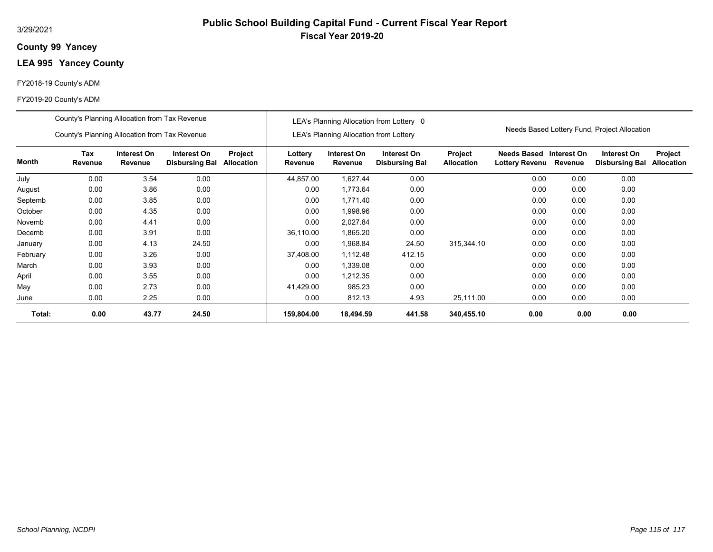### **99 Yancey County**

# **LEA 995 Yancey County**

#### FY2018-19 County's ADM

|          | County's Planning Allocation from Tax Revenue |                        |                                      |                       |                                               | LEA's Planning Allocation from Lottery 0 |                                      |                              |                                                  |         |                                      |                              |
|----------|-----------------------------------------------|------------------------|--------------------------------------|-----------------------|-----------------------------------------------|------------------------------------------|--------------------------------------|------------------------------|--------------------------------------------------|---------|--------------------------------------|------------------------------|
|          | County's Planning Allocation from Tax Revenue |                        |                                      |                       | <b>LEA's Planning Allocation from Lottery</b> |                                          |                                      |                              | Needs Based Lottery Fund, Project Allocation     |         |                                      |                              |
| Month    | Tax<br>Revenue                                | Interest On<br>Revenue | Interest On<br><b>Disbursing Bal</b> | Project<br>Allocation | Lottery<br>Revenue                            | Interest On<br>Revenue                   | Interest On<br><b>Disbursing Bal</b> | Project<br><b>Allocation</b> | Needs Based Interest On<br><b>Lottery Revenu</b> | Revenue | Interest On<br><b>Disbursing Bal</b> | Project<br><b>Allocation</b> |
| July     | 0.00                                          | 3.54                   | 0.00                                 |                       | 44,857.00                                     | 1,627.44                                 | 0.00                                 |                              | 0.00                                             | 0.00    | 0.00                                 |                              |
| August   | 0.00                                          | 3.86                   | 0.00                                 |                       | 0.00                                          | 1,773.64                                 | 0.00                                 |                              | 0.00                                             | 0.00    | 0.00                                 |                              |
| Septemb  | 0.00                                          | 3.85                   | 0.00                                 |                       | 0.00                                          | 1,771.40                                 | 0.00                                 |                              | 0.00                                             | 0.00    | 0.00                                 |                              |
| October  | 0.00                                          | 4.35                   | 0.00                                 |                       | 0.00                                          | 1,998.96                                 | 0.00                                 |                              | 0.00                                             | 0.00    | 0.00                                 |                              |
| Novemb   | 0.00                                          | 4.41                   | 0.00                                 |                       | 0.00                                          | 2,027.84                                 | 0.00                                 |                              | 0.00                                             | 0.00    | 0.00                                 |                              |
| Decemb   | 0.00                                          | 3.91                   | 0.00                                 |                       | 36,110.00                                     | 1,865.20                                 | 0.00                                 |                              | 0.00                                             | 0.00    | 0.00                                 |                              |
| January  | 0.00                                          | 4.13                   | 24.50                                |                       | 0.00                                          | 1,968.84                                 | 24.50                                | 315,344.10                   | 0.00                                             | 0.00    | 0.00                                 |                              |
| February | 0.00                                          | 3.26                   | 0.00                                 |                       | 37,408.00                                     | 1,112.48                                 | 412.15                               |                              | 0.00                                             | 0.00    | 0.00                                 |                              |
| March    | 0.00                                          | 3.93                   | 0.00                                 |                       | 0.00                                          | 1,339.08                                 | 0.00                                 |                              | 0.00                                             | 0.00    | 0.00                                 |                              |
| April    | 0.00                                          | 3.55                   | 0.00                                 |                       | 0.00                                          | 1,212.35                                 | 0.00                                 |                              | 0.00                                             | 0.00    | 0.00                                 |                              |
| May      | 0.00                                          | 2.73                   | 0.00                                 |                       | 41,429.00                                     | 985.23                                   | 0.00                                 |                              | 0.00                                             | 0.00    | 0.00                                 |                              |
| June     | 0.00                                          | 2.25                   | 0.00                                 |                       | 0.00                                          | 812.13                                   | 4.93                                 | 25,111.00                    | 0.00                                             | 0.00    | 0.00                                 |                              |
| Total:   | 0.00                                          | 43.77                  | 24.50                                |                       | 159,804.00                                    | 18,494.59                                | 441.58                               | 340,455.10                   | 0.00                                             | 0.00    | 0.00                                 |                              |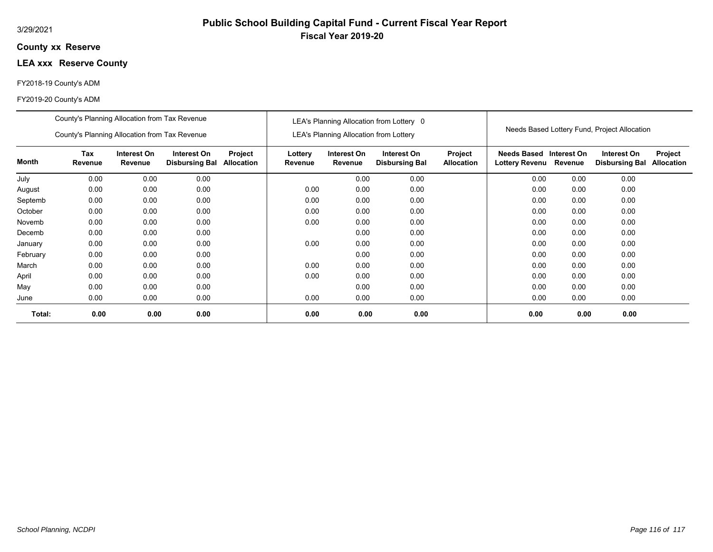### **xx Reserve County**

# **LEA xxx Reserve County**

#### FY2018-19 County's ADM

|          | County's Planning Allocation from Tax Revenue<br>County's Planning Allocation from Tax Revenue |                        |                                      |                              | LEA's Planning Allocation from Lottery 0 |                                               |                                      |                              | Needs Based Lottery Fund, Project Allocation      |      |                                      |                              |
|----------|------------------------------------------------------------------------------------------------|------------------------|--------------------------------------|------------------------------|------------------------------------------|-----------------------------------------------|--------------------------------------|------------------------------|---------------------------------------------------|------|--------------------------------------|------------------------------|
|          |                                                                                                |                        |                                      |                              |                                          | <b>LEA's Planning Allocation from Lottery</b> |                                      |                              |                                                   |      |                                      |                              |
| Month    | Tax<br>Revenue                                                                                 | Interest On<br>Revenue | Interest On<br><b>Disbursing Bal</b> | Project<br><b>Allocation</b> | Lottery<br>Revenue                       | Interest On<br>Revenue                        | Interest On<br><b>Disbursing Bal</b> | Project<br><b>Allocation</b> | Needs Based Interest On<br>Lottery Revenu Revenue |      | Interest On<br><b>Disbursing Bal</b> | Project<br><b>Allocation</b> |
| July     | 0.00                                                                                           | 0.00                   | 0.00                                 |                              |                                          | 0.00                                          | 0.00                                 |                              | 0.00                                              | 0.00 | 0.00                                 |                              |
| August   | 0.00                                                                                           | 0.00                   | 0.00                                 |                              | 0.00                                     | 0.00                                          | 0.00                                 |                              | 0.00                                              | 0.00 | 0.00                                 |                              |
| Septemb  | 0.00                                                                                           | 0.00                   | 0.00                                 |                              | 0.00                                     | 0.00                                          | 0.00                                 |                              | 0.00                                              | 0.00 | 0.00                                 |                              |
| October  | 0.00                                                                                           | 0.00                   | 0.00                                 |                              | 0.00                                     | 0.00                                          | 0.00                                 |                              | 0.00                                              | 0.00 | 0.00                                 |                              |
| Novemb   | 0.00                                                                                           | 0.00                   | 0.00                                 |                              | 0.00                                     | 0.00                                          | 0.00                                 |                              | 0.00                                              | 0.00 | 0.00                                 |                              |
| Decemb   | 0.00                                                                                           | 0.00                   | 0.00                                 |                              |                                          | 0.00                                          | 0.00                                 |                              | 0.00                                              | 0.00 | 0.00                                 |                              |
| January  | 0.00                                                                                           | 0.00                   | 0.00                                 |                              | 0.00                                     | 0.00                                          | 0.00                                 |                              | 0.00                                              | 0.00 | 0.00                                 |                              |
| February | 0.00                                                                                           | 0.00                   | 0.00                                 |                              |                                          | 0.00                                          | 0.00                                 |                              | 0.00                                              | 0.00 | 0.00                                 |                              |
| March    | 0.00                                                                                           | 0.00                   | 0.00                                 |                              | 0.00                                     | 0.00                                          | 0.00                                 |                              | 0.00                                              | 0.00 | 0.00                                 |                              |
| April    | 0.00                                                                                           | 0.00                   | 0.00                                 |                              | 0.00                                     | 0.00                                          | 0.00                                 |                              | 0.00                                              | 0.00 | 0.00                                 |                              |
| May      | 0.00                                                                                           | 0.00                   | 0.00                                 |                              |                                          | 0.00                                          | 0.00                                 |                              | 0.00                                              | 0.00 | 0.00                                 |                              |
| June     | 0.00                                                                                           | 0.00                   | 0.00                                 |                              | 0.00                                     | 0.00                                          | 0.00                                 |                              | 0.00                                              | 0.00 | 0.00                                 |                              |
| Total:   | 0.00                                                                                           | 0.00                   | 0.00                                 |                              | 0.00                                     | 0.00                                          | 0.00                                 |                              | 0.00                                              | 0.00 | 0.00                                 |                              |